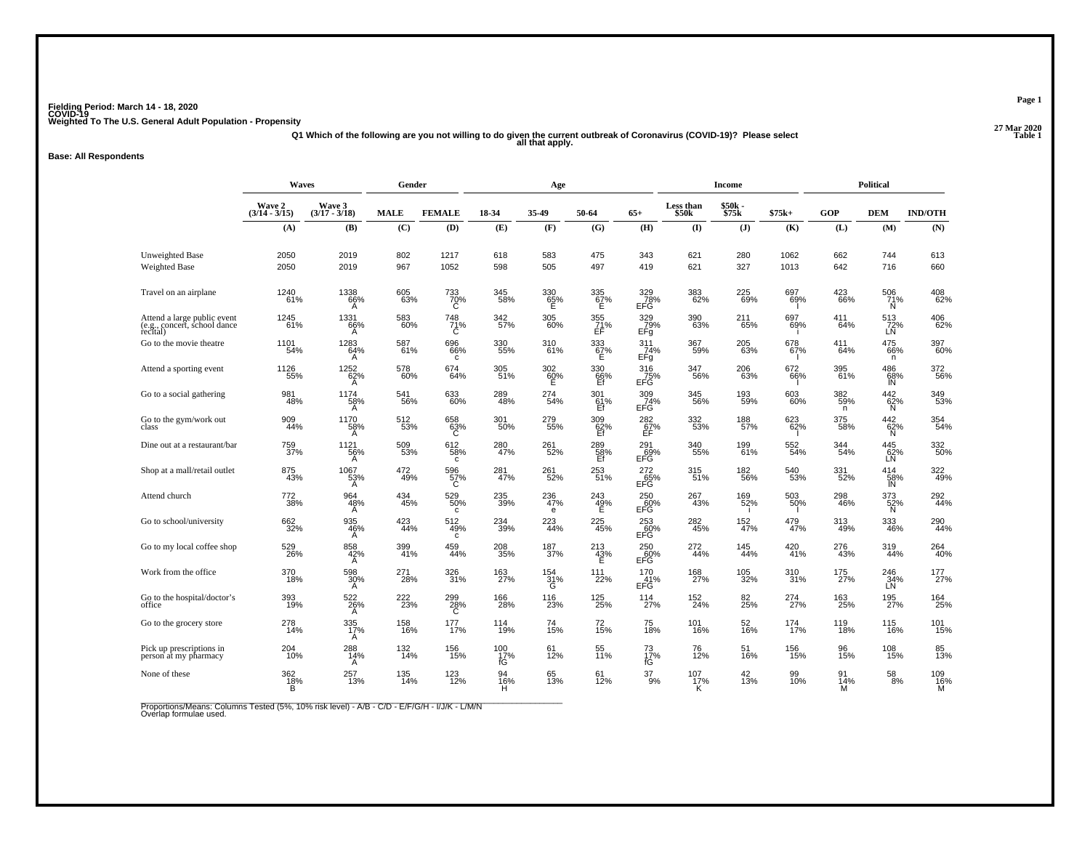**27 Mar 2020Q1 Which of the following are you not willing to do given the current outbreak of Coronavirus (COVID-19)? Please select all that apply.**

### **Base: All Respondents**

|                                                                         | Waves                     |                         | Gender      |                 |                  | Age                   |                          |                                                          |                                | <b>Income</b>    |              |                 | <b>Political</b>  |                 |
|-------------------------------------------------------------------------|---------------------------|-------------------------|-------------|-----------------|------------------|-----------------------|--------------------------|----------------------------------------------------------|--------------------------------|------------------|--------------|-----------------|-------------------|-----------------|
|                                                                         | Wave 2<br>$(3/14 - 3/15)$ | Wave 3<br>(3/17 - 3/18) | <b>MALE</b> | <b>FEMALE</b>   | 18-34            | 35-49                 | 50-64                    | $65+$                                                    | Less than<br>\$50 <sub>k</sub> | \$50k -<br>\$75k | $$75k+$      | <b>GOP</b>      | <b>DEM</b>        | <b>IND/OTH</b>  |
|                                                                         | (A)                       | (B)                     | (C)         | (D)             | (E)              | (F)                   | (G)                      | (H)                                                      | $\mathbf{I}$                   | $($ $)$          | (K)          | (L)             | (M)               | (N)             |
| Unweighted Base<br><b>Weighted Base</b>                                 | 2050<br>2050              | 2019<br>2019            | 802<br>967  | 1217<br>1052    | 618<br>598       | 583<br>505            | 475<br>497               | 343<br>419                                               | 621<br>621                     | 280<br>327       | 1062<br>1013 | 662<br>642      | 744<br>716        | 613<br>660      |
| Travel on an airplane                                                   | 1240<br>61%               | 1338<br>66%<br>A        | 605<br>63%  | 733<br>70%<br>C | 345<br>58%       | 330<br>$\frac{65}{5}$ | 335<br>67%<br>Е          | 329<br>78%<br>EFG                                        | 383<br>62%                     | 225<br>69%       | 697<br>69%   | 423<br>66%      | 506<br>71%<br>N   | 408<br>62%      |
| Attend a large public event<br>(e.g., concert, school dance<br>recital) | 1245<br>61%               | 1331<br>66%<br>A        | 583<br>60%  | 748<br>71%<br>Ċ | 342 <sub>%</sub> | 305<br>60%            | 355<br>71%<br>EF.        | 329 <sub>79%</sub><br>EFg                                | 390<br>63%                     | 211<br>65%       | 697<br>69%   | 411<br>64%      | 513<br>72%<br>LN  | 406<br>62%      |
| Go to the movie theatre                                                 | 1101<br>54%               | 1283<br>64%<br>A        | 587<br>61%  | 696<br>66%<br>c | 330<br>55%       | 310<br>61%            | 333<br>67%<br>Έ          | 311<br>74%<br>EFg                                        | 367<br>59%                     | 205<br>63%       | 678<br>67%   | 411<br>64%      | 475<br>66%<br>n   | 397<br>60%      |
| Attend a sporting event                                                 | 1126<br>55%               | 1252<br>62%<br>A        | 578<br>60%  | 674<br>64%      | 305<br>51%       | 302<br>60%<br>Е       | 330<br>66%<br>Ef         | 316<br>75%<br>EFG                                        | 347<br>56%                     | 206<br>63%       | 672<br>66%   | 395<br>61%      | 486<br>68%<br>IN  | 372<br>56%      |
| Go to a social gathering                                                | 981<br>48%                | 1174<br>58%<br>A        | 541<br>56%  | 633<br>60%      | 289<br>48%       | 274<br>54%            | 301<br>61%<br>Ef         | 309<br>74%<br>EFG                                        | 345<br>56%                     | 193<br>59%       | 603<br>60%   | 382<br>59%<br>n | 442<br>62%<br>Ñ   | 349<br>53%      |
| Go to the gym/work out<br>class                                         | 909<br>44%                | 1170<br>58%<br>A        | 512<br>53%  | 658<br>63%<br>C | 301<br>50%       | 279<br>55%            | 309<br>62%<br>Ef         | 282<br>67%<br>EF                                         | 332%                           | 188<br>57%       | 623<br>62%   | 375<br>58%      | 442<br>62%<br>N   | 354<br>54%      |
| Dine out at a restaurant/bar                                            | 759<br>37%                | $1121$<br>56%<br>Α      | 509<br>53%  | 612<br>58%<br>C | 280<br>47%       | 261<br>52%            | 289<br>58%<br>Ef         | $\begin{array}{c} 291 \\ 69\% \\ \text{EFG} \end{array}$ | 340<br>55%                     | 199<br>61%       | 552<br>54%   | 344<br>54%      | 445<br>62%<br>LN  | 332<br>50%      |
| Shop at a mall/retail outlet                                            | 875<br>43%                | 1067<br>53%<br>A        | 472<br>49%  | 596<br>57%<br>C | 281<br>47%       | 261<br>52%            | 253<br>51%               | 272<br>65%<br>EFĞ                                        | 315<br>51%                     | 182<br>56%       | 540<br>53%   | 331<br>52%      | 414<br>58%<br>ĪÑ. | 322<br>49%      |
| Attend church                                                           | 772<br>38%                | 964<br>48%<br>A         | 434<br>45%  | 529<br>50%<br>C | 235<br>39%       | 236<br>47%<br>e       | 243<br>4 <u>9</u> %<br>Е | 250<br>60%<br>EFG.                                       | 267<br>43%                     | 169<br>52%       | 503<br>50%   | 298<br>46%      | 373<br>52%<br>N   | 292<br>44%      |
| Go to school/university                                                 | 662<br>32%                | 935<br>46%<br>Α         | 423<br>44%  | 512<br>49%<br>c | 234<br>39%       | 223<br>44%            | 225<br>45%               | 253<br>60%<br>EFG                                        | 282<br>45%                     | 152<br>47%       | 479<br>47%   | 313<br>49%      | 333<br>46%        | 290<br>44%      |
| Go to my local coffee shop                                              | 529<br>26%                | 858<br>42%<br>Α         | 399<br>41%  | 459<br>44%      | 208<br>35%       | 187<br>37%            | 213<br>43%<br>E          | 250<br>60%<br><b>EFG</b>                                 | 272<br>44%                     | 145<br>44%       | 420<br>41%   | 276<br>43%      | 319<br>44%        | 264<br>40%      |
| Work from the office                                                    | 370<br>18%                | 598<br>30%<br>Α         | 271<br>28%  | 326<br>31%      | 163<br>27%       | 154<br>31%<br>G       | 111<br>22%               | 170<br>41%<br><b>EFG</b>                                 | 168<br>27%                     | 105<br>32%       | 310<br>31%   | 175<br>27%      | 246<br>34%<br>LN  | 177<br>27%      |
| Go to the hospital/doctor's<br>office                                   | 393<br>19%                | 522<br>26%<br>A         | 222%        | $^{299}_{28\%}$ | 166<br>28%       | 116<br>23%            | 125 <sub>%</sub>         | 114<br>27%                                               | 152 <sub>0%</sub>              | 82<br>25%        | 274<br>27%   | 163<br>25%      | 195<br>27%        | 164<br>25%      |
| Go to the grocery store                                                 | 278<br>14%                | 335<br>17%<br>A         | 158<br>16%  | 177<br>17%      | 114<br>19%       | 74<br>15%             | 72<br>15%                | 75<br>18%                                                | 101<br>16%                     | 52<br>16%        | 174<br>17%   | 119<br>18%      | 115<br>16%        | 101<br>15%      |
| Pick up prescriptions in<br>person at my pharmacy                       | 204<br>10%                | 288<br>14%<br>Α         | 132<br>14%  | 156<br>15%      | 100<br>17%<br>fG | 61<br>12%             | 55<br>11%                | 73<br>17%<br>fG                                          | 76<br>12%                      | 51<br>16%        | 156<br>15%   | 96<br>15%       | 108<br>15%        | 85<br>13%       |
| None of these                                                           | 362<br>18%<br>B.          | 257<br>13%              | 135<br>14%  | 123<br>12%      | 94<br>16%<br>н   | 65<br>13%             | 61<br>12%                | $\frac{37}{9%}$                                          | 107<br>17%<br>ĸ                | 42<br>13%        | 99<br>10%    | 91<br>14%<br>M  | $^{58}_{\ 8\%}$   | 109<br>16%<br>M |

Proportions/Means: Columns Tested (5%, 10% risk level) - A/B - C/D - E/F/G/H - I/J/K - L/M/N<br>Overlap formulae used.

**Page 1**

**t** Table 1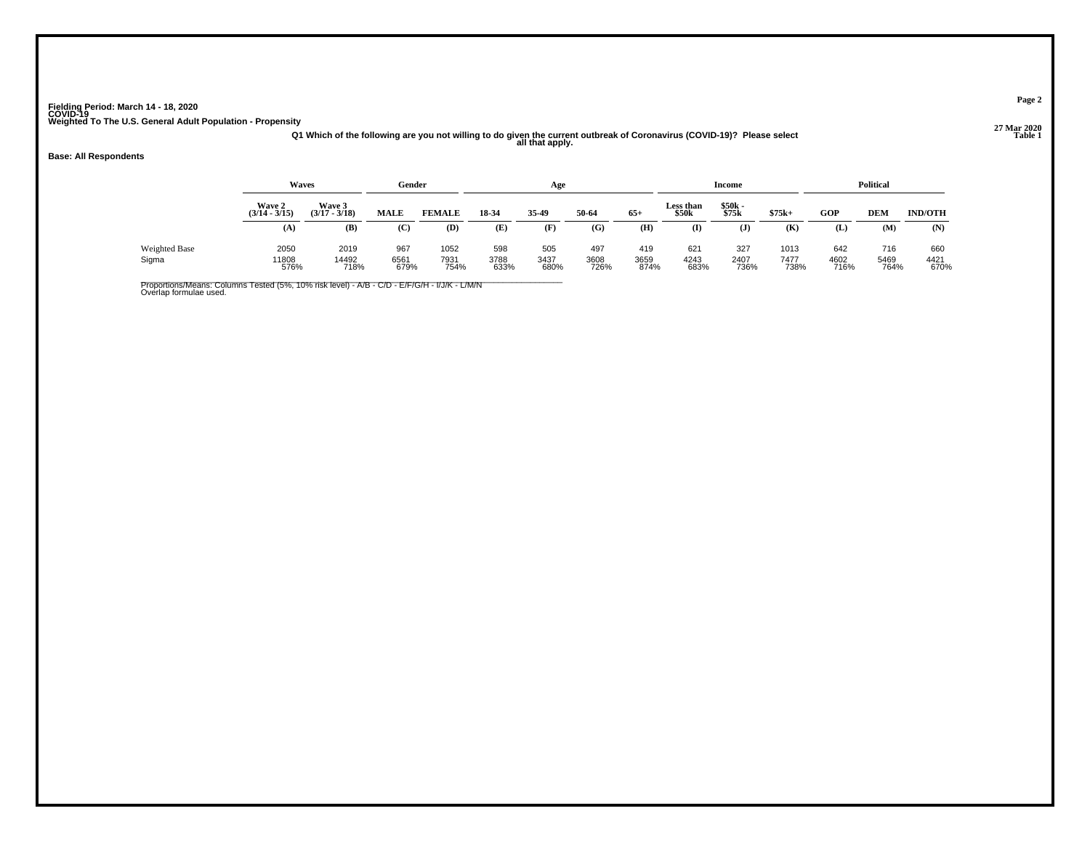**27 Mar 2020Q1 Which of the following are you not willing to do given the current outbreak of Coronavirus (COVID-19)? Please select all that apply.**

### **Base: All Respondents**

|                        | <b>Waves</b>                     |                           | Gender              |                      |                     | Age                 |                     |                     |                     | Income              |                      |                     | <b>Political</b>    |                     |
|------------------------|----------------------------------|---------------------------|---------------------|----------------------|---------------------|---------------------|---------------------|---------------------|---------------------|---------------------|----------------------|---------------------|---------------------|---------------------|
|                        | <b>Wave 2</b><br>$(3/14 - 3/15)$ | Wave 3<br>$(3/17 - 3/18)$ | <b>MALE</b>         | <b>FEMALE</b>        | 18-34               | 35-49               | 50-64               | $65+$               | Less than<br>\$50k  | \$50k<br>\$75k      | $$75k+$              | GOP                 | <b>DEM</b>          | <b>IND/OTH</b>      |
|                        | (A)                              | (B)                       | (C)                 | (D)                  | (E)                 | (F)                 | (G)                 | (H)                 | $\mathbf{I}$        | (J)                 | (K)                  | (L)                 | (M)                 | (N)                 |
| Weighted Base<br>Sigma | 2050<br>11808<br>576%            | 2019<br>14492<br>718%     | 967<br>6561<br>679% | 1052<br>7931<br>754% | 598<br>3788<br>633% | 505<br>3437<br>680% | 497<br>3608<br>726% | 419<br>3659<br>874% | 621<br>4243<br>683% | 327<br>2407<br>736% | 1013<br>7477<br>738% | 642<br>4602<br>716% | 716<br>5469<br>764% | 660<br>4421<br>670% |

Proportions/Means: Columns Tested (5%, 10% risk level) - A/B - C/D - E/F/G/H - I/J/K - L/M/N<br>Overlap formulae used.

**Page 2**

**t** Table 1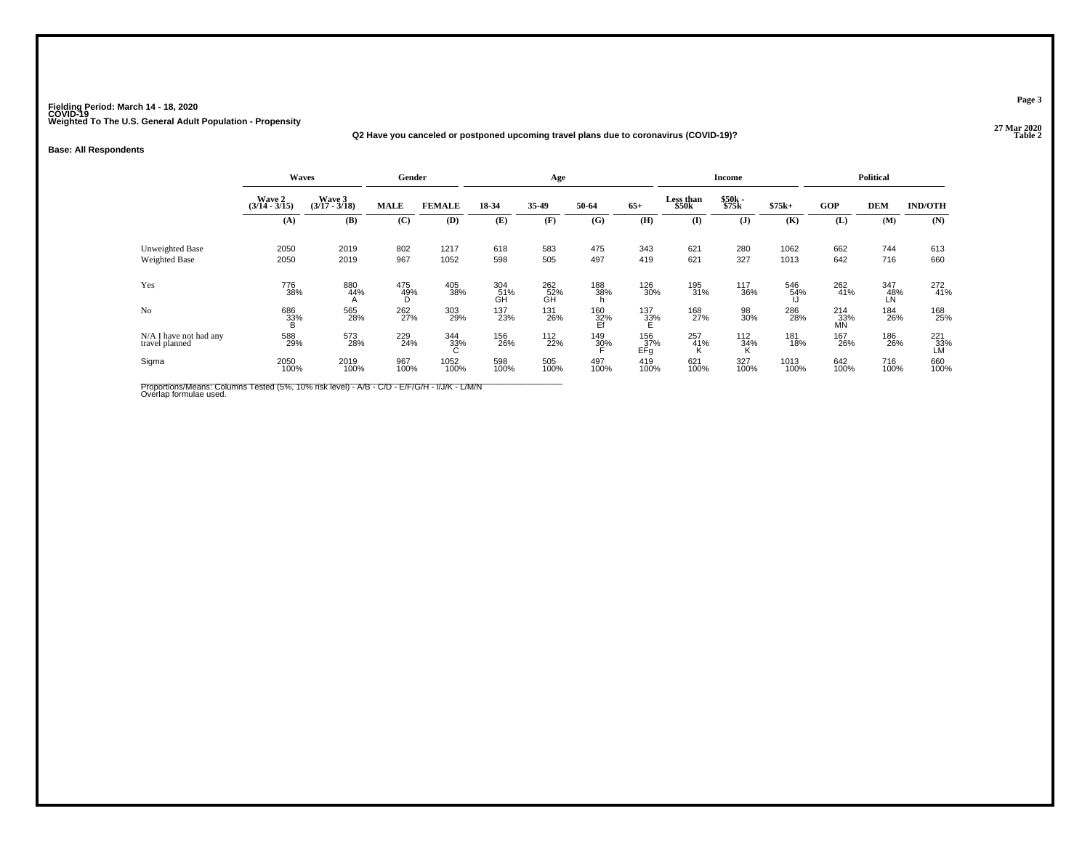## **27 Mar 2020Q2 Have you canceled or postponed upcoming travel plans due to coronavirus (COVID-19)?**

### **Base: All Respondents**

|                                          | Waves                     |                           | Gender      |               |                  | Age              |                  |                     |                    | Income                        |              |                        | <b>Political</b> |                    |
|------------------------------------------|---------------------------|---------------------------|-------------|---------------|------------------|------------------|------------------|---------------------|--------------------|-------------------------------|--------------|------------------------|------------------|--------------------|
|                                          | Wave 2<br>$(3/14 - 3/15)$ | Wave 3<br>$(3/17 - 3/18)$ | <b>MALE</b> | <b>FEMALE</b> | 18-34            | 35-49            | 50-64            | $65+$               | Less than<br>\$50k | \$50k<br>\$75k                | $$75k+$      | <b>GOP</b>             | <b>DEM</b>       | <b>IND/OTH</b>     |
|                                          | (A)                       | (B)                       | (C)         | (D)           | (E)              | (F)              | (G)              | (H)                 | $\mathbf{I}$       | $($ $)$                       | (K)          | (L)                    | (M)              | (N)                |
| Unweighted Base                          | 2050                      | 2019                      | 802         | 1217          | 618              | 583              | 475              | 343                 | 621                | 280                           | 1062         | 662                    | 744              | 613                |
| Weighted Base                            | 2050                      | 2019                      | 967         | 1052          | 598              | 505              | 497              | 419                 | 621                | 327                           | 1013         | 642                    | 716              | 660                |
| Yes                                      | 776<br>38%                | 880<br>44%                | 475<br>49%  | 405<br>38%    | 304<br>51%<br>GΗ | 262<br>52%<br>GH | 188<br>38%       | 126<br>30%          | 195<br>31%         | <sup>117</sup> <sub>36%</sub> | 546<br>54%   | 262<br>41%             | 347<br>48%<br>LN | 272<br>41%         |
| N <sub>o</sub>                           | 686<br>33%<br>B           | 565<br>28%                | 262<br>27%  | 303<br>29%    | 137<br>23%       | 131<br>26%       | 160<br>32%<br>Ef | 137<br>3 <u>3</u> % | 168<br>27%         | 98<br>30%                     | 286<br>28%   | 214<br>$\frac{33}{10}$ | 184<br>26%       | 168<br>25%         |
| N/A I have not had any<br>travel planned | 588<br>29%                | 573<br>28%                | 229<br>24%  | 344<br>33%    | 156<br>26%       | 112<br>22%       | 149<br>30%       | 156<br>37%<br>EFg   | 257<br>41%<br>n.   | 112<br>34%<br>ĸ               | 181<br>18%   | 167<br>26%             | 186<br>26%       | $^{221}_{33\%}$ LM |
| Sigma                                    | 2050<br>100%              | 2019<br>100%              | 967<br>100% | 1052<br>100%  | 598<br>100%      | 505<br>100%      | 497<br>100%      | 419<br>100%         | 621<br>100%        | 327<br>100%                   | 1013<br>100% | 642<br>100%            | 716<br>100%      | 660<br>100%        |

Proportions/Means: Columns Tested (5%, 10% risk level) - A/B - C/D - E/F/G/H - I/J/K - L/M/N<br>Overlap formulae used.

**Page 3**

**Table 2 Table 2**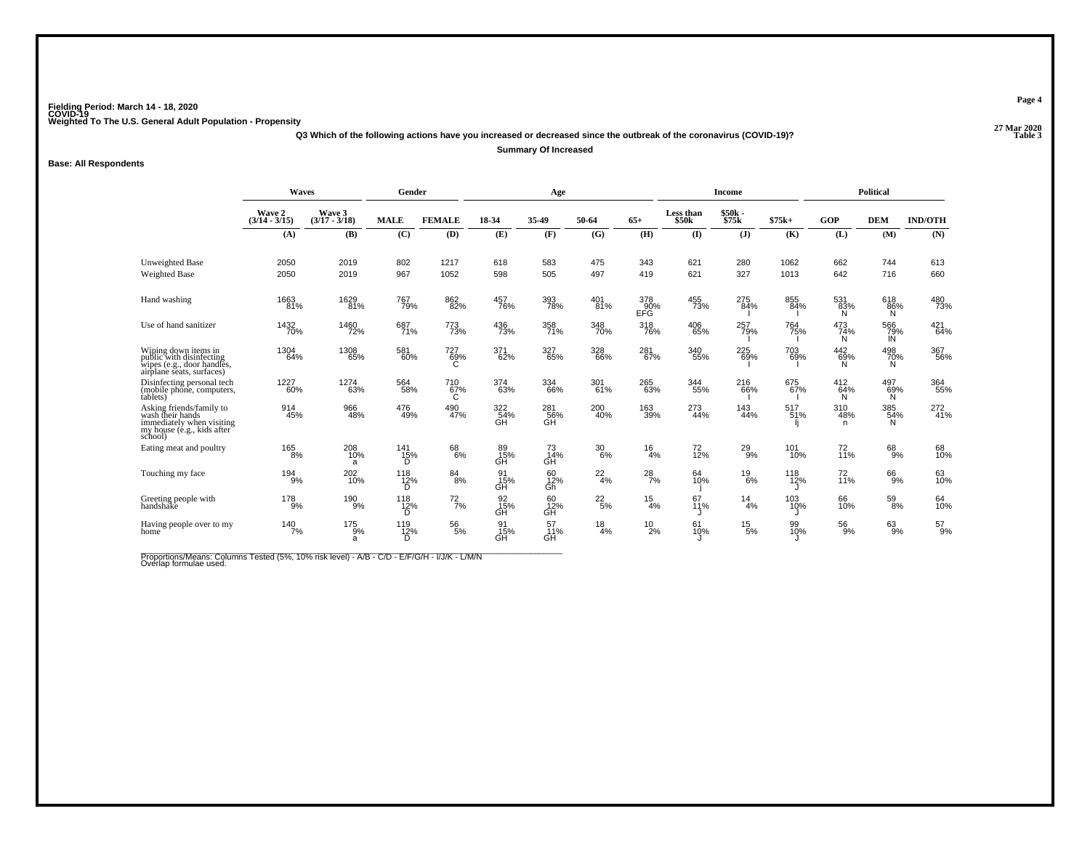**27 Mar 2020Q3 Which of the following actions have you increased or decreased since the outbreak of the coronavirus (COVID-19)?**

**Summary Of Increased**

### **Base: All Respondents**

|                                                                                                                    | <b>Waves</b>              |                           | Gender               |                        |                  | Age                          |                  |                   |                                | <b>Income</b>    |                 |                  | <b>Political</b> |                |
|--------------------------------------------------------------------------------------------------------------------|---------------------------|---------------------------|----------------------|------------------------|------------------|------------------------------|------------------|-------------------|--------------------------------|------------------|-----------------|------------------|------------------|----------------|
|                                                                                                                    | Wave 2<br>$(3/14 - 3/15)$ | Wave 3<br>$(3/17 - 3/18)$ | <b>MALE</b>          | <b>FEMALE</b>          | 18-34            | 35-49                        | 50-64            | $65+$             | Less than<br>\$50 <sub>k</sub> | \$50k -<br>\$75k | $$75k+$         | <b>GOP</b>       | <b>DEM</b>       | <b>IND/OTH</b> |
|                                                                                                                    | (A)                       | (B)                       | (C)                  | (D)                    | (E)              | (F)                          | (G)              | (H)               | $($ $\Gamma$                   | $\mathbf{J}$     | (K)             | (L)              | (M)              | (N)            |
| Unweighted Base<br><b>Weighted Base</b>                                                                            | 2050<br>2050              | 2019<br>2019              | 802<br>967           | 1217<br>1052           | 618<br>598       | 583<br>505                   | 475<br>497       | 343<br>419        | 621<br>621                     | 280<br>327       | 1062<br>1013    | 662<br>642       | 744<br>716       | 613<br>660     |
| Hand washing                                                                                                       | 1663<br>81%               | 1629<br>81%               | 767<br>79%           | 862<br>82%             | 457<br>76%       | 393<br>78%                   | 401<br>81%       | 378<br>90%<br>EFG | 455<br>73%                     | 275<br>84%       | 855<br>84%      | 531<br>83%<br>N  | 618<br>86%<br>N  | 480<br>73%     |
| Use of hand sanitizer                                                                                              | 1432<br>70%               | 1460<br>72%               | 687<br>71%           | 773<br>73%             | 436<br>73%       | 358<br>71%                   | 348<br>70%       | 318<br>76%        | 406<br>65%                     | 257<br>79%       | 764<br>75%      | 473<br>74%<br>N  | 566<br>79%<br>IN | 421<br>64%     |
| Wiping down items in<br>public with disinfecting<br>wipes (e.g., door handles,<br>airplane seats, surfaces)        | 1304<br>64%               | 1308<br>65%               | 581<br>60%           | 727<br>69%<br>C        | 371<br>62%       | 327<br>65%                   | 328<br>66%       | 281<br>67%        | 340<br>55%                     | 225<br>69%       | 703<br>69%      | 442<br>69%<br>N  | 498<br>70%<br>N  | 367<br>56%     |
| Disinfecting personal tech<br>(mobile phone, computers,<br><i>d</i> iablets)                                       | 1227<br>60%               | 1274<br>63%               | 564<br>58%           | 710<br>67%<br>C        | 374<br>63%       | 334<br>66%                   | 301<br>61%       | 265<br>63%        | 344<br>55%                     | 216<br>66%       | 675<br>67%      | 412<br>64%<br>N. | 497<br>69%<br>N  | 364<br>55%     |
| Asking friends/family to<br>wash their hands<br>immediately when visiting<br>my house (é.g., kids after<br>school) | 914<br>45%                | 966<br>48%                | 476<br>49%           | 490<br>47%             | 322<br>54%<br>GH | 281<br>-36%<br>GH            | 200<br>40%       | 163<br>39%        | 273<br>44%                     | 143<br>44%       | 517<br>51%      | 310<br>48%<br>n. | 385<br>54%       | 272<br>41%     |
| Eating meat and poultry                                                                                            | $^{165}_{8\%}$            | 208<br>10%<br>a           | $^{141}_{15\%}$<br>D | $^{68}_{6\%}$          | 89<br>15%<br>GH  | 73<br>14%<br>GH              | $\frac{30}{6\%}$ | $^{16}_{4\%}$     | 72<br>12%                      | $^{29}_{9\%}$    | 101<br>10%      | 72 <sub>%</sub>  | $^{68}_{9\%}$    | 68<br>10%      |
| Touching my face                                                                                                   | 194<br>9%                 | 202<br>10%                | $^{118}_{12\%}$<br>D | $\substack{84 \\ 8\%}$ | 91<br>15%<br>GH  | 60<br>12%<br>Gh              | $^{22}_{4\%}$    | $^{28}_{7\%}$     | 64<br>10%                      | $^{19}_{6\%}$    | 118<br>12%      | 72 <sub>%</sub>  | 66<br>9%         | 63<br>10%      |
| Greeting people with<br>handshake                                                                                  | 178<br>9%                 | 190<br>9%                 | 118<br>12%<br>D      | $^{72}_{7\%}$          | 92<br>15%<br>GH  | 60<br>$\frac{12}{\text{GH}}$ | $^{22}_{\ 5\%}$  | 15<br>4%          | 67<br>11%                      | $\frac{14}{4\%}$ | 103<br>10%<br>J | 66<br>10%        | $^{59}_{\ 8\%}$  | 64<br>10%      |
| Having people over to my<br>home                                                                                   | $140$<br>$7%$             | 175<br>9%<br>a            | $^{119}_{12\%}$<br>D | $^{56}_{\ 5\%}$        | 91<br>15%<br>GH  | 57<br>11%<br>GH              | $\frac{18}{4\%}$ | 10<br>2%          | 61<br>10%                      | $^{15}_{5\%}$    | 99<br>10%       | $^{56}_{9\%}$    | 63<br>9%         | $^{57}_{9\%}$  |

Proportions/Means: Columns Tested (5%, 10% risk level) - A/B - C/D - E/F/G/H - I/J/K - L/M/N<br>Overlap formulae used.

**Page 4**

**P Table 3**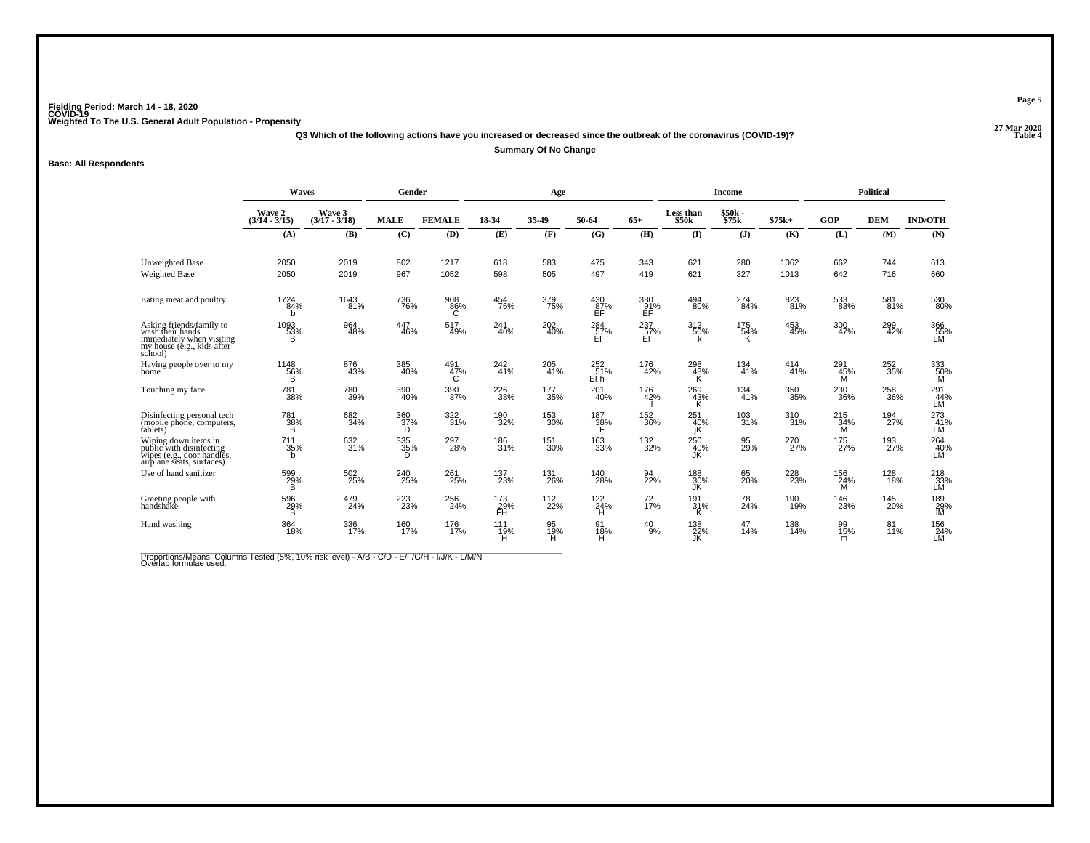**27 Mar 2020Q3 Which of the following actions have you increased or decreased since the outbreak of the coronavirus (COVID-19)?**

**Summary Of No Change**

### **Base: All Respondents**

|                                                                                                                    | Waves                          |                       | Gender                  |               |            | Age            |                         |                       |                                | Income          |              |                 | <b>Political</b> |                       |
|--------------------------------------------------------------------------------------------------------------------|--------------------------------|-----------------------|-------------------------|---------------|------------|----------------|-------------------------|-----------------------|--------------------------------|-----------------|--------------|-----------------|------------------|-----------------------|
|                                                                                                                    | Wave 2<br>$(3/14 - 3/15)$      | Wave $3(3/17 - 3/18)$ | <b>MALE</b>             | <b>FEMALE</b> | 18-34      | 35-49          | 50-64                   | $65+$                 | Less than<br>\$50 <sub>k</sub> | \$50k<br>\$75k  | $$75k+$      | <b>GOP</b>      | <b>DEM</b>       | <b>IND/OTH</b>        |
|                                                                                                                    | (A)                            | (B)                   | (C)                     | (D)           | (E)        | (F)            | (G)                     | (H)                   | (I)                            | $($ $)$         | (K)          | (L)             | (M)              | (N)                   |
| <b>Unweighted Base</b><br>Weighted Base                                                                            | 2050<br>2050                   | 2019<br>2019          | 802<br>967              | 1217<br>1052  | 618<br>598 | 583<br>505     | 475<br>497              | 343<br>419            | 621<br>621                     | 280<br>327      | 1062<br>1013 | 662<br>642      | 744<br>716       | 613<br>660            |
| Eating meat and poultry                                                                                            | 1724<br>84%<br>h.              | 1643<br>81%           | 736<br>76%              | 908<br>86%    | 454<br>76% | 379<br>75%     | 430<br>$\frac{87}{E}$   | 380<br>$\frac{91}{5}$ | 494<br>80%                     | 274<br>84%      | 823<br>81%   | 533<br>83%      | 581<br>81%       | 530<br>80%            |
| Asking friends/family to<br>wash their hands<br>immediately when visiting<br>my house (é.g., kids after<br>school) | $^{1093}_{\substack{53\%\\8}}$ | 964<br>48%            | 447<br>46%              | 517<br>49%    | 241<br>40% | 202<br>40%     | 284<br>57%<br>EF        | 237<br>57%<br>EF      | 312<br>50%<br>k                | 175<br>54%<br>ĸ | 453<br>45%   | 300<br>47%      | 299<br>42%       | 366<br>55%<br>LM      |
| Having people over to my<br>home                                                                                   | 1148<br>$\frac{56}{B}$         | 876<br>43%            | 385<br>40%              | 491<br>47%    | 242<br>41% | 205<br>41%     | 252<br>51%<br>EFh       | 176<br>42%            | 298<br>48%<br>Κ                | 134<br>41%      | 414<br>41%   | 291<br>45%      | 252<br>35%       | 333<br>50%<br>M       |
| Touching my face                                                                                                   | 781<br>38%                     | 780<br>39%            | 390<br>40%              | 390<br>37%    | 226<br>38% | 177<br>35%     | 201<br>40%              | 176<br>42%            | 269<br>43%<br>Κ                | 134<br>41%      | 350<br>35%   | 230<br>36%      | 258<br>36%       | 291<br>44%<br>LМ.     |
| Disinfecting personal tech<br>(mobile phone, computers,<br><i>iablets</i> )                                        | 781<br>38%<br>B.               | 682<br>34%            | $\frac{360}{37\%}$<br>D | 322<br>31%    | 190<br>32% | 153<br>30%     | 187<br>$\frac{38}{5}$ % | <sup>152</sup> 36%    | 251<br>40%<br>jΚ               | 103<br>31%      | 310<br>31%   | 215<br>34%<br>м | 194<br>27%       | 273<br>41%<br>LМ      |
| Wiping down items in<br>public with disinfecting<br>wipes (e.g., door handles,<br>airplane seats, surfaces)        | 711<br>35%<br>b.               | 632<br>31%            | 335<br>35%<br>D         | 297<br>28%    | 186<br>31% | 151<br>30%     | 163<br>33%              | 132<br>32%            | 250<br>-40%<br>JK              | 95<br>29%       | 270<br>27%   | 175<br>27%      | 193<br>27%       | 264<br>40%<br>LM      |
| Use of hand sanitizer                                                                                              | 599<br>29%<br>B                | 502<br>25%            | 240<br>25%              | 261<br>25%    | 137<br>23% | 131<br>26%     | 140<br>28%              | 94<br>22%             | 188<br>30%<br>JK.              | 65<br>20%       | 228<br>23%   | 156<br>24%<br>м | 128<br>18%       | $^{218}_{33\%}$ LM    |
| Greeting people with<br>handshake                                                                                  | 596<br>$\frac{29}{B}$          | 479<br>24%            | 223<br>23%              | 256<br>24%    | 173<br>29% | 112<br>22%     | 122<br>24%<br>н         | 72<br>17%             | 191<br>31%<br>κ                | 78<br>24%       | 190<br>19%   | 146<br>23%      | 145<br>20%       | 189<br>$\frac{29}{1}$ |
| Hand washing                                                                                                       | 364<br>18%                     | 336<br>17%            | 160<br>17%              | 176<br>17%    | 111<br>19% | 95<br>19%<br>н | 91<br>18%<br>н          | 40<br>9%              | 138<br>22%<br>JK               | 47<br>14%       | 138<br>14%   | 99<br>15%<br>m  | 81<br>11%        | 156<br>24%<br>LM      |

Proportions/Means: Columns Tested (5%, 10% risk level) - A/B - C/D - E/F/G/H - I/J/K - L/M/N<br>Overlap formulae used.

**Page 5**

**P Table 4**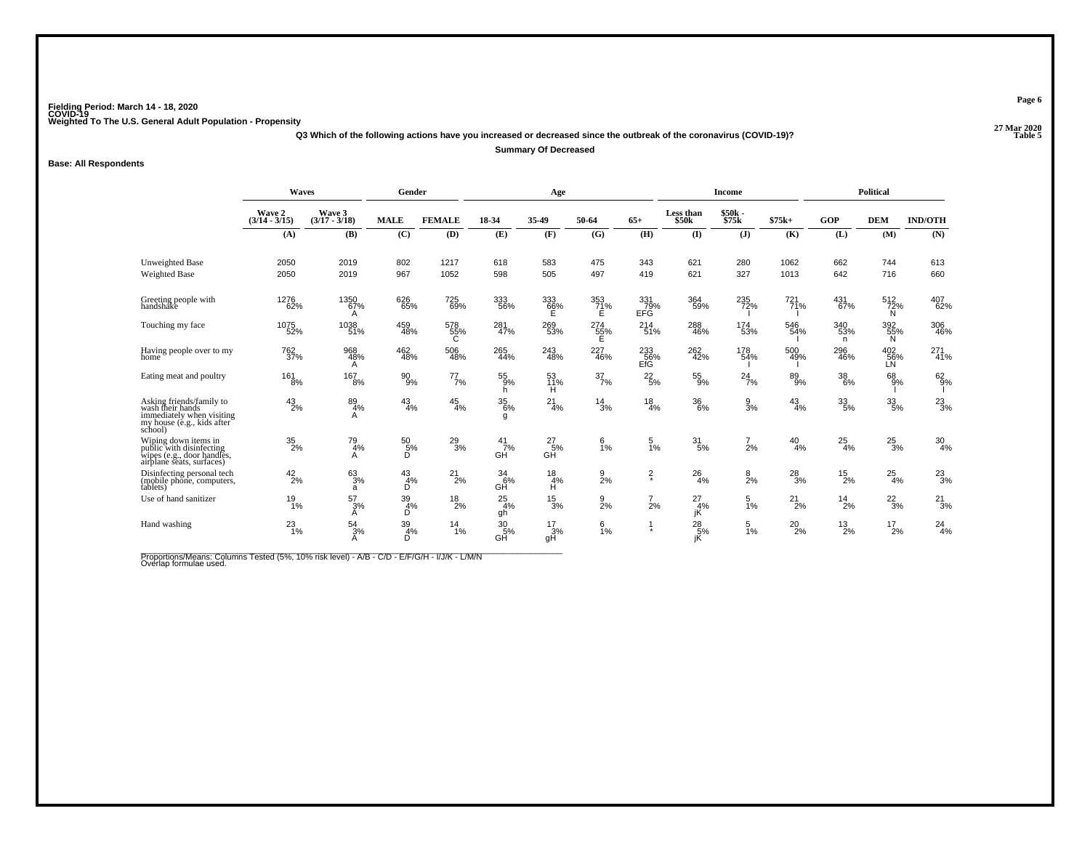**27 Mar 2020Q3 Which of the following actions have you increased or decreased since the outbreak of the coronavirus (COVID-19)?**

#### **Summary Of Decreased**

### **Base: All Respondents**

|                                                                                                                     | Waves                                     |                             | Gender               |                 |                      | Age                     |                       |                   |                      | <b>Income</b>    |               |                        | <b>Political</b> |                  |
|---------------------------------------------------------------------------------------------------------------------|-------------------------------------------|-----------------------------|----------------------|-----------------|----------------------|-------------------------|-----------------------|-------------------|----------------------|------------------|---------------|------------------------|------------------|------------------|
|                                                                                                                     | Wave 2<br>$(3/14 - 3/15)$                 | Wave 3<br>$(3/17 - 3/18)$   | <b>MALE</b>          | <b>FEMALE</b>   | 18-34                | 35-49                   | 50-64                 | $65+$             | Less than<br>\$50k   | \$50k -<br>\$75k | $$75k+$       | <b>GOP</b>             | <b>DEM</b>       | <b>IND/OTH</b>   |
|                                                                                                                     | (A)                                       | (B)                         | (C)                  | (D)             | (E)                  | (F)                     | (G)                   | (H)               | $($ $\Gamma$         | $($ $)$          | (K)           | (L)                    | (M)              | (N)              |
| Unweighted Base<br><b>Weighted Base</b>                                                                             | 2050<br>2050                              | 2019<br>2019                | 802<br>967           | 1217<br>1052    | 618<br>598           | 583<br>505              | 475<br>497            | 343<br>419        | 621<br>621           | 280<br>327       | 1062<br>1013  | 662<br>642             | 744<br>716       | 613<br>660       |
| Greeting people with<br>handshake                                                                                   | 1276<br>62%                               | 1350<br>67%<br>$\mathsf{A}$ | 626<br>65%           | 725<br>69%      | 333<br>56%           | 333<br>66%<br>Е         | 353<br>$\frac{71}{E}$ | 331<br>EFG        | 364<br>59%           | 235<br>72%       | 721<br>71%    | 431<br>67%             | 512<br>72%<br>N  | 407<br>62%       |
| Touching my face                                                                                                    | 1075<br>52%                               | 1038<br>51%                 | 459<br>48%           | 578<br>55%<br>C | 281<br>47%           | 269<br>53%              | 274<br>55%<br>E       | 214<br>51%        | 288<br>46%           | 174<br>53%       | 546<br>54%    | 340<br>53%<br>n.       | 392<br>55%<br>N  | 306<br>46%       |
| Having people over to my<br>home                                                                                    | <sup>762</sup> <sub>37%</sub>             | 968<br>48%<br>A             | 462<br>48%           | 506<br>48%      | 265<br>44%           | 243<br>48%              | 227<br>46%            | 233<br>56%<br>EfĞ | 262<br>42%           | 178<br>54%       | 500<br>49%    | 296<br>46%             | 402<br>56%<br>LN | 271 <sub>%</sub> |
| Eating meat and poultry                                                                                             | $\begin{array}{c} 161 \\ 8\% \end{array}$ | 167<br>8%                   | $\frac{90}{9\%}$     | $^{77}_{7\%}$   | 55<br>9%<br>n.       | 53<br>$\tilde{11}^{\%}$ | $\frac{37}{7\%}$      | $^{22}_{\ 5\%}$   | $^{55}_{9\%}$        | $^{24}_{7\%}$    | 89<br>9%      | $\substack{38 \\ 6\%}$ | 68<br>9%         | $^{62}_{9%}$     |
| Asking friends/family to<br>wash their hands<br>immediately when visiting<br>my house (é.g., kids after'<br>school) | $^{43}_{2\%}$                             | 89<br>4%<br>A               | $\frac{43}{4\%}$     | 45<br>4%        | $^{35}_{\ 6\%}$<br>g | $^{21}_{4\%}$           | $\frac{14}{3%}$       | $\frac{18}{4\%}$  | $^{36}_{\ 6\%}$      | $\frac{9}{3\%}$  | $^{43}_{4\%}$ | $\frac{33}{5\%}$       | $^{33}_{\ 5\%}$  | $^{23}_{3\%}$    |
| Wiping down items in<br>public with disinfecting<br>wipes (e.g., door handles,<br>airplane seats, surfaces)         | $\frac{35}{2\%}$                          | $^{79}_{4\%}$<br>A          | $\frac{50}{5%}$<br>Ď | $^{29}_{3\%}$   | 41<br>7%<br>GĤ       | 27<br>5%<br>GH          | $6\frac{1}{1}\%$      | $\frac{5}{1\%}$   | 31<br>5%             | $\frac{7}{2\%}$  | 40<br>4%      | $^{25}_{4\%}$          | $^{25}_{3\%}$    | 30<br>4%         |
| Disinfecting personal tech<br>(mobile phone, computers,<br><i>d</i> ablets)                                         | $^{42}_{2\%}$                             | $^{63}_{3\%}$<br>a          | $^{43}_{4\%}$<br>D   | $^{21}_{2\%}$   | $^{34}_{6\%}$<br>GH  | $^{18}_{4\%}$<br>Н      | $\frac{9}{2}$ %       | $\frac{2}{x}$     | $^{26}_{4\%}$        | $\frac{8}{2%}$   | $^{28}_{3\%}$ | $^{15}_{2\%}$          | $^{25}_{4\%}$    | $^{23}_{3%}$     |
| Use of hand sanitizer                                                                                               | 19<br>1%                                  | $\frac{57}{3}\%$<br>A       | 39<br>4%<br>D        | 18<br>2%        | 25<br>4%<br>gh       | $\frac{15}{3\%}$        | $\frac{9}{2}$ %       | $\frac{7}{2%}$    | 27<br>4%<br>jΚ       | 5<br>1%          | $^{21}_{2\%}$ | $^{14}_{2\%}$          | $^{22}_{3\%}$    | $^{21}_{3\%}$    |
| Hand washing                                                                                                        | $^{23}_{1\%}$                             | $\frac{54}{3%}$<br>A        | $\frac{39}{4%}$<br>D | 14<br>1%        | 30<br>5%<br>GH       | 17<br>3%<br>gH          | 6<br>1%               |                   | $^{28}_{.5\%}$<br>jΚ | 5<br>1%          | 20<br>2%      | $^{13}_{2\%}$          | 17<br>2%         | $^{24}_{4\%}$    |

Proportions/Means: Columns Tested (5%, 10% risk level) - A/B - C/D - E/F/G/H - I/J/K - L/M/N<br>Overlap formulae used.

**Page 6**

**Table 5 Table 5**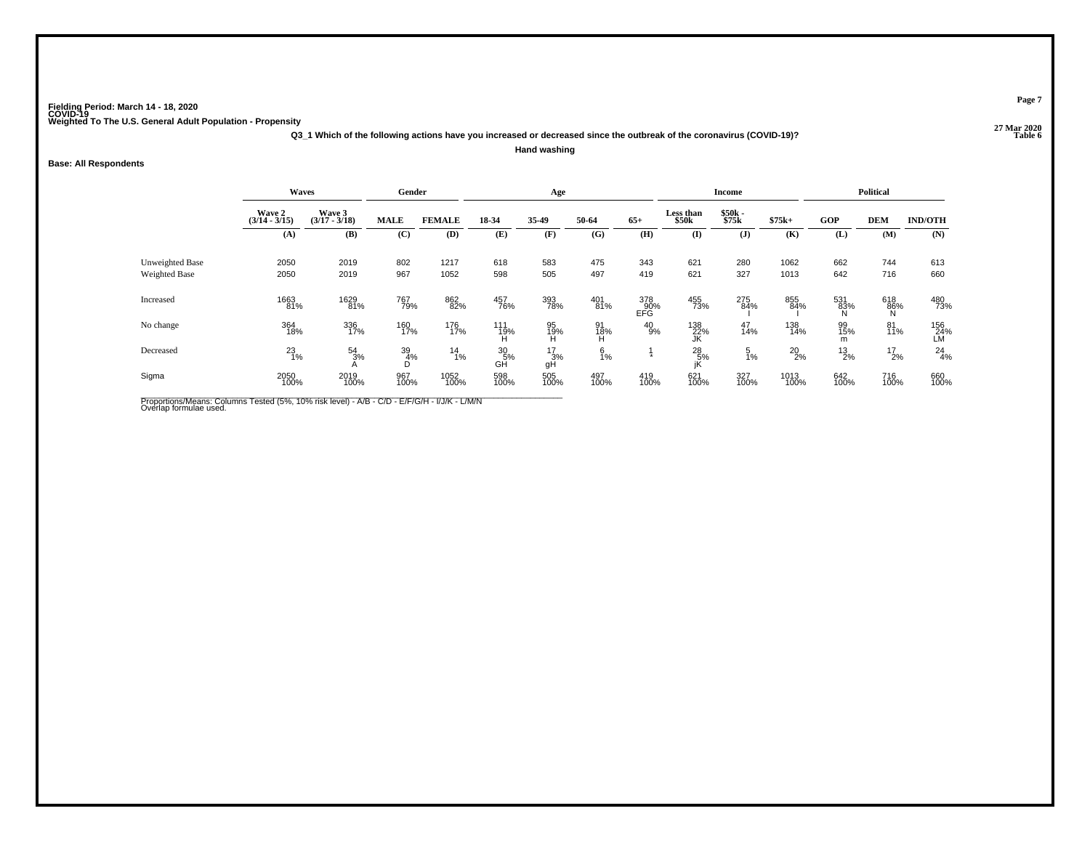**27 Mar 2020Q3\_1 Which of the following actions have you increased or decreased since the outbreak of the coronavirus (COVID-19)?Hand washing**

### **Base: All Respondents**

|                 | Waves                     |                           | Gender               |               |                     | Age              |                 |                    |                         | Income            |               |                | <b>Political</b> |                  |
|-----------------|---------------------------|---------------------------|----------------------|---------------|---------------------|------------------|-----------------|--------------------|-------------------------|-------------------|---------------|----------------|------------------|------------------|
|                 | Wave 2<br>$(3/14 - 3/15)$ | Wave 3<br>$(3/17 - 3/18)$ | <b>MALE</b>          | <b>FEMALE</b> | 18-34               | 35-49            | 50-64           | $65+$              | Less than<br>\$50k      | \$50k -<br>\$75k  | $$75k+$       | <b>GOP</b>     | <b>DEM</b>       | <b>IND/OTH</b>   |
|                 | (A)                       | (B)                       | (C)                  | (D)           | (E)                 | (F)              | (G)             | (H)                | $\mathbf{I}$            | $\mathbf{J}$      | (K)           | (L)            | (M)              | (N)              |
| Unweighted Base | 2050                      | 2019                      | 802                  | 1217          | 618                 | 583              | 475             | 343                | 621                     | 280               | 1062          | 662            | 744              | 613              |
| Weighted Base   | 2050                      | 2019                      | 967                  | 1052          | 598                 | 505              | 497             | 419                | 621                     | 327               | 1013          | 642            | 716              | 660              |
| Increased       | 1663<br>81%               | 1629<br>81%               | 767<br>79%           | 862<br>82%    | 457<br>76%          | 393<br>78%       | 401<br>81%      | 378<br>_90%<br>EFG | 455<br>73%              | 275<br>84%        | 855<br>84%    | 531<br>83%     | 618<br>86%<br>N  | 480<br>73%       |
| No change       | 364<br>18%                | 336<br>17%                | 160<br>17%           | 176<br>17%    | 111<br>19%<br>H     | 95<br>19%<br>H   | 91<br>18%<br>H  | $^{40}_{9\%}$      | 138<br>22%<br><b>JK</b> | $\frac{47}{14\%}$ | 138<br>14%    | 99<br>15%<br>m | 81<br>11%        | 156<br>24%<br>LM |
| Decreased       | $^{23}_{1\%}$             | 54<br>3%                  | $\frac{39}{4%}$<br>D | $^{14}_{1\%}$ | $^{30}_{5\%}$<br>GH | $^{17}_{3\%}$ gH | $\frac{6}{1\%}$ |                    | 28<br>5%<br>jK          | $\frac{5}{1\%}$   | $^{20}_{2\%}$ | $^{13}_{2\%}$  | $^{17}_{2\%}$    | $^{24}_{4%}$     |
| Sigma           | 2050<br>100%              | 2019<br>100%              | 967<br>100%          | 1052<br>100%  | 598<br>100%         | 505<br>100%      | 497<br>100%     | 419<br>100%        | 621<br>100%             | 327<br>100%       | 1013<br>100%  | 642<br>100%    | 716<br>100%      | 660<br>100%      |

Proportions/Means: Columns Tested (5%, 10% risk level) - A/B - C/D - E/F/G/H - I/J/K - L/M/N<br>Overlap formulae used.

**Table 6 Table 6**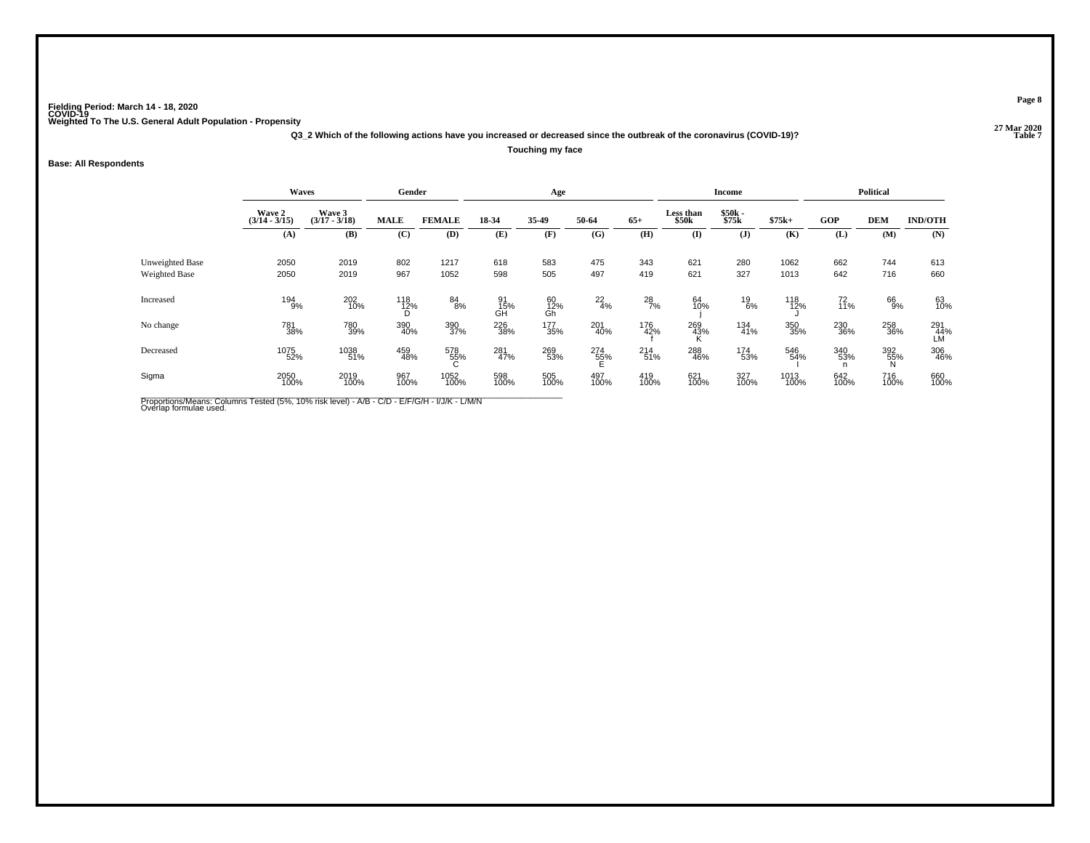**27 Mar 2020Q3\_2 Which of the following actions have you increased or decreased since the outbreak of the coronavirus (COVID-19)?**

#### **Touching my face**

### **Base: All Respondents**

|                                  | Waves                     |                           | Gender          |               |                  | Age             |                     |               |                    | Income         |              |             | <b>Political</b> |                  |
|----------------------------------|---------------------------|---------------------------|-----------------|---------------|------------------|-----------------|---------------------|---------------|--------------------|----------------|--------------|-------------|------------------|------------------|
|                                  | Wave 2<br>$(3/14 - 3/15)$ | Wave 3<br>$(3/17 - 3/18)$ | <b>MALE</b>     | <b>FEMALE</b> | 18-34            | 35-49           | 50-64               | $65+$         | Less than<br>\$50k | \$50k<br>\$75k | $$75k+$      | <b>GOP</b>  | <b>DEM</b>       | <b>IND/OTH</b>   |
|                                  | (A)                       | (B)                       | (C)             | (D)           | (E)              | (F)             | (G)                 | (H)           | $\mathbf{I}$       | $\mathbf{J}$   | (K)          | (L)         | (M)              | (N)              |
| Unweighted Base<br>Weighted Base | 2050<br>2050              | 2019<br>2019              | 802<br>967      | 1217<br>1052  | 618<br>598       | 583<br>505      | 475<br>497          | 343<br>419    | 621<br>621         | 280<br>327     | 1062<br>1013 | 662<br>642  | 744<br>716       | 613<br>660       |
| Increased                        | 194<br>9%                 | 202<br>10%                | $^{118}_{12\%}$ | 84<br>8%      | 91<br>_15%<br>GH | 60<br>12%<br>Gh | $^{22}_{4\%}$       | $^{28}_{7\%}$ | 64<br>10%          | $^{19}_{6\%}$  | 118<br>12%   | 72<br>11%   | 66<br>9%         | 63<br>10%        |
| No change                        | 781<br>38%                | 780<br>39%                | 390<br>40%      | 390<br>37%    | 226<br>38%       | 177<br>35%      | 201<br>40%          | 176<br>42%    | 269<br>43%         | 134<br>41%     | 350<br>35%   | 230<br>36%  | 258<br>36%       | 291<br>44%<br>LM |
| Decreased                        | 1075<br>52%               | 1038<br>51%               | 459<br>48%      | 578<br>55%    | 281<br>47%       | 269<br>53%      | 274<br>5 <u>5</u> % | 214<br>51%    | 288<br>46%         | 174<br>53%     | 546<br>54%   | 340<br>53%  | 392<br>55%       | 306<br>46%       |
| Sigma                            | 2050<br>100%              | 2019<br>100%              | 967<br>100%     | 1052<br>100%  | 598<br>100%      | 505<br>100%     | 497<br>100%         | 419<br>100%   | 621<br>100%        | 327<br>100%    | 1013<br>100% | 642<br>100% | 716<br>100%      | 660<br>100%      |

Proportions/Means: Columns Tested (5%, 10% risk level) - A/B - C/D - E/F/G/H - I/J/K - L/M/N<br>Overlap formulae used.

**Page 8**

**Table 7 Table 7**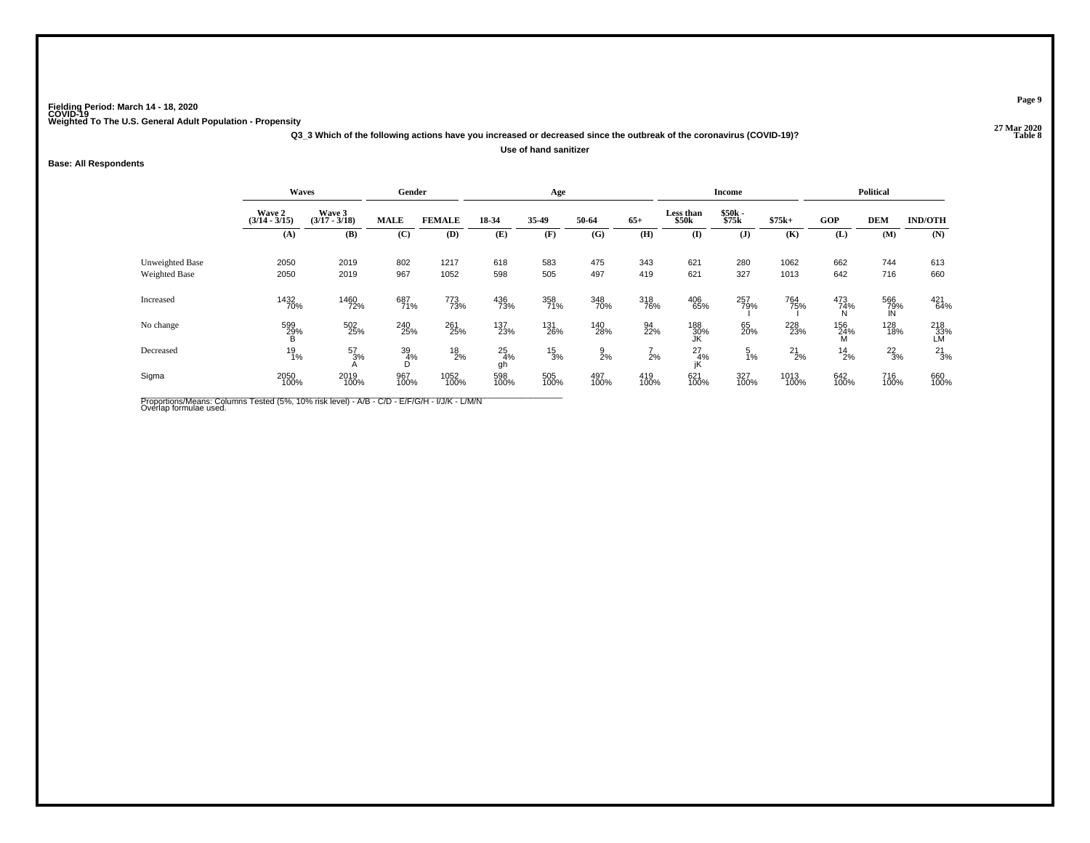**27 Mar 2020Q3\_3 Which of the following actions have you increased or decreased since the outbreak of the coronavirus (COVID-19)?Use of hand sanitizer**

### **Base: All Respondents**

|                 | Waves                     |                           | Gender      |               |                     | Age           |                 |             |                     | Income           |               |               | <b>Political</b> |                  |
|-----------------|---------------------------|---------------------------|-------------|---------------|---------------------|---------------|-----------------|-------------|---------------------|------------------|---------------|---------------|------------------|------------------|
|                 | Wave 2<br>$(3/14 - 3/15)$ | Wave 3<br>$(3/17 - 3/18)$ | <b>MALE</b> | <b>FEMALE</b> | 18-34               | 35-49         | 50-64           | $65+$       | Less than<br>\$50k  | \$50k -<br>\$75k | $$75k+$       | <b>GOP</b>    | <b>DEM</b>       | <b>IND/OTH</b>   |
|                 | (A)                       | (B)                       | (C)         | (D)           | (E)                 | (F)           | (G)             | (H)         | $\mathbf{I}$        | $\mathbf{J}$     | (K)           | (L)           | (M)              | (N)              |
| Unweighted Base | 2050                      | 2019                      | 802         | 1217          | 618                 | 583           | 475             | 343         | 621                 | 280              | 1062          | 662           | 744              | 613              |
| Weighted Base   | 2050                      | 2019                      | 967         | 1052          | 598                 | 505           | 497             | 419         | 621                 | 327              | 1013          | 642           | 716              | 660              |
| Increased       | 1432<br>70%               | 1460<br>72%               | 687<br>71%  | 773<br>73%    | 436<br>73%          | 358<br>71%    | 348<br>70%      | 318<br>76%  | 406<br>65%          | 257<br>79%       | 764<br>75%    | 473<br>74%    | 566<br>79%<br>IN | 421<br>64%       |
| No change       | 599<br>29%<br>B           | 502<br>25%                | 240<br>25%  | 261<br>25%    | 137<br>23%          | 131<br>26%    | 140<br>28%      | 94<br>22%   | 188<br>30%<br>ĴK    | 65<br>20%        | 228<br>23%    | 156<br>24%    | 128<br>18%       | 218<br>33%<br>LM |
| Decreased       | $^{19}_{1\%}$             | $^{57}_{3\%}$             | 39/4%<br>D  | $^{18}_{2\%}$ | $^{25}_{4\%}$<br>gh | $^{15}_{3\%}$ | $\frac{9}{2}$ % | 2%          | $^{27}_{4\%}$<br>iK | $\frac{5}{1\%}$  | $^{21}_{2\%}$ | $^{14}_{2\%}$ | $^{22}_{3\%}$    | $^{21}_{3%}$     |
| Sigma           | 2050<br>100%              | 2019<br>100%              | 967<br>100% | 1052<br>100%  | 598<br>100%         | 505<br>100%   | 497<br>100%     | 419<br>100% | 621<br>100%         | 327<br>100%      | 1013<br>100%  | 642<br>100%   | 716<br>100%      | 660<br>100%      |

Proportions/Means: Columns Tested (5%, 10% risk level) - A/B - C/D - E/F/G/H - I/J/K - L/M/N<br>Overlap formulae used.

**P Table 8**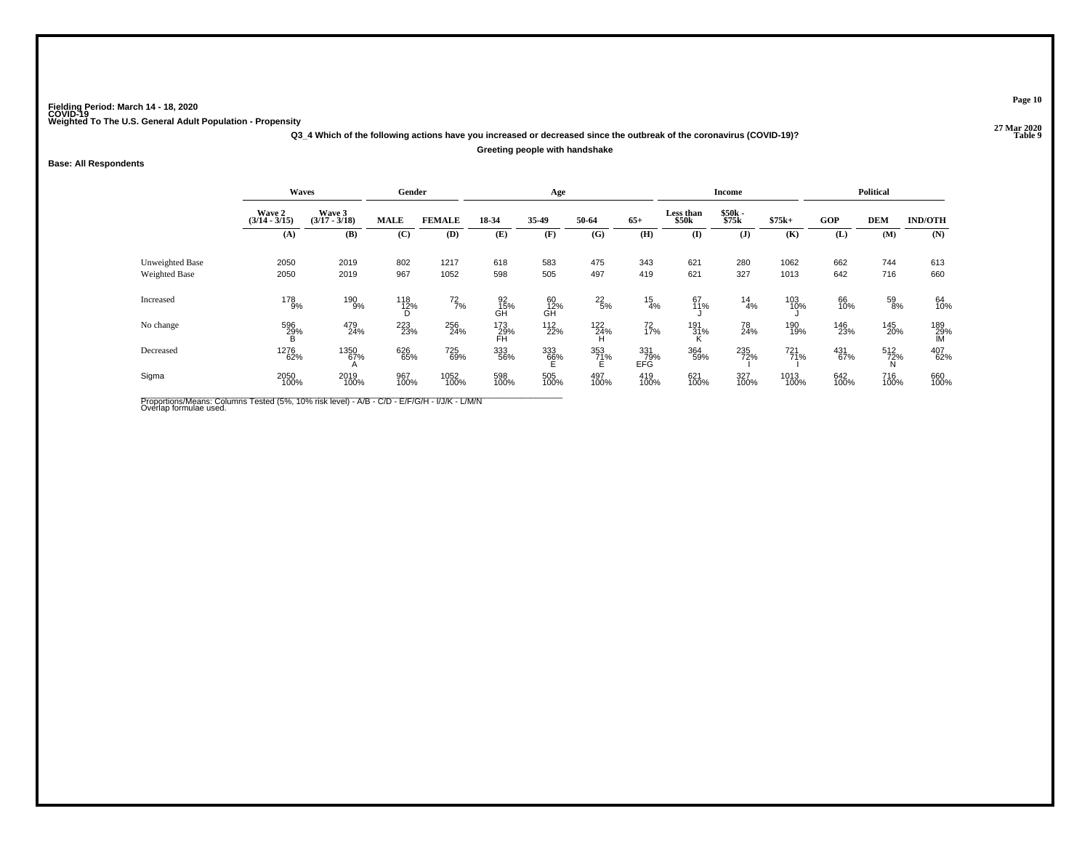**27 Mar 2020Q3\_4 Which of the following actions have you increased or decreased since the outbreak of the coronavirus (COVID-19)?Greeting people with handshake**

### **Base: All Respondents**

|                                  | Waves                     |                           | Gender          |               |                  | Age             |                 |                          |                           | Income          |                  |             | <b>Political</b> |                  |
|----------------------------------|---------------------------|---------------------------|-----------------|---------------|------------------|-----------------|-----------------|--------------------------|---------------------------|-----------------|------------------|-------------|------------------|------------------|
|                                  | Wave 2<br>$(3/14 - 3/15)$ | Wave 3<br>$(3/17 - 3/18)$ | <b>MALE</b>     | <b>FEMALE</b> | 18-34            | 35.49           | 50-64           | $65+$                    | <b>Less than</b><br>\$50k | \$50k<br>\$75k  | $$75k+$          | <b>GOP</b>  | <b>DEM</b>       | <b>IND/OTH</b>   |
|                                  | (A)                       | (B)                       | (C)             | (D)           | (E)              | (F)             | (G)             | (H)                      | $\mathbf{I}$              | $($ $)$         | (K)              | (L)         | (M)              | (N)              |
| Unweighted Base<br>Weighted Base | 2050<br>2050              | 2019<br>2019              | 802<br>967      | 1217<br>1052  | 618<br>598       | 583<br>505      | 475<br>497      | 343<br>419               | 621<br>621                | 280<br>327      | 1062<br>1013     | 662<br>642  | 744<br>716       | 613<br>660       |
| Increased                        | 178<br>9%                 | 190<br>9%                 | $^{118}_{12\%}$ | $^{72}_{7\%}$ | 92<br>15%<br>GH  | 60<br>12%<br>GH | $^{22}_{\ 5\%}$ | $^{15}_{4\%}$            | 67<br>11%                 | $\frac{14}{4%}$ | 103<br>10%       | 66<br>10%   | 59<br>8%         | 64<br>10%        |
| No change                        | 596<br>29%<br>B           | 479<br>24%                | 223<br>23%      | 256<br>24%    | 173<br>29%<br>FH | 112<br>22%      | 122<br>24%      | 72<br>17%                | 191<br>31%                | 78<br>24%       | 190<br>19%       | 146<br>23%  | 145<br>20%       | 189<br>29%<br>IM |
| Decreased                        | 1276<br>62%               | 1350<br>67%               | 626<br>65%      | 725<br>69%    | 333<br>56%       | 333<br>66%<br>E | 353<br>71%<br>E | 331<br>79%<br><b>EFG</b> | 364<br>59%                | 235<br>72%      | 721 <sub>%</sub> | 431<br>67%  | 512<br>72%       | 407<br>62%       |
| Sigma                            | 2050<br>100%              | 2019<br>100%              | 967<br>100%     | 1052<br>100%  | 598<br>100%      | 505<br>100%     | 497<br>100%     | 419<br>100%              | 621<br>100%               | 327<br>100%     | 1013<br>100%     | 642<br>100% | 716<br>100%      | 660<br>100%      |

Proportions/Means: Columns Tested (5%, 10% risk level) - A/B - C/D - E/F/G/H - I/J/K - L/M/N<br>Overlap formulae used.

**Properties and the Second Second Second Second Second Second Second Second Second Second Second Second Second Second Second Second Second Second Second Second Second Second Second Second Second Second Second Second Second**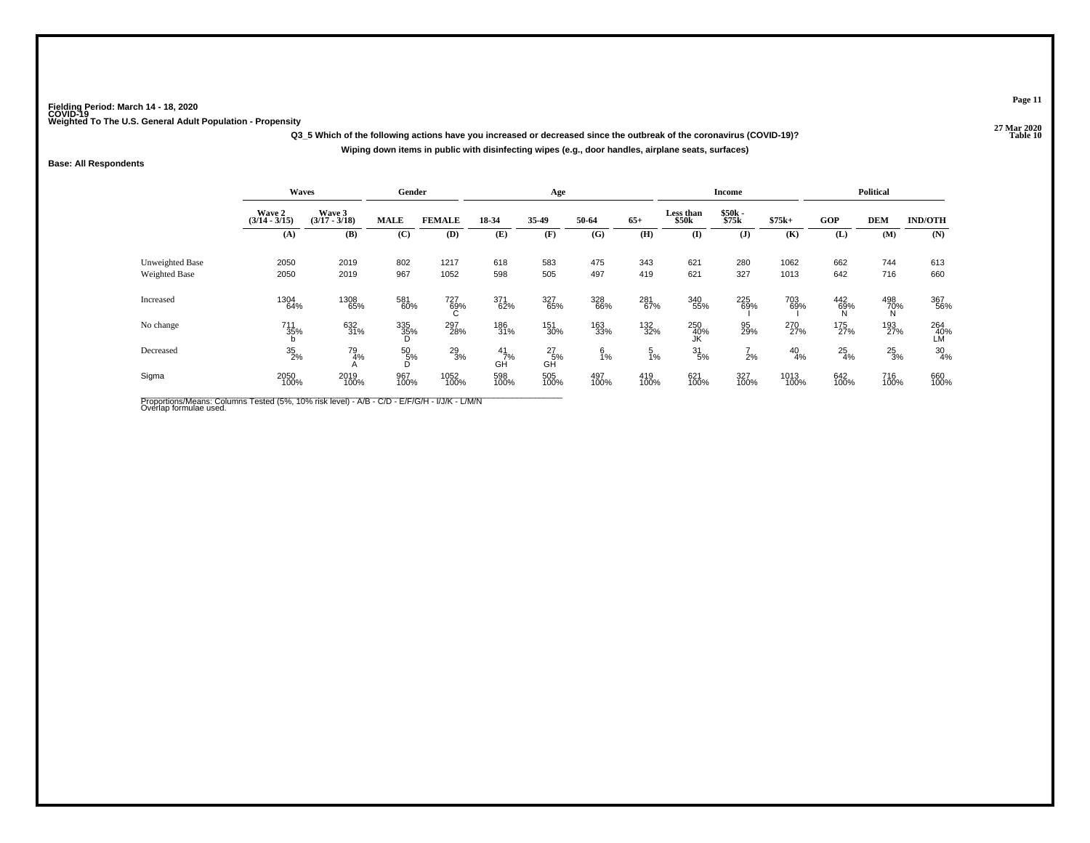**27 Mar 2020Q3\_5 Which of the following actions have you increased or decreased since the outbreak of the coronavirus (COVID-19)?Wiping down items in public with disinfecting wipes (e.g., door handles, airplane seats, surfaces)**

### **Base: All Respondents**

|                 | Waves                     |                           | Gender                |               |                     | Age                 |                 |                 |                    | Income         |               |               | <b>Political</b> |                  |
|-----------------|---------------------------|---------------------------|-----------------------|---------------|---------------------|---------------------|-----------------|-----------------|--------------------|----------------|---------------|---------------|------------------|------------------|
|                 | Wave 2<br>$(3/14 - 3/15)$ | Wave 3<br>$(3/17 - 3/18)$ | <b>MALE</b>           | <b>FEMALE</b> | 18-34               | 35-49               | 50-64           | $65+$           | Less than<br>\$50k | \$50k<br>\$75k | $$75k+$       | <b>GOP</b>    | <b>DEM</b>       | <b>IND/OTH</b>   |
|                 | (A)                       | (B)                       | (C)                   | <b>(D)</b>    | (E)                 | (F)                 | (G)             | (H)             | $\mathbf{I}$       | $($ $)$        | (K)           | (L)           | (M)              | (N)              |
| Unweighted Base | 2050                      | 2019                      | 802                   | 1217          | 618                 | 583                 | 475             | 343             | 621                | 280            | 1062          | 662           | 744              | 613              |
| Weighted Base   | 2050                      | 2019                      | 967                   | 1052          | 598                 | 505                 | 497             | 419             | 621                | 327            | 1013          | 642           | 716              | 660              |
| Increased       | 1304<br>64%               | 1308<br>65%               | 581<br>60%            | 727<br>69%    | 371<br>62%          | 327<br>65%          | 328<br>66%      | 281<br>67%      | 340<br>55%         | 225<br>69%     | 703<br>69%    | 442<br>69%    | 498<br>70%       | 367<br>56%       |
| No change       | 711<br>35%                | 632<br>31%                | 335<br>35%<br>D       | 297<br>28%    | 186<br>31%          | 151<br>30%          | 163<br>33%      | 132<br>32%      | 250<br>40%<br>JK   | 95<br>29%      | 270<br>27%    | 175<br>27%    | 193<br>27%       | 264<br>40%<br>LM |
| Decreased       | $^{35}_{2\%}$             | 79<br>4%                  | $\frac{50}{5\%}$<br>D | $^{29}_{3\%}$ | $^{41}_{7\%}$<br>GH | $^{27}_{5\%}$<br>GH | $\frac{6}{1\%}$ | $\frac{5}{1\%}$ | $\frac{31}{5\%}$   | 2%             | $^{40}_{4\%}$ | $^{25}_{4\%}$ | $^{25}_{3\%}$    | $^{30}_{4\%}$    |
| Sigma           | 2050<br>100%              | 2019<br>100%              | 967<br>100%           | 1052<br>100%  | 598<br>100%         | 505<br>100%         | 497<br>100%     | 419<br>100%     | 621<br>100%        | 327<br>100%    | 1013<br>100%  | 642<br>100%   | 716<br>100%      | 660<br>100%      |

Proportions/Means: Columns Tested (5%, 10% risk level) - A/B - C/D - E/F/G/H - I/J/K - L/M/N<br>Overlap formulae used.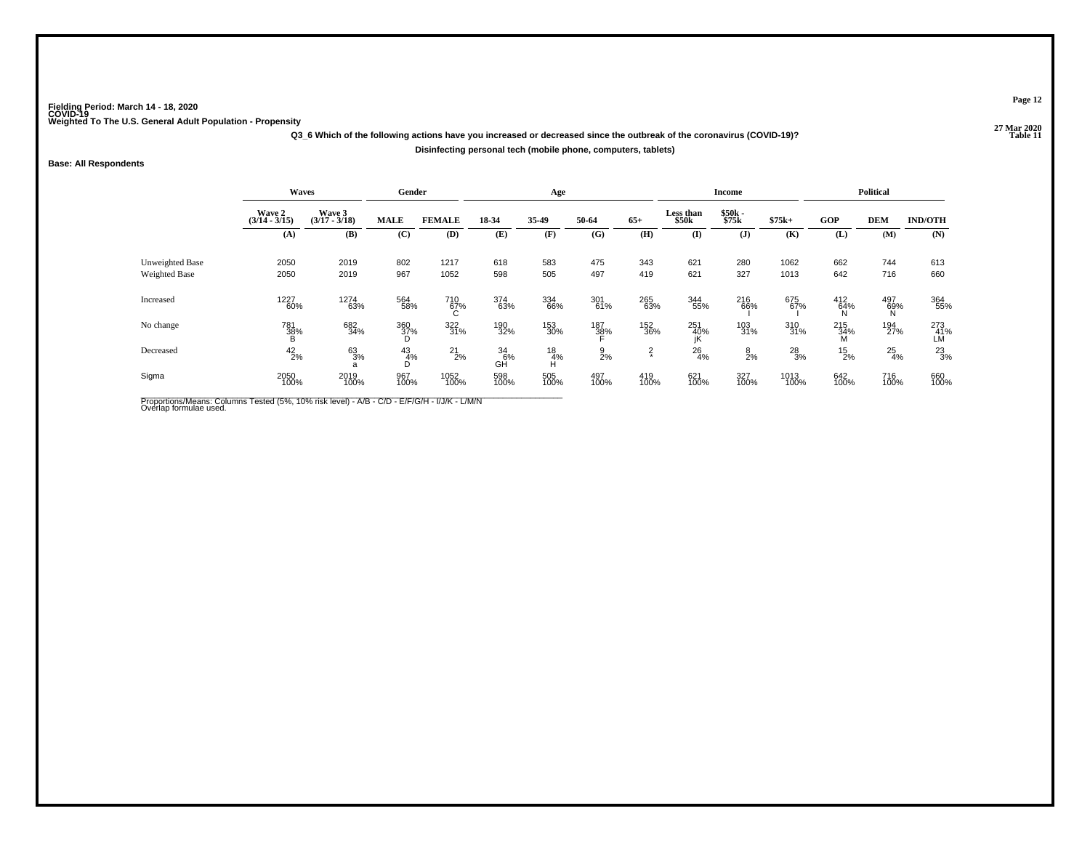**27 Mar 2020Q3\_6 Which of the following actions have you increased or decreased since the outbreak of the coronavirus (COVID-19)?Disinfecting personal tech (mobile phone, computers, tablets)**

### **Base: All Respondents**

|                 | Waves                     |                           | Gender             |               |                  | Age                  |                 |               |                    | Income           |               |               | <b>Political</b> |                  |
|-----------------|---------------------------|---------------------------|--------------------|---------------|------------------|----------------------|-----------------|---------------|--------------------|------------------|---------------|---------------|------------------|------------------|
|                 | Wave 2<br>$(3/14 - 3/15)$ | Wave 3<br>$(3/17 - 3/18)$ | <b>MALE</b>        | <b>FEMALE</b> | 18-34            | 35-49                | 50-64           | $65+$         | Less than<br>\$50k | \$50k -<br>\$75k | $$75k+$       | <b>GOP</b>    | <b>DEM</b>       | <b>IND/OTH</b>   |
|                 | (A)                       | (B)                       | (C)                | (D)           | (E)              | (F)                  | (G)             | (H)           | $\mathbf{I}$       | $\mathbf{J}$     | (K)           | (L)           | (M)              | (N)              |
| Unweighted Base | 2050                      | 2019                      | 802                | 1217          | 618              | 583                  | 475             | 343           | 621                | 280              | 1062          | 662           | 744              | 613              |
| Weighted Base   | 2050                      | 2019                      | 967                | 1052          | 598              | 505                  | 497             | 419           | 621                | 327              | 1013          | 642           | 716              | 660              |
| Increased       | 1227<br>60%               | 1274<br>63%               | 564<br>58%         | 710<br>67%    | 374<br>63%       | 334<br>66%           | 301<br>61%      | 265<br>63%    | 344<br>55%         | 216<br>66%       | 675<br>67%    | 412<br>64%    | 497<br>69%       | 364<br>55%       |
| No change       | 781<br>38%<br>B           | 682<br>34%                | 360<br>37%<br>D    | 322<br>31%    | 190<br>32%       | 153<br>30%           | 187<br>38%      | 152<br>36%    | 251<br>40%<br>IK.  | 103<br>31%       | 310<br>31%    | 215<br>34%    | 194<br>27%       | 273<br>41%<br>LM |
| Decreased       | $^{42}_{2\%}$             | $^{63}_{3\%}$<br>a        | $^{43}_{4\%}$<br>D | $^{21}_{2\%}$ | $34^{6\%}$<br>GH | $\frac{18}{4%}$<br>H | $\frac{9}{2}$ % | $\frac{2}{3}$ | $^{26}_{4\%}$      | $\frac{8}{2%}$   | $^{28}_{3\%}$ | $^{15}_{2\%}$ | $^{25}_{4\%}$    | $^{23}_{3%}$     |
| Sigma           | 2050<br>100%              | 2019<br>100%              | 967<br>100%        | 1052<br>100%  | 598<br>100%      | 505<br>100%          | 497<br>100%     | 419<br>100%   | 621<br>100%        | 327<br>100%      | 1013<br>100%  | 642<br>100%   | 716<br>100%      | 660<br>100%      |

Proportions/Means: Columns Tested (5%, 10% risk level) - A/B - C/D - E/F/G/H - I/J/K - L/M/N<br>Overlap formulae used.

**Page 12**

**Properties and the Contract of Table 11**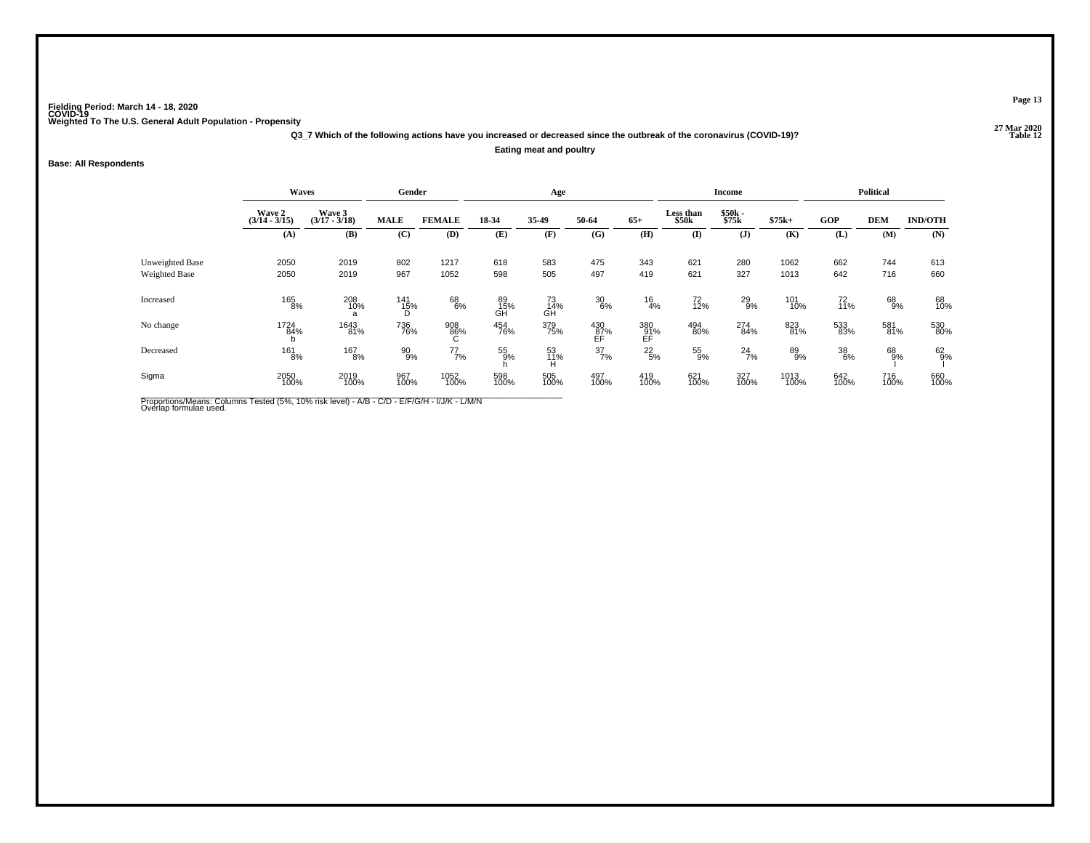**27 Mar 2020Q3\_7 Which of the following actions have you increased or decreased since the outbreak of the coronavirus (COVID-19)?**

#### **Eating meat and poultry**

### **Base: All Respondents**

|                 | Waves                     |                           | Gender                              |               |                 | Age             |                                  |                  |                    | Income                |              |             | <b>Political</b> |                |
|-----------------|---------------------------|---------------------------|-------------------------------------|---------------|-----------------|-----------------|----------------------------------|------------------|--------------------|-----------------------|--------------|-------------|------------------|----------------|
|                 | Wave 2<br>$(3/14 - 3/15)$ | Wave 3<br>$(3/17 - 3/18)$ | <b>MALE</b>                         | <b>FEMALE</b> | 18-34           | 35-49           | 50-64                            | $65+$            | Less than<br>\$50k | \$50k -<br>\$75k      | $$75k+$      | GOP         | <b>DEM</b>       | <b>IND/OTH</b> |
|                 | (A)                       | (B)                       | (C)                                 | (D)           | (E)             | (F)             | (G)                              | (H)              | $\mathbf{I}$       | $\mathbf{J}$          | (K)          | (L)         | (M)              | (N)            |
| Unweighted Base | 2050                      | 2019                      | 802                                 | 1217          | 618             | 583             | 475                              | 343              | 621                | 280                   | 1062         | 662         | 744              | 613            |
| Weighted Base   | 2050                      | 2019                      | 967                                 | 1052          | 598             | 505             | 497                              | 419              | 621                | 327                   | 1013         | 642         | 716              | 660            |
| Increased       | 165<br>8%                 | 208<br>10%                | 141<br>$\overline{D}^{\frac{1}{2}}$ | 68<br>6%      | 89<br>15%<br>GH | 73<br>14%<br>GH | $\frac{30}{6\%}$                 | $^{16}_{4\%}$    | 72<br>12%          | $^{29}_{9\%}$         | 101<br>10%   | 72<br>11%   | 68<br>9%         | 68<br>10%      |
| No change       | 1724<br>$\overline{84}$ % | 1643<br>81%               | 736<br>76%                          | 908<br>86%    | 454<br>76%      | 379<br>75%      | $\underset{\mathsf{EF}}{^{430}}$ | 380<br>91%<br>EF | 494<br>80%         | 274<br>84%            | 823<br>81%   | 533<br>83%  | 581<br>81%       | 530<br>80%     |
| Decreased       | 161<br>8%                 | 167<br>8%                 | 90%                                 | $^{77}_{7\%}$ | 55<br>9%        | 53<br>11%<br>н  | $\frac{37}{7\%}$                 | $^{22}_{5\%}$    | $^{55}_{9\%}$      | $^{24}$ <sup>7%</sup> | 89<br>9%     | 38<br>6%    | 68<br>9%         | $62\%$         |
| Sigma           | 2050<br>100%              | 2019<br>100%              | 967<br>100%                         | 1052<br>100%  | 598<br>100%     | 505<br>100%     | 497<br>100%                      | 419<br>100%      | 621<br>100%        | 327<br>100%           | 1013<br>100% | 642<br>100% | 716<br>100%      | 660<br>100%    |

Proportions/Means: Columns Tested (5%, 10% risk level) - A/B - C/D - E/F/G/H - I/J/K - L/M/N<br>Overlap formulae used.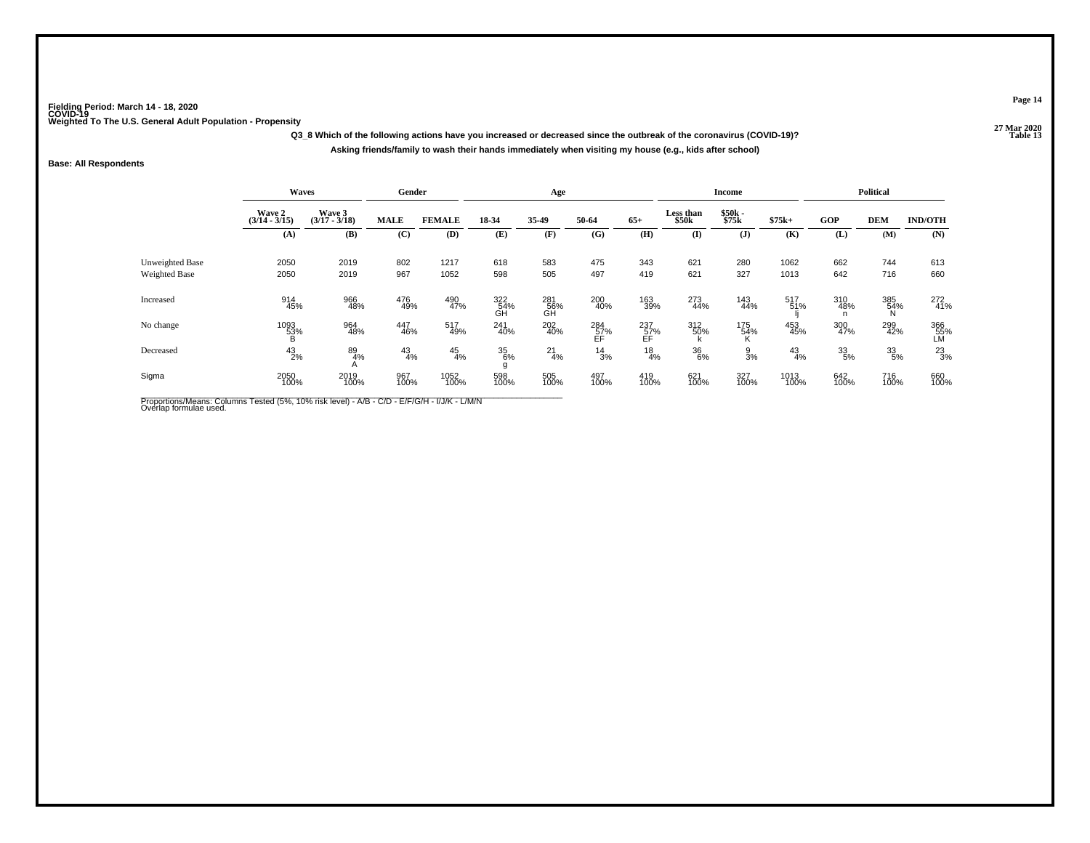**27 Mar 2020Q3\_8 Which of the following actions have you increased or decreased since the outbreak of the coronavirus (COVID-19)?Asking friends/family to wash their hands immediately when visiting my house (e.g., kids after school)**

### **Base: All Respondents**

|                 | Waves                     |                           | Gender        |               |                  | Age              |                  |                  |                    | Income           |                 |             | <b>Political</b> |                  |
|-----------------|---------------------------|---------------------------|---------------|---------------|------------------|------------------|------------------|------------------|--------------------|------------------|-----------------|-------------|------------------|------------------|
|                 | Wave 2<br>$(3/14 - 3/15)$ | Wave 3<br>$(3/17 - 3/18)$ | <b>MALE</b>   | <b>FEMALE</b> | 18-34            | 35-49            | 50-64            | $65+$            | Less than<br>\$50k | \$50k<br>\$75k   | $$75k+$         | <b>GOP</b>  | <b>DEM</b>       | <b>IND/OTH</b>   |
|                 | (A)                       | (B)                       | (C)           | (D)           | (E)              | (F)              | (G)              | (H)              | $\mathbf{I}$       | $\mathbf{J}$     | (K)             | (L)         | (M)              | (N)              |
| Unweighted Base | 2050                      | 2019                      | 802           | 1217          | 618              | 583              | 475              | 343              | 621                | 280              | 1062            | 662         | 744              | 613              |
| Weighted Base   | 2050                      | 2019                      | 967           | 1052          | 598              | 505              | 497              | 419              | 621                | 327              | 1013            | 642         | 716              | 660              |
| Increased       | 914<br>45%                | 966<br>48%                | 476<br>49%    | 490<br>47%    | 322<br>54%<br>GH | 281<br>56%<br>GH | 200<br>40%       | 163<br>39%       | 273<br>44%         | 143<br>44%       | $^{517}_{51\%}$ | 310<br>48%  | 385<br>54%       | 272<br>41%       |
| No change       | 1093<br>53%<br>B          | 964<br>48%                | 447<br>46%    | 517<br>49%    | 241<br>40%       | 202<br>40%       | 284<br>57%<br>ÉF | 237<br>57%<br>ÉF | 312<br>50%         | 175<br>54%<br>n. | 453<br>45%      | 300<br>47%  | 299<br>42%       | 366<br>55%<br>LM |
| Decreased       | $^{43}_{2\%}$             | 89<br>4%                  | $^{43}_{4\%}$ | $^{45}_{4\%}$ | 35<br>6%         | $^{21}_{4\%}$    | $^{14}_{3\%}$    | $^{18}_{4\%}$    | 36<br>6%           | $\frac{9}{3}$ %  | $^{43}_{4\%}$   | 33<br>5%    | 33/5%            | $^{23}_{3%}$     |
| Sigma           | 2050<br>100%              | 2019<br>100%              | 967<br>100%   | 1052<br>100%  | 598<br>100%      | 505<br>100%      | 497<br>100%      | 419<br>100%      | 621<br>100%        | 327<br>100%      | 1013<br>100%    | 642<br>100% | 716<br>100%      | 660<br>100%      |

Proportions/Means: Columns Tested (5%, 10% risk level) - A/B - C/D - E/F/G/H - I/J/K - L/M/N<br>Overlap formulae used.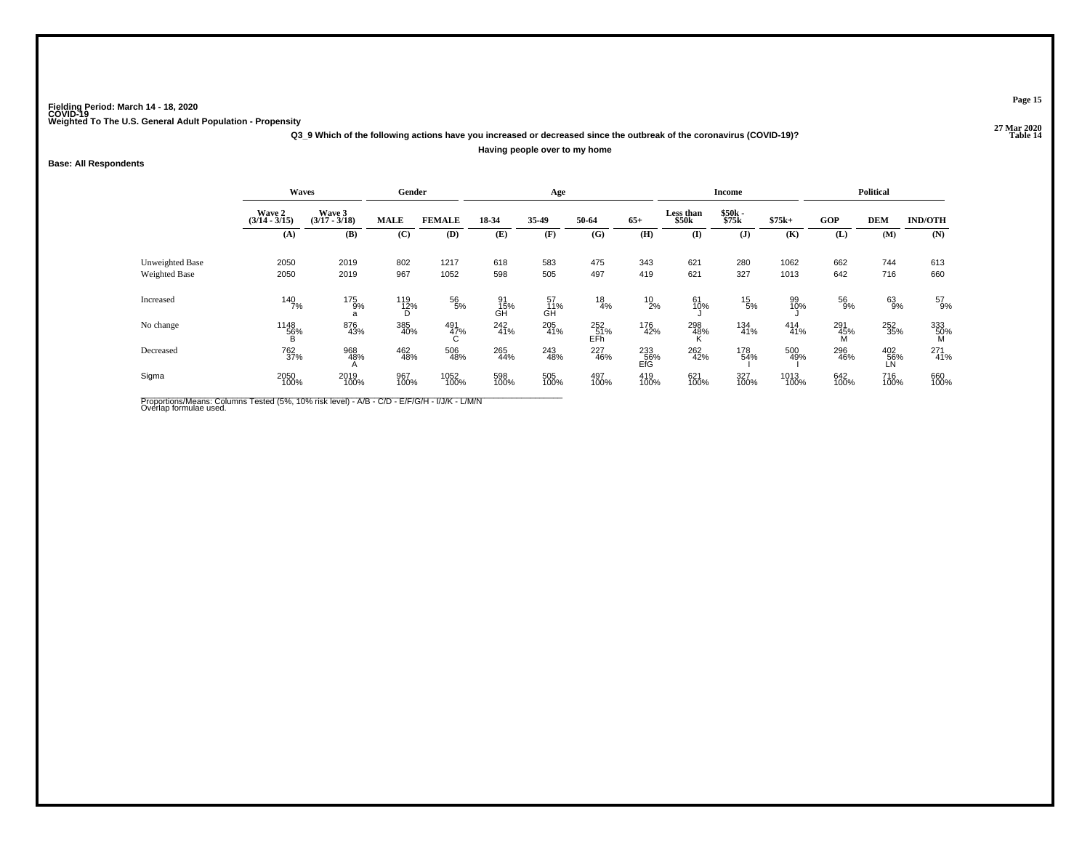**27 Mar 2020Q3\_9 Which of the following actions have you increased or decreased since the outbreak of the coronavirus (COVID-19)?**

### **Having people over to my home**

### **Base: All Respondents**

|                                  | Waves                     |                           | Gender          |                 |                  | Age         |                   |                   |                    | Income         |              |             | <b>Political</b>        |                 |
|----------------------------------|---------------------------|---------------------------|-----------------|-----------------|------------------|-------------|-------------------|-------------------|--------------------|----------------|--------------|-------------|-------------------------|-----------------|
|                                  | Wave 2<br>$(3/14 - 3/15)$ | Wave 3<br>$(3/17 - 3/18)$ | <b>MALE</b>     | <b>FEMALE</b>   | 18-34            | 35-49       | 50-64             | $65+$             | Less than<br>\$50k | \$50k<br>\$75k | $$75k+$      | <b>GOP</b>  | <b>DEM</b>              | <b>IND/OTH</b>  |
|                                  | (A)                       | (B)                       | (C)             | (D)             | (E)              | (F)         | (G)               | (H)               | $\mathbf{I}$       | $($ $\bf{J}$   | (K)          | (L)         | (M)                     | (N)             |
| Unweighted Base<br>Weighted Base | 2050<br>2050              | 2019<br>2019              | 802<br>967      | 1217<br>1052    | 618<br>598       | 583<br>505  | 475<br>497        | 343<br>419        | 621<br>621         | 280<br>327     | 1062<br>1013 | 662<br>642  | 744<br>716              | 613<br>660      |
| Increased                        | 140<br>7%                 | 175<br>9%                 |                 | 56<br>5%        |                  | 57          | $\frac{18}{4%}$   | $^{10}_{2\%}$     | 61<br>10%          | $^{15}_{5\%}$  | 99<br>10%    | 56<br>9%    | 63<br>9%                | 57<br>9%        |
|                                  |                           | a                         | 119<br>12%<br>D |                 | 91<br>_15%<br>GH | 11%<br>GH   |                   |                   |                    |                |              |             |                         |                 |
| No change                        | 1148<br>56%<br>B          | 876<br>43%                | 385<br>40%      | 491<br>47%<br>◡ | 242<br>41%       | 205<br>41%  | 252<br>51%<br>EFh | 176<br>42%        | 298<br>48%         | 134<br>41%     | 414<br>41%   | 291<br>45%  | 252<br>35%              | 333<br>50%<br>M |
| Decreased                        | 762<br>37%                | 968<br>48%                | 462<br>48%      | 506<br>48%      | 265<br>44%       | 243<br>48%  | 227<br>46%        | 233<br>56%<br>EfĞ | 262<br>42%         | 178<br>54%     | 500<br>49%   | 296<br>46%  | 402<br>56%<br><b>LN</b> | 271<br>41%      |
| Sigma                            | 2050<br>100%              | 2019<br>100%              | 967<br>100%     | 1052<br>100%    | 598<br>100%      | 505<br>100% | 497<br>100%       | 419<br>100%       | 621<br>100%        | 327<br>100%    | 1013<br>100% | 642<br>100% | 716<br>100%             | 660<br>100%     |

Proportions/Means: Columns Tested (5%, 10% risk level) - A/B - C/D - E/F/G/H - I/J/K - L/M/N<br>Overlap formulae used.

**Properties 2 Table 14**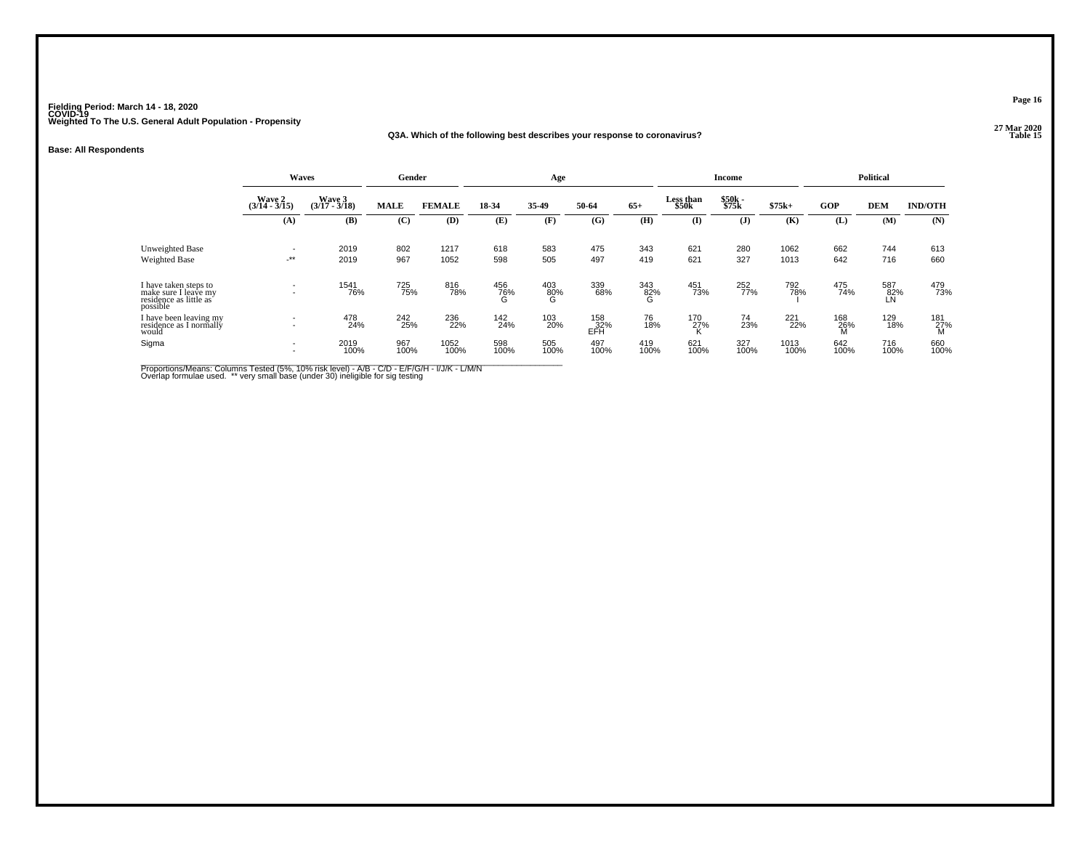## **27 Mar 2020Q3A. Which of the following best describes your response to coronavirus?**

### **Base: All Respondents**

|                                                                                     |                                                      | Waves                             | Gender                        |               |                 | Age             |                   |                 |                    | <b>Income</b>  |                               |             | <b>Political</b> |                 |
|-------------------------------------------------------------------------------------|------------------------------------------------------|-----------------------------------|-------------------------------|---------------|-----------------|-----------------|-------------------|-----------------|--------------------|----------------|-------------------------------|-------------|------------------|-----------------|
|                                                                                     | $\frac{\text{Wave}}{(3/14-3/15)}$                    | $\frac{\text{Wave}}{(3/17-3/18)}$ | <b>MALE</b>                   | <b>FEMALE</b> | 18-34           | 35-49           | 50-64             | $65+$           | Less than<br>\$50k | \$50k<br>\$75k | $$75k+$                       | GOP         | <b>DEM</b>       | <b>IND/OTH</b>  |
|                                                                                     | (A)                                                  | (B)                               | (C)                           | (D)           | (E)             | (F)             | (G)               | (H)             | $\mathbf{I}$       | $\mathbf{J}$   | (K)                           | (L)         | (M)              | (N)             |
| Unweighted Base                                                                     | $\overline{\phantom{0}}$                             | 2019                              | 802                           | 1217          | 618             | 583             | 475               | 343             | 621                | 280            | 1062                          | 662         | 744              | 613             |
| Weighted Base                                                                       | $-***$                                               | 2019                              | 967                           | 1052          | 598             | 505             | 497               | 419             | 621                | 327            | 1013                          | 642         | 716              | 660             |
| I have taken steps to<br>make sure I leave my<br>residence as little as<br>possible | $\overline{\phantom{0}}$<br>$\overline{\phantom{a}}$ | 1541<br>76%                       | <sup>725</sup> %              | 816<br>78%    | 456<br>76%<br>G | 403<br>80%<br>G | 339<br>68%        | 343<br>82%<br>G | 451<br>73%         | 252<br>77%     | 792<br>78%                    | 475<br>74%  | 587<br>82%<br>LN | 479<br>73%      |
| I have been leaving my<br>residence as I normally<br>would                          | $\overline{\phantom{0}}$<br>$\overline{\phantom{a}}$ | 478<br>24%                        | <sup>242</sup> <sub>25%</sub> | 236<br>22%    | 142<br>24%      | 103<br>20%      | 158<br>32%<br>EFH | 76<br>18%       | 170<br>27%         | 74<br>23%      | <sup>221</sup> <sub>22%</sub> | 168<br>26%  | 129<br>18%       | 181<br>27%<br>M |
| Sigma                                                                               | $\overline{\phantom{0}}$<br>$\overline{\phantom{a}}$ | 2019<br>100%                      | 967<br>100%                   | 1052<br>100%  | 598<br>100%     | 505<br>100%     | 497<br>100%       | 419<br>100%     | 621<br>100%        | 327<br>100%    | 1013<br>100%                  | 642<br>100% | 716<br>100%      | 660<br>100%     |

Proportions/Means: Columns Tested (5%, 10% risk level) - A/B - C/D - E/F/G/H - I/J/K - L/M/N<br>Overlap formulae used. \*\* very small base (under 30) ineligible for sig testing

27 Mar 2020<br>Table 15 **Table 15**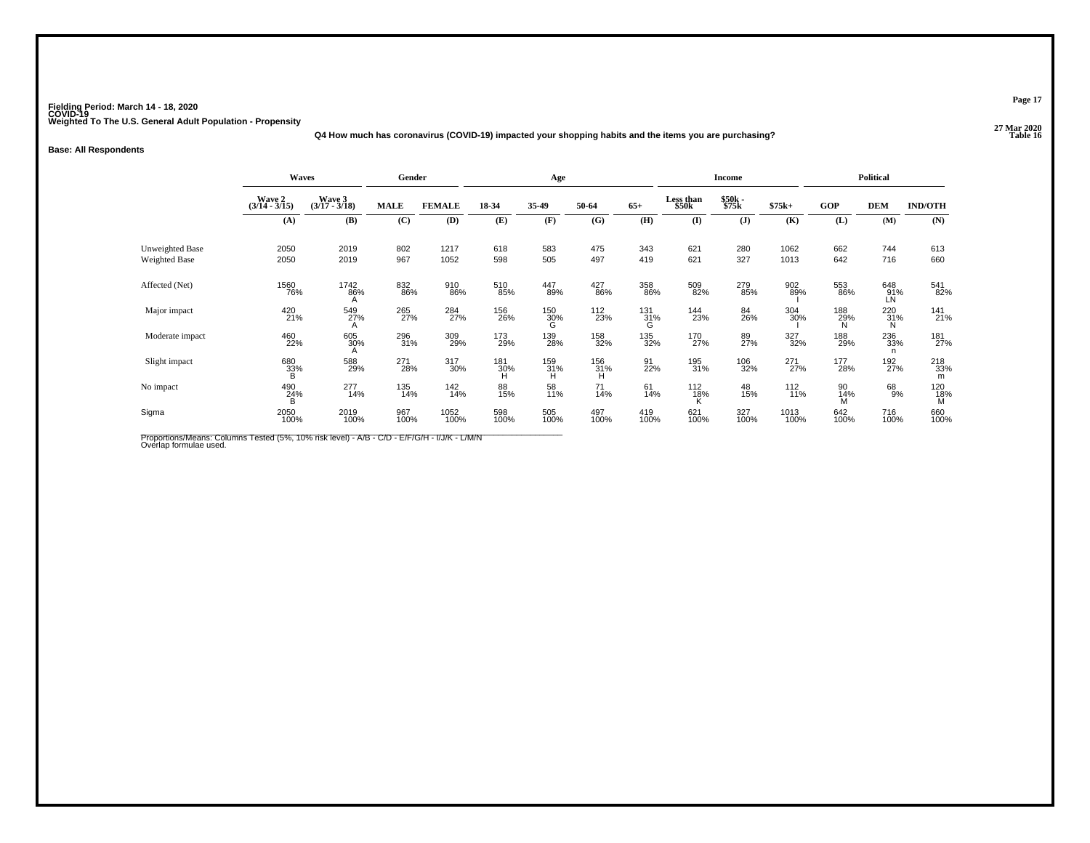**27 Mar 2020Q4 How much has coronavirus (COVID-19) impacted your shopping habits and the items you are purchasing?**

### **Base: All Respondents**

|                 | Waves                                  |                                   | Gender      |               |                    | Age             |                 |                      |                      | Income         |                 |                | <b>Political</b> |                 |
|-----------------|----------------------------------------|-----------------------------------|-------------|---------------|--------------------|-----------------|-----------------|----------------------|----------------------|----------------|-----------------|----------------|------------------|-----------------|
|                 | $\frac{\text{Wave } 2}{(3/14 - 3/15)}$ | $\frac{\text{Wave}}{(3/17-3/18)}$ | <b>MALE</b> | <b>FEMALE</b> | 18-34              | 35-49           | 50-64           | $65+$                | Less than \$50k      | \$50k<br>\$75k | $$75k+$         | GOP            | <b>DEM</b>       | <b>IND/OTH</b>  |
|                 | (A)                                    | (B)                               | (C)         | (D)           | (E)                | (F)             | (G)             | (H)                  | $\mathbf{I}$         | $\mathbf{J}$   | (K)             | (L)            | (M)              | (N)             |
| Unweighted Base | 2050                                   | 2019                              | 802         | 1217          | 618                | 583             | 475             | 343                  | 621                  | 280            | 1062            | 662            | 744              | 613             |
| Weighted Base   | 2050                                   | 2019                              | 967         | 1052          | 598                | 505             | 497             | 419                  | 621                  | 327            | 1013            | 642            | 716              | 660             |
| Affected (Net)  | 1560<br>76%                            | 1742<br>86%                       | 832<br>86%  | 910<br>86%    | 510<br>85%         | 447<br>89%      | 427<br>86%      | 358<br>86%           | 509<br>82%           | 279<br>85%     | 902<br>89%      | 553<br>86%     | 648<br>91%<br>LN | 541<br>82%      |
| Major impact    | 420<br>21%                             | 549<br>27%                        | 265<br>27%  | 284<br>27%    | 156<br>26%         | 150<br>30%<br>G | 112<br>23%      | $^{131}_{31\%}$<br>G | 144<br>23%           | 84<br>26%      | 304<br>30%      | 188<br>29%     | 220<br>31%       | 141<br>21%      |
| Moderate impact | 460<br>22%                             | 605<br>30%                        | 296<br>31%  | 309<br>29%    | 173<br>29%         | 139<br>28%      | 158<br>32%      | 135<br>32%           | 170<br>27%           | 89<br>27%      | 327<br>32%      | 188<br>29%     | 236<br>33%<br>n  | 181<br>27%      |
| Slight impact   | 680<br>33%<br>B                        | 588<br>29%                        | 271<br>28%  | 317<br>30%    | $\frac{181}{30\%}$ | 159<br>31%<br>H | 156<br>31%<br>H | 91<br>22%            | 195<br>31%           | 106<br>32%     | 271<br>27%      | 177<br>28%     | 192<br>27%       | 218<br>33%<br>m |
| No impact       | 490<br>24%<br>B                        | 277<br>14%                        | 135<br>14%  | 142<br>14%    | 88<br>15%          | 58<br>11%       | 71<br>14%       | 61<br>14%            | $^{112}_{18\%}$<br>κ | 48<br>15%      | $^{112}_{11\%}$ | 90<br>14%<br>м | 68<br>9%         | 120<br>18%<br>м |
| Sigma           | 2050<br>100%                           | 2019<br>100%                      | 967<br>100% | 1052<br>100%  | 598<br>100%        | 505<br>100%     | 497<br>100%     | 419<br>100%          | 621<br>100%          | 327<br>100%    | 1013<br>100%    | 642<br>100%    | 716<br>100%      | 660<br>100%     |

Proportions/Means: Columns Tested (5%, 10% risk level) - A/B - C/D - E/F/G/H - I/J/K - L/M/N<br>Overlap formulae used.

**Page 17**

**P** Table 16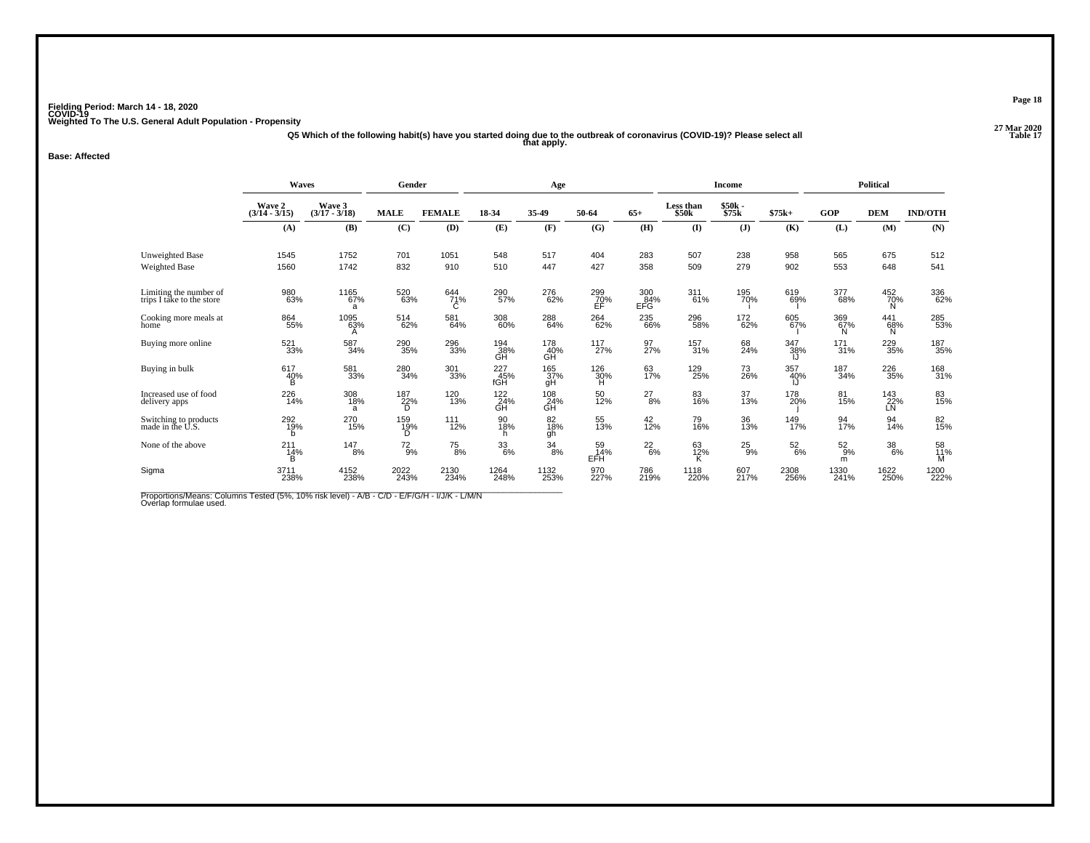## **27 Mar 2020Q5 Which of the following habit(s) have you started doing due to the outbreak of coronavirus (COVID-19)? Please select all that apply.**

#### **Base: Affected**

|                                                     | <b>Waves</b>              |                           | Gender                   |                 |                   | Age              |                  |                          |                                            | Income           |                  |                    | <b>Political</b> |                 |
|-----------------------------------------------------|---------------------------|---------------------------|--------------------------|-----------------|-------------------|------------------|------------------|--------------------------|--------------------------------------------|------------------|------------------|--------------------|------------------|-----------------|
|                                                     | Wave 2<br>$(3/14 - 3/15)$ | Wave 3<br>$(3/17 - 3/18)$ | <b>MALE</b>              | <b>FEMALE</b>   | 18-34             | 35-49            | 50-64            | $65+$                    | Less than<br>\$50 <sub>k</sub>             | \$50k -<br>\$75k | $$75k+$          | GOP                | <b>DEM</b>       | <b>IND/OTH</b>  |
|                                                     | (A)                       | (B)                       | (C)                      | (D)             | (E)               | (F)              | (G)              | (H)                      | $\mathbf{I}$                               | $\mathbf{J}$     | (K)              | (L)                | (M)              | (N)             |
| Unweighted Base                                     | 1545                      | 1752                      | 701                      | 1051            | 548               | 517              | 404              | 283                      | 507                                        | 238              | 958              | 565                | 675              | 512             |
| <b>Weighted Base</b>                                | 1560                      | 1742                      | 832                      | 910             | 510               | 447              | 427              | 358                      | 509                                        | 279              | 902              | 553                | 648              | 541             |
| Limiting the number of<br>trips I take to the store | 980<br>63%                | 1165<br>67%<br>a          | 520<br>63%               | 644<br>71%<br>С | 290<br>57%        | 276<br>62%       | 299<br>70%<br>ĖĔ | 300<br>84%<br><b>EFG</b> | $\begin{array}{c} 311 \\ 61\% \end{array}$ | 195<br>70%       | 619<br>69%       | 377<br>68%         | 452<br>70%       | 336<br>62%      |
| Cooking more meals at<br>home                       | 864<br>55%                | 1095<br>63%<br>Α          | 514<br>62%               | 581<br>64%      | 308<br>60%        | 288<br>64%       | 264<br>62%       | 235<br>66%               | 296<br>58%                                 | 172<br>62%       | 605<br>67%       | 369<br>67%<br>N    | 441<br>68%<br>N  | 285<br>53%      |
| Buying more online                                  | 521<br>33%                | 587<br>34%                | 290<br>35%               | 296<br>33%      | 194<br>38%<br>GH  | 178<br>40%<br>GH | 117<br>27%       | 97<br>27%                | 157<br>31%                                 | 68<br>24%        | 347<br>38%       | 171<br>31%         | 229<br>35%       | 187<br>35%      |
| Buying in bulk                                      | 617<br>40%<br>в           | 581<br>33%                | 280<br>34%               | 301<br>33%      | 227<br>45%<br>fGH | 165<br>37%<br>gH | 126<br>30%<br>н  | 63<br>17%                | 129<br>25%                                 | 73<br>26%        | 357<br>40%<br>IJ | 187<br>34%         | 226<br>35%       | 168<br>31%      |
| Increased use of food<br>delivery apps              | 226<br>14%                | 308<br>18%<br>a           | 187<br>22%<br>D          | 120<br>13%      | 122<br>24%<br>GH  | 108<br>24%<br>GH | 50<br>12%        | $^{27}_{8\%}$            | 83<br>16%                                  | 37<br>13%        | 178<br>20%       | 81<br>15%          | 143<br>22%<br>LN | 83<br>15%       |
| Switching to products<br>made in the U.S.           | 292<br>19%<br>b           | 270<br>15%                | 159<br>1 <u>9</u> %<br>D | 111<br>12%      | 90<br>18%<br>h    | 82<br>18%<br>gh  | 55<br>13%        | $^{42}_{12\%}$           | 79<br>16%                                  | 36<br>13%        | 149<br>17%       | 94<br>17%          | 94<br>14%        | 82 <sub>%</sub> |
| None of the above                                   | 211<br>14%<br>B           | 147<br>8%                 | $^{72}_{9%}$             | $^{75}_{\,8\%}$ | $\frac{33}{6\%}$  | $\frac{34}{8%}$  | 59<br>14%<br>EFH | $^{22}_{6\%}$            | 63<br>$12\%$<br>ĸ                          | $^{25}_{9\%}$    | $^{52}_{6\%}$    | $^{52}_{9\%}$<br>m | $\frac{38}{6\%}$ | 58<br>11%<br>M  |
| Sigma                                               | 3711<br>238%              | 4152<br>238%              | 2022<br>243%             | 2130<br>234%    | 1264<br>248%      | 1132<br>253%     | 970<br>227%      | 786<br>219%              | 1118<br>220%                               | 607<br>217%      | 2308<br>256%     | 1330<br>241%       | 1622<br>250%     | 1200<br>222%    |

Proportions/Means: Columns Tested (5%, 10% risk level) - A/B - C/D - E/F/G/H - I/J/K - L/M/N<br>Overlap formulae used.

**Page 18**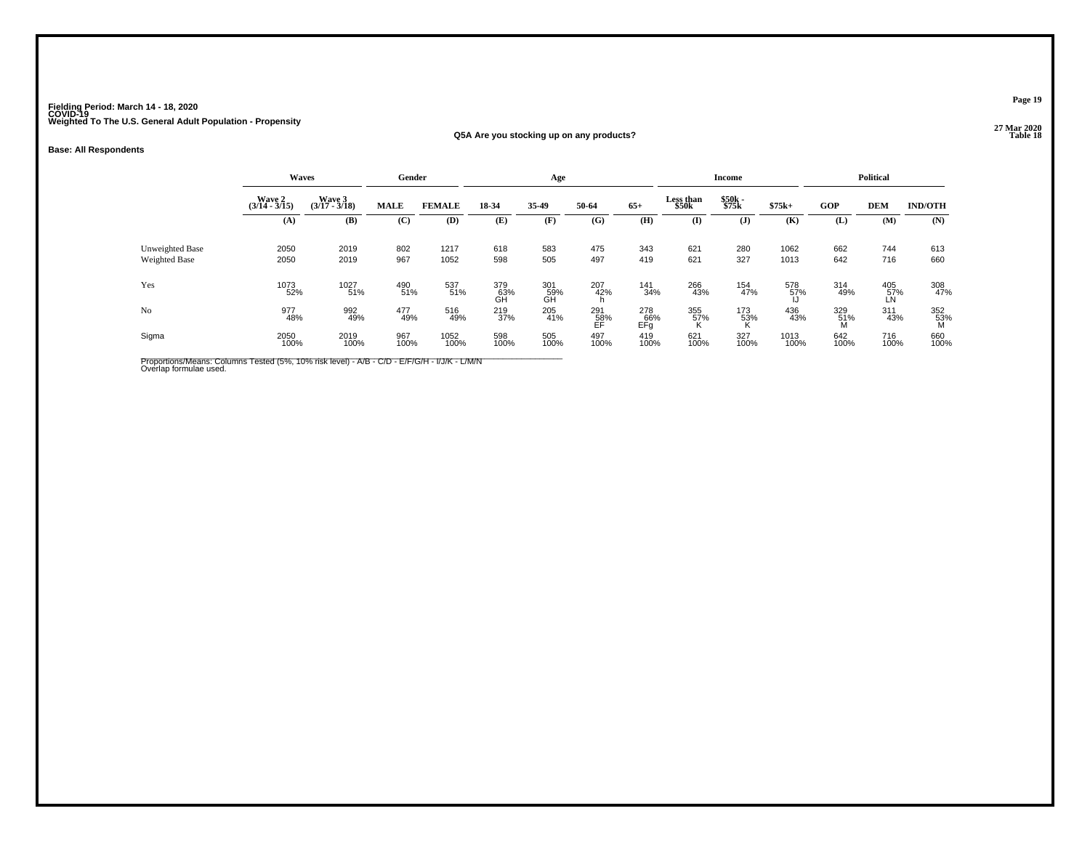## **27 Mar 2020Q5A Are you stocking up on any products?**

### **Base: All Respondents**

|                 | Waves                                  |                                   | Gender      |               |                   | Age              |                  |                   |                    | Income         |                  |                 | <b>Political</b> |                 |
|-----------------|----------------------------------------|-----------------------------------|-------------|---------------|-------------------|------------------|------------------|-------------------|--------------------|----------------|------------------|-----------------|------------------|-----------------|
|                 | $\frac{\text{Wave } 2}{(3/14 - 3/15)}$ | $\frac{\text{Wave}}{(3/17-3/18)}$ | <b>MALE</b> | <b>FEMALE</b> | 18-34             | 35-49            | 50-64            | $65+$             | Less than<br>\$50k | \$50k<br>\$75k | $$75k+$          | <b>GOP</b>      | <b>DEM</b>       | <b>IND/OTH</b>  |
|                 | (A)                                    | (B)                               | (C)         | (D)           | (E)               | (F)              | (G)              | (H)               | $\mathbf{I}$       | $\mathbf{J}$   | (K)              | (L)             | (M)              | (N)             |
| Unweighted Base | 2050                                   | 2019                              | 802         | 1217          | 618               | 583              | 475              | 343               | 621                | 280            | 1062             | 662             | 744              | 613             |
| Weighted Base   | 2050                                   | 2019                              | 967         | 1052          | 598               | 505              | 497              | 419               | 621                | 327            | 1013             | 642             | 716              | 660             |
| Yes             | 1073<br>52%                            | 1027<br>51%                       | 490<br>51%  | 537<br>51%    | 379<br>_63%<br>GH | 301<br>59%<br>GH | 207<br>42%       | 141<br>34%        | 266<br>43%         | 154<br>47%     | 578<br>57%<br>IJ | 314<br>49%      | 405<br>57%<br>LN | 308<br>47%      |
| N <sub>o</sub>  | 977<br>48%                             | 992<br>49%                        | 477<br>49%  | 516<br>49%    | 219<br>37%        | 205<br>41%       | 291<br>58%<br>EF | 278<br>66%<br>EFg | 355<br>57%<br>n.   | 173<br>53%     | 436<br>43%       | 329<br>51%<br>M | 311<br>43%       | 352<br>53%<br>M |
| Sigma           | 2050<br>100%                           | 2019<br>100%                      | 967<br>100% | 1052<br>100%  | 598<br>100%       | 505<br>100%      | 497<br>100%      | 419<br>100%       | 621<br>100%        | 327<br>100%    | 1013<br>100%     | 642<br>100%     | 716<br>100%      | 660<br>100%     |

Proportions/Means: Columns Tested (5%, 10% risk level) - A/B - C/D - E/F/G/H - I/J/K - L/M/N<br>Overlap formulae used.

27 Mar 2020<br>Table 18 **Table 18 Table 18 Table 18 Table 18 Table 18 Table 18 Table 18 Table 18**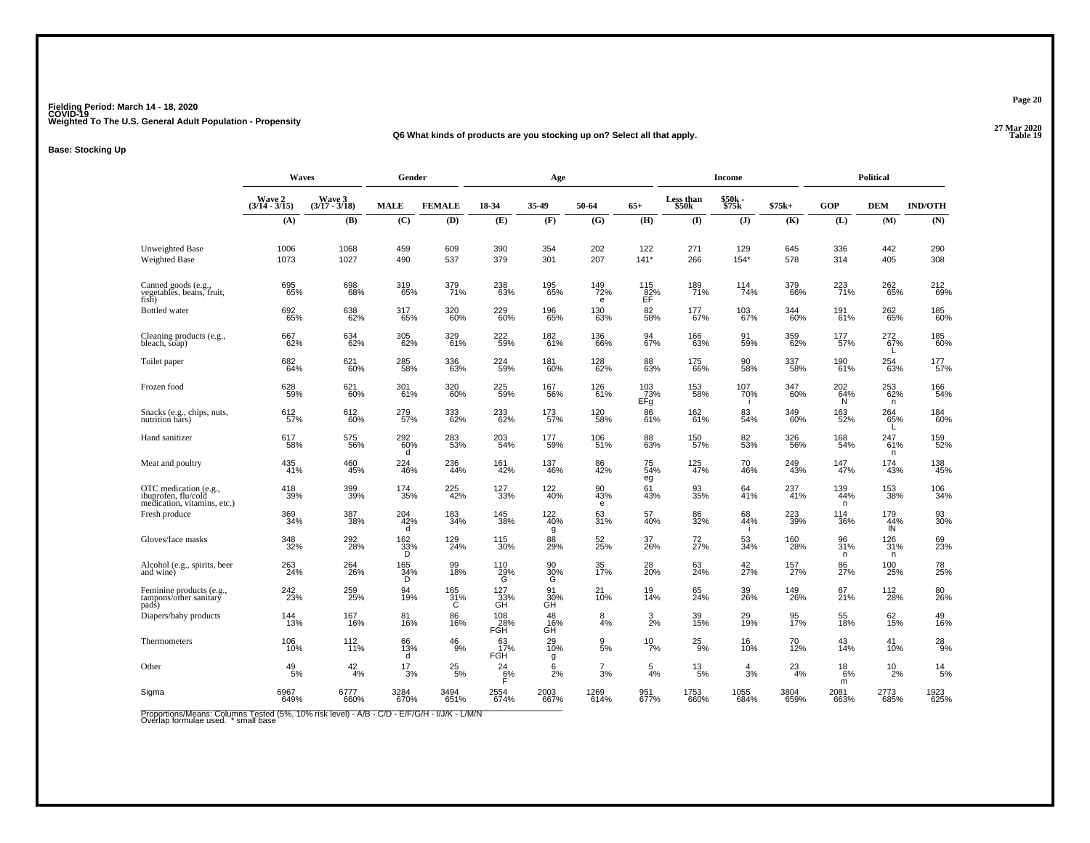## **27 Mar 2020Q6 What kinds of products are you stocking up on? Select all that apply.**

### **Base: Stocking Up**

|                                                                             | <b>Waves</b>                      |                                   | Gender                  |                 |                          | Age                  |                 |                           |                 | <b>Income</b>     |                  |                    | <b>Political</b> |                  |
|-----------------------------------------------------------------------------|-----------------------------------|-----------------------------------|-------------------------|-----------------|--------------------------|----------------------|-----------------|---------------------------|-----------------|-------------------|------------------|--------------------|------------------|------------------|
|                                                                             | $\frac{\text{Wave}}{(3/14-3/15)}$ | $\frac{\text{Wave}}{(3/17-3/18)}$ | <b>MALE</b>             | <b>FEMALE</b>   | 18-34                    | 35-49                | 50-64           | $65+$                     | Less than \$50k | \$50k<br>\$75k    | $$75k+$          | <b>GOP</b>         | <b>DEM</b>       | <b>IND/OTH</b>   |
|                                                                             | (A)                               | (B)                               | (C)                     | (D)             | (E)                      | (F)                  | (G)             | (H)                       | $($ $\Gamma$    | (J)               | (K)              | (L)                | (M)              | (N)              |
| <b>Unweighted Base</b><br><b>Weighted Base</b>                              | 1006<br>1073                      | 1068<br>1027                      | 459<br>490              | 609<br>537      | 390<br>379               | 354<br>301           | 202<br>207      | 122<br>$141*$             | 271<br>266      | 129<br>$154*$     | 645<br>578       | 336<br>314         | 442<br>405       | 290<br>308       |
| Canned goods (e.g.,<br>vegetables, beans, fruit,<br>fish)                   | 695<br>65%                        | 698<br>68%                        | 319<br>65%              | 379<br>71%      | 238<br>63%               | 195%                 | 149<br>72%<br>e | $^{115}_{82\%}$ FF        | 189<br>71%      | $\frac{114}{74%}$ | 379<br>66%       | 223                | 262<br>65%       | 212<br>69%       |
| <b>Bottled</b> water                                                        | 692<br>65%                        | 638<br>62%                        | 317<br>65%              | 320<br>60%      | 229<br>60%               | 196<br>65%           | 130<br>63%      | 82<br>58%                 | 177<br>67%      | 103<br>67%        | 344<br>60%       | 191<br>61%         | 262<br>65%       | 185<br>60%       |
| Cleaning products (e.g.,<br>bleach, soap)                                   | 667<br>62%                        | 634<br>62%                        | 305<br>62%              | 329<br>61%      | 222<br>59%               | 182<br>61%           | 136<br>66%      | 94<br>67%                 | 166<br>63%      | 91<br>59%         | 359<br>62%       | 177<br>57%         | 272<br>67%<br>L  | 185<br>60%       |
| Toilet paper                                                                | 682<br>64%                        | 621<br>60%                        | 285<br>58%              | 336<br>63%      | 224<br>59%               | 181<br>60%           | 128<br>62%      | 88<br>63%                 | 175<br>66%      | 90<br>58%         | 337<br>58%       | 190<br>61%         | 254<br>63%       | 177<br>57%       |
| Frozen food                                                                 | 628%                              | 621<br>60%                        | 301 <sub>%</sub>        | 320<br>60%      | 225<br>59%               | 167<br>56%           | 126<br>61%      | $\frac{103}{73\%}$<br>EFg | 153<br>58%      | 107<br>70%        | 347<br>60%       | 202<br>64%<br>N.   | 253<br>62%<br>n  | 166<br>54%       |
| Snacks (e.g., chips, nuts,<br>nutrition bars)                               | 612<br>57%                        | 612<br>60%                        | 279<br>57%              | 333<br>62%      | 233<br>62%               | 173<br>57%           | 120<br>58%      | 86<br>61%                 | 162<br>61%      | 83<br>54%         | 349<br>60%       | 163<br>52%         | 264<br>65%       | 184<br>60%       |
| Hand sanitizer                                                              | 617<br>58%                        | 575<br>56%                        | 292<br>60%<br>d         | 283<br>53%      | 203<br>54%               | 177<br>59%           | 106<br>51%      | 88<br>63%                 | 150<br>57%      | 82<br>53%         | 326<br>56%       | 168<br>54%         | 247<br>61%<br>n. | 159<br>52%       |
| Meat and poultry                                                            | 435<br>41%                        | 460<br>45%                        | 224<br>46%              | 236<br>44%      | 161<br>42%               | 137<br>46%           | 86<br>42%       | 75<br>54%<br>eg           | 125 47%         | 70<br>46%         | 249<br>43%       | $\frac{147}{47\%}$ | 174<br>43%       | 138<br>45%       |
| OTC medication (e.g.,<br>ibuprofen, flu/cold<br>medication, vitamins, etc.) | 418<br>39%                        | 399<br>39%                        | 174<br>35%              | 225<br>42%      | 127<br>33%               | 122<br>40%           | 90<br>43%<br>e  | 61<br>43%                 | 93<br>35%       | 64<br>41%         | 237<br>41%       | 139<br>44%<br>n    | 153<br>38%       | 106<br>34%       |
| Fresh produce                                                               | 369<br>34%                        | 387<br>38%                        | 204<br>42%<br>d         | 183<br>34%      | 145<br>38%               | 122<br>40%<br>g      | 63<br>31%       | 57<br>40%                 | 86<br>32%       | 68<br>44%         | 223<br>39%       | 114<br>36%         | 179<br>44%<br>IN | 93<br>30%        |
| Gloves/face masks                                                           | 348<br>32%                        | 292<br>28%                        | 162<br>$\frac{35}{D}$ % | 129<br>24%      | 115<br>30%               | 88<br>29%            | 52<br>25%       | 37<br>26%                 | 72<br>27%       | 53<br>34%         | 160<br>28%       | 96<br>31%<br>n     | 126<br>31%<br>n  | 69<br>23%        |
| Alcohol (e.g., spirits, beer<br>and wine)                                   | 263<br>24%                        | 264<br>26%                        | 165<br>34%<br>D         | 99<br>18%       | $^{110}_{29\%}$          | 90 <sub>%</sub><br>G | 35<br>17%       | 28<br>20%                 | 63<br>24%       | $\frac{42}{27%}$  | 157 <sub>%</sub> | 86<br>27%          | 100<br>25%       | 78<br>25%        |
| Feminine products (e.g.,<br>tampons/other sanitary<br>pads)                 | 242<br>23%                        | 259<br>25%                        | 94<br>19%               | 165<br>31%<br>C | 127<br>$\overline{33}$ % | 91<br>30%<br>GH      | 21<br>10%       | 19<br>14%                 | 65<br>24%       | 39<br>26%         | 149<br>26%       | 67<br>21%          | 112<br>28%       | 80<br>26%        |
| Diapers/baby products                                                       | 144<br>13%                        | 167<br>16%                        | 81<br>16%               | 86<br>16%       | 108<br>28%<br>FGH        | 48<br>16%<br>GH      | 8<br>4%         | $\frac{3}{2\%}$           | 39<br>15%       | 29<br>19%         | 95<br>17%        | 55<br>18%          | 62<br>15%        | 49<br>16%        |
| Thermometers                                                                | 106<br>10%                        | $112$<br>$11%$                    | 66<br>13%<br>d          | $^{46}_{9\%}$   | 63<br>17%<br><b>FGH</b>  | 29<br>10%<br>g       | $\frac{9}{5%}$  | $^{10}_{7\%}$             | $^{25}_{9\%}$   | 16<br>10%         | 70<br>12%        | 43<br>14%          | 41<br>10%        | 28<br>9%         |
| Other                                                                       | $^{49}_{\ 5\%}$                   | 42<br>4%                          | $\frac{17}{3\%}$        | $^{25}_{\ 5\%}$ | 24<br>$\frac{6}{5}$      | 6<br>2%              | $\frac{7}{3%}$  | 5<br>4%                   | $^{13}_{\ 5\%}$ | 4<br>3%           | $^{23}_{4\%}$    | 18<br>6%<br>m      | 10<br>2%         | $\frac{14}{5\%}$ |
| Sigma                                                                       | 6967<br>649%                      | 6777<br>660%                      | 3284<br>670%            | 3494<br>651%    | 2554<br>674%             | 2003<br>667%         | 1269<br>614%    | 951<br>677%               | 1753<br>660%    | 1055<br>684%      | 3804<br>659%     | 2081<br>663%       | 2773<br>685%     | 1923<br>625%     |

Proportions/Means: Columns Tested (5%, 10% risk level) - A/B - C/D - E/F/G/H - I/J/K - L/M/N<br>Overlap formulae used. \* small base

**Page 20**

**Table 19 Table 19 Table 19 Table 19 Table 19 Table 19**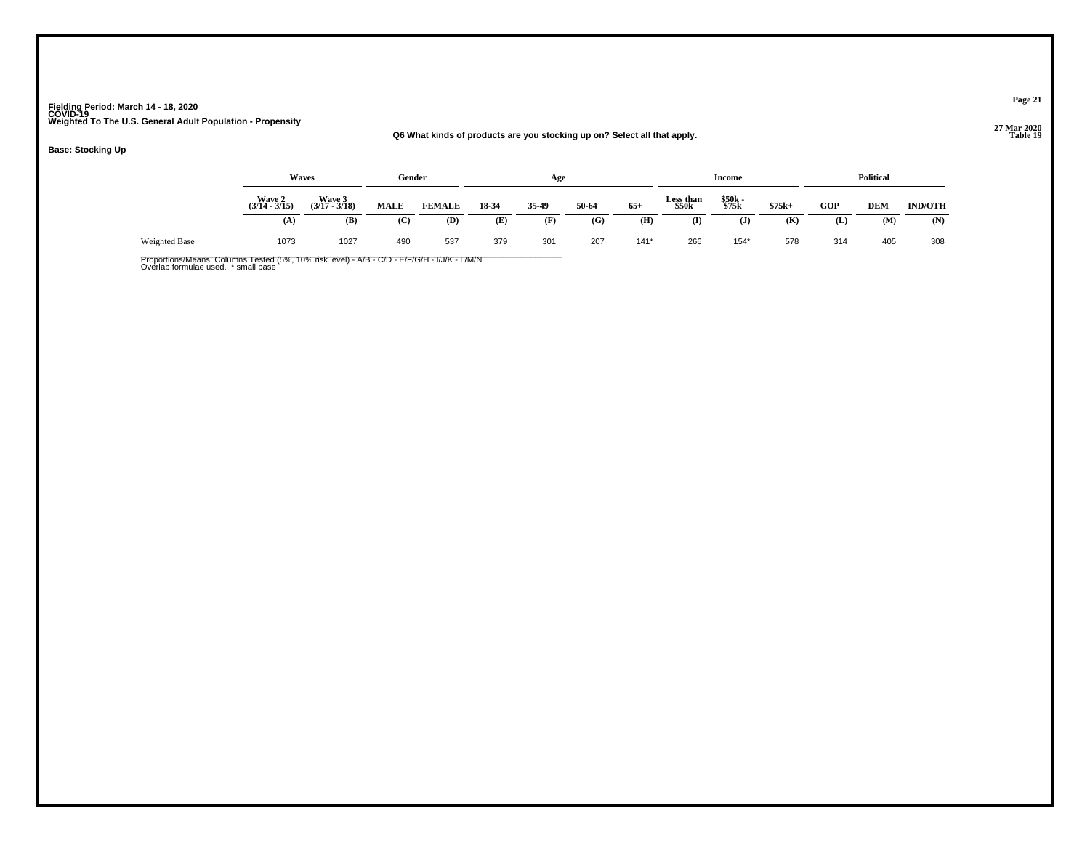## **27 Mar 2020Q6 What kinds of products are you stocking up on? Select all that apply.**

### **Base: Stocking Up**

|               | <b>Waves</b>                                        |                                   | Gender      |               |       | Age   |       |        |                           | Income         |         |                            | <b>Political</b> |                |
|---------------|-----------------------------------------------------|-----------------------------------|-------------|---------------|-------|-------|-------|--------|---------------------------|----------------|---------|----------------------------|------------------|----------------|
|               | $\frac{\text{Wave 2}}{\frac{3}{14} - \frac{3}{15}}$ | $\frac{\text{Wave}}{(3/17-3/18)}$ | <b>MALE</b> | <b>FEMALE</b> | 18-34 | 35-49 | 50-64 | $65+$  | <b>Less than</b><br>\$50k | \$50k<br>\$75k | $$75k+$ | <b>GOP</b>                 | <b>DEM</b>       | <b>IND/OTH</b> |
|               | (A)                                                 | (B)                               | (C)         | (D)           | (E)   | (F)   | (G)   | (H)    | $\mathbf{I}$              | $\mathbf{J}$   | (K)     | $\left( \mathbf{L}\right)$ | (M)              | (N)            |
| Weighted Base | 1073                                                | 1027                              | 490         | 537           | 379   | 301   | 207   | $141*$ | 266                       | $154*$         | 578     | 314                        | 405              | 308            |

Proportions/Means: Columns Tested (5%, 10% risk level) - A/B - C/D - E/F/G/H - I/J/K - L/M/N<br>Overlap formulae used. \* small base

**Page 21**

**Table 19 Table 19 Table 19 Table 19 Table 19 Table 19**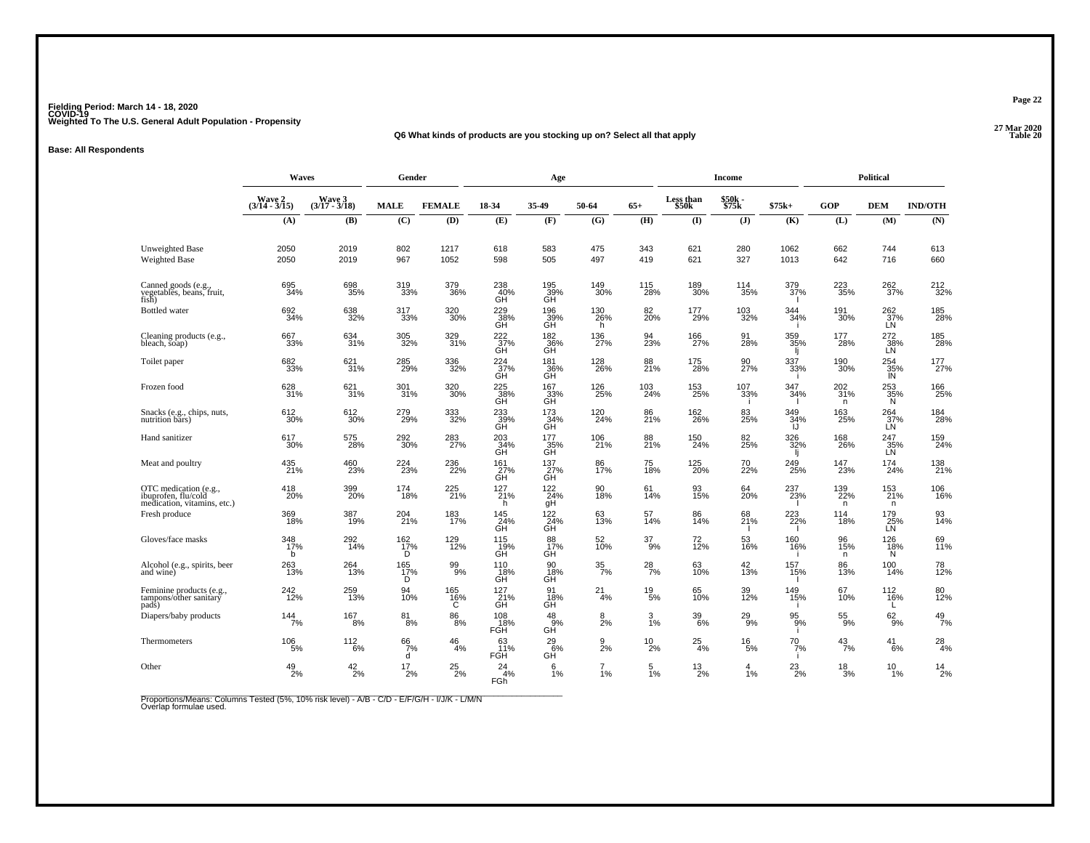## **27 Mar 2020Q6 What kinds of products are you stocking up on? Select all that apply**

### **Base: All Respondents**

|                                                                             | <b>Waves</b>                           |                                   | Gender                  |                        |                               | Age                       |                      |                  |                 | Income         |                       |                  | Political        |                  |
|-----------------------------------------------------------------------------|----------------------------------------|-----------------------------------|-------------------------|------------------------|-------------------------------|---------------------------|----------------------|------------------|-----------------|----------------|-----------------------|------------------|------------------|------------------|
|                                                                             | $\frac{\text{Wave } 2}{(3/14 - 3/15)}$ | $\frac{\text{Wave}}{(3/17-3/18)}$ | <b>MALE</b>             | <b>FEMALE</b>          | 18-34                         | 35-49                     | 50-64                | $65+$            | Less than \$50k | \$50k<br>\$75k | $$75k+$               | <b>GOP</b>       | <b>DEM</b>       | <b>IND/OTH</b>   |
|                                                                             | (A)                                    | (B)                               | (C)                     | (D)                    | (E)                           | (F)                       | (G)                  | (H)              | $\mathbf{I}$    | $\mathbf{J}$   | (K)                   | (L)              | (M)              | (N)              |
| Unweighted Base<br>Weighted Base                                            | 2050<br>2050                           | 2019<br>2019                      | 802<br>967              | 1217<br>1052           | 618<br>598                    | 583<br>505                | 475<br>497           | 343<br>419       | 621<br>621      | 280<br>327     | 1062<br>1013          | 662<br>642       | 744<br>716       | 613<br>660       |
| Canned goods (e.g., vegetables, beans, fruit,<br>fish)                      | 695<br>34%                             | 698<br>35%                        | 319<br>33%              | 379<br>36%             | 238<br>40%<br>GH              | 195<br>39%<br>ĞĤ          | 149<br>30%           | 115<br>28%       | 189%            | 114<br>35%     | 379%                  | 223%             | 262%             | 212<br>32%       |
| <b>Bottled</b> water                                                        | 692<br>34%                             | 638<br>32%                        | 317<br>33%              | 320<br>30%             | 229<br>38%<br>GH              | 196<br>39%<br>GH          | 130<br>26%<br>h      | 82<br>20%        | 177<br>29%      | 103<br>32%     | 344<br>34%            | 191<br>30%       | 262<br>37%<br>LN | 185<br>28%       |
| Cleaning products (e.g.,<br>bleach, soap)                                   | 667<br>33%                             | 634<br>31%                        | 305<br>32%              | 329<br>31%             | 222<br>37%<br>GH              | 182<br>36%<br>GH          | 136<br>27%           | 94<br>23%        | 166<br>27%      | 91<br>28%      | 359<br>35%            | 177<br>28%       | 272<br>38%<br>LN | 185<br>28%       |
| Toilet paper                                                                | 682<br>33%                             | 621<br>31%                        | 285<br>29%              | 336<br>32%             | 224<br>37%<br>GH              | 181<br>36%<br>ĞĤ          | 128<br>26%           | 88<br>21%        | 175<br>28%      | 90<br>27%      | 337<br>33%            | 190<br>30%       | 254<br>35%<br>IN | 177<br>27%       |
| Frozen food                                                                 | 628<br>31%                             | 621%                              | 301 <sub>%</sub>        | 320<br>30%             | 225<br>38%<br>GH              | 167<br>33%<br>GH          | 126<br>25%           | 103<br>24%       | 153<br>25%      | 107<br>33%     | 347<br>34%            | 202<br>31%<br>n  | 253<br>35%<br>N  | 166<br>25%       |
| Snacks (e.g., chips, nuts,<br>nutrition bars)                               | 612<br>30%                             | 612<br>30%                        | 279<br>29%              | 333<br>32%             | 233<br>$\frac{39}{\text{GH}}$ | 173<br>34%<br>GH          | 120<br>24%           | 86<br>21%        | 162<br>26%      | 83<br>25%      | 349<br>$\frac{34}{1}$ | 163<br>25%       | 264<br>37%<br>LN | 184<br>28%       |
| Hand sanitizer                                                              | 617<br>30%                             | 575<br>28%                        | 292<br>30%              | 283<br>27%             | 203<br>34%<br>GH              | 177<br>_35%<br>GH         | 106<br>21%           | 88<br>21%        | 150<br>24%      | 82<br>25%      | 326<br>32%<br>Jj.     | 168<br>26%       | 247<br>35%<br>LN | 159<br>24%       |
| Meat and poultry                                                            | 435<br>21%                             | 460<br>23%                        | 224 <sub>23%</sub>      | 236<br>22%             | 161<br>27%<br>GH <sup>'</sup> | $\frac{137}{27\%}$<br>ĞH. | 86<br>17%            | 75<br>18%        | 125<br>20%      | 70<br>22%      | 249<br>25%            | 147<br>23%       | 174<br>24%       | 138<br>21%       |
| OTC medication (e.g.,<br>ibuprofen, flu/cold<br>medication, vitamins, etc.) | 418<br>20%                             | 399<br>20%                        | 174<br>18%              | 225<br>21%             | 127<br>$\frac{21}{h}$         | 122<br>$24\%$ gH          | 90<br>18%            | 61<br>14%        | 93<br>15%       | 64<br>20%      | 237<br>23%            | 139<br>22%<br>n  | 153<br>21%<br>n. | 106<br>16%       |
| Fresh produce                                                               | 369<br>18%                             | 387<br>19%                        | 204<br>21%              | 183<br>17%             | 145<br>24%<br>GH              | 122<br>24%<br>GH          | 63<br>13%            | 57<br>14%        | 86<br>14%       | 68<br>21%      | 223<br>22%<br>- 1     | 114<br>18%       | 179<br>25%<br>LN | 93<br>14%        |
| Gloves/face masks                                                           | 348<br>17%<br>b                        | 292<br>14%                        | 162<br>17%<br>D         | 129<br>12%             | 115<br>19%<br>GH              | 88<br>17%<br>GH           | 52<br>10%            | $\frac{37}{9\%}$ | 72<br>12%       | 53<br>16%      | 160<br>16%            | 96<br>15%<br>n   | 126<br>18%<br>N  | 69<br>11%        |
| Alcohol (e.g., spirits, beer<br>and wine)                                   | 263<br>13%                             | 264<br>13%                        | $\frac{165}{17\%}$<br>D | $\frac{99}{9\%}$       | 110<br>18%<br>GĤ              | 90<br>18%<br>GĤ           | $\frac{35}{7\%}$     | $^{28}_{7\%}$    | 63<br>10%       | $^{42}_{13\%}$ | 157<br>15%            | 86<br>13%        | 100<br>14%       | 78<br>12%        |
| Feminine products (e.g.,<br>tampons/other sanitary<br>pads)                 | 242<br>12%                             | 259<br>13%                        | 94<br>10%               | 165<br>$^{16\%}_{C}$   | 127<br>$\overline{G}$ 1%      | 91<br>18%<br>GH           | $^{21}_{4\%}$        | $^{19}_{\ 5\%}$  | 65<br>10%       | 39<br>12%      | 149<br>15%            | 67<br>10%        | 112<br>16%<br>L  | 80<br>12%        |
| Diapers/baby products                                                       | $\frac{144}{7\%}$                      | 167<br>8%                         | 81<br>8%                | $\substack{86 \\ 8\%}$ | 108<br>18%<br>FGH             | 48<br>9%<br>GĤ            | 8<br>2%              | 3<br>1%          | 39<br>6%        | $^{29}_{9\%}$  | $\frac{95}{9\%}$      | $^{55}_{9\%}$    | $62\over 9%$     | $^{49}_{7\%}$    |
| Thermometers                                                                | $\frac{106}{5%}$                       | $^{112}_{6\%}$                    | 66<br>7%<br>d           | $^{46}_{4\%}$          | 63<br>11%<br><b>FGH</b>       | $^{29}_{6\%}$<br>GH       | $\frac{9}{2}$ %      | $^{10}_{2\%}$    | $^{25}_{4\%}$   | $^{16}_{5\%}$  | $^{70}_{7\%}$         | $\frac{43}{7\%}$ | $^{41}_{6\%}$    | $^{28}_{4%}$     |
| Other                                                                       | $^{49}_{2\%}$                          | $^{42}_{2\%}$                     | 17<br>2%                | $^{25}_{2\%}$          | 24<br>4%<br>FGh <sup>'</sup>  | 6<br>1%                   | $\overline{7}$<br>1% | 5<br>1%          | $^{13}_{2\%}$   | 4<br>1%        | $^{23}_{2\%}$         | $\frac{18}{3%}$  | 10<br>$1\%$      | $\frac{14}{2\%}$ |

Proportions/Means: Columns Tested (5%, 10% risk level) - A/B - C/D - E/F/G/H - I/J/K - L/M/N<br>Overlap formulae used.

**Page 22**

27 Mar 2020<br>Table 20 **Table 20**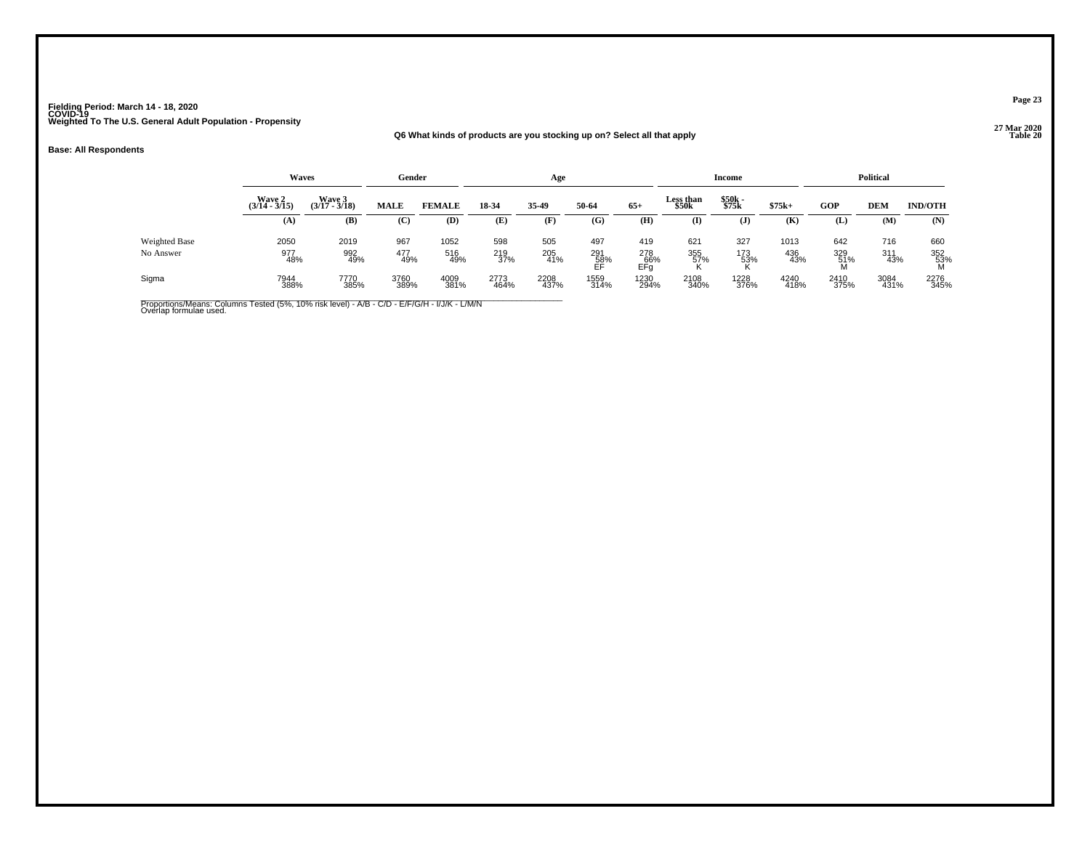## **27 Mar 2020Q6 What kinds of products are you stocking up on? Select all that apply**

### **Base: All Respondents**

|               | Waves                                |                                   | Gender       |               |              | Age          |                                       |                   |                           | Income         |              |              | <b>Political</b> |                 |
|---------------|--------------------------------------|-----------------------------------|--------------|---------------|--------------|--------------|---------------------------------------|-------------------|---------------------------|----------------|--------------|--------------|------------------|-----------------|
|               | $\frac{\text{Wave } 2}{(3/14-3/15)}$ | $\frac{\text{Wave}}{(3/17-3/18)}$ | <b>MALE</b>  | <b>FEMALE</b> | 18-34        | 35-49        | 50-64                                 | $65+$             | <b>Less than</b><br>\$50k | \$50k<br>\$75k | $$75k+$      | <b>GOP</b>   | <b>DEM</b>       | <b>IND/OTH</b>  |
|               | (A)                                  | (B)                               | (C)          | (D)           | (E)          | (F)          | (G)                                   | (H)               | $\bf(I)$                  | (J)            | (K)          | (L)          | (M)              | (N)             |
| Weighted Base | 2050                                 | 2019                              | 967          | 1052          | 598          | 505          | 497                                   | 419               | 621                       | 327            | 1013         | 642          | 716              | 660             |
| No Answer     | 977<br>48%                           | 992<br>49%                        | 477<br>49%   | 516<br>49%    | 219<br>37%   | 205<br>41%   | $^{291}_{\substack{58\%\\\text{EF}}}$ | 278<br>66%<br>EFg | 355<br>57%                | 173<br>53%     | 436<br>43%   | 329<br>51%   | 311<br>43%       | 352<br>53%<br>M |
| Sigma         | 7944<br>388%                         | 7770<br>385%                      | 3760<br>389% | 4009<br>381%  | 2773<br>464% | 2208<br>437% | 1559<br>314%                          | 1230<br>294%      | 2108<br>340%              | 1228<br>376%   | 4240<br>418% | 2410<br>375% | 3084<br>431%     | 2276<br>345%    |

Proportions/Means: Columns Tested (5%, 10% risk level) - A/B - C/D - E/F/G/H - I/J/K - L/M/N<br>Overlap formulae used.

**Page 23**

#### 27 Mar 2020<br>Table 20 **Table 20**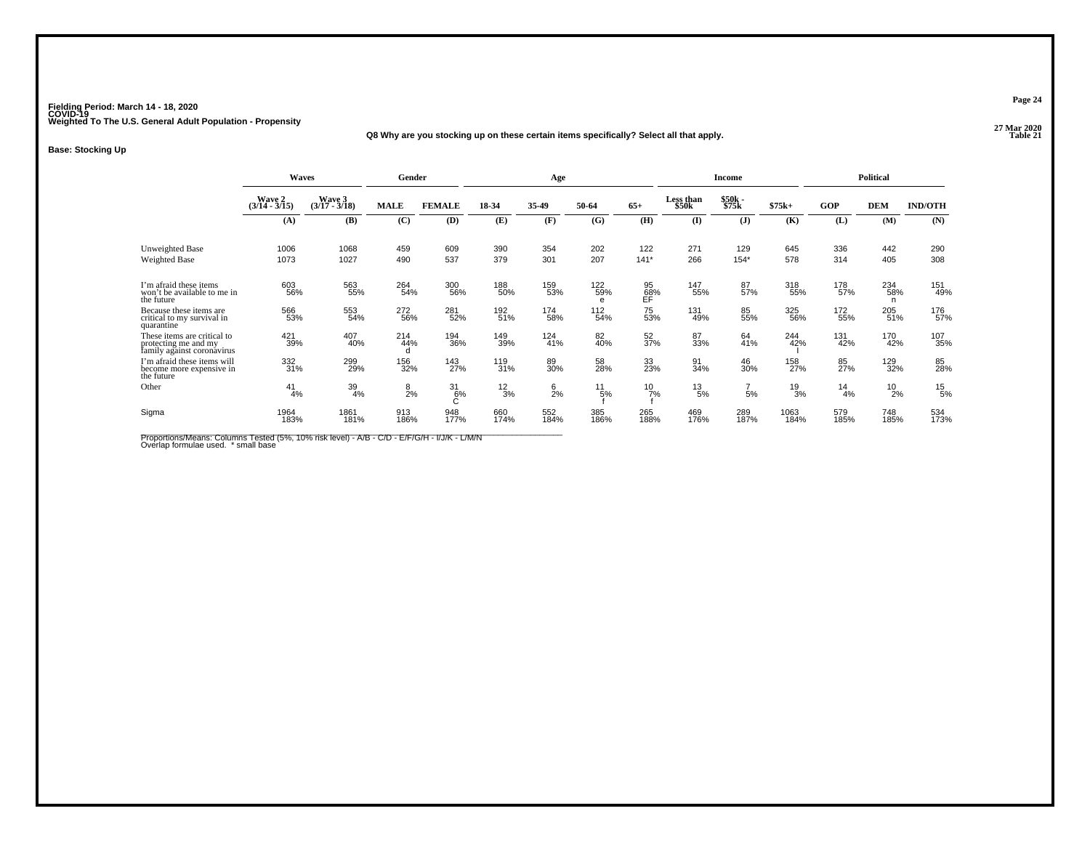## **27 Mar 2020Q8 Why are you stocking up on these certain items specifically? Select all that apply.**

### **Base: Stocking Up**

|                                                                                   | <b>Waves</b>              |                                   | Gender          |               |                 | Age             |                 |                 |                    | Income         |               |               | <b>Political</b> |                |
|-----------------------------------------------------------------------------------|---------------------------|-----------------------------------|-----------------|---------------|-----------------|-----------------|-----------------|-----------------|--------------------|----------------|---------------|---------------|------------------|----------------|
|                                                                                   | Wave 2<br>$(3/14 - 3/15)$ | $\frac{\text{Wave}}{(3/17-3/18)}$ | <b>MALE</b>     | <b>FEMALE</b> | 18-34           | 35-49           | 50-64           | $65+$           | Less than<br>\$50k | \$50k<br>\$75k | $$75k+$       | <b>GOP</b>    | <b>DEM</b>       | <b>IND/OTH</b> |
|                                                                                   | (A)                       | (B)                               | (C)             | (D)           | (E)             | (F)             | (G)             | (H)             | $\mathbf{I}$       | $($ $\bf{J}$ ) | (K)           | (L)           | (M)              | (N)            |
| Unweighted Base                                                                   | 1006                      | 1068                              | 459             | 609           | 390             | 354             | 202             | 122             | 271                | 129            | 645           | 336           | 442              | 290            |
| <b>Weighted Base</b>                                                              | 1073                      | 1027                              | 490             | 537           | 379             | 301             | 207             | $141*$          | 266                | $154*$         | 578           | 314           | 405              | 308            |
| I'm afraid these items<br>won't be available to me in<br>the future               | 603<br>56%                | 563<br>55%                        | 264<br>54%      | 300<br>56%    | 188<br>50%      | 159<br>53%      | 122<br>59%<br>e | 95<br>68%<br>ÉÊ | <sup>147</sup> 55% | 87%            | 318<br>55%    | 178<br>57%    | 234<br>58%<br>n  | 151<br>49%     |
| Because these items are<br>critical to my survival in<br>quarantine               | 566<br>53%                | 553<br>54%                        | 272<br>56%      | 281<br>52%    | 192<br>51%      | 174<br>58%      | 112<br>54%      | 75<br>53%       | 131<br>49%         | 85<br>55%      | 325<br>56%    | 172<br>55%    | 205<br>51%       | 176<br>57%     |
| These items are critical to<br>protecting me and my<br>family against coronavirus | 421<br>39%                | 407<br>40%                        | 214<br>44%<br>d | 194<br>36%    | 149<br>39%      | 124<br>41%      | 82<br>40%       | 52<br>37%       | 87<br>33%          | 64<br>41%      | 244<br>42%    | 131<br>42%    | 170<br>42%       | 107<br>35%     |
| I'm afraid these items will<br>become more expensive in<br>the future             | 332<br>31%                | 299<br>29%                        | 156<br>32%      | 143<br>27%    | 119<br>31%      | 89<br>30%       | 58<br>28%       | 33<br>23%       | 91<br>34%          | 46<br>30%      | 158<br>27%    | 85<br>27%     | 129<br>32%       | 85<br>28%      |
| Other                                                                             | $^{41}_{4\%}$             | 39<br>4%                          | $\frac{8}{2}$ % | $^{31}_{6\%}$ | $\frac{12}{3%}$ | $\frac{6}{2}$ % | $^{11}_{5\%}$   | $^{10}_{7\%}$   | $^{13}_{5\%}$      | 7<br>5%        | $^{19}_{3\%}$ | $^{14}_{4\%}$ | $^{10}_{2\%}$    | $^{15}_{5\%}$  |
| Sigma                                                                             | 1964<br>183%              | 1861<br>181%                      | 913<br>186%     | 948<br>177%   | 660<br>174%     | 552<br>184%     | 385<br>186%     | 265<br>188%     | 469<br>176%        | 289<br>187%    | 1063<br>184%  | 579<br>185%   | 748<br>185%      | 534<br>173%    |

Proportions/Means: Columns Tested (5%, 10% risk level) - A/B - C/D - E/F/G/H - I/J/K - L/M/N<br>Overlap formulae used. \* small base

**Page 24**

**Table 21 Table 21**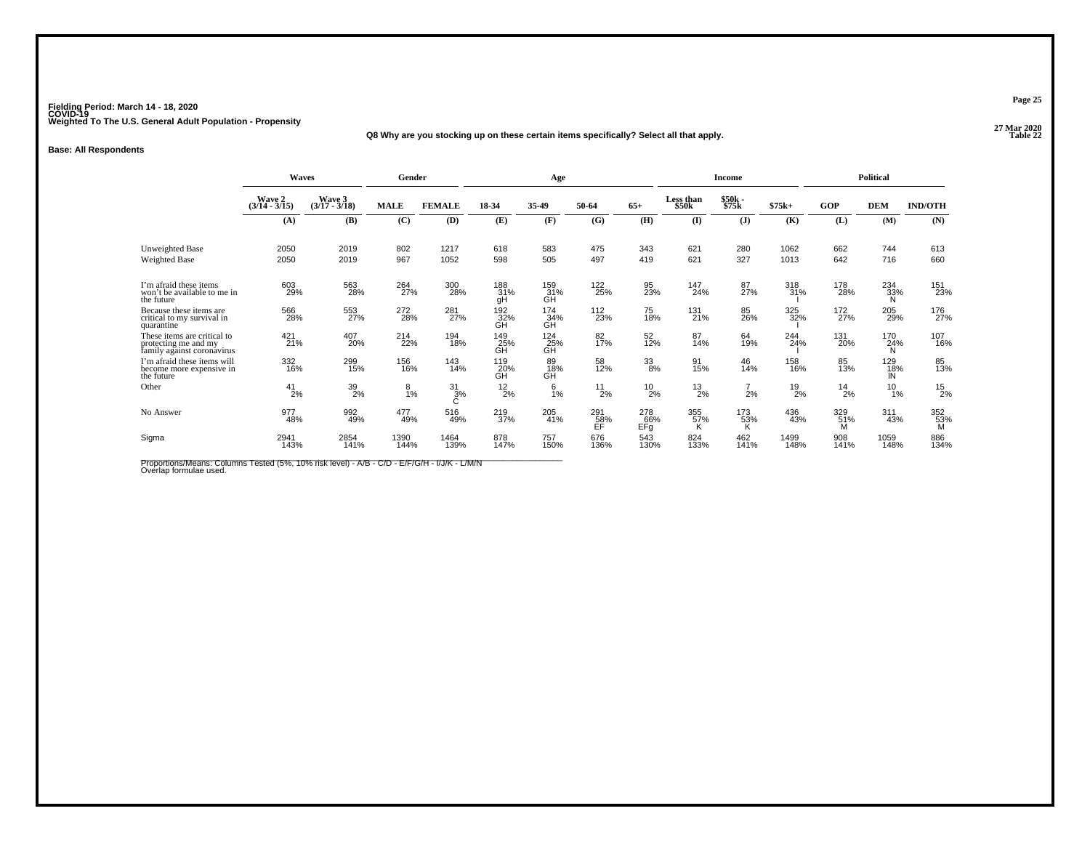## **27 Mar 2020Q8 Why are you stocking up on these certain items specifically? Select all that apply.**

### **Base: All Respondents**

|                                                                                   | <b>Waves</b>              |                                   | Gender          |                  |                  | Age              |                           |                   |                 | Income          |                  |               | <b>Political</b> |                 |
|-----------------------------------------------------------------------------------|---------------------------|-----------------------------------|-----------------|------------------|------------------|------------------|---------------------------|-------------------|-----------------|-----------------|------------------|---------------|------------------|-----------------|
|                                                                                   | Wave 2<br>$(3/14 - 3/15)$ | $\frac{\text{Wave}}{(3/17-3/18)}$ | <b>MALE</b>     | <b>FEMALE</b>    | 18-34            | 35-49            | 50-64                     | $65+$             | Less than \$50k | \$50k<br>\$75k  | $$75k+$          | <b>GOP</b>    | <b>DEM</b>       | <b>IND/OTH</b>  |
|                                                                                   | (A)                       | (B)                               | (C)             | (D)              | (E)              | (F)              | (G)                       | (H)               | $\mathbf{I}$    | $($ $)$         | (K)              | (L)           | (M)              | (N)             |
| Unweighted Base                                                                   | 2050                      | 2019                              | 802             | 1217             | 618              | 583              | 475                       | 343               | 621             | 280             | 1062             | 662           | 744              | 613             |
| <b>Weighted Base</b>                                                              | 2050                      | 2019                              | 967             | 1052             | 598              | 505              | 497                       | 419               | 621             | 327             | 1013             | 642           | 716              | 660             |
| I'm afraid these items<br>won't be available to me in<br>the future               | 603<br>29%                | 563<br>28%                        | 264<br>27%      | 300<br>28%       | 188<br>31%<br>qH | 159<br>31%<br>GH | 122<br>25%                | 95<br>23%         | 147<br>24%      | 87<br>27%       | $318 \over 31\%$ | 178<br>28%    | 234<br>33%<br>N  | 151<br>23%      |
| Because these items are<br>critical to my survival in<br>quarantine               | 566<br>28%                | 553<br>27%                        | 272<br>28%      | 281<br>27%       | 192<br>32%<br>GH | 174<br>34%<br>GH | 112<br>23%                | 75<br>18%         | 131<br>21%      | 85<br>26%       | 325<br>32%       | 172<br>27%    | 205<br>29%       | 176<br>27%      |
| These items are critical to<br>protecting me and my<br>family against coronavirus | 421<br>21%                | 407<br>20%                        | 214<br>22%      | 194<br>18%       | 149<br>25%<br>GH | 124<br>25%<br>GH | 82<br>17%                 | 52<br>12%         | 87<br>14%       | 64<br>19%       | 244<br>24%       | 131<br>20%    | 170<br>24%       | 107<br>16%      |
| I'm afraid these items will<br>become more expensive in<br>the future             | 332<br>16%                | 299<br>15%                        | 156<br>16%      | 143<br>14%       | 119<br>20%<br>GH | 89<br>18%<br>GH  | 58<br>12%                 | $\frac{33}{8%}$   | 91<br>15%       | 46<br>14%       | 158<br>16%       | 85<br>13%     | 129<br>18%<br>IN | 85<br>13%       |
| Other                                                                             | $^{41}_{2\%}$             | $^{39}_{2\%}$                     | $\frac{8}{1\%}$ | $\frac{31}{3}\%$ | $^{12}_{2\%}$    | $6\frac{6}{1}\%$ | $^{11}_{2\%}$             | $^{10}_{2\%}$     | $^{13}_{2\%}$   | $\frac{7}{2}$ % | $^{19}_{2\%}$    | $^{14}_{2\%}$ | $^{10}_{1\%}$    | $^{15}_{2\%}$   |
| No Answer                                                                         | 977<br>48%                | 992<br>49%                        | 477<br>49%      | 516<br>49%       | 219<br>37%       | 205<br>41%       | 291<br>$E$ <sup>58%</sup> | 278<br>66%<br>EFğ | 355<br>57%<br>ĸ | 173<br>53%<br>ĸ | 436<br>43%       | 329<br>51%    | 311<br>43%       | 352<br>53%<br>M |
| Sigma                                                                             | 2941<br>143%              | 2854<br>141%                      | 1390<br>144%    | 1464<br>139%     | 878<br>147%      | 757<br>150%      | 676<br>136%               | 543<br>130%       | 824<br>133%     | 462<br>141%     | 1499<br>148%     | 908<br>141%   | 1059<br>148%     | 886<br>134%     |

Proportions/Means: Columns Tested (5%, 10% risk level) - A/B - C/D - E/F/G/H - I/J/K - L/M/N<br>Overlap formulae used.

**Page 25**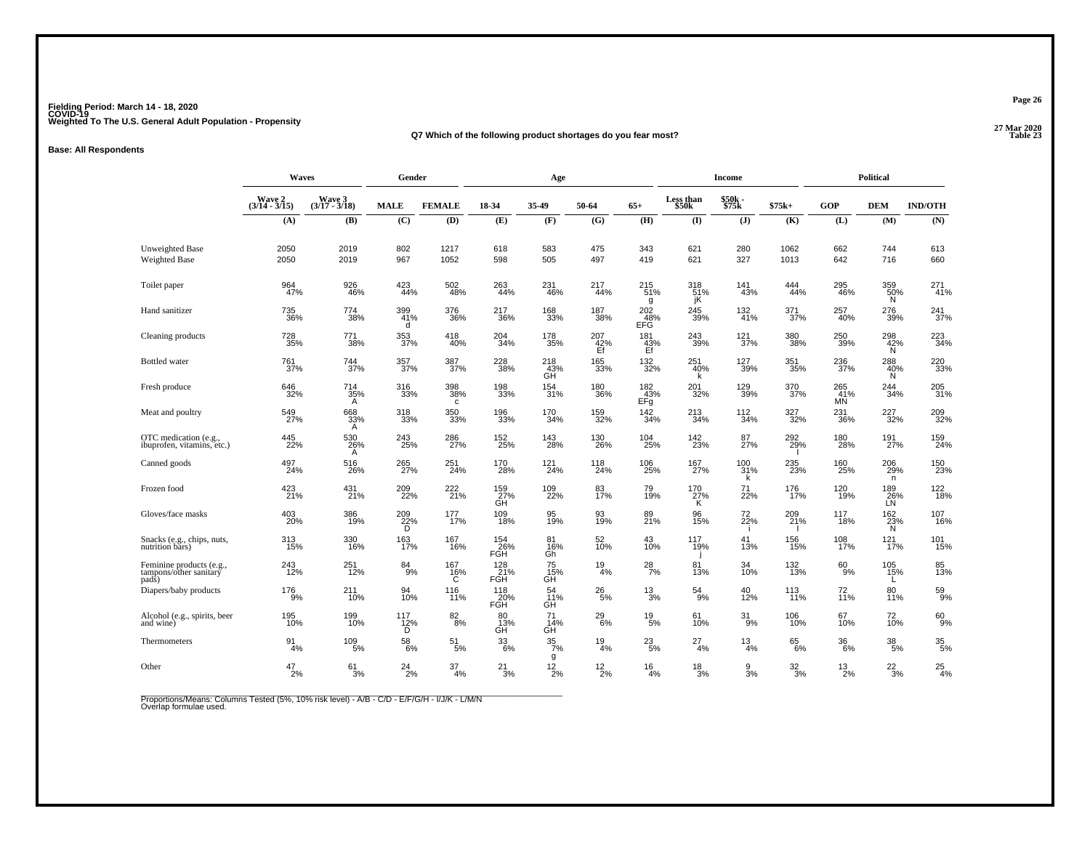**27 Mar 2020Q7 Which of the following product shortages do you fear most?**

#### **Base: All Respondents**

|                                                             | <b>Waves</b>                      |                                   | Gender          |                        |                           | Age                   |                  |                   |                      | Income           |                 |                  | Political               |                  |
|-------------------------------------------------------------|-----------------------------------|-----------------------------------|-----------------|------------------------|---------------------------|-----------------------|------------------|-------------------|----------------------|------------------|-----------------|------------------|-------------------------|------------------|
|                                                             | $\frac{\text{Wave}}{(3/14-3/15)}$ | $\frac{\text{Wave}}{(3/17-3/18)}$ | <b>MALE</b>     | <b>FEMALE</b>          | 18-34                     | 35-49                 | 50-64            | $65+$             | Less than<br>\$50k   | \$50k<br>\$75k   | $$75k+$         | <b>GOP</b>       | <b>DEM</b>              | <b>IND/OTH</b>   |
|                                                             | (A)                               | (B)                               | (C)             | (D)                    | (E)                       | (F)                   | (G)              | (H)               | $($ $\Gamma$         | $($ $)$          | (K)             | (L)              | (M)                     | (N)              |
| <b>Unweighted Base</b><br><b>Weighted Base</b>              | 2050<br>2050                      | 2019<br>2019                      | 802<br>967      | 1217<br>1052           | 618<br>598                | 583<br>505            | 475<br>497       | 343<br>419        | 621<br>621           | 280<br>327       | 1062<br>1013    | 662<br>642       | 744<br>716              | 613<br>660       |
| Toilet paper                                                | 964<br>47%                        | 926<br>46%                        | 423<br>44%      | $\substack{502\\48\%}$ | 263<br>44%                | 231<br>46%            | 217<br>44%       | 215<br>51%<br>g   | 318<br>51%<br>jK     | 141<br>43%       | 444%            | 295<br>46%       | 359<br>50%<br>N         | $^{271}_{41\%}$  |
| Hand sanitizer                                              | 735<br>36%                        | 774<br>38%                        | 399<br>41%<br>d | 376<br>36%             | 217<br>36%                | 168<br>33%            | 187<br>38%       | 202<br>EFG        | 245<br>39%           | 132<br>41%       | 371<br>37%      | 257<br>40%       | 276<br>39%              | 241<br>37%       |
| Cleaning products                                           | 728<br>35%                        | 771<br>38%                        | 353<br>37%      | 418<br>40%             | 204<br>34%                | 178<br>35%            | 207<br>42%<br>Ef | 181<br>43%<br>Ef  | 243<br>39%           | 121<br>37%       | 380<br>38%      | 250<br>39%       | 298<br>42%<br>N         | 223<br>34%       |
| Bottled water                                               | 761<br>37%                        | 744<br>37%                        | 357<br>37%      | 387<br>37%             | 228<br>38%                | 218<br>43%<br>GH      | 165<br>33%       | 132<br>32%        | 251<br>40%<br>k      | 127<br>39%       | 351<br>35%      | 236<br>37%       | 288<br>40%<br>Ñ         | 220<br>33%       |
| Fresh produce                                               | 646<br>32%                        | 714<br>35%<br>A                   | 316<br>33%      | 398<br>38%<br>c        | 198<br>33%                | 154<br>31%            | 180<br>36%       | 182<br>43%<br>EFg | 201<br>32%           | 129<br>39%       | 370 37%         | 265<br>41%<br>MN | 244<br>34%              | 205<br>31%       |
| Meat and poultry                                            | 549<br>27%                        | 668<br>33%<br>A                   | 318<br>33%      | 350<br>33%             | 196<br>33%                | 170<br>34%            | 159<br>32%       | 142<br>34%        | 213<br>34%           | 112<br>34%       | 327<br>32%      | 231<br>36%       | 227<br>32%              | 209<br>32%       |
| OTC medication (e.g.,<br>ibuprofen, vitamins, etc.)         | 445<br>22%                        | 530<br>26%<br>A                   | 243<br>25%      | 286<br>27%             | 152<br>25%                | 143<br>28%            | 130<br>26%       | 104<br>25%        | 142<br>23%           | 87<br>27%        | 292<br>29%      | 180<br>28%       | 191<br>27%              | 159<br>24%       |
| Canned goods                                                | 497<br>24%                        | 516<br>26%                        | 265<br>27%      | 251<br>24%             | 170<br>28%                | 121<br>24%            | 118<br>24%       | 106<br>25%        | 167 <sub>27%</sub>   | 100<br>31%<br>k  | 235<br>23%      | 160<br>25%       | 206<br>29%<br>n         | 150<br>23%       |
| Frozen food                                                 | 423<br>21%                        | 431<br>21%                        | 209<br>22%      | 222<br>21%             | 159<br>27%<br>GH          | 109<br>22%            | 83<br>17%        | 79<br>19%         | $^{170}_{27\%}$<br>K | 71<br>22%        | 176<br>17%      | 120<br>19%       | 189<br>26%<br>LN        | 122<br>18%       |
| Gloves/face masks                                           | 403<br>20%                        | 386<br>19%                        | 209<br>22%<br>D | 177<br>17%             | 109<br>18%                | 95<br>19%             | 93<br>19%        | 89<br>21%         | 96<br>15%            | 72<br>22%        | 209<br>21%      | 117<br>18%       | $\frac{162}{23\%}$<br>N | 107<br>16%       |
| Snacks (e.g., chips, nuts,<br>nutrition bars)               | 313<br>15%                        | 330<br>16%                        | 163<br>17%      | 167<br>16%             | 154<br>26%<br>FGH         | 81<br>16%<br>Gh       | 52<br>10%        | 43<br>10%         | 117<br>19%           | 41<br>13%        | 156<br>15%      | 108<br>17%       | 121<br>17%              | 101<br>15%       |
| Feminine products (e.g.,<br>tampons/other sanitary<br>pads) | 243<br>12%                        | 251<br>12%                        | $\frac{84}{9%}$ | 167<br>16%<br>C        | 128<br>21%<br><b>FGH</b>  | 75<br>15%<br>GH       | $^{19}_{4\%}$    | $^{28}_{7\%}$     | 81<br>13%            | 34<br>10%        | 132<br>13%      | $^{60}_{9\%}$    | 105<br>15%              | 85<br>13%        |
| Diapers/baby products                                       | $\frac{176}{9\%}$                 | 211<br>10%                        | 94<br>10%       | 116<br>11%             | 118<br>PGH <sup>20%</sup> | 54<br>11%<br>GH       | $^{26}_{\ 5\%}$  | $\frac{13}{3%}$   | $\frac{54}{9%}$      | 40<br>12%        | 113<br>11%      | 72<br>11%        | 80<br>11%               | 59<br>9%         |
| Alcohol (e.g., spirits, beer<br>and wine)                   | 195<br>10%                        | 199<br>10%                        | 117<br>12%<br>D | $\frac{82}{8\%}$       | 80<br>13%<br>GH           | 71<br>14%<br>GH       | $^{29}_{\ 6\%}$  | $^{19}_{5\%}$     | 61<br>10%            | 31<br>9%         | 106<br>10%      | 67<br>10%        | 72<br>10%               | 60<br>9%         |
| Thermometers                                                | $\frac{91}{4\%}$                  | $\frac{109}{5\%}$                 | 58<br>6%        | $5\frac{1}{5\%}$       | 33/6%                     | $\frac{35}{7}\%$<br>g | $\frac{19}{4%}$  | $^{23}_{5\%}$     | $^{27}_{4\%}$        | $\frac{13}{4\%}$ | 65<br>6%        | 36 <sub>%</sub>  | $^{38}_{\ 5\%}$         | $\frac{35}{5\%}$ |
| Other                                                       | $^{47}_{2\%}$                     | $^{61}_{3\%}$                     | $^{24}_{2\%}$   | $\frac{37}{4\%}$       | $^{21}_{3\%}$             | $\frac{12}{2\%}$      | $^{12}_{2\%}$    | $\frac{16}{4%}$   | $\frac{18}{3%}$      | 9<br>3%          | $\frac{32}{3%}$ | $^{13}_{2\%}$    | $^{22}_{3\%}$           | $^{25}_{4\%}$    |

Proportions/Means: Columns Tested (5%, 10% risk level) - A/B - C/D - E/F/G/H - I/J/K - L/M/N<br>Overlap formulae used.

**Page 26**

27 Mar 2020<br>Table 23 **Table 23**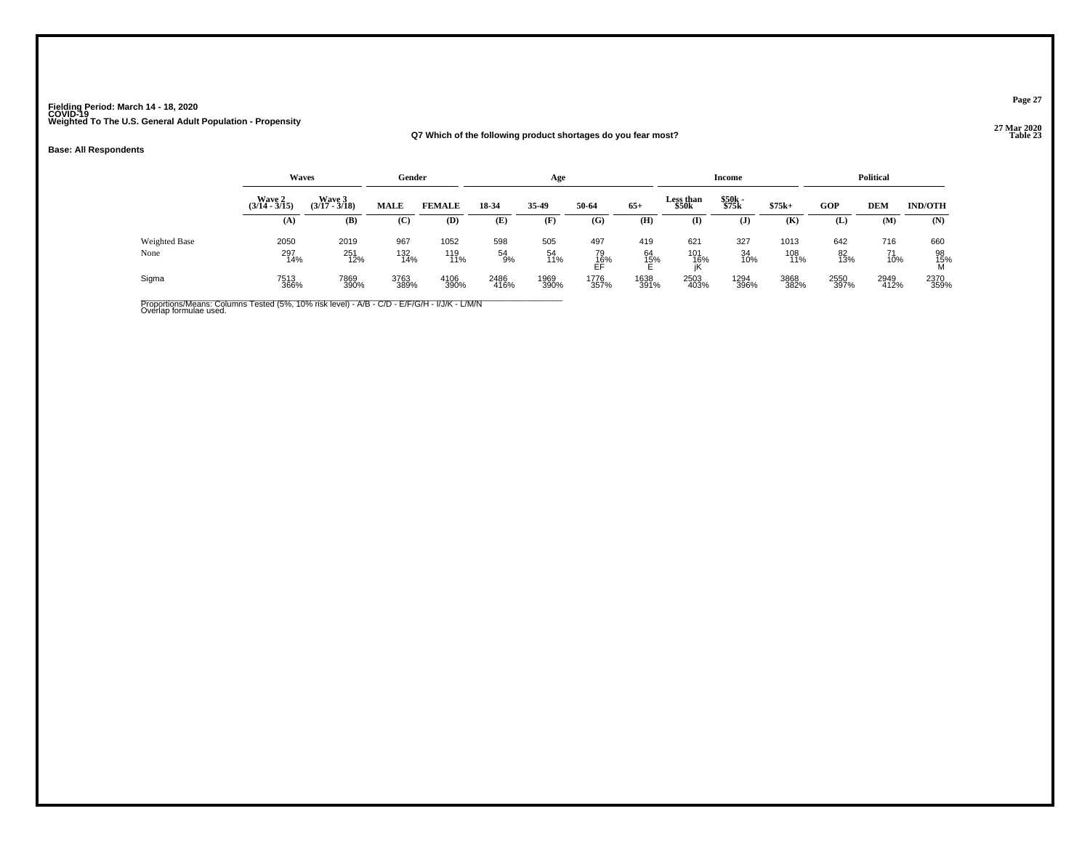#### **27 Mar 2020Q7 Which of the following product shortages do you fear most?Table 23**

#### **Base: All Respondents**

|               | Waves                               |                                   | Gender       |               |              | Age          |                 |              |                    | Income         |              |              | <b>Political</b> |                |
|---------------|-------------------------------------|-----------------------------------|--------------|---------------|--------------|--------------|-----------------|--------------|--------------------|----------------|--------------|--------------|------------------|----------------|
|               | $\frac{\text{Wave 2}}{(3/14-3/15)}$ | $\frac{\text{Wave}}{(3/17-3/18)}$ | <b>MALE</b>  | <b>FEMALE</b> | 18-34        | 35-49        | 50-64           | $65+$        | Less than<br>\$50k | \$50k<br>\$75k | $$75k+$      | <b>GOP</b>   | <b>DEM</b>       | <b>IND/OTH</b> |
|               | (A)                                 | (B)                               | (C)          | (D)           | (E)          | (F)          | (G)             | (H)          | $\mathbf{I}$       | $\mathbf{J}$   | (K)          | (L)          | (M)              | (N)            |
| Weighted Base | 2050                                | 2019                              | 967          | 1052          | 598          | 505          | 497             | 419          | 621                | 327            | 1013         | 642          | 716              | 660            |
| None          | 297<br>14%                          | 251<br>12%                        | 132<br>14%   | 119<br>11%    | 54<br>9%     | 54<br>11%    | 79<br>16%<br>EF | 64<br>15%    | 101<br>16%         | 34<br>10%      | 108<br>11%   | 82<br>13%    | 71<br>10%        | 98<br>15%<br>M |
| Sigma         | 7513<br>366%                        | 7869<br>390%                      | 3763<br>389% | 4106<br>390%  | 2486<br>416% | 1969<br>390% | 1776<br>357%    | 1638<br>391% | 2503<br>403%       | 1294<br>396%   | 3868<br>382% | 2550<br>397% | 2949<br>412%     | 2370<br>359%   |

Proportions/Means: Columns Tested (5%, 10% risk level) - A/B - C/D - E/F/G/H - I/J/K - L/M/N<br>Overlap formulae used.

**Page 27**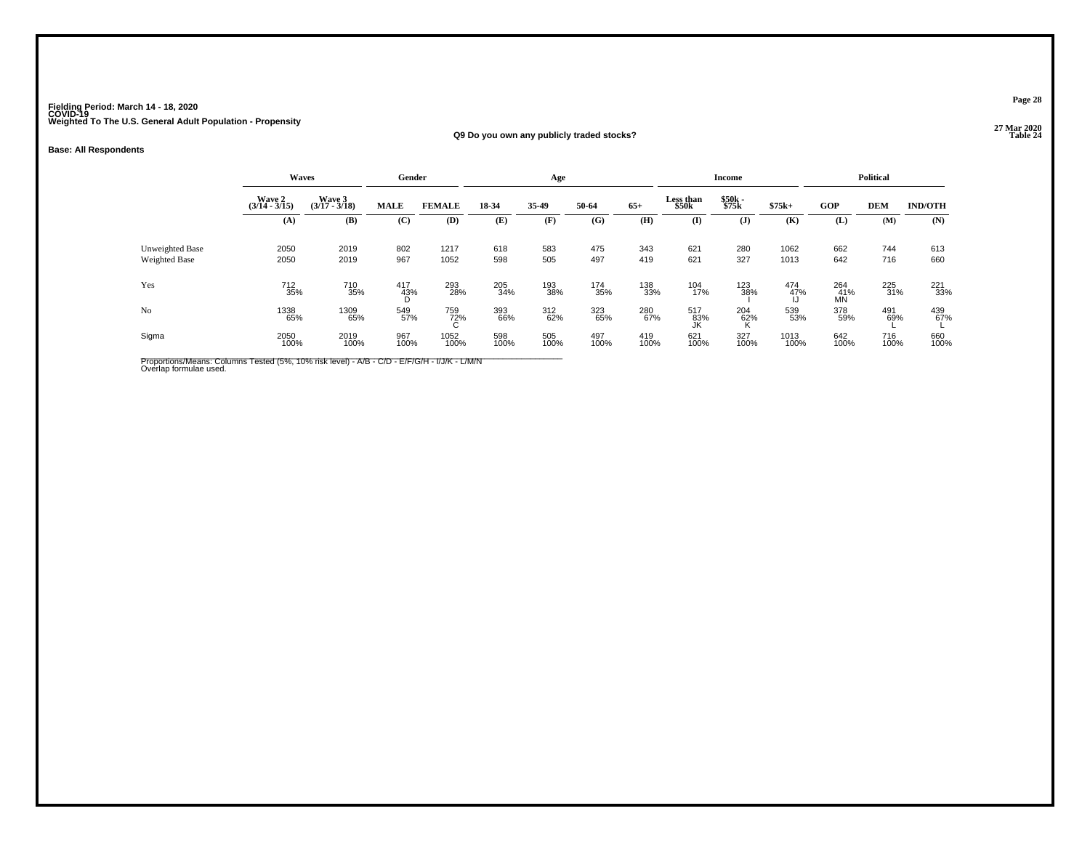## **27 Mar 2020Q9 Do you own any publicly traded stocks?**

### **Base: All Respondents**

|                 | Waves                             |                                   | Gender      |               |             | Age         |             |             |                  | Income           |              |                         | <b>Political</b> |                |
|-----------------|-----------------------------------|-----------------------------------|-------------|---------------|-------------|-------------|-------------|-------------|------------------|------------------|--------------|-------------------------|------------------|----------------|
|                 | $\frac{\text{Wave}}{(3/14-3/15)}$ | $\frac{\text{Wave}}{(3/17-3/18)}$ | <b>MALE</b> | <b>FEMALE</b> | 18-34       | 35-49       | 50-64       | $65+$       | Less than \$50k  | \$50k<br>\$75k   | $$75k+$      | <b>GOP</b>              | <b>DEM</b>       | <b>IND/OTH</b> |
|                 | (A)                               | (B)                               | (C)         | (D)           | (E)         | (F)         | (G)         | (H)         | $\bf(I)$         | $\mathbf{J}$     | (K)          | (L)                     | (M)              | (N)            |
| Unweighted Base | 2050                              | 2019                              | 802         | 1217          | 618         | 583         | 475         | 343         | 621              | 280              | 1062         | 662                     | 744              | 613            |
| Weighted Base   | 2050                              | 2019                              | 967         | 1052          | 598         | 505         | 497         | 419         | 621              | 327              | 1013         | 642                     | 716              | 660            |
| Yes             | 712<br>35%                        | 710<br>35%                        | 417<br>43%  | 293<br>28%    | 205<br>34%  | 193<br>38%  | 174<br>35%  | 138<br>33%  | 104<br>17%       | 123<br>38%       | 474<br>47%   | 264<br>41%<br><b>MN</b> | 225<br>31%       | 221<br>33%     |
| N <sub>o</sub>  | 1338<br>65%                       | 1309<br>65%                       | 549<br>57%  | 759<br>72%    | 393<br>66%  | 312<br>62%  | 323<br>65%  | 280<br>67%  | 517<br>83%<br>JK | 204<br>62%<br>n. | 539<br>53%   | 378<br>59%              | 491<br>69%       | 439<br>67%     |
| Sigma           | 2050<br>100%                      | 2019<br>100%                      | 967<br>100% | 1052<br>100%  | 598<br>100% | 505<br>100% | 497<br>100% | 419<br>100% | 621<br>100%      | 327<br>100%      | 1013<br>100% | 642<br>100%             | 716<br>100%      | 660<br>100%    |

Proportions/Means: Columns Tested (5%, 10% risk level) - A/B - C/D - E/F/G/H - I/J/K - L/M/N<br>Overlap formulae used.

**Page 28**

27 Mar 2020<br>Table 24 **Table 24 Table 24 Table 24 Table 24 Table 24**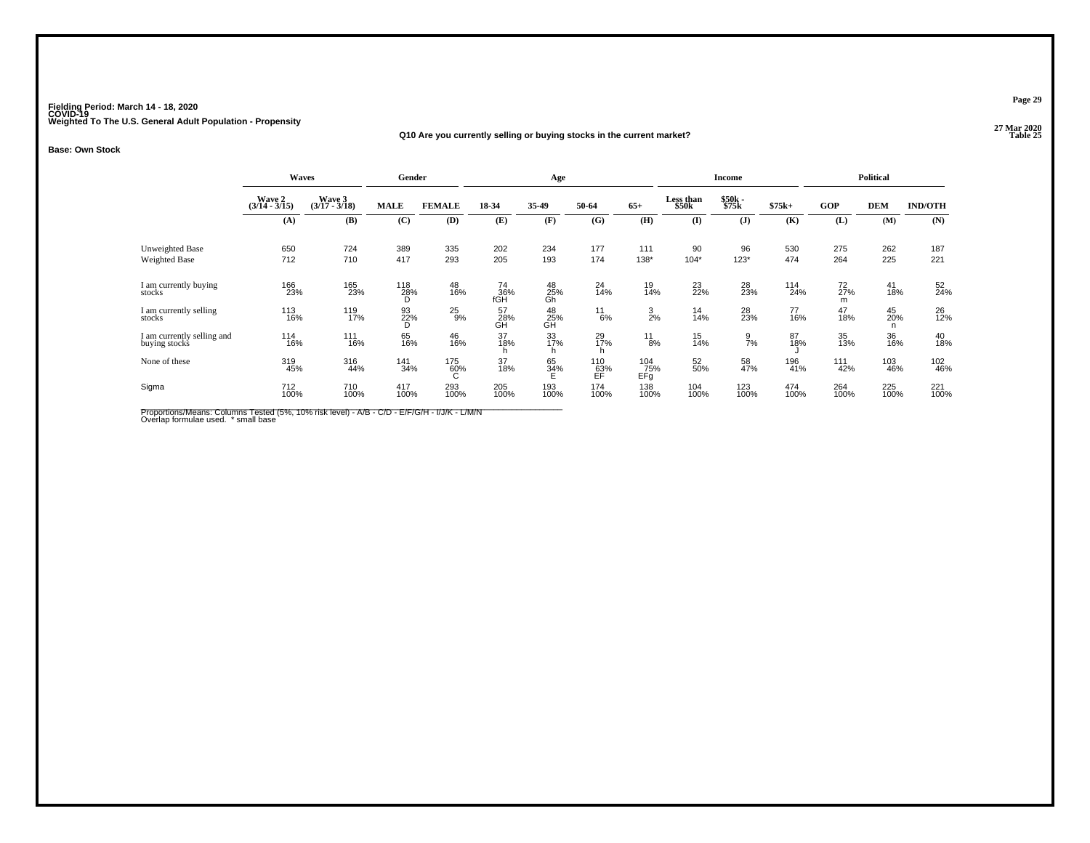## **27 Mar 2020Q10 Are you currently selling or buying stocks in the current market?**

### **Base: Own Stock**

|                                             | Waves                             |                                   | Gender          |                 |                  | Age             |                  |                   |                   | <b>Income</b>   |             |                     | <b>Political</b> |                |
|---------------------------------------------|-----------------------------------|-----------------------------------|-----------------|-----------------|------------------|-----------------|------------------|-------------------|-------------------|-----------------|-------------|---------------------|------------------|----------------|
|                                             | $\frac{\text{Wave}}{(3/14-3/15)}$ | $\frac{\text{Wave}}{(3/17-3/18)}$ | <b>MALE</b>     | <b>FEMALE</b>   | 18-34            | 35-49           | 50-64            | $65+$             | Less than \$50k   | \$50k<br>\$75k  | $$75k+$     | <b>GOP</b>          | <b>DEM</b>       | <b>IND/OTH</b> |
|                                             | (A)                               | (B)                               | (C)             | (D)             | (E)              | (F)             | (G)              | (H)               | $\mathbf{I}$      | $($ $)$         | (K)         | (L)                 | (M)              | (N)            |
| Unweighted Base                             | 650                               | 724                               | 389             | 335             | 202              | 234             | 177              | 111               | 90                | 96              | 530         | 275                 | 262              | 187            |
| Weighted Base                               | 712                               | 710                               | 417             | 293             | 205              | 193             | 174              | $138*$            | $104*$            | $123*$          | 474         | 264                 | 225              | 221            |
| I am currently buying<br>stocks             | 166<br>23%                        | 165<br>23%                        | 118<br>28%<br>D | 48<br>16%       | 74<br>36%<br>fGH | 48<br>25%<br>Gh | $^{24}_{14\%}$   | 19<br>14%         | $^{23}_{22\%}$    | 28<br>23%       | 114<br>24%  | $^{72}_{27\%}$<br>m | $^{41}_{18\%}$   | 52<br>24%      |
| I am currently selling<br>stocks            | 113<br>16%                        | 119<br>17%                        | 93<br>22%<br>D  | $^{25}_{9\%}$   | 57<br>28%<br>GH  | $^{48}_{25\%}$  | 11<br>6%         | $\frac{3}{2\%}$   | $\frac{14}{14\%}$ | 28<br>23%       | 77<br>16%   | 47<br>18%           | 45<br>20%<br>n   | 26<br>12%      |
| I am currently selling and<br>buying stocks | 114<br>16%                        | 111<br>16%                        | 65<br>16%       | 46<br>16%       | 37<br>18%        | 33<br>17%       | 29<br>17%<br>h   | 11<br>8%          | 15<br>14%         | $\frac{9}{7\%}$ | 87<br>18%   | 35<br>13%           | 36<br>16%        | 40<br>18%      |
| None of these                               | 319<br>45%                        | 316<br>44%                        | 141<br>34%      | 175<br>60%<br>u | 37<br>18%        | 65<br>34%       | 110<br>63%<br>ĔĔ | 104<br>75%<br>EFg | 52<br>50%         | 58<br>47%       | 196<br>41%  | 111<br>42%          | 103<br>46%       | 102<br>46%     |
| Sigma                                       | 712<br>100%                       | 710<br>100%                       | 417<br>100%     | 293<br>100%     | 205<br>100%      | 193<br>100%     | 174<br>100%      | 138<br>100%       | 104<br>100%       | 123<br>100%     | 474<br>100% | 264<br>100%         | 225<br>100%      | 221<br>100%    |

Proportions/Means: Columns Tested (5%, 10% risk level) - A/B - C/D - E/F/G/H - I/J/K - L/M/N<br>Overlap formulae used. \* small base

**Page 29**

27 Mar 2020<br>Table 25 **Table 25**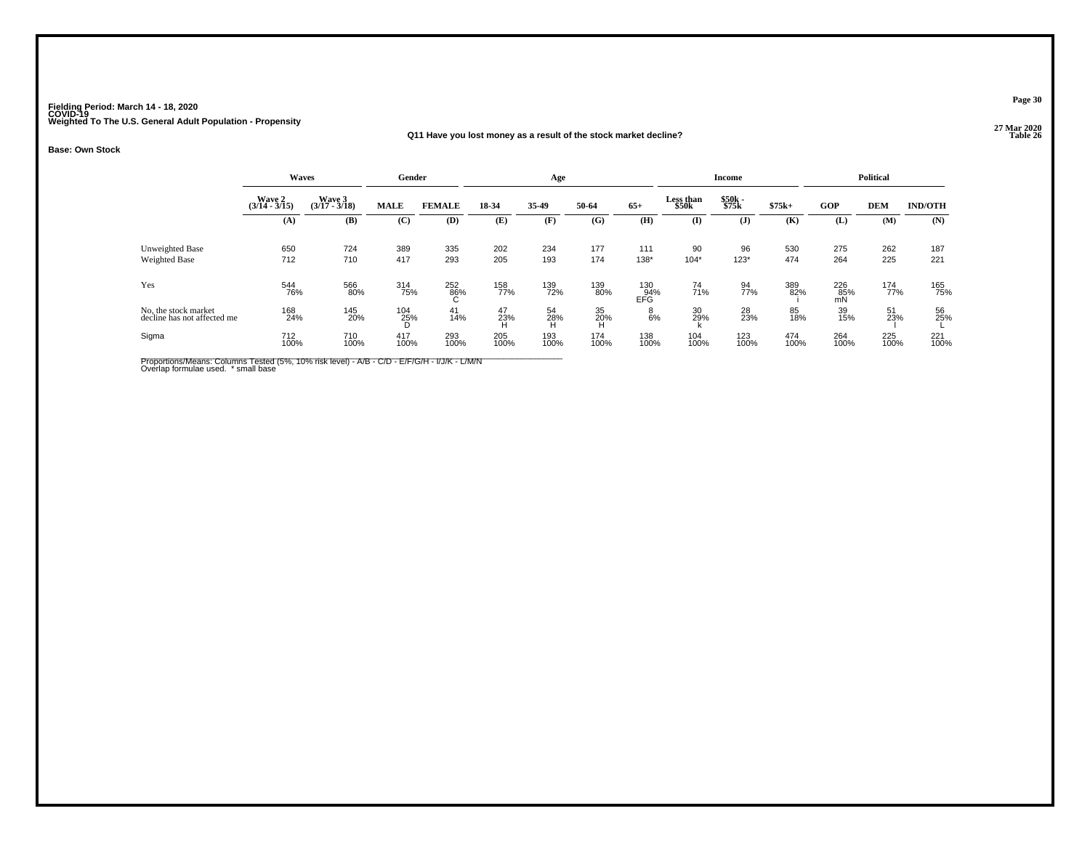#### **27 Mar 2020Q11 Have you lost money as a result of the stock market decline?Table 26**

### **Base: Own Stock**

|                                                     | Waves                             |                                   | Gender                               |               |                | Age             |             |                          |                    | Income         |             |                  | <b>Political</b> |                |
|-----------------------------------------------------|-----------------------------------|-----------------------------------|--------------------------------------|---------------|----------------|-----------------|-------------|--------------------------|--------------------|----------------|-------------|------------------|------------------|----------------|
|                                                     | $\frac{\text{Wave}}{(3/14-3/15)}$ | $\frac{\text{Wave}}{(3/17-3/18)}$ | <b>MALE</b>                          | <b>FEMALE</b> | 18-34          | 35-49           | 50-64       | $65+$                    | Less than<br>\$50k | \$50k<br>\$75k | $$75k+$     | <b>GOP</b>       | <b>DEM</b>       | <b>IND/OTH</b> |
|                                                     | (A)                               | (B)                               | (C)                                  | (D)           | (E)            | (F)             | (G)         | (H)                      | $\mathbf{I}$       | $\mathbf{J}$   | (K)         | (L)              | (M)              | (N)            |
| Unweighted Base                                     | 650                               | 724                               | 389                                  | 335           | 202            | 234             | 177         | 111                      | 90                 | 96             | 530         | 275              | 262              | 187            |
| Weighted Base                                       | 712                               | 710                               | 417                                  | 293           | 205            | 193             | 174         | 138*                     | $104*$             | $123*$         | 474         | 264              | 225              | 221            |
| Yes                                                 | 544<br>76%                        | 566<br>80%                        | 314<br>75%                           | 252<br>86%    | 158<br>77%     | 139<br>72%      | 139<br>80%  | 130<br>94%<br><b>EFG</b> | $^{74}_{71\%}$     | 94<br>77%      | 389<br>82%  | 226<br>85%<br>mN | 174<br>77%       | 165<br>75%     |
| No, the stock market<br>decline has not affected me | 168<br>24%                        | 145<br>20%                        | $^{104}_{\substack{25% \  \  \, D}}$ | 41<br>14%     | $^{47}_{23\%}$ | 54<br>28%<br>п. | 35<br>20%   | $_{6\%}^8$               | 30<br>29%          | 28<br>23%      | 85<br>18%   | 39<br>15%        | 51<br>23%        | 56<br>25%      |
| Sigma                                               | 712<br>100%                       | 710<br>100%                       | 417<br>100%                          | 293<br>100%   | 205<br>100%    | 193<br>100%     | 174<br>100% | 138<br>100%              | 104<br>100%        | 123<br>100%    | 474<br>100% | 264<br>100%      | 225<br>100%      | 221<br>100%    |

Proportions/Means: Columns Tested (5%, 10% risk level) - A/B - C/D - E/F/G/H - I/J/K - L/M/N<br>Overlap formulae used. \* small base

27 Mar 2020<br>Table 26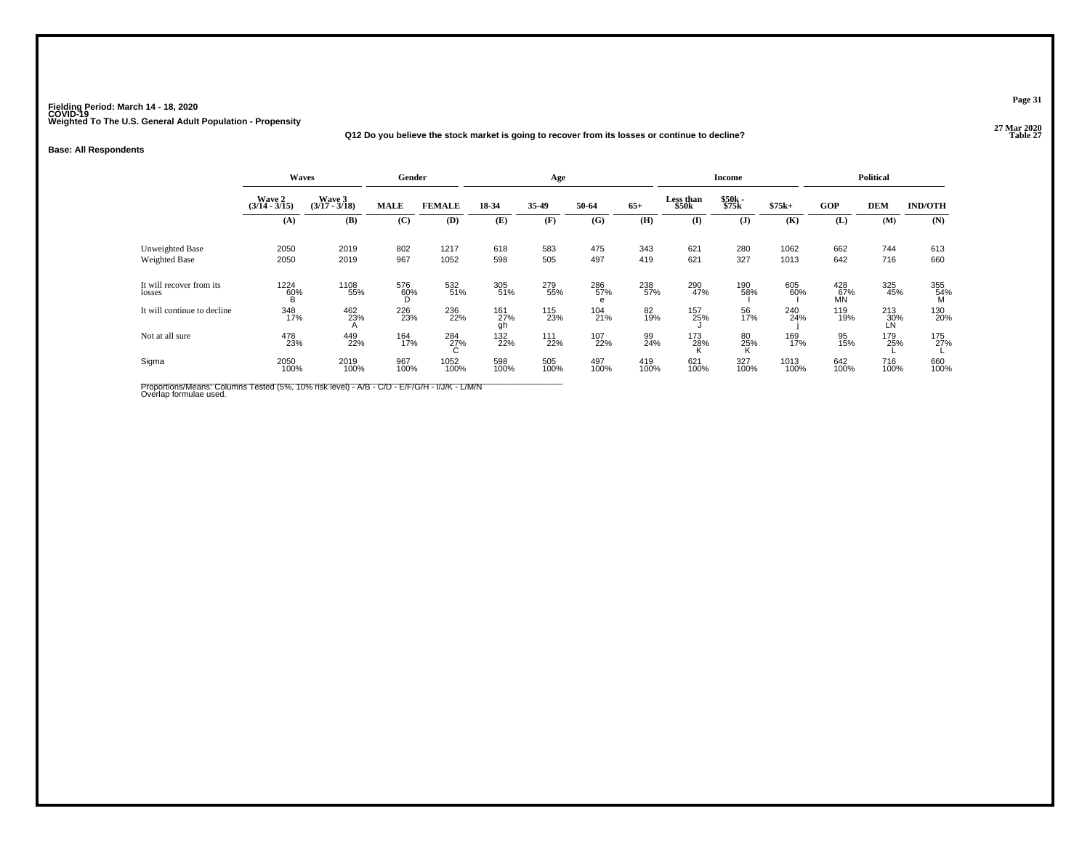## **27 Mar 2020Q12 Do you believe the stock market is going to recover from its losses or continue to decline?**

### **Base: All Respondents**

|                                    | Waves                     |                                   | Gender      |               |                  | Age         |             |             |                    | Income         |              |                         | <b>Political</b> |                 |
|------------------------------------|---------------------------|-----------------------------------|-------------|---------------|------------------|-------------|-------------|-------------|--------------------|----------------|--------------|-------------------------|------------------|-----------------|
|                                    | Wave 2<br>$(3/14 - 3/15)$ | $\frac{\text{Wave}}{(3/17-3/18)}$ | <b>MALE</b> | <b>FEMALE</b> | 18-34            | 35-49       | 50-64       | $65+$       | Less than<br>\$50k | \$50k<br>\$75k | $$75k+$      | <b>GOP</b>              | <b>DEM</b>       | <b>IND/OTH</b>  |
|                                    | (A)                       | (B)                               | (C)         | (D)           | (E)              | (F)         | (G)         | (H)         | $\mathbf{I}$       | $\mathbf{J}$   | (K)          | (L)                     | (M)              | (N)             |
| Unweighted Base                    | 2050                      | 2019                              | 802         | 1217          | 618              | 583         | 475         | 343         | 621                | 280            | 1062         | 662                     | 744              | 613             |
| Weighted Base                      | 2050                      | 2019                              | 967         | 1052          | 598              | 505         | 497         | 419         | 621                | 327            | 1013         | 642                     | 716              | 660             |
| It will recover from its<br>losses | $^{1224}_{60\%}$          | 1108<br>55%                       | 576<br>60%  | 532<br>51%    | 305<br>51%       | 279<br>55%  | 286<br>57%  | 238<br>57%  | 290<br>47%         | 190<br>58%     | 605<br>60%   | 428<br>67%<br><b>MN</b> | 325<br>45%       | 355<br>54%<br>M |
| It will continue to decline        | 348<br>17%                | 462<br>23%                        | 226<br>23%  | 236<br>22%    | 161<br>27%<br>gh | 115<br>23%  | 104<br>21%  | 82<br>19%   | 157<br>25%         | 56<br>17%      | 240<br>24%   | 119<br>19%              | 213<br>30%<br>LN | 130<br>20%      |
| Not at all sure                    | 478<br>23%                | 449<br>22%                        | 164<br>17%  | 284<br>27%    | 132<br>22%       | 111<br>22%  | 107<br>22%  | 99<br>24%   | 173<br>28%         | 80<br>25%<br>ĸ | 169<br>17%   | 95<br>15%               | 179<br>25%       | 175<br>27%      |
| Sigma                              | 2050<br>100%              | 2019<br>100%                      | 967<br>100% | 1052<br>100%  | 598<br>100%      | 505<br>100% | 497<br>100% | 419<br>100% | 621<br>100%        | 327<br>100%    | 1013<br>100% | 642<br>100%             | 716<br>100%      | 660<br>100%     |

Proportions/Means: Columns Tested (5%, 10% risk level) - A/B - C/D - E/F/G/H - I/J/K - L/M/N<br>Overlap formulae used.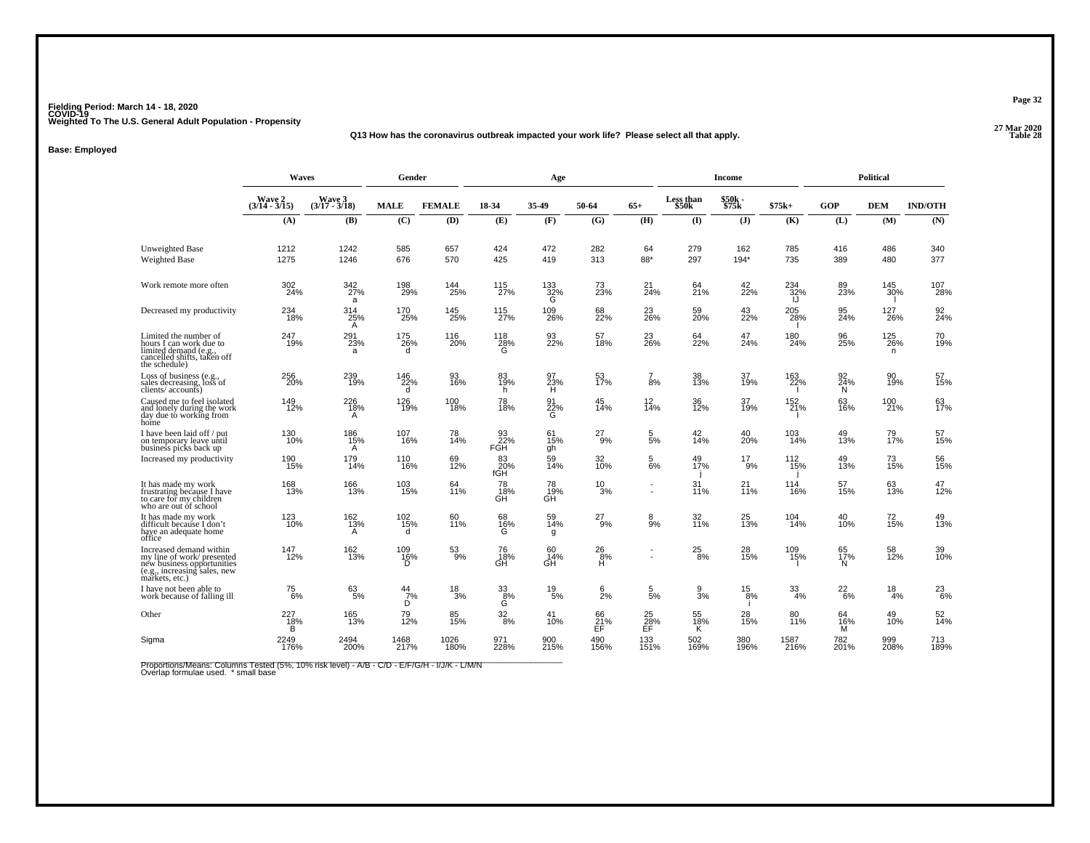## **27 Mar 2020Q13 How has the coronavirus outbreak impacted your work life? Please select all that apply.**

### **Base: Employed**

|                                                                                                                                       | <b>Waves</b>                        |                                   | Gender                |                  |                      | Age             |                             |                               |                   | Income           |                   |                  | Political       |                |
|---------------------------------------------------------------------------------------------------------------------------------------|-------------------------------------|-----------------------------------|-----------------------|------------------|----------------------|-----------------|-----------------------------|-------------------------------|-------------------|------------------|-------------------|------------------|-----------------|----------------|
|                                                                                                                                       | $\frac{\text{Wave}}{(3/14 - 3/15)}$ | $\frac{\text{Wave}}{(3/17-3/18)}$ | <b>MALE</b>           | <b>FEMALE</b>    | 18-34                | 35-49           | 50-64                       | $65+$                         | Less than \$50k   | \$50k<br>\$75k   | $$75k+$           | <b>GOP</b>       | <b>DEM</b>      | <b>IND/OTH</b> |
|                                                                                                                                       | (A)                                 | (B)                               | (C)                   | (D)              | (E)                  | (F)             | (G)                         | (H)                           | $\mathbf{I}$      | $($ $)$          | (K)               | (L)              | (M)             | (N)            |
| Unweighted Base<br><b>Weighted Base</b>                                                                                               | 1212<br>1275                        | 1242<br>1246                      | 585<br>676            | 657<br>570       | 424<br>425           | 472<br>419      | 282<br>313                  | 64<br>88*                     | 279<br>297        | 162<br>194*      | 785<br>735        | 416<br>389       | 486<br>480      | 340<br>377     |
| Work remote more often                                                                                                                | 302<br>24%                          | 342<br>27%<br>a                   | 198<br>29%            | 144<br>25%       | 115<br>27%           | 133<br>32%<br>G | 73 <sub>%</sub>             | $^{21}_{24\%}$                | 64<br>21%         | 42<br>22%        | 234<br>32%<br>ĨJ. | 89<br>23%        | 145<br>30%      | 107<br>28%     |
| Decreased my productivity                                                                                                             | 234<br>18%                          | 314<br>25%<br>A                   | 170<br>25%            | 145<br>25%       | 115<br>27%           | 109<br>26%      | 68<br>22%                   | 23<br>26%                     | 59<br>20%         | 43<br>22%        | 205<br>28%        | 95<br>24%        | 127<br>26%      | 92<br>24%      |
| Limited the number of<br>hours I can work due to<br>limited demand (e.g.<br>cancelled shifts, taken off<br>the schedule)              | 247<br>19%                          | 291<br>23%<br>a                   | 175<br>26%<br>d       | 116<br>20%       | 118<br>28%<br>G      | 93<br>22%       | 57<br>18%                   | 23<br>26%                     | 64<br>22%         | 47<br>24%        | 180<br>24%        | 96<br><b>25%</b> | 125<br>26%<br>n | 70<br>19%      |
| Loss of business (e.g.,<br>sales decreasing, loss of<br>clients/accounts)                                                             | 256<br>20%                          | 239<br>19%                        | 146<br>22%<br>d       | 93<br>16%        | 83<br>19%<br>h.      | 97<br>23%<br>H  | 53<br>17%                   | $\overline{7}$<br>8%          | 38<br>13%         | 37<br>19%        | 163<br>22%        | 92<br>24%<br>N   | 90<br>19%       | 57<br>15%      |
| Caused me to feel isolated<br>and lonely during the work<br>day due to working from<br>home                                           | 149<br>12%                          | 226<br>18%<br>A                   | 126<br>19%            | 100<br>18%       | 78<br>18%            | 91<br>22%<br>G  | 45<br>14%                   | $\frac{12}{14\%}$             | 36<br>12%         | 37<br>19%        | 152<br>21%        | 63<br>16%        | 100<br>21%      | 63<br>17%      |
| I have been laid off / put<br>on temporary leave until<br>business picks back up                                                      | 130<br>10%                          | 186<br>15%<br>A                   | 107<br>16%            | 78<br>14%        | 93<br>$52\%$ FGH     | 61<br>15%<br>gh | 27<br>9%                    | 5<br>5%                       | 42<br>14%         | 40<br>20%        | 103<br>14%        | 49<br>13%        | 79<br>17%       | 57<br>15%      |
| Increased my productivity                                                                                                             | 190<br>15%                          | 179<br>14%                        | 110<br>16%            | 69<br>12%        | 83<br>20%<br>fGH     | 59<br>14%       | 32<br>10%                   | 5<br>6%                       | 49<br>17%         | 17<br>$\cdot$ 9% | 112<br>15%        | 49<br>13%        | 73<br>15%       | 56<br>15%      |
| It has made my work<br>frustrating because I have<br>to care for my children<br>who are out of school                                 | 168<br>13%                          | 166<br>13%                        | 103<br>15%            | 64<br>11%        | 78<br>18%<br>GH      | 78<br>19%<br>GH | $^{10}_{3\%}$               | ÷                             | 31<br>11%         | $^{21}_{11\%}$   | 114<br>16%        | 57<br>15%        | 63<br>13%       | 47<br>12%      |
| It has made my work<br>difficult because I don't<br>have an adequate home<br>office                                                   | 123<br>10%                          | 162<br>13%<br>A                   | 102<br>15%<br>d       | 60<br>11%        | 68<br>16%<br>G       | 59<br>14%<br>g  | $^{27}_{9\%}$               | $\frac{8}{9%}$                | 32<br>11%         | 25<br>13%        | 104%              | 40<br>10%        | 72<br>15%       | 49<br>13%      |
| Increased demand within<br>my line of work/ presented<br>new business opportunities<br>(e.g., increasing sales, new<br>markets, etc.) | 147<br>12%                          | 162%                              | $^{109}_{16\%}$<br>D  | $\frac{53}{9\%}$ | 76<br>18%<br>GH      | 60<br>14%<br>GH | $^{26}_{\substack{8\%\\H}}$ | $\overline{\phantom{a}}$<br>÷ | $^{25}_{\,\,8\%}$ | 28<br>15%        | 109<br>15%        | 65<br>17%<br>N   | 58<br>12%       | 39<br>10%      |
| I have not been able to<br>work because of falling ill                                                                                | $^{75}_{\ 6\%}$                     | 63/5%                             | $\frac{44}{7}\%$<br>D | $\frac{18}{3%}$  | $\frac{33}{8%}$<br>Ġ | $^{19}_{\ 5\%}$ | 6<br>2%                     | $\frac{5}{5\%}$               | 9<br>3%           | $^{15}_{8\%}$    | 33<br>4%          | $^{22}_{6\%}$    | $\frac{18}{4%}$ | $^{23}_{6\%}$  |
| Other                                                                                                                                 | 227<br>18%<br>B                     | 165<br>13%                        | 79<br>12%             | 85<br>15%        | $\frac{32}{8\%}$     | 41<br>10%       | 66<br>21%<br>EF             | 25<br>28%<br>EF               | 55<br>18%<br>Κ    | 28<br>15%        | 80<br>11%         | 64<br>16%<br>м   | 49<br>10%       | 52<br>14%      |
| Sigma                                                                                                                                 | 2249<br>176%                        | 2494<br>200%                      | 1468<br>217%          | 1026<br>180%     | 971<br>228%          | 900<br>215%     | 490<br>156%                 | 133<br>151%                   | 502<br>169%       | 380<br>196%      | 1587<br>216%      | 782<br>201%      | 999<br>208%     | 713<br>189%    |

Proportions/Means: Columns Tested (5%, 10% risk level) - A/B - C/D - E/F/G/H - I/J/K - L/M/N<br>Overlap formulae used. \* small base

**Page 32**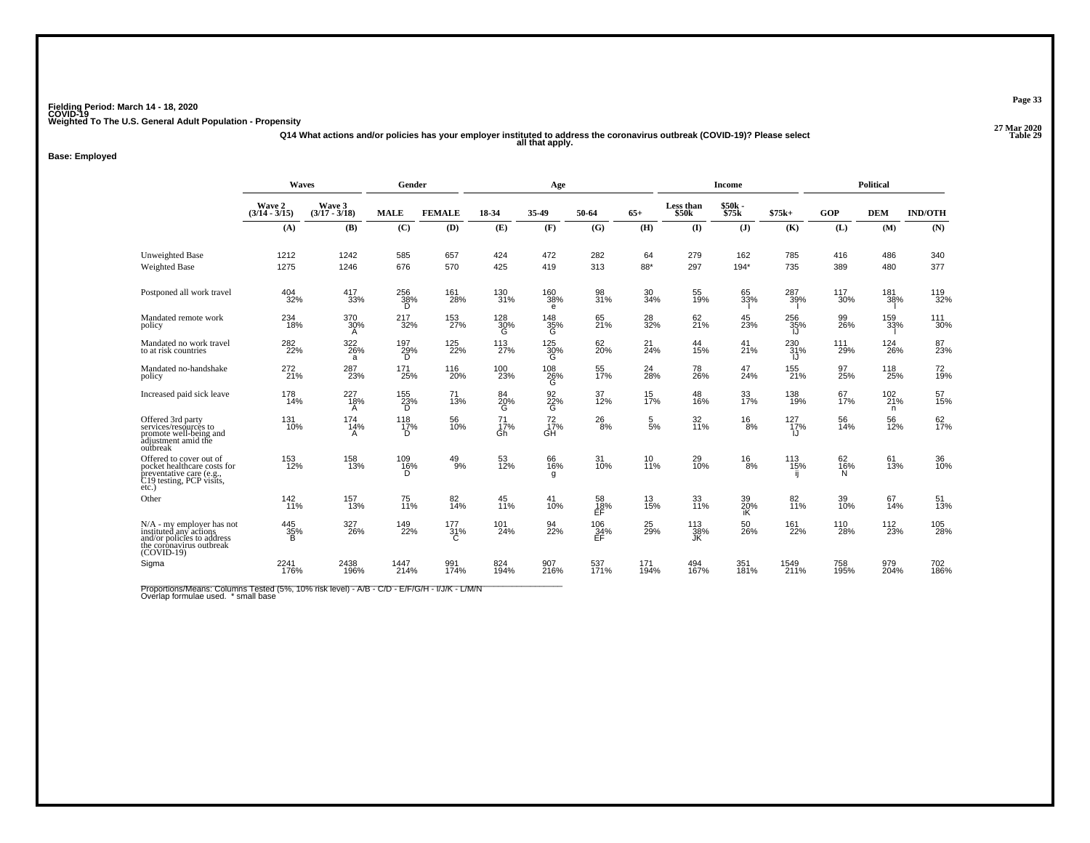**27 Mar 2020Q14 What actions and/or policies has your employer instituted to address the coronavirus outbreak (COVID-19)? Please select all that apply.**

### **Base: Employed**

|                                                                                                                                 | Waves                     |                           | Gender               |                    |                   | Age                   |                  |                 |                    | <b>Income</b>     |                    |                | <b>Political</b>           |                 |
|---------------------------------------------------------------------------------------------------------------------------------|---------------------------|---------------------------|----------------------|--------------------|-------------------|-----------------------|------------------|-----------------|--------------------|-------------------|--------------------|----------------|----------------------------|-----------------|
|                                                                                                                                 | Wave 2<br>$(3/14 - 3/15)$ | Wave 3<br>$(3/17 - 3/18)$ | <b>MALE</b>          | <b>FEMALE</b>      | 18-34             | 35-49                 | 50-64            | $65+$           | Less than<br>\$50k | $$50k -$<br>\$75k | $$75k+$            | <b>GOP</b>     | <b>DEM</b>                 | <b>IND/OTH</b>  |
|                                                                                                                                 | (A)                       | (B)                       | (C)                  | (D)                | (E)               | (F)                   | (G)              | (H)             | $\mathbf{I}$       | $($ $)$           | (K)                | (L)            | (M)                        | (N)             |
| <b>Unweighted Base</b><br><b>Weighted Base</b>                                                                                  | 1212<br>1275              | 1242<br>1246              | 585<br>676           | 657<br>570         | 424<br>425        | 472<br>419            | 282<br>313       | 64<br>88*       | 279<br>297         | 162<br>$194*$     | 785<br>735         | 416<br>389     | 486<br>480                 | 340<br>377      |
|                                                                                                                                 |                           |                           |                      |                    |                   |                       |                  |                 |                    |                   |                    |                |                            |                 |
| Postponed all work travel                                                                                                       | 404<br>32%                | 417<br>33%                | 256<br>38%<br>D      | 161<br>28%         | 130<br>31%        | 160<br>38%<br>e       | 98<br>31%        | 30<br>34%       | 55<br>19%          | 65<br>33%         | 287<br>39%         | 117<br>30%     | 181<br>38%                 | 119<br>32%      |
| Mandated remote work<br>policy                                                                                                  | 234<br>18%                | 370 30%<br>A              | 217<br>32%           | 153<br>27%         | 128<br>30%<br>G   | 148<br>35%<br>G       | 65<br>21%        | 28<br>32%       | 62<br>21%          | 45<br>23%         | 256<br>35%<br>IJ   | 99<br>26%      | 159<br>33%                 | 111<br>30%      |
| Mandated no work travel<br>to at risk countries                                                                                 | 282<br>22%                | 322<br>26%<br>a           | 197<br>29%<br>D      | 125<br>22%         | 113<br>27%        | 125<br>30%<br>G       | 62<br>20%        | $^{21}_{24\%}$  | 44<br>15%          | $^{41}_{21\%}$    | 230<br>31%<br>IJ   | 111<br>29%     | 124<br>26%                 | 87<br>23%       |
| Mandated no-handshake<br>policy                                                                                                 | 272<br>21%                | 287<br>23%                | 171<br>25%           | 116<br>20%         | 100<br>23%        | 108<br>$\frac{26}{9}$ | 55<br>17%        | 24<br>28%       | 78<br>26%          | 47<br>24%         | 155<br>21%         | 97<br>25%      | 118<br>25%                 | 72<br>19%       |
| Increased paid sick leave                                                                                                       | 178<br>14%                | 227<br>18%<br>A           | 155<br>23%<br>D      | 71<br>13%          | 84<br>20%<br>Ġ    | 92<br>22%<br>G        | 37<br>12%        | 15<br>17%       | 48<br>16%          | 33<br>17%         | 138<br>19%         | 67<br>17%      | 102<br>21%<br>$\mathsf{n}$ | 57<br>15%       |
| Offered 3rd party<br>services/resources to<br>promote well-being and<br>adjustment amid the<br>outbreak                         | 131<br>10%                | $174 \atop 14\%$<br>Α     | $^{118}_{17\%}$<br>D | 56<br>10%          | $71$<br>17%<br>Gh | 72/17%<br>GĤ          | $^{26}_{\ 8\%}$  | $\frac{5}{5}$ % | 32<br>11%          | $^{16}_{8\%}$     | $\frac{127}{17\%}$ | 56<br>14%      | 56<br>12%                  | 62 <sub>%</sub> |
| Offered to cover out of<br>pocket healthcare costs for<br>preventative care (e.g., C19 testing, PCP visits,<br>$etc.$ )         | 153<br>12%                | 158<br>13%                | 109<br>16%<br>D      | $^{49}_{9\%}$      | 53<br>12%         | 66<br>16%<br>g        | 31<br>10%        | 10<br>11%       | 29<br>10%          | $^{16}_{8\%}$     | 113<br>15%         | 62<br>16%<br>N | 61<br>13%                  | 36<br>10%       |
| Other                                                                                                                           | 142<br>11%                | 157<br>13%                | 75<br>11%            | 82<br>14%          | 45<br>11%         | 41<br>10%             | 58<br>18%<br>EF  | 13<br>15%       | 33<br>11%          | 39<br>20%<br>iK   | 82<br>11%          | 39<br>10%      | 67<br>14%                  | 51<br>13%       |
| $N/A$ - my employer has not<br>instituted any actions<br>and/or policies to address<br>the corônavirus outbreak<br>$(COVID-19)$ | 445<br>35%<br>B           | 327<br>26%                | 149<br>22%           | $\frac{177}{31\%}$ | 101<br>24%        | 94<br>22%             | 106<br>34%<br>EF | 25<br>29%       | 113<br>38%<br>ĴK   | 50<br>26%         | 161<br>22%         | 110<br>28%     | 112<br>23%                 | 105<br>28%      |
| Sigma                                                                                                                           | 2241<br>176%              | 2438<br>196%              | 1447<br>214%         | 991<br>174%        | 824<br>194%       | 907<br>216%           | 537<br>171%      | 171<br>194%     | 494<br>167%        | 351<br>181%       | 1549<br>211%       | 758<br>195%    | 979<br>204%                | 702<br>186%     |

Proportions/Means: Columns Tested (5%, 10% risk level) - A/B - C/D - E/F/G/H - I/J/K - L/M/N<br>Overlap formulae used. \* small base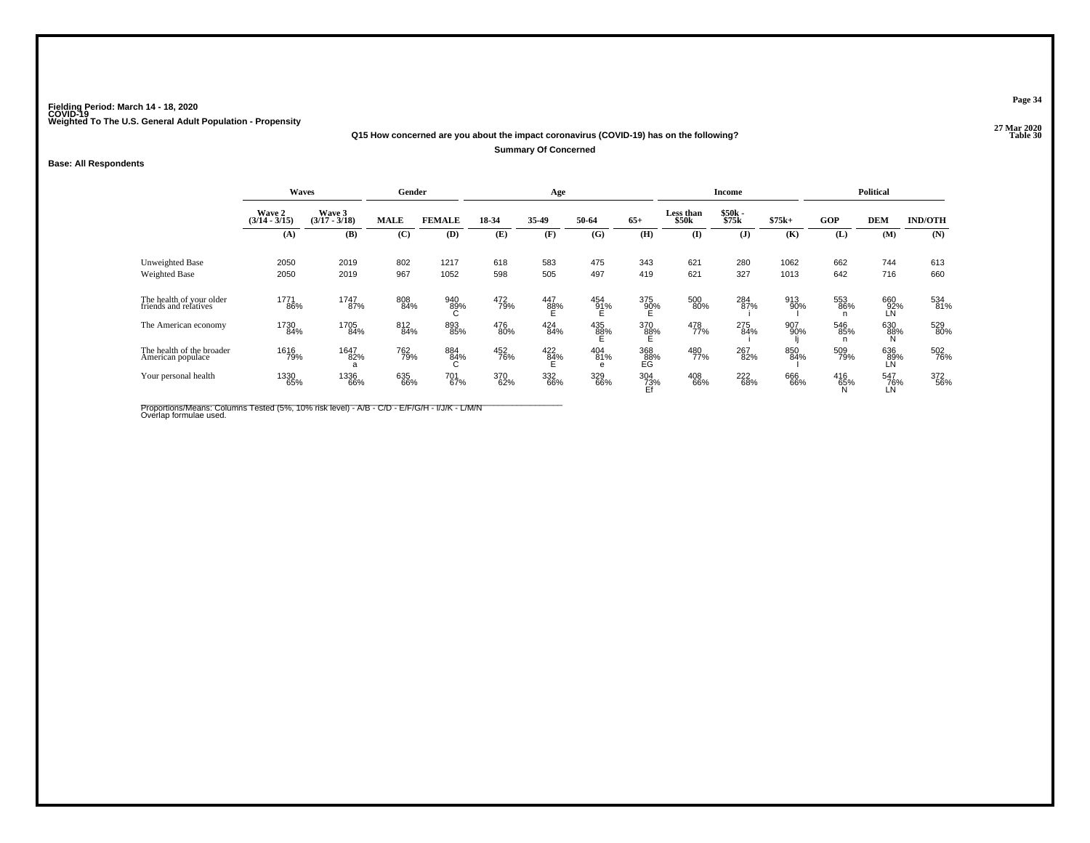### **27 Mar 2020Q15 How concerned are you about the impact coronavirus (COVID-19) has on the following?Summary Of Concerned**

### **Base: All Respondents**

|                                                   | Waves                            |                           | Gender      |               |            | Age                   |                 |                                        |                    | Income            |            |            | <b>Political</b> |                |
|---------------------------------------------------|----------------------------------|---------------------------|-------------|---------------|------------|-----------------------|-----------------|----------------------------------------|--------------------|-------------------|------------|------------|------------------|----------------|
|                                                   | <b>Wave 2</b><br>$(3/14 - 3/15)$ | Wave 3<br>$(3/17 - 3/18)$ | <b>MALE</b> | <b>FEMALE</b> | 18-34      | 35-49                 | 50-64           | $65+$                                  | Less than<br>\$50k | $$50k -$<br>\$75k | $$75k+$    | GOP        | <b>DEM</b>       | <b>IND/OTH</b> |
|                                                   | (A)                              | (B)                       | (C)         | (D)           | (E)        | (F)                   | (G)             | (H)                                    | $\bf(I)$           | $\mathbf{J}$      | (K)        | (L)        | (M)              | (N)            |
| Unweighted Base                                   | 2050                             | 2019                      | 802         | 1217          | 618        | 583                   | 475             | 343                                    | 621                | 280               | 1062       | 662        | 744              | 613            |
| Weighted Base                                     | 2050                             | 2019                      | 967         | 1052          | 598        | 505                   | 497             | 419                                    | 621                | 327               | 1013       | 642        | 716              | 660            |
| The health of your older<br>friends and relatives | 1771<br>86%                      | 1747<br>87%               | 808<br>84%  | 940<br>89%    | 472<br>79% | 447<br>$\frac{88}{5}$ | 454<br>91%<br>E | 375<br>90%                             | 500<br>80%         | 284<br>87%        | 913<br>90% | 553<br>86% | 660<br>92%<br>ĽΝ | 534<br>81%     |
| The American economy                              | 1730<br>84%                      | 1705<br>84%               | 812<br>84%  | 893<br>85%    | 476<br>80% | 424<br>84%            | 435<br>88%      | 370<br>88%                             | 478<br>77%         | 275<br>84%        | 907<br>90% | 546<br>85% | 630<br>88%<br>N  | 529<br>80%     |
| The health of the broader<br>American populace    | 1616<br>79%                      | 1647<br>82%<br>a          | 762<br>79%  | 884<br>84%    | 452<br>76% | $^{422}_{84\%}$       | 404<br>81%<br>е | 368<br>88%<br>EG                       | 480<br>77%         | 267<br>82%        | 850<br>84% | 509<br>79% | 636<br>89%<br>LN | 502<br>76%     |
| Your personal health                              | 1330<br>65%                      | 1336<br>66%               | 635<br>66%  | 701<br>67%    | 370<br>62% | 332<br>66%            | 329<br>66%      | 304<br>$\overline{f}^{13}_{\text{Ef}}$ | 408<br>66%         | 222<br>68%        | 666<br>66% | 416<br>65% | 547<br>76%<br>LN | 372<br>56%     |

Proportions/Means: Columns Tested (5%, 10% risk level) - A/B - C/D - E/F/G/H - I/J/K - L/M/N<br>Overlap formulae used.

**Page 34**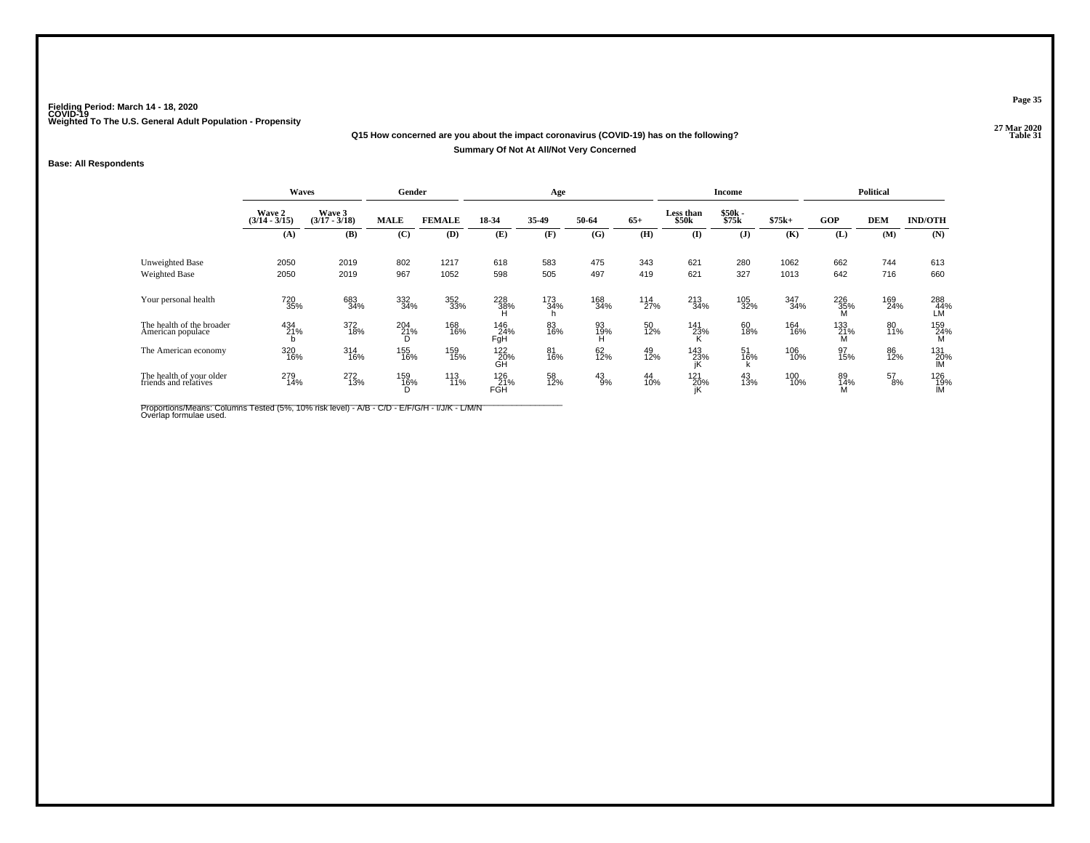### **27 Mar 2020Q15 How concerned are you about the impact coronavirus (COVID-19) has on the following?Summary Of Not At All/Not Very Concerned**

### **Base: All Respondents**

|                                                   | <b>Waves</b>                     |                           | Gender              |               |                         | Age        |                |            |                    | Income         |            |            | <b>Political</b> |                     |
|---------------------------------------------------|----------------------------------|---------------------------|---------------------|---------------|-------------------------|------------|----------------|------------|--------------------|----------------|------------|------------|------------------|---------------------|
|                                                   | <b>Wave 2</b><br>$(3/14 - 3/15)$ | Wave 3<br>$(3/17 - 3/18)$ | <b>MALE</b>         | <b>FEMALE</b> | 18-34                   | 35-49      | 50-64          | $65+$      | Less than<br>\$50k | \$50k<br>\$75k | $$75k+$    | <b>GOP</b> | <b>DEM</b>       | <b>IND/OTH</b>      |
|                                                   | (A)                              | (B)                       | (C)                 | (D)           | (E)                     | (F)        | (G)            | (H)        | $\mathbf{I}$       | J              | (K)        | (L)        | (M)              | (N)                 |
| Unweighted Base                                   | 2050                             | 2019                      | 802                 | 1217          | 618                     | 583        | 475            | 343        | 621                | 280            | 1062       | 662        | 744              | 613                 |
| Weighted Base                                     | 2050                             | 2019                      | 967                 | 1052          | 598                     | 505        | 497            | 419        | 621                | 327            | 1013       | 642        | 716              | 660                 |
| Your personal health                              | 720<br>35%                       | 683<br>34%                | 332<br>34%          | 352<br>33%    | 228<br>38%              | 173<br>34% | 168<br>34%     | 114<br>27% | 213<br>34%         | 105<br>32%     | 347<br>34% | 226<br>35% | 169<br>24%       | 288<br>44%<br>LM    |
| The health of the broader<br>American populace    | 434<br>21%                       | 372<br>18%                | 204<br>21%          | 168<br>16%    | 146<br>24%<br>FgH       | 83<br>16%  | 93<br>19%<br>п | 50<br>12%  | 141<br>23%         | 60<br>18%      | 164<br>16% | 133<br>21% | 80<br>11%        | 159<br>24%          |
| The American economy                              | 320<br>16%                       | 314<br>16%                | 155<br>16%          | 159<br>15%    | 122 <sub>0%</sub><br>GĤ | 81<br>16%  | 62/12%         | 49<br>12%  | 143<br>23%<br>iK   | 51<br>16%      | 106<br>10% | 97<br>15%  | 86<br>12%        | 131<br>20%<br>ĪΜ    |
| The health of your older<br>friends and relatives | 279<br>14%                       | 272<br>13%                | 159<br>1 <u>6</u> % | 113<br>11%    | 126<br>21%<br>FGH       | 58<br>12%  | $^{43}_{9\%}$  | 44<br>10%  | 121<br>20%<br>jK   | 43<br>13%      | 100<br>10% | 89<br>14%  | $^{57}_{8\%}$    | $^{126}_{~19\%}$ IM |

Proportions/Means: Columns Tested (5%, 10% risk level) - A/B - C/D - E/F/G/H - I/J/K - L/M/N<br>Overlap formulae used.

**Page 35**

**P Table 31**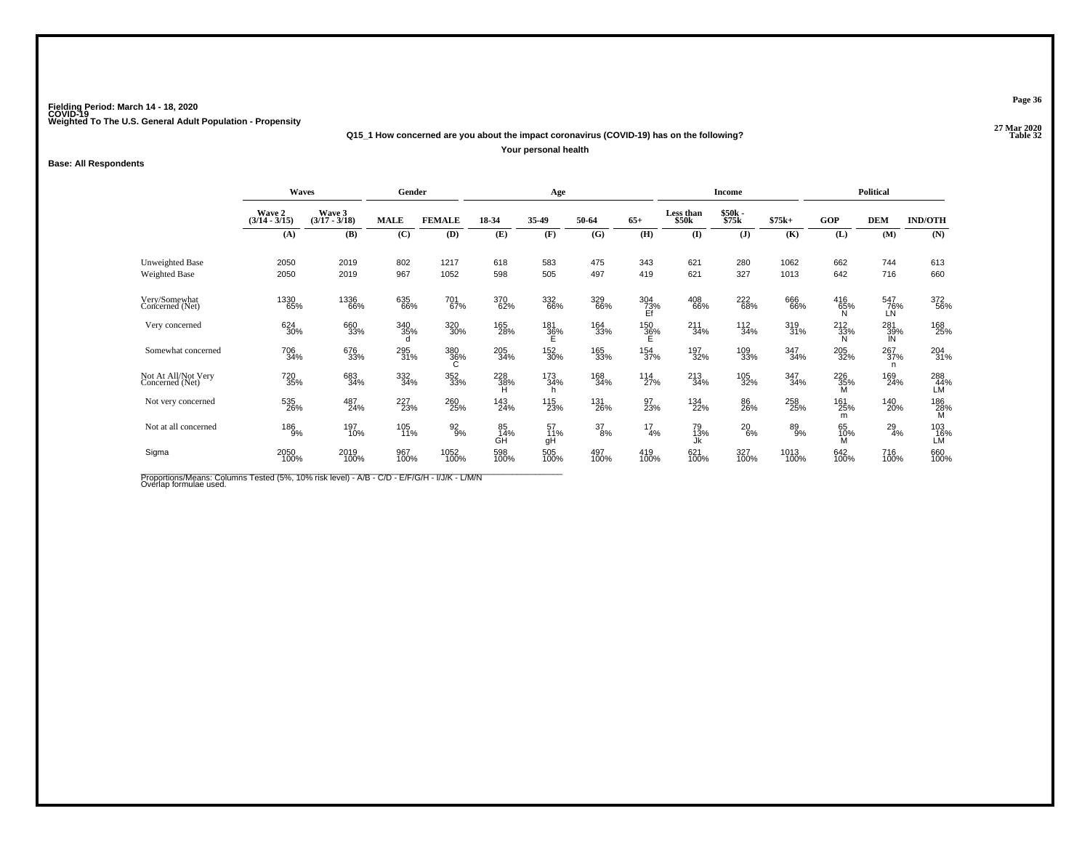**27 Mar 2020Q15\_1 How concerned are you about the impact coronavirus (COVID-19) has on the following?Your personal health**

### **Base: All Respondents**

|                                        | Waves                     |                           | Gender          |                 |                 | Age             |             |                  |                    | <b>Income</b>      |              |                 | Political        |                  |
|----------------------------------------|---------------------------|---------------------------|-----------------|-----------------|-----------------|-----------------|-------------|------------------|--------------------|--------------------|--------------|-----------------|------------------|------------------|
|                                        | Wave 2<br>$(3/14 - 3/15)$ | Wave 3<br>$(3/17 - 3/18)$ | <b>MALE</b>     | <b>FEMALE</b>   | 18-34           | 35-49           | 50-64       | $65+$            | Less than<br>\$50k | \$50k<br>\$75k     | $$75k+$      | GOP             | <b>DEM</b>       | <b>IND/OTH</b>   |
|                                        | (A)                       | (B)                       | (C)             | (D)             | (E)             | (F)             | (G)         | (H)              | $\mathbf{I}$       | $\mathbf{J}$       | (K)          | (L)             | (M)              | (N)              |
| Unweighted Base                        | 2050                      | 2019                      | 802             | 1217            | 618             | 583             | 475         | 343              | 621                | 280                | 1062         | 662             | 744              | 613              |
| Weighted Base                          | 2050                      | 2019                      | 967             | 1052            | 598             | 505             | 497         | 419              | 621                | 327                | 1013         | 642             | 716              | 660              |
| Very/Somewhat<br>Concerned (Net)       | 1330<br>65%               | 1336<br>66%               | 635<br>66%      | 701<br>67%      | 370<br>62%      | 332<br>66%      | 329<br>66%  | 304<br>73%<br>Ef | 408<br>66%         | 222<br>68%         | 666<br>66%   | 416<br>65%      | 547<br>76%<br>LN | 372<br>56%       |
| Very concerned                         | 624<br>30%                | 660<br>33%                | 340<br>35%<br>d | 320<br>30%      | 165<br>28%      | 181<br>36%      | 164<br>33%  | 150<br>36%       | $^{211}_{34\%}$    | $\frac{112}{34\%}$ | 319<br>31%   | 212<br>33%      | 281<br>39%<br>IN | 168<br>25%       |
| Somewhat concerned                     | 706<br>34%                | 676<br>33%                | 295<br>31%      | 380<br>36%<br>С | 205<br>34%      | 152<br>30%      | 165<br>33%  | 154<br>37%       | 197<br>32%         | 109<br>33%         | 347<br>34%   | 205<br>32%      | 267<br>37%<br>n  | 204<br>31%       |
| Not At All/Not Very<br>Concerned (Net) | 720<br>35%                | 683<br>34%                | 332<br>34%      | 352<br>33%      | 228<br>38%      | 173<br>34%      | 168<br>34%  | 114<br>27%       | 213<br>34%         | 105<br>32%         | 347<br>34%   | 226<br>35%<br>M | 169<br>24%       | 288<br>44%<br>LM |
| Not very concerned                     | 535<br>26%                | 487<br>24%                | 227<br>23%      | 260<br>25%      | 143<br>24%      | 115<br>23%      | 131<br>26%  | 97<br>23%        | 134<br>22%         | 86<br>26%          | 258<br>25%   | 161<br>25%<br>m | 140<br>20%       | 186<br>28%<br>M  |
| Not at all concerned                   | 186<br>9%                 | 197<br>10%                | 105<br>11%      | $\frac{92}{9%}$ | 85<br>14%<br>GH | 57<br>11%<br>gН | 37<br>8%    | $\frac{17}{4%}$  | 79<br>13%<br>Jk    | $^{20}_{6\%}$      | 89<br>9%     | 65<br>10%<br>м  | 29<br>4%         | 103<br>16%<br>LM |
| Sigma                                  | 2050<br>100%              | 2019<br>100%              | 967<br>100%     | 1052<br>100%    | 598<br>100%     | 505<br>100%     | 497<br>100% | 419<br>100%      | 621<br>100%        | 327<br>100%        | 1013<br>100% | 642<br>100%     | 716<br>100%      | 660<br>100%      |

Proportions/Means: Columns Tested (5%, 10% risk level) - A/B - C/D - E/F/G/H - I/J/K - L/M/N<br>Overlap formulae used.

**Page 36**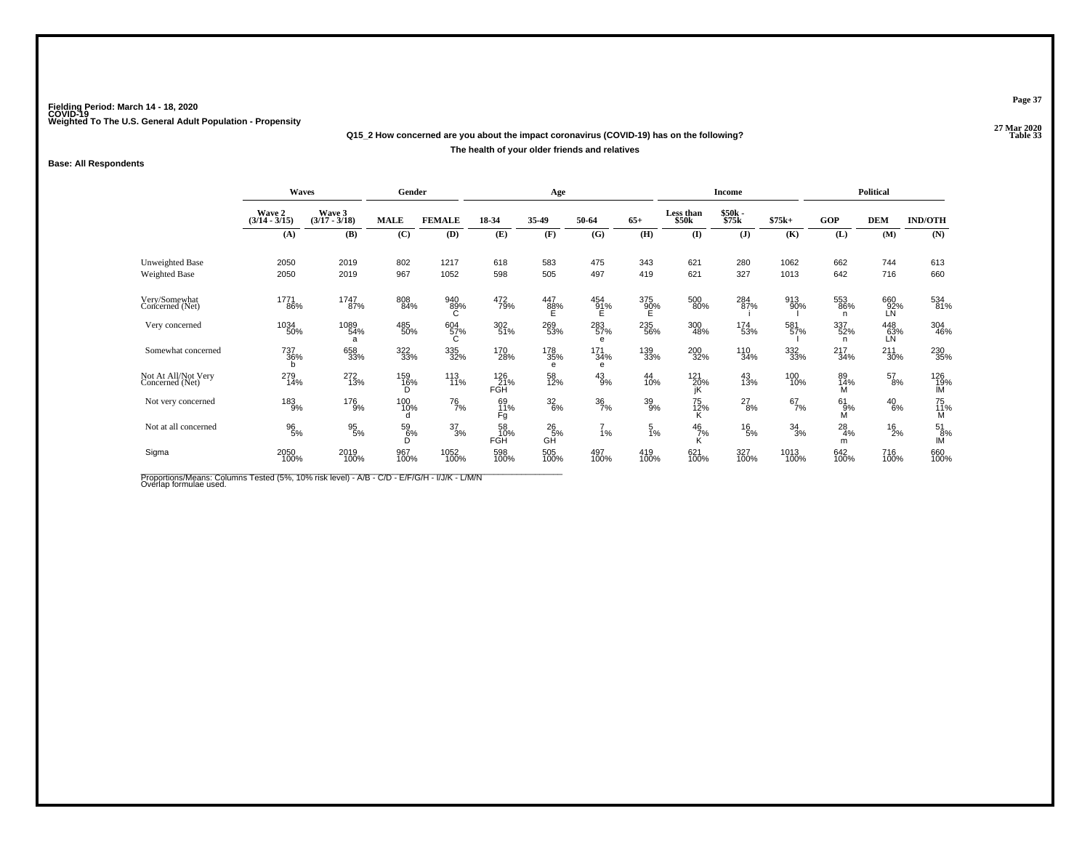**27 Mar 2020Q15\_2 How concerned are you about the impact coronavirus (COVID-19) has on the following?The health of your older friends and relatives**

### **Base: All Respondents**

|                                        | Waves                     |                           | Gender                   |                  |                         | Age                   |                      |                 |                       | Income           |                  |                 | <b>Political</b> |                                                       |
|----------------------------------------|---------------------------|---------------------------|--------------------------|------------------|-------------------------|-----------------------|----------------------|-----------------|-----------------------|------------------|------------------|-----------------|------------------|-------------------------------------------------------|
|                                        | Wave 2<br>$(3/14 - 3/15)$ | Wave 3<br>$(3/17 - 3/18)$ | <b>MALE</b>              | <b>FEMALE</b>    | 18-34                   | 35-49                 | 50-64                | $65+$           | Less than<br>\$50k    | \$50k -<br>\$75k | $$75k+$          | <b>GOP</b>      | <b>DEM</b>       | <b>IND/OTH</b>                                        |
|                                        | (A)                       | (B)                       | (C)                      | (D)              | (E)                     | (F)                   | (G)                  | (H)             | $\mathbf{I}$          | J                | (K)              | (L)             | (M)              | (N)                                                   |
| Unweighted Base                        | 2050                      | 2019                      | 802                      | 1217             | 618                     | 583                   | 475                  | 343             | 621                   | 280              | 1062             | 662             | 744              | 613                                                   |
| Weighted Base                          | 2050                      | 2019                      | 967                      | 1052             | 598                     | 505                   | 497                  | 419             | 621                   | 327              | 1013             | 642             | 716              | 660                                                   |
| Very/Somewhat<br>Concerned (Net)       | 1771<br>86%               | 1747<br>87%               | 808<br>84%               | 940<br>89%       | 472<br>79%              | 447<br>88%<br>E       | 454<br>91%<br>E      | 375<br>90%      | 500<br>80%            | 284<br>87%       | 913<br>90%       | 553<br>86%<br>n | 660<br>92%<br>LN | 534<br>81%                                            |
| Very concerned                         | 1034<br>50%               | 1089<br>54%<br>a          | 485<br>50%               | 604<br>57%       | 302<br>51%              | 269<br>53%            | 283<br>57%<br>e      | 235<br>56%      | 300<br>48%            | 174<br>53%       | 581<br>57%       | 337<br>52%<br>n | 448<br>63%<br>LN | 304<br>46%                                            |
| Somewhat concerned                     | 737<br>36%                | 658<br>33%                | 322<br>33%               | 335<br>32%       | 170<br>28%              | 178<br>35%<br>e       | $^{171}_{34\%}$<br>е | 139<br>33%      | 200<br>32%            | 110<br>34%       | 332<br>33%       | $^{217}_{34\%}$ | 211<br>30%       | 230<br>35%                                            |
| Not At All/Not Very<br>Concerned (Net) | 279<br>14%                | 272<br>13%                | 159<br>1 <u>6</u> %<br>D | 113<br>11%       | 126<br>– 21%<br>FGH     | 58<br>12%             | $^{43}_{9\%}$        | 44<br>10%       | 121<br>20%<br>jK      | 43<br>13%        | 100<br>10%       | 89<br>14%<br>м  | $^{57}_{8\%}$    | 126<br>19%<br>IM                                      |
| Not very concerned                     | 183<br>9%                 | 176<br>9%                 | 100<br>10%<br>d          | <sup>76</sup> 7% | 69<br>11%<br>Fg         | $\frac{32}{6\%}$      | $\frac{36}{7\%}$     | 39<br>9%        | 75<br>12%<br>ĸ        | $^{27}_{8\%}$    | $^{67}_{7\%}$    | 61<br>-9%<br>м  | $^{40}_{6\%}$    | 75<br>11%<br>М                                        |
| Not at all concerned                   | 96<br>5%                  | 95<br>5%                  | 59<br>6%<br>D            | $\frac{37}{3\%}$ | 58<br>10%<br><b>FGH</b> | $^{26}_{\ 5\%}$<br>GH | 7<br>1%              | $\frac{5}{1\%}$ | $\frac{46}{7\%}$<br>ĸ | $^{16}_{\ 5\%}$  | $\frac{34}{3\%}$ | 28<br>4%<br>m   | $^{16}_{2\%}$    | $\begin{array}{c} 51 \\ 8\% \\ \text{IM} \end{array}$ |
| Sigma                                  | 2050<br>100%              | 2019<br>100%              | 967<br>100%              | 1052<br>100%     | 598<br>100%             | 505<br>100%           | 497<br>100%          | 419<br>100%     | 621<br>100%           | 327<br>100%      | 1013<br>100%     | 642<br>100%     | 716<br>100%      | 660<br>100%                                           |

Proportions/Means: Columns Tested (5%, 10% risk level) - A/B - C/D - E/F/G/H - I/J/K - L/M/N<br>Overlap formulae used.

**Page 37**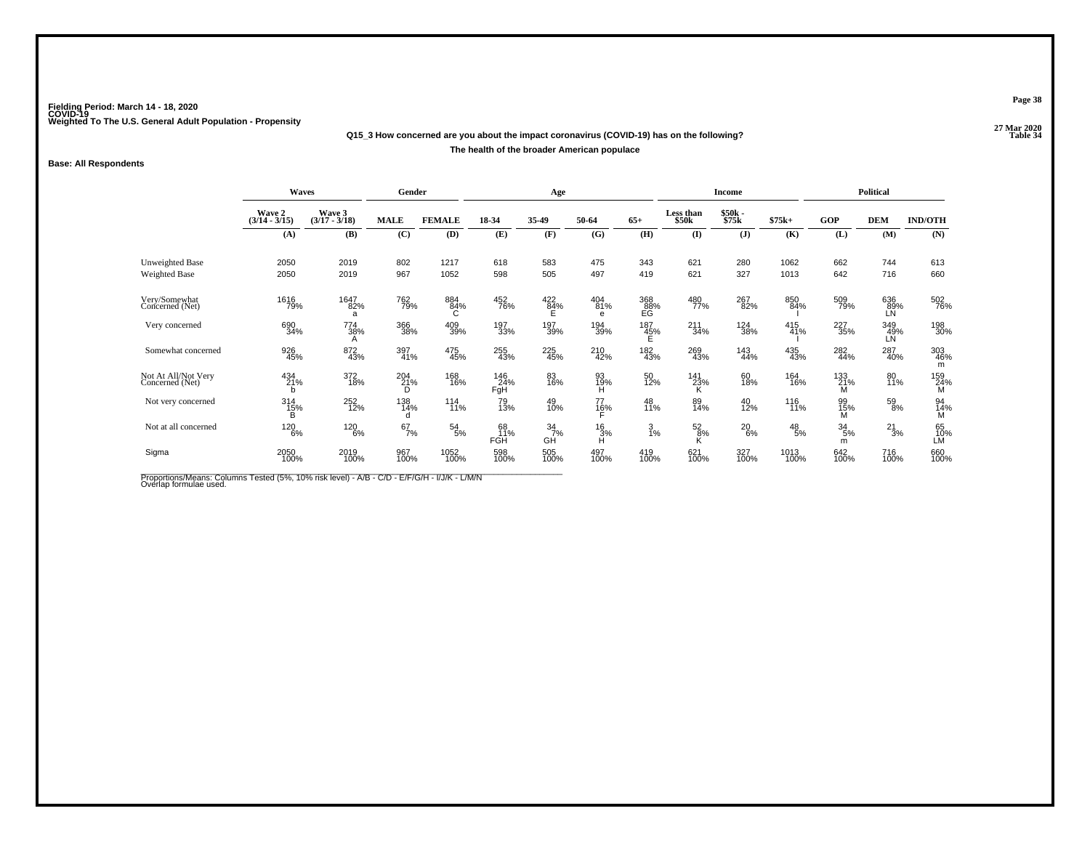## **27 Mar 2020Q15\_3 How concerned are you about the impact coronavirus (COVID-19) has on the following?The health of the broader American populace**

### **Base: All Respondents**

|                                        | Waves                     |                           | Gender          |                 |                         | Age                    |                 |                  |                      | Income           |                 |                       | <b>Political</b> |                 |
|----------------------------------------|---------------------------|---------------------------|-----------------|-----------------|-------------------------|------------------------|-----------------|------------------|----------------------|------------------|-----------------|-----------------------|------------------|-----------------|
|                                        | Wave 2<br>$(3/14 - 3/15)$ | Wave 3<br>$(3/17 - 3/18)$ | <b>MALE</b>     | <b>FEMALE</b>   | 18-34                   | 35-49                  | 50-64           | $65+$            | Less than<br>\$50k   | \$50k -<br>\$75k | $$75k+$         | <b>GOP</b>            | <b>DEM</b>       | <b>IND/OTH</b>  |
|                                        | (A)                       | (B)                       | (C)             | (D)             | (E)                     | (F)                    | (G)             | (H)              | $($ $\Gamma$         | J                | (K)             | (L)                   | (M)              | (N)             |
| Unweighted Base                        | 2050                      | 2019                      | 802             | 1217            | 618                     | 583                    | 475             | 343              | 621                  | 280              | 1062            | 662                   | 744              | 613             |
| Weighted Base                          | 2050                      | 2019                      | 967             | 1052            | 598                     | 505                    | 497             | 419              | 621                  | 327              | 1013            | 642                   | 716              | 660             |
| Very/Somewhat<br>Concerned (Net)       | 1616<br>79%               | 1647<br>82%<br>a          | 762<br>79%      | 884<br>84%<br>C | 452<br>76%              | $\frac{422}{84\%}$     | 404<br>81%<br>e | 368<br>88%<br>EG | 480<br>77%           | 267<br>82%       | 850<br>84%      | 509<br>79%            | 636<br>89%<br>ĽΝ | 502<br>76%      |
| Very concerned                         | 690<br>34%                | 774<br>38%<br>А           | 366<br>38%      | 409<br>39%      | 197<br>33%              | 197<br>39%             | 194<br>39%      | 187<br>45%       | $^{211}_{34\%}$      | 124<br>38%       | 415<br>41%      | 227<br>35%            | 349<br>49%<br>LN | 198<br>30%      |
| Somewhat concerned                     | 926<br>45%                | 872<br>43%                | 397<br>41%      | 475<br>45%      | 255<br>43%              | 225<br>45%             | 210<br>42%      | 182<br>43%       | 269<br>43%           | 143<br>44%       | 435<br>43%      | 282<br>44%            | 287<br>40%       | 303<br>46%<br>m |
| Not At All/Not Very<br>Concerned (Net) | 434<br>21%<br>h           | 372<br>18%                | 204<br>21%<br>D | 168<br>16%      | 146<br>– 24%<br>FgH     | 83<br>16%              | 93<br>19%<br>H  | 50<br>12%        | 141<br>23%           | 60<br>18%        | 164<br>16%      | 133<br>21%<br>M       | 80<br>11%        | 159<br>24%<br>M |
| Not very concerned                     | 314<br>15%                | 252<br>12%                | 138<br>14%<br>d | 114<br>11%      | 79<br>13%               | 49<br>10%              | 77<br>16%       | 48<br>11%        | 89<br>14%            | $^{40}_{12\%}$   | 116<br>11%      | 99<br>15%<br>м        | 59<br>8%         | 94<br>14%<br>М  |
| Not at all concerned                   | 120<br>6%                 | 120<br>6%                 | $^{67}_{7\%}$   | $^{54}_{\ 5\%}$ | 68<br>11%<br><b>FGH</b> | $\frac{34}{7\%}$<br>GH | 16<br>3%<br>н   | $\frac{3}{1\%}$  | $\frac{52}{8%}$<br>κ | $^{20}_{6\%}$    | $^{48}_{\ 5\%}$ | $\frac{34}{5\%}$<br>m | $^{21}_{3\%}$    | 65<br>10%<br>LM |
| Sigma                                  | 2050<br>100%              | 2019<br>100%              | 967<br>100%     | 1052<br>100%    | 598<br>100%             | 505<br>100%            | 497<br>100%     | 419<br>100%      | 621<br>100%          | 327<br>100%      | 1013<br>100%    | 642<br>100%           | 716<br>100%      | 660<br>100%     |

Proportions/Means: Columns Tested (5%, 10% risk level) - A/B - C/D - E/F/G/H - I/J/K - L/M/N<br>Overlap formulae used.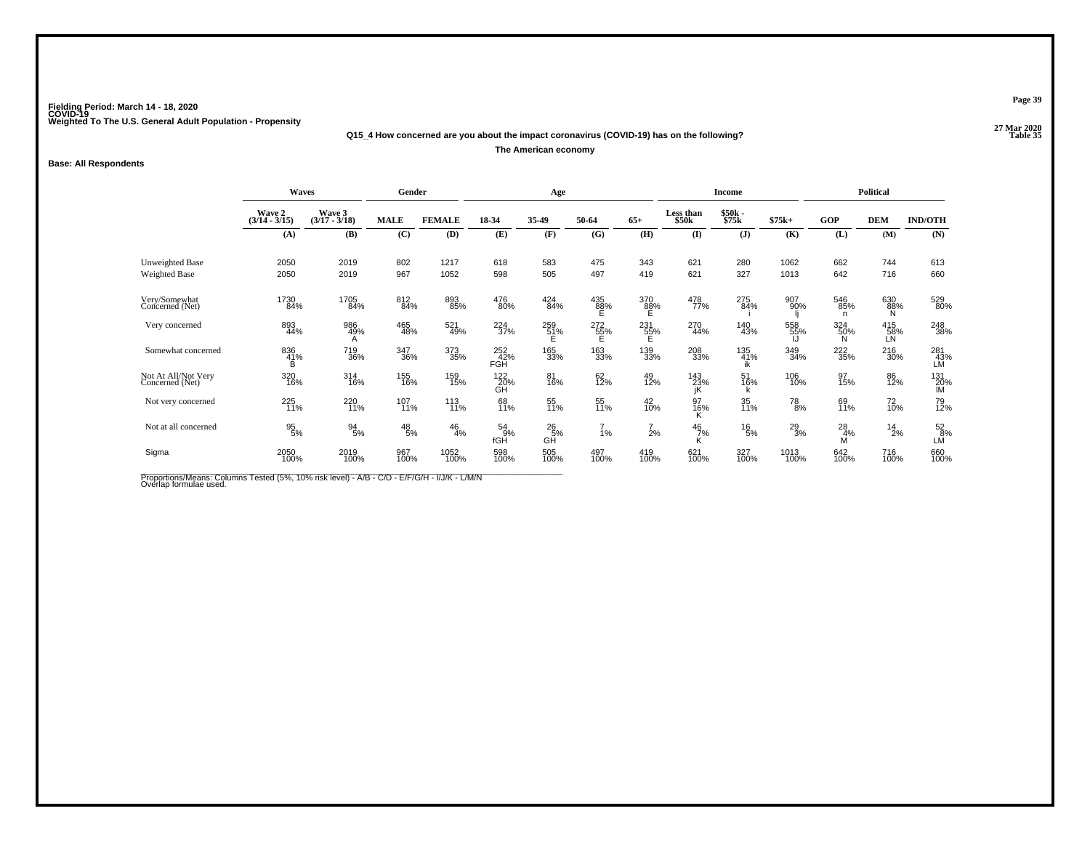**27 Mar 2020Q15\_4 How concerned are you about the impact coronavirus (COVID-19) has on the following?The American economy**

### **Base: All Respondents**

|                                        | Waves                     |                           | Gender          |               |                          | Age                   |                      |                     |                                | Income           |               |                    | <b>Political</b> |                       |
|----------------------------------------|---------------------------|---------------------------|-----------------|---------------|--------------------------|-----------------------|----------------------|---------------------|--------------------------------|------------------|---------------|--------------------|------------------|-----------------------|
|                                        | Wave 2<br>$(3/14 - 3/15)$ | Wave 3<br>$(3/17 - 3/18)$ | <b>MALE</b>     | <b>FEMALE</b> | 18-34                    | 35-49                 | 50-64                | $65+$               | Less than<br>\$50 <sub>k</sub> | \$50k<br>\$75k   | $$75k+$       | <b>GOP</b>         | <b>DEM</b>       | <b>IND/OTH</b>        |
|                                        | (A)                       | (B)                       | (C)             | (D)           | (E)                      | (F)                   | (G)                  | (H)                 | $\mathbf{I}$                   | J                | (K)           | (L)                | (M)              | (N)                   |
| Unweighted Base                        | 2050                      | 2019                      | 802             | 1217          | 618                      | 583                   | 475                  | 343                 | 621                            | 280              | 1062          | 662                | 744              | 613                   |
| Weighted Base                          | 2050                      | 2019                      | 967             | 1052          | 598                      | 505                   | 497                  | 419                 | 621                            | 327              | 1013          | 642                | 716              | 660                   |
| Very/Somewhat<br>Concerned (Net)       | 1730<br>84%               | 1705<br>84%               | 812<br>84%      | 893<br>85%    | 476<br>80%               | 424<br>84%            | $^{435}_{88\%}$      | 370<br>8 <u>8</u> % | 478<br>77%                     | 275<br>84%       | 907<br>90%    | 546<br>85%<br>n    | 630<br>88%<br>N  | 529<br>80%            |
| Very concerned                         | 893<br>44%                | 986<br>49%<br>А           | 465<br>48%      | 521<br>49%    | 224<br>37%               | 259<br>51%            | 272<br>55%<br>E      | 231<br>55%<br>E     | 270<br>44%                     | 140<br>43%       | 558<br>55%    | 324<br>50%<br>N    | 415<br>58%<br>LN | 248<br>38%            |
| Somewhat concerned                     | 836<br>41%                | 719<br>36%                | 347<br>36%      | 373<br>35%    | 252<br>42%<br><b>FGH</b> | 165<br>33%            | 163<br>33%           | 139<br>33%          | 208<br>33%                     | 135<br>41%<br>ik | 349<br>34%    | 222<br>35%         | 216<br>30%       | 281<br>43%<br>LЙ      |
| Not At All/Not Very<br>Concerned (Net) | 320<br>16%                | 314<br>16%                | 155<br>16%      | 159<br>15%    | 122<br>$\overline{20}$ % | 81<br>16%             | 62<br>12%            | 49<br>12%           | 143<br>$23\%$                  | 51<br>16%<br>ĸ   | 106<br>10%    | 97<br>15%          | 86<br>12%        | 131<br>20%<br>IM      |
| Not very concerned                     | 225<br>11%                | 220<br>11%                | 107<br>11%      | 113<br>11%    | 68<br>11%                | 55<br>11%             | 55<br>11%            | 42<br>10%           | 97<br>16%<br>Κ                 | 35<br>11%        | $^{78}_{8\%}$ | 69<br>11%          | 72<br>10%        | 79<br>12%             |
| Not at all concerned                   | $\frac{95}{5\%}$          | $\frac{94}{5\%}$          | $^{48}_{\ 5\%}$ | $^{46}_{4\%}$ | 54<br>9%<br>fGH          | $^{26}_{\,5\%}$<br>GH | $\overline{7}$<br>1% | 7<br>2%             | $\frac{46}{7%}$<br>K           | $^{16}_{5\%}$    | $^{29}_{3\%}$ | $^{28}_{4\%}$<br>M | $^{14}_{2\%}$    | $\frac{52}{8%}$<br>LM |
| Sigma                                  | 2050<br>100%              | 2019<br>100%              | 967<br>100%     | 1052<br>100%  | 598<br>100%              | 505<br>100%           | 497<br>100%          | 419<br>100%         | 621<br>100%                    | 327<br>100%      | 1013<br>100%  | 642<br>100%        | 716<br>100%      | 660<br>100%           |

Proportions/Means: Columns Tested (5%, 10% risk level) - A/B - C/D - E/F/G/H - I/J/K - L/M/N<br>Overlap formulae used.

**Table 35** 

**Page 39**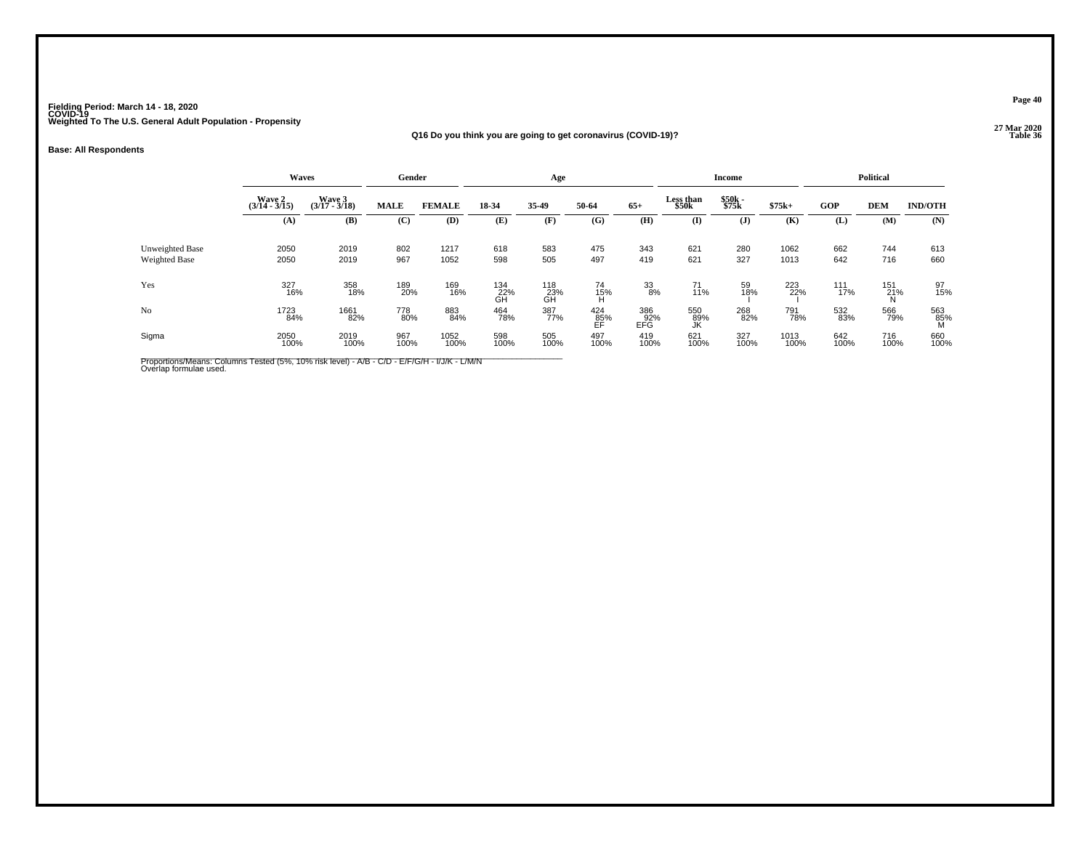## **27 Mar 2020Q16 Do you think you are going to get coronavirus (COVID-19)?**

### **Base: All Respondents**

|                 | <b>Waves</b>                           |                                   | Gender      |               |                  | Age              |                                     |                   |                    | Income         |                               |             | Political   |                 |
|-----------------|----------------------------------------|-----------------------------------|-------------|---------------|------------------|------------------|-------------------------------------|-------------------|--------------------|----------------|-------------------------------|-------------|-------------|-----------------|
|                 | $\frac{\text{Wave } 2}{(3/14 - 3/15)}$ | $\frac{\text{Wave}}{(3/17-3/18)}$ | <b>MALE</b> | <b>FEMALE</b> | 18-34            | 35-49            | 50-64                               | $65+$             | Less than<br>\$50k | \$50k<br>\$75k | $$75k+$                       | GOP         | <b>DEM</b>  | <b>IND/OTH</b>  |
|                 | (A)                                    | (B)                               | (C)         | (D)           | (E)              | (F)              | (G)                                 | (H)               | $\mathbf{I}$       | J              | (K)                           | (L)         | (M)         | (N)             |
| Unweighted Base | 2050                                   | 2019                              | 802         | 1217          | 618              | 583              | 475                                 | 343               | 621                | 280            | 1062                          | 662         | 744         | 613             |
| Weighted Base   | 2050                                   | 2019                              | 967         | 1052          | 598              | 505              | 497                                 | 419               | 621                | 327            | 1013                          | 642         | 716         | 660             |
| Yes             | 327<br>16%                             | 358<br>18%                        | 189<br>20%  | 169<br>16%    | 134<br>22%<br>GH | 118<br>23%<br>GH | 74<br>15%<br>H                      | 33<br>8%          | 71<br>11%          | 59<br>18%      | <sup>223</sup> <sub>22%</sub> | 111<br>17%  | 151<br>21%  | 97<br>15%       |
| N <sub>o</sub>  | 1723<br>84%                            | 1661<br>82%                       | 778<br>80%  | 883<br>84%    | 464<br>78%       | 387<br>77%       | $^{424}_{\substack{85\\\text{EF}}}$ | 386<br>92%<br>EFG | 550<br>- 89%       | 268<br>82%     | 791<br>78%                    | 532<br>83%  | 566<br>79%  | 563<br>85%<br>M |
| Sigma           | 2050<br>100%                           | 2019<br>100%                      | 967<br>100% | 1052<br>100%  | 598<br>100%      | 505<br>100%      | 497<br>100%                         | 419<br>100%       | 621<br>100%        | 327<br>100%    | 1013<br>100%                  | 642<br>100% | 716<br>100% | 660<br>100%     |

Proportions/Means: Columns Tested (5%, 10% risk level) - A/B - C/D - E/F/G/H - I/J/K - L/M/N<br>Overlap formulae used.

27 Mar 2020<br>Table 36 **Table 36 Table 36**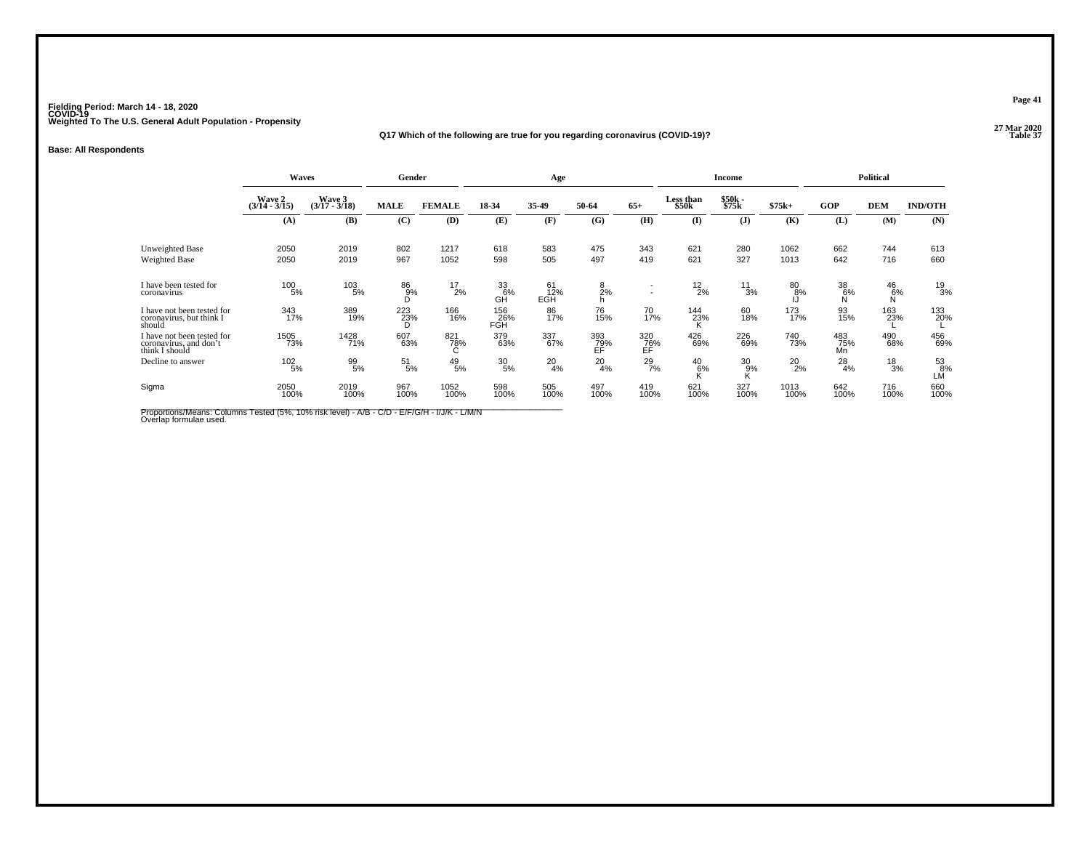## **27 Mar 2020Q17 Which of the following are true for you regarding coronavirus (COVID-19)?**

### **Base: All Respondents**

|                                                                        | Waves                             |                                   | Gender           |                 |                   | Age              |                      |                  |                    | <b>Income</b>  |               |                    | <b>Political</b>   |                  |
|------------------------------------------------------------------------|-----------------------------------|-----------------------------------|------------------|-----------------|-------------------|------------------|----------------------|------------------|--------------------|----------------|---------------|--------------------|--------------------|------------------|
|                                                                        | $\frac{\text{Wave}}{(3/14-3/15)}$ | $\frac{\text{Wave}}{(3/17-3/18)}$ | <b>MALE</b>      | <b>FEMALE</b>   | 18-34             | 35-49            | 50-64                | $65+$            | Less than<br>\$50k | \$50k<br>\$75k | $$75k+$       | <b>GOP</b>         | <b>DEM</b>         | <b>IND/OTH</b>   |
|                                                                        | (A)                               | (B)                               | (C)              | (D)             | (E)               | (F)              | (G)                  | (H)              | $\bf(I)$           | $\mathbf{J}$   | (K)           | (L)                | (M)                | (N)              |
| Unweighted Base                                                        | 2050                              | 2019                              | 802              | 1217            | 618               | 583              | 475                  | 343              | 621                | 280            | 1062          | 662                | 744                | 613              |
| <b>Weighted Base</b>                                                   | 2050                              | 2019                              | 967              | 1052            | 598               | 505              | 497                  | 419              | 621                | 327            | 1013          | 642                | 716                | 660              |
| I have been tested for<br>coronavirus                                  | 100<br>5%                         | $^{103}_{\ 5\%}$                  | 86<br>9%<br>Ď    | $^{17}_{2\%}$   | 33<br>6%<br>GH    | 61<br>12%<br>EGH | $\frac{8}{2}$ %<br>h |                  | $^{12}_{2\%}$      | $^{11}_{3\%}$  | 80 8%<br>IJ   | $38\atop 6\%$<br>N | $^{46}_{6\%}$<br>N | $^{19}_{3\%}$    |
| I have not been tested for<br>coronavirus, but think I<br>should       | 343<br>17%                        | 389<br>19%                        | 223<br>23%       | 166<br>16%      | 156<br>26%<br>FGH | 86<br>17%        | 76<br>15%            | 70<br>17%        | $\frac{144}{23\%}$ | 60<br>18%      | 173<br>17%    | 93<br>15%          | 163<br>23%         | 133<br>20%       |
| I have not been tested for<br>coronavirus, and don't<br>think I should | 1505<br>73%                       | 1428<br>71%                       | 607<br>63%       | 821<br>78%<br>◡ | 379<br>63%        | 337<br>67%       | 393<br>79%<br>EF     | 320<br>76%<br>ЕĖ | 426<br>69%         | 226<br>69%     | 740<br>73%    | 483<br>75%<br>Mn   | 490<br>68%         | 456<br>69%       |
| Decline to answer                                                      | $102 \atop 5\%$                   | $^{99}_{5\%}$                     | $\frac{51}{5\%}$ | $^{49}_{\ 5\%}$ | $\frac{30}{5\%}$  | $^{20}_{4\%}$    | $^{20}_{4\%}$        | $^{29}_{7\%}$    | $^{40}_{6\%}$<br>ĸ | 30<br>9%<br>ĸ  | $^{20}_{2\%}$ | $^{28}_{4\%}$      | $^{18}_{3\%}$      | $^{53}_{8\%}$ LM |
| Sigma                                                                  | 2050<br>100%                      | 2019<br>100%                      | 967<br>100%      | 1052<br>100%    | 598<br>100%       | 505<br>100%      | 497<br>100%          | 419<br>100%      | 621<br>100%        | 327<br>100%    | 1013<br>100%  | 642<br>100%        | 716<br>100%        | 660<br>100%      |

Proportions/Means: Columns Tested (5%, 10% risk level) - A/B - C/D - E/F/G/H - I/J/K - L/M/N<br>Overlap formulae used.

**Page 41**

27 Mar 2020<br>Table 37 **Table 37**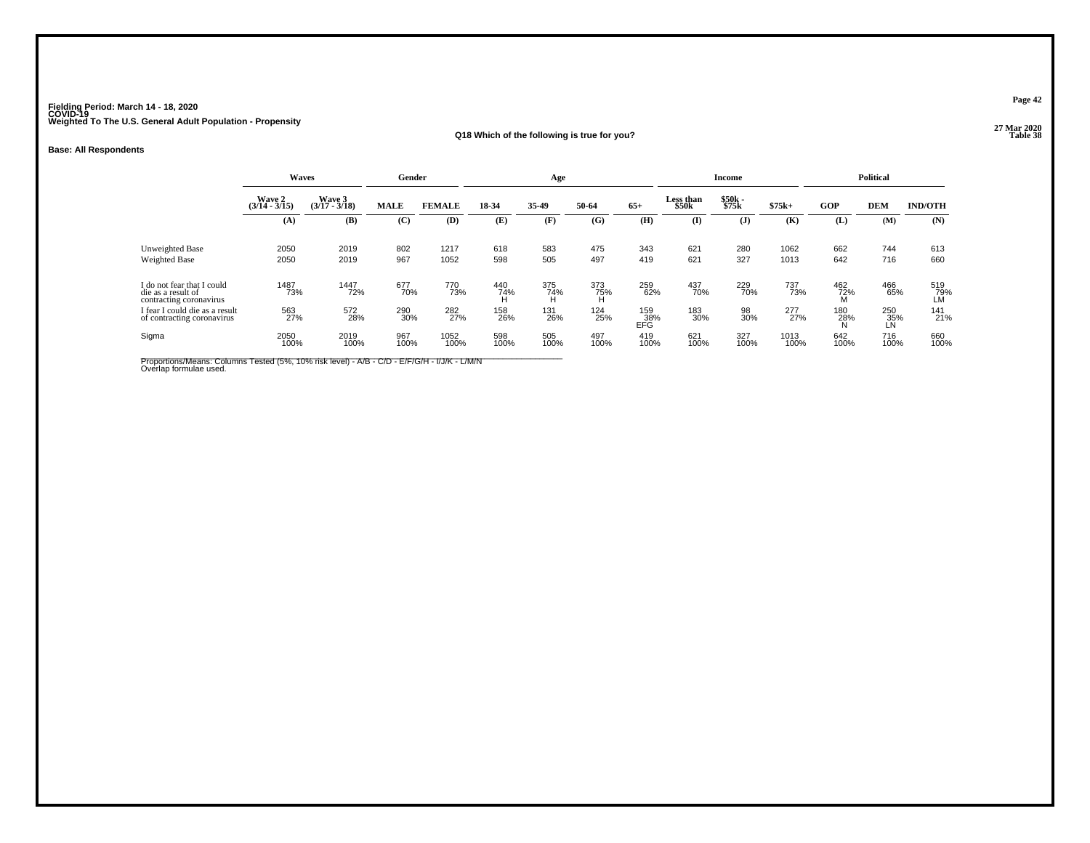## **27 Mar 2020Q18 Which of the following is true for you?**

### **Base: All Respondents**

|                                                                             | <b>Waves</b>                        |                                   | Gender      |               |             | Age         |             |                    |                    | <b>Income</b>  |              |                 | <b>Political</b> |                  |
|-----------------------------------------------------------------------------|-------------------------------------|-----------------------------------|-------------|---------------|-------------|-------------|-------------|--------------------|--------------------|----------------|--------------|-----------------|------------------|------------------|
|                                                                             | $\frac{\text{Wave 2}}{(3/14-3/15)}$ | $\frac{\text{Wave}}{(3/17-3/18)}$ | <b>MALE</b> | <b>FEMALE</b> | 18-34       | 35-49       | 50-64       | $65+$              | Less than<br>\$50k | \$50k<br>\$75k | $$75k+$      | GOP             | <b>DEM</b>       | <b>IND/OTH</b>   |
|                                                                             | (A)                                 | (B)                               | (C)         | (D)           | (E)         | (F)         | (G)         | (H)                | $\mathbf{I}$       | $\mathbf{J}$   | (K)          | (L)             | (M)              | (N)              |
| Unweighted Base                                                             | 2050                                | 2019                              | 802         | 1217          | 618         | 583         | 475         | 343                | 621                | 280            | 1062         | 662             | 744              | 613              |
| Weighted Base                                                               | 2050                                | 2019                              | 967         | 1052          | 598         | 505         | 497         | 419                | 621                | 327            | 1013         | 642             | 716              | 660              |
| I do not fear that I could<br>die as a result of<br>contracting coronavirus | 1487<br>73%                         | 1447<br>72%                       | 677<br>70%  | 770<br>73%    | 440<br>74%  | 375<br>74%  | 373<br>75%  | 259<br>62%         | 437<br>70%         | 229<br>70%     | 737<br>73%   | 462<br>72%<br>M | 466<br>65%       | 519<br>79%<br>LM |
| I fear I could die as a result<br>of contracting coronavirus                | 563<br>27%                          | 572<br>28%                        | 290<br>30%  | 282<br>27%    | 158<br>26%  | 131<br>26%  | 124<br>25%  | 159<br>_38%<br>EFG | 183<br>30%         | 98<br>30%      | 277<br>27%   | 180<br>28%      | 250<br>35%<br>LN | 141<br>21%       |
| Sigma                                                                       | 2050<br>100%                        | 2019<br>100%                      | 967<br>100% | 1052<br>100%  | 598<br>100% | 505<br>100% | 497<br>100% | 419<br>100%        | 621<br>100%        | 327<br>100%    | 1013<br>100% | 642<br>100%     | 716<br>100%      | 660<br>100%      |

Proportions/Means: Columns Tested (5%, 10% risk level) - A/B - C/D - E/F/G/H - I/J/K - L/M/N<br>Overlap formulae used.

**Page 42**

27 Mar 2020<br>Table 38 **Table 38 Table 38 Table 38 Table 38 Table 38 Table 38**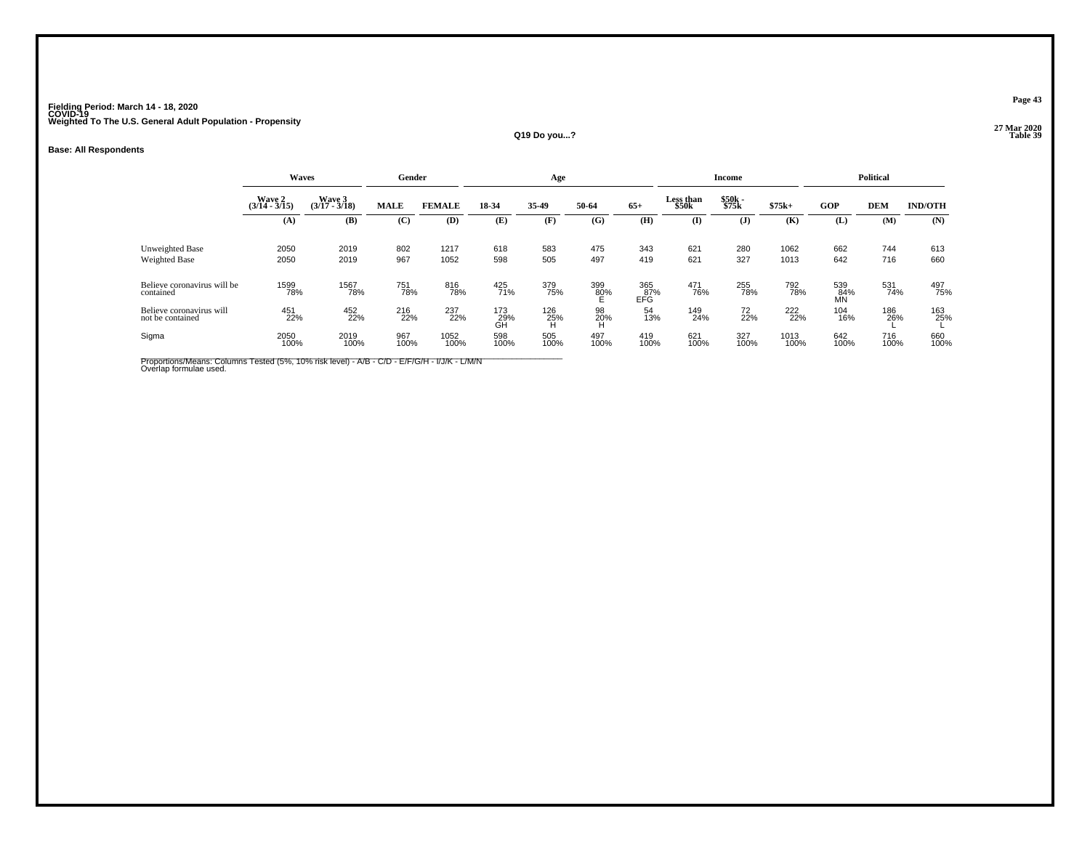### **Q19 Do you...?**

### **Base: All Respondents**

|                                              | <b>Waves</b>              |                           | Gender      |               |                  | Age         |                 |                   |                 | <b>Income</b>   |              |                         | <b>Political</b> |                |
|----------------------------------------------|---------------------------|---------------------------|-------------|---------------|------------------|-------------|-----------------|-------------------|-----------------|-----------------|--------------|-------------------------|------------------|----------------|
|                                              | Wave 2<br>$(3/14 - 3/15)$ | Wave 3<br>$(3/17 - 3/18)$ | <b>MALE</b> | <b>FEMALE</b> | 18-34            | 35-49       | 50-64           | $65+$             | Less than \$50k | \$50k<br>\$75k  | $$75k+$      | GOP                     | <b>DEM</b>       | <b>IND/OTH</b> |
|                                              | (A)                       | (B)                       | (C)         | (D)           | (E)              | (F)         | (G)             | (H)               | $\bf(I)$        | $\mathbf{J}$    | (K)          | (L)                     | (M)              | (N)            |
| Unweighted Base                              | 2050                      | 2019                      | 802         | 1217          | 618              | 583         | 475             | 343               | 621             | 280             | 1062         | 662                     | 744              | 613            |
| <b>Weighted Base</b>                         | 2050                      | 2019                      | 967         | 1052          | 598              | 505         | 497             | 419               | 621             | 327             | 1013         | 642                     | 716              | 660            |
| Believe coronavirus will be<br>contained     | 1599<br>78%               | 1567<br>78%               | 751<br>78%  | 816<br>78%    | 425<br>71%       | 379<br>75%  | 399<br>80%<br>E | 365<br>87%<br>EFG | 471<br>76%      | 255<br>78%      | 792<br>78%   | 539<br>84%<br><b>MN</b> | 531<br>74%       | 497<br>75%     |
| Believe coronavirus will<br>not be contained | 451<br>22%                | 452<br>22%                | 216<br>22%  | 237<br>22%    | 173<br>29%<br>GH | 126<br>25%  | 98<br>20%       | 54<br>13%         | 149<br>24%      | 72 <sub>%</sub> | 222<br>22%   | 104<br>16%              | 186<br>26%       | 163<br>25%     |
| Sigma                                        | 2050<br>100%              | 2019<br>100%              | 967<br>100% | 1052<br>100%  | 598<br>100%      | 505<br>100% | 497<br>100%     | 419<br>100%       | 621<br>100%     | 327<br>100%     | 1013<br>100% | 642<br>100%             | 716<br>100%      | 660<br>100%    |

Proportions/Means: Columns Tested (5%, 10% risk level) - A/B - C/D - E/F/G/H - I/J/K - L/M/N<br>Overlap formulae used.

**Page 43**

 **27 Mar 2020**27 Mar 2020<br>Table 39 **Table 39 Table 39 Table 39 Table 39 Table 39**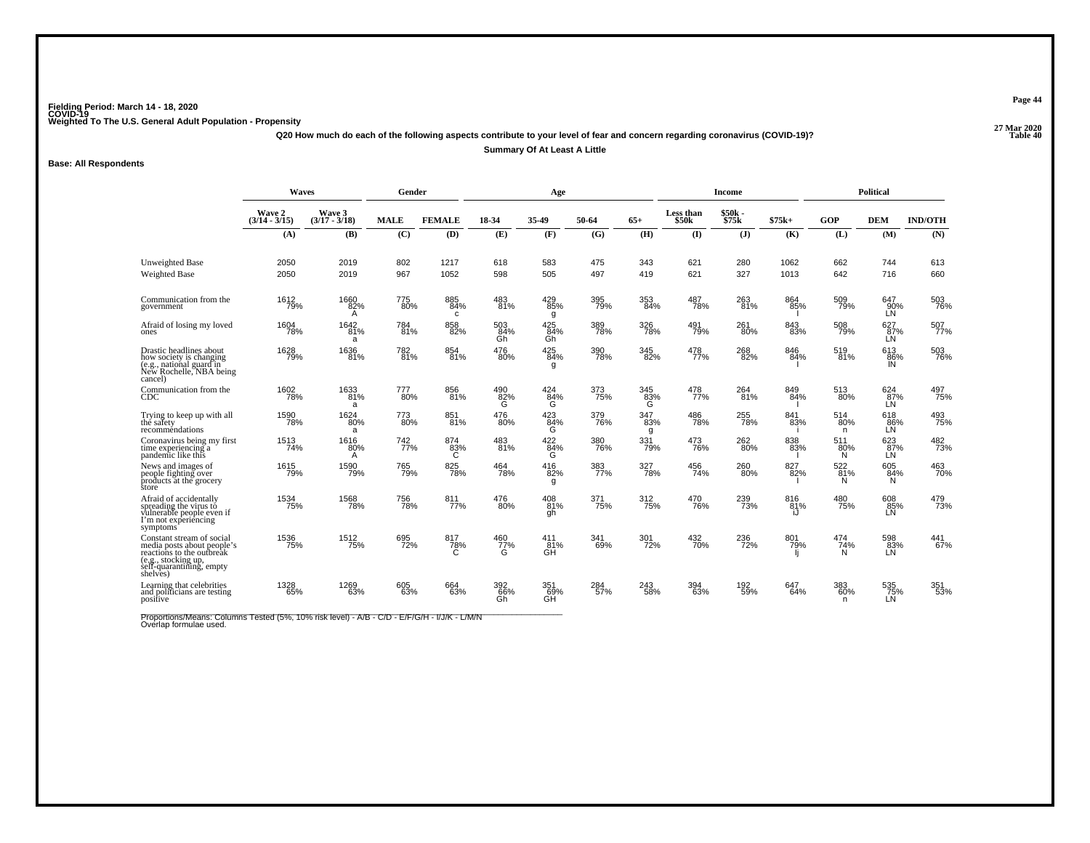**27 Mar 2020Q20 How much do each of the following aspects contribute to your level of fear and concern regarding coronavirus (COVID-19)?**

**Summary Of At Least A Little**

**Base: All Respondents**

|                                                                                                                                                     | Waves                     |                           | Gender           |                  |                         | Age                  |            |                    |                                | <b>Income</b>     |            |                 | Political           |                |
|-----------------------------------------------------------------------------------------------------------------------------------------------------|---------------------------|---------------------------|------------------|------------------|-------------------------|----------------------|------------|--------------------|--------------------------------|-------------------|------------|-----------------|---------------------|----------------|
|                                                                                                                                                     | Wave 2<br>$(3/14 - 3/15)$ | Wave 3<br>$(3/17 - 3/18)$ | <b>MALE</b>      | <b>FEMALE</b>    | 18-34                   | 35-49                | 50-64      | $65+$              | Less than<br>\$50 <sub>k</sub> | $$50k -$<br>\$75k | $$75k+$    | GOP             | <b>DEM</b>          | <b>IND/OTH</b> |
|                                                                                                                                                     | (A)                       | (B)                       | (C)              | (D)              | (E)                     | (F)                  | (G)        | (H)                | $\mathbf{I}$                   | $\mathbf{J}$      | (K)        | (L)             | (M)                 | (N)            |
| Unweighted Base                                                                                                                                     | 2050                      | 2019                      | 802              | 1217             | 618                     | 583                  | 475        | 343                | 621                            | 280               | 1062       | 662             | 744                 | 613            |
| <b>Weighted Base</b>                                                                                                                                | 2050                      | 2019                      | 967              | 1052             | 598                     | 505                  | 497        | 419                | 621                            | 327               | 1013       | 642             | 716                 | 660            |
| Communication from the<br>government                                                                                                                | 1612<br>79%               | 1660<br>82%<br>A          | 775<br>80%       | 885<br>84%<br>c  | 483<br>81%              | 429<br>85%<br>g      | 395<br>79% | 353<br>84%         | 487<br>78%                     | 263<br>81%        | 864<br>85% | 509<br>79%      | 647<br>90%<br>LN    | 503<br>76%     |
| Afraid of losing my loved<br>ones                                                                                                                   | 1604<br>78%               | 1642<br>81%<br>a          | 784<br>81%       | 858<br>82%       | 503<br>84%<br>Gh        | 425<br>84%<br>Gh     | 389<br>78% | 326<br>78%         | 491<br>79%                     | 261<br>80%        | 843<br>83% | 508<br>79%      | 627<br>87%<br>LN.   | 507<br>77%     |
| Drastic headlines about<br>how society is changing<br>(e.g., national guard in<br>New Rochelle, NBA being<br>cancel)                                | 1628<br>79%               | 1636<br>81%               | 782 <sub>%</sub> | 854<br>81%       | 476<br>80%              | $^{425}_{84\%}$<br>g | 390<br>78% | 345<br>82%         | 478<br>77%                     | 268<br>82%        | 846<br>84% | 519<br>81%      | 613<br>86%<br>IN    | 503<br>76%     |
| Communication from the<br>CDC.                                                                                                                      | 1602<br>78%               | 1633<br>81%<br>a          | 777<br>80%       | 856<br>81%       | 490<br>$rac{82}{9}$     | 424<br>84%<br>G      | 373<br>75% | 345<br>83%<br>G    | 478<br>77%                     | 264<br>81%        | 849<br>84% | 513<br>80%      | 624<br>87%<br>LN    | 497<br>75%     |
| Trying to keep up with all<br>the safety<br>recomméndations                                                                                         | 1590<br>78%               | 1624<br>80%<br>a          | 773<br>80%       | 851 <sub>%</sub> | 476<br>80%              | $^{423}_{84\%}$<br>G | 379<br>76% | 347<br>83%<br>g    | 486<br>78%                     | 255<br>78%        | 841<br>83% | 514<br>80%<br>n | 618<br>86%<br>LN    | 493<br>75%     |
| Coronavirus being my first<br>time experiencing a<br>pandemic like this                                                                             | 1513<br>74%               | 1616<br>80%<br>A          | 742<br>77%       | 874<br>83%       | 483<br>81%              | 422<br>$rac{84}{9}$  | 380<br>76% | 331<br>79%         | 473<br>76%                     | 262<br>80%        | 838<br>83% | 511<br>80%<br>N | 623<br>$\bar{87}$ % | 482<br>73%     |
| News and images of<br>people fighting over<br>products at the grocery<br>store                                                                      | 1615<br>79%               | 1590<br>79%               | 765<br>79%       | 825<br>78%       | 464<br>78%              | 416<br>82%<br>g      | 383<br>77% | 327<br>78%         | 456<br>74%                     | 260<br>80%        | 827<br>82% | 522<br>81%<br>N | 605<br>84%<br>N     | 463<br>70%     |
| Afraid of accidentally<br>spreading the virus to<br>vulnerable people even if<br>I'm not experiencing<br>symptoms                                   | 1534<br>75%               | 1568<br>78%               | 756<br>78%       | 811<br>77%       | 476<br>80%              | 408<br>81%<br>gh     | 371<br>75% | $\frac{312}{75\%}$ | 470<br>76%                     | 239<br>73%        | 816<br>81% | 480<br>75%      | 608<br>85%<br>LN    | 479<br>73%     |
| Constant stream of social<br>media posts about people's<br>reactions to the outbreak<br>(e.g., stocking up,<br>self-quarantining, empty<br>shelves) | 1536<br>75%               | 1512<br>75%               | 695<br>72%       | 817<br>78%<br>C  | $\frac{460}{77}\%$<br>G | 411<br>31%<br>ĞĤ     | 341<br>69% | 301<br>72%         | 432<br>70%                     | 236<br>72%        | 801<br>79% | 474%<br>N       | 598<br>83%<br>LN    | 441<br>67%     |
| Learning that celebrities<br>and politicians are testing<br>positive                                                                                | 1328<br>65%               | 1269<br>63%               | 605<br>63%       | 664<br>63%       | 392<br>66%              | 351<br>69%<br>GH     | 284<br>57% | 243<br>58%         | 394<br>63%                     | 192<br>59%        | 647<br>64% | 383<br>60%<br>n | 535<br>75%<br>LN    | 351<br>53%     |

Proportions/Means: Columns Tested (5%, 10% risk level) - A/B - C/D - E/F/G/H - I/J/K - L/M/N<br>Overlap formulae used.

**Page 44**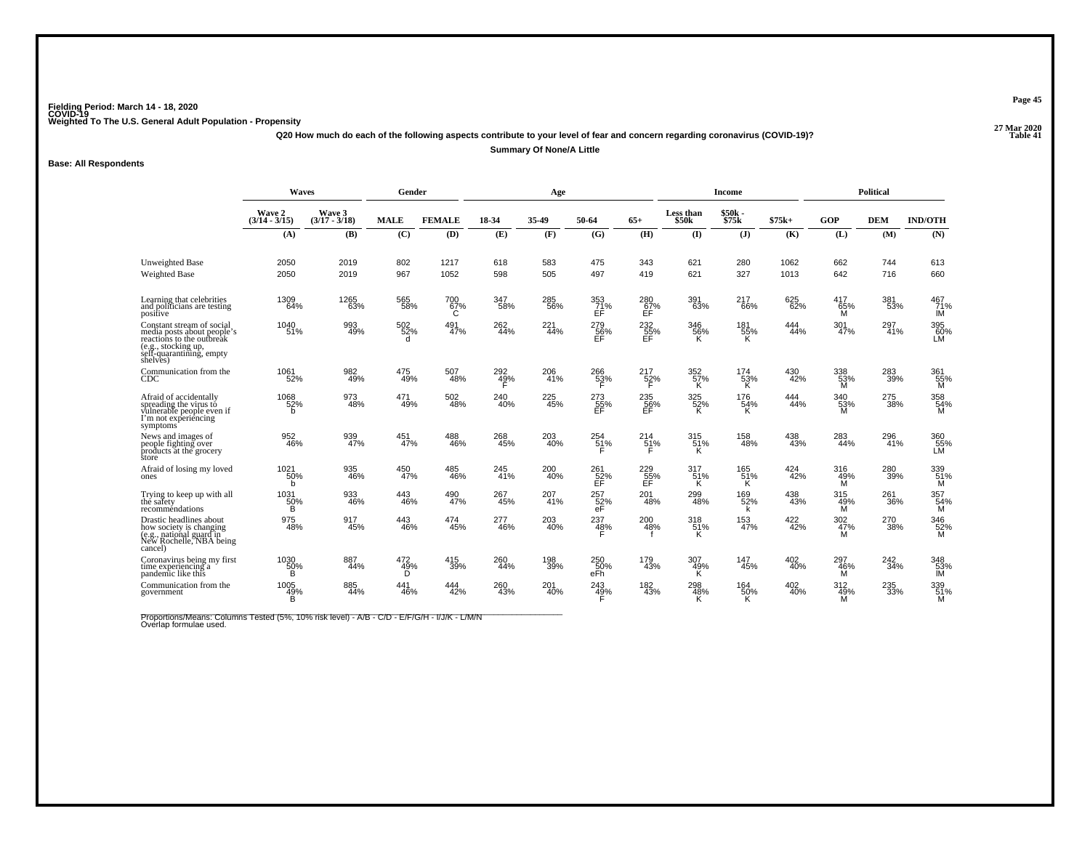**27 Mar 2020Q20 How much do each of the following aspects contribute to your level of fear and concern regarding coronavirus (COVID-19)?**

#### **Summary Of None/A Little**

### **Base: All Respondents**

|                                                                                                                                                     | Waves                     |                           | Gender               |                 |             | Age        |                            |                      |                       | Income                 |                 |                       | Political  |                   |
|-----------------------------------------------------------------------------------------------------------------------------------------------------|---------------------------|---------------------------|----------------------|-----------------|-------------|------------|----------------------------|----------------------|-----------------------|------------------------|-----------------|-----------------------|------------|-------------------|
|                                                                                                                                                     | Wave 2<br>$(3/14)$ $3/15$ | Wave 3<br>$(3/17 - 3/18)$ | <b>MALE</b>          | <b>FEMALE</b>   | 18-34       | 35-49      | 50-64                      | $65+$                | Less than<br>\$50k    | \$50k -<br>\$75k       | $$75k+$         | GOP                   | <b>DEM</b> | <b>IND/OTH</b>    |
|                                                                                                                                                     | (A)                       | (B)                       | (C)                  | (D)             | (E)         | (F)        | (G)                        | (H)                  | $($ $\Gamma$          | $($ $\bf{J}$ )         | (K)             | (L)                   | (M)        | (N)               |
| Unweighted Base                                                                                                                                     | 2050                      | 2019                      | 802                  | 1217            | 618         | 583        | 475                        | 343                  | 621                   | 280                    | 1062            | 662                   | 744        | 613               |
| <b>Weighted Base</b>                                                                                                                                | 2050                      | 2019                      | 967                  | 1052            | 598         | 505        | 497                        | 419                  | 621                   | 327                    | 1013            | 642                   | 716        | 660               |
| Learning that celebrities<br>and politicians are testing<br>positive                                                                                | 1309<br>64%               | 1265<br>63%               | 565<br>58%           | 700<br>67%<br>Ć | 347<br>58%  | 285<br>56% | 353<br>71%<br>EF           | 280<br>67%<br>EF     | 391<br>63%            | 217<br>66%             | 625<br>62%      | 417<br><br>M<br>M     | 381<br>53% | $^{467}_{71\%}$ M |
| Constant stream of social<br>media posts about people's<br>reactions to the outbreak<br>(e.g., stocking up,<br>self-quarantining, empty<br>shelves) | 1040<br>51%               | 993<br>49%                | 502<br>52%<br>d      | 491<br>47%      | 262<br>44%  | 221<br>44% | 279<br>$E$ FF <sup>%</sup> | 232<br>55%<br>EF     | 346<br>56%<br>Κ       | 181<br>55%<br>Κ        | 444<br>44%      | 301<br>47%            | 297<br>41% | 395<br>60%<br>LM  |
| Communication from the<br>CDC                                                                                                                       | 1061<br>52%               | 982<br>49%                | 475<br>49%           | 507<br>48%      | 292<br>49%  | 206<br>41% | 266<br>53%<br>F            | $^{217}_{52\%}$<br>F | 352 <sub>%</sub><br>κ | 174<br>53%<br>Κ        | 430<br>42%      | 338<br>53%<br>M       | 283<br>39% | 361<br>55%<br>M   |
| Afraid of accidentally<br>spreading the virus to<br>vulnerable people even if<br>I'm not experiencing<br>symptoms                                   | 1068<br>52%<br>b          | 973<br>48%                | 471<br>49%           | 502<br>48%      | 240<br>40%  | 225<br>45% | 273<br>55%<br>EF           | 235<br>56%<br>EF     | 325<br>52%<br>ĸ       | 176<br>$\frac{54}{16}$ | 444<br>44%      | 340<br>53%<br>M       | 275<br>38% | 358<br>54%<br>M   |
| News and images of<br>people fighting over<br>products at the grocery<br>store                                                                      | 952<br>46%                | 939<br>47%                | 451%                 | 488<br>46%      | 268<br>45%  | 203<br>40% | 254<br>51%<br>Е            | 214<br>51%           | 315<br>51%<br>Κ       | 158<br>48%             | 438<br>43%      | 283                   | 296<br>41% | 360<br>55%<br>LM  |
| Afraid of losing my loved<br>ones                                                                                                                   | 1021<br>50%<br>b          | 935<br>46%                | 450<br>47%           | 485<br>46%      | 245<br>41%  | 200<br>40% | $\frac{261}{52\%}$<br>ĔĒ   | 229<br>55%<br>ĔĔ     | 317<br>51%<br>Κ       | 165<br>51%<br>ĸ        | $^{424}_{42\%}$ | 316<br>49%<br>м       | 280<br>39% | 339<br>51%<br>M   |
| Trying to keep up with all<br>the safety<br>recomméndations                                                                                         | 1031<br>50%<br>B          | 933<br>46%                | 443<br>46%           | 490<br>47%      | 267<br>-45% | 207<br>41% | 257<br>$rac{52}{eF}$       | 201<br>48%           | 299<br>$-48%$         | 169<br>52%             | 438<br>43%      | 315<br>49%<br>M       | 261<br>36% | 357<br>54%<br>M   |
| Drastic headlines about<br>how society is changing<br>(e.g., national guard in<br>New Rochelle, NBA being<br>cancel)                                | 975<br>48%                | 917<br>45%                | 443<br>46%           | 474<br>45%      | 277<br>46%  | 203<br>40% | 237<br>$\frac{48}{5}$      | 200<br>48%           | 318<br>51%<br>κ       | 153<br>47%             | 422<br>42%      | 302<br>47%<br>м       | 270<br>38% | 346<br>52%<br>M   |
| Coronavirus being my first<br>time experiencing a<br>pandemic like this                                                                             | 1030<br>50%<br>B          | 887<br>44%                | $^{472}_{49\%}$<br>Ď | 415<br>39%      | 260<br>44%  | 198<br>39% | 250<br>50%<br>eFh          | 179<br>43%           | 307<br>49%<br>Κ       | 147<br>45%             | 402<br>40%      | 297<br>46%<br>M       | 242<br>34% | 348<br>53%<br>IM  |
| Communication from the<br>government                                                                                                                | 1005<br>49%               | 885<br>44%                | 441<br>46%           | 444<br>42%      | 260<br>43%  | 201<br>40% | 243<br>49%                 | 182<br>43%           | 298<br>48%            | 164<br>50%             | 402<br>40%      | 312<br>$\frac{49}{9}$ | 235<br>33% | 339<br>51%<br>M.  |

Proportions/Means: Columns Tested (5%, 10% risk level) - A/B - C/D - E/F/G/H - I/J/K - L/M/N<br>Overlap formulae used.

**Page 45**

**Properties 2.1 Table 41**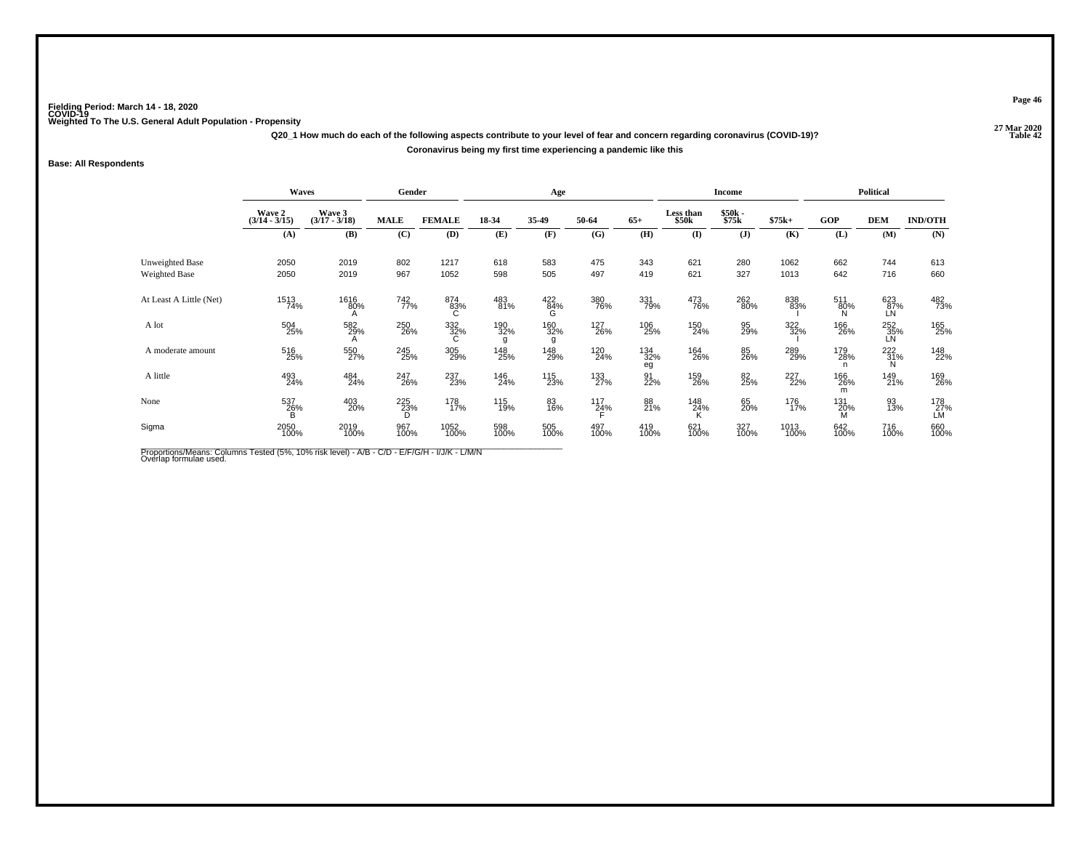**27 Mar 2020Q20\_1 How much do each of the following aspects contribute to your level of fear and concern regarding coronavirus (COVID-19)?Coronavirus being my first time experiencing a pandemic like this**

### **Base: All Respondents**

|                         | <b>Waves</b>              |                           | Gender          |                 |                 | Age             |             |                  |                 | Income         |              |                      | <b>Political</b>     |                  |
|-------------------------|---------------------------|---------------------------|-----------------|-----------------|-----------------|-----------------|-------------|------------------|-----------------|----------------|--------------|----------------------|----------------------|------------------|
|                         | Wave 2<br>$(3/14 - 3/15)$ | Wave 3<br>$(3/17 - 3/18)$ | <b>MALE</b>     | <b>FEMALE</b>   | 18-34           | 35-49           | 50-64       | $65+$            | Less than \$50k | \$50k<br>\$75k | $$75k+$      | GOP                  | <b>DEM</b>           | <b>IND/OTH</b>   |
|                         | (A)                       | (B)                       | (C)             | (D)             | (E)             | (F)             | (G)         | (H)              | $\mathbf{I}$    | $\mathbf{J}$   | (K)          | (L)                  | (M)                  | (N)              |
| Unweighted Base         | 2050                      | 2019                      | 802             | 1217            | 618             | 583             | 475         | 343              | 621             | 280            | 1062         | 662                  | 744                  | 613              |
| Weighted Base           | 2050                      | 2019                      | 967             | 1052            | 598             | 505             | 497         | 419              | 621             | 327            | 1013         | 642                  | 716                  | 660              |
| At Least A Little (Net) | 1513<br>74%               | 1616<br>80%               | 742<br>77%      | 874<br>83%<br>C | 483<br>81%      | 422<br>84%<br>G | 380<br>76%  | 331<br>79%       | 473<br>76%      | 262<br>80%     | 838<br>83%   | 511<br>$^{80\%}_{N}$ | 623<br>87%<br>LN     | 482<br>73%       |
| A lot                   | 504<br>25%                | 582<br>29%                | 250<br>26%      | 332<br>32%      | 190<br>32%<br>g | 160<br>32%<br>g | 127<br>26%  | 106<br>25%       | 150<br>24%      | 95<br>29%      | 322<br>32%   | 166<br>26%           | 252<br>35%<br>LN     | 165<br>25%       |
| A moderate amount       | 516<br>25%                | 550<br>27%                | 245<br>25%      | 305<br>29%      | 148<br>25%      | 148<br>29%      | 120<br>24%  | 134<br>32%<br>eg | 164<br>26%      | 85<br>26%      | 289<br>29%   | 179<br>28%<br>n      | $^{222}_{31\%}$<br>N | 148<br>22%       |
| A little                | 493<br>24%                | 484<br>24%                | 247<br>26%      | 237<br>23%      | 146<br>24%      | 115<br>23%      | 133<br>27%  | 91<br>22%        | 159<br>26%      | 82<br>25%      | 227<br>22%   | 166<br>26%<br>m      | 149<br>21%           | 169<br>26%       |
| None                    | 537<br>2 <u>6</u> %       | 403<br>20%                | 225<br>23%<br>D | 178<br>17%      | 115<br>19%      | 83<br>16%       | 117<br>24%  | 88<br>21%        | 148<br>24%      | 65<br>20%      | 176<br>17%   | 131<br>20%           | 93<br>13%            | 178<br>27%<br>LМ |
| Sigma                   | 2050<br>100%              | 2019<br>100%              | 967<br>100%     | 1052<br>100%    | 598<br>100%     | 505<br>100%     | 497<br>100% | 419<br>100%      | 621<br>100%     | 327<br>100%    | 1013<br>100% | 642<br>100%          | 716<br>100%          | 660<br>100%      |

Proportions/Means: Columns Tested (5%, 10% risk level) - A/B - C/D - E/F/G/H - I/J/K - L/M/N<br>Overlap formulae used.

**Page 46**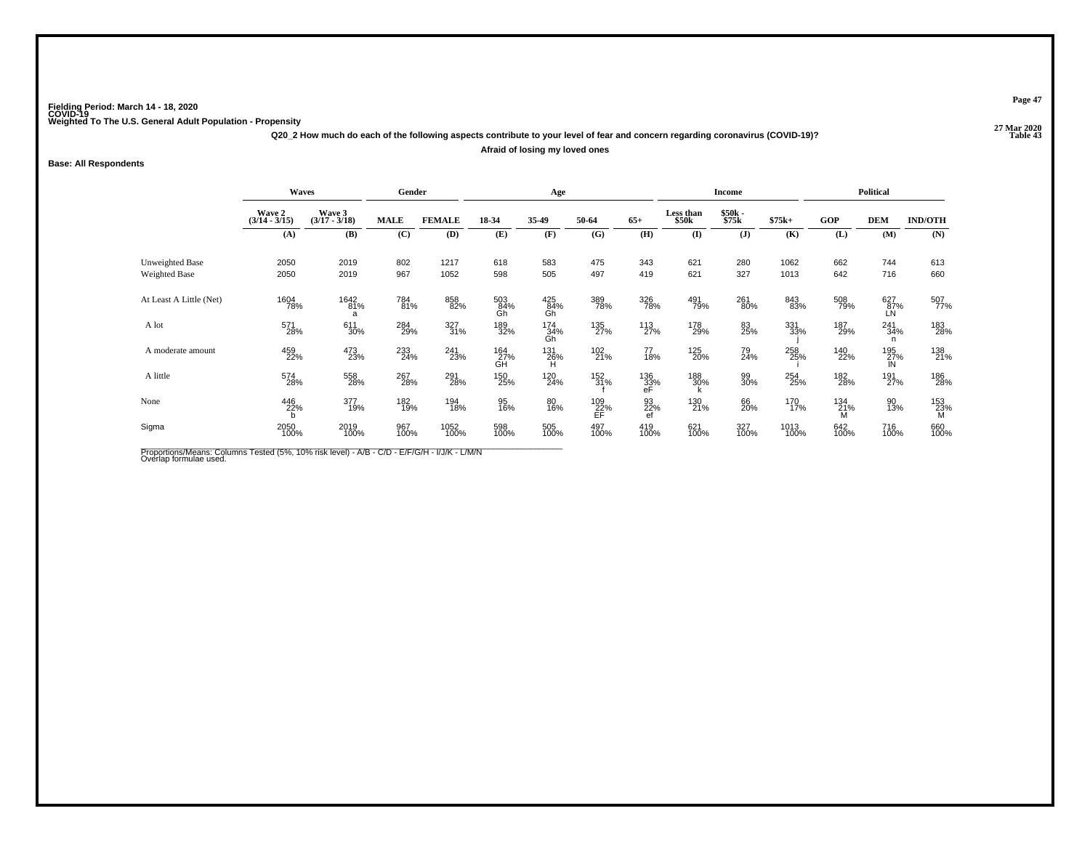**27 Mar 2020Q20\_2 How much do each of the following aspects contribute to your level of fear and concern regarding coronavirus (COVID-19)?Afraid of losing my loved ones**

### **Base: All Respondents**

|                         | <b>Waves</b>              |                           | Gender      |               |                  | Age              |                  |                  |                    | Income           |              |             | <b>Political</b> |                 |
|-------------------------|---------------------------|---------------------------|-------------|---------------|------------------|------------------|------------------|------------------|--------------------|------------------|--------------|-------------|------------------|-----------------|
|                         | Wave 2<br>$(3/14 - 3/15)$ | Wave 3<br>$(3/17 - 3/18)$ | <b>MALE</b> | <b>FEMALE</b> | 18-34            | 35-49            | 50-64            | $65+$            | Less than<br>\$50k | \$50k -<br>\$75k | $$75k+$      | <b>GOP</b>  | <b>DEM</b>       | <b>IND/OTH</b>  |
|                         | (A)                       | (B)                       | (C)         | (D)           | (E)              | (F)              | (G)              | (H)              | $\bf(I)$           | $\mathbf{J}$     | (K)          | (L)         | (M)              | (N)             |
| Unweighted Base         | 2050                      | 2019                      | 802         | 1217          | 618              | 583              | 475              | 343              | 621                | 280              | 1062         | 662         | 744              | 613             |
| <b>Weighted Base</b>    | 2050                      | 2019                      | 967         | 1052          | 598              | 505              | 497              | 419              | 621                | 327              | 1013         | 642         | 716              | 660             |
| At Least A Little (Net) | 1604<br>78%               | 1642<br>81%<br>a          | 784<br>81%  | 858<br>82%    | 503<br>84%<br>Gh | 425<br>84%<br>Gh | 389<br>78%       | 326<br>78%       | 491<br>79%         | 261<br>80%       | 843<br>83%   | 508<br>79%  | 627<br>87%<br>ĽŃ | 507<br>77%      |
| A lot                   | 571<br>28%                | 611<br>30%                | 284<br>29%  | 327<br>31%    | 189<br>32%       | 174<br>34%<br>Gh | 135<br>27%       | 113<br>27%       | 178<br>29%         | 83<br>25%        | 331<br>33%   | 187<br>29%  | 241<br>34%<br>n  | 183<br>28%      |
| A moderate amount       | 459<br>22%                | 473<br>23%                | 233<br>24%  | 241<br>23%    | 164<br>27%<br>GH | 131<br>26%<br>н  | 102<br>21%       | 77<br>18%        | 125<br>20%         | 79<br>24%        | 258<br>25%   | 140<br>22%  | 195<br>27%<br>IN | 138<br>21%      |
| A little                | 574<br>28%                | 558<br>28%                | 267<br>28%  | 291<br>28%    | 150<br>25%       | 120<br>24%       | 152<br>31%       | 136<br>33%<br>eF | 188<br>30%         | 99<br>30%        | 254<br>25%   | 182<br>28%  | 191<br>27%       | 186<br>28%      |
| None                    | 446<br>22%<br>h           | 377<br>19%                | 182<br>19%  | 194<br>18%    | 95<br>16%        | 80<br>16%        | 109<br>22%<br>EF | 93<br>22%<br>ef  | 130<br>21%         | 66<br>20%        | 170<br>17%   | 134<br>21%  | 90<br>13%        | 153<br>23%<br>M |
| Sigma                   | 2050<br>100%              | 2019<br>100%              | 967<br>100% | 1052<br>100%  | 598<br>100%      | 505<br>100%      | 497<br>100%      | 419<br>100%      | 621<br>100%        | 327<br>100%      | 1013<br>100% | 642<br>100% | 716<br>100%      | 660<br>100%     |

Proportions/Means: Columns Tested (5%, 10% risk level) - A/B - C/D - E/F/G/H - I/J/K - L/M/N<br>Overlap formulae used.

**Page 47**

**P** Table 43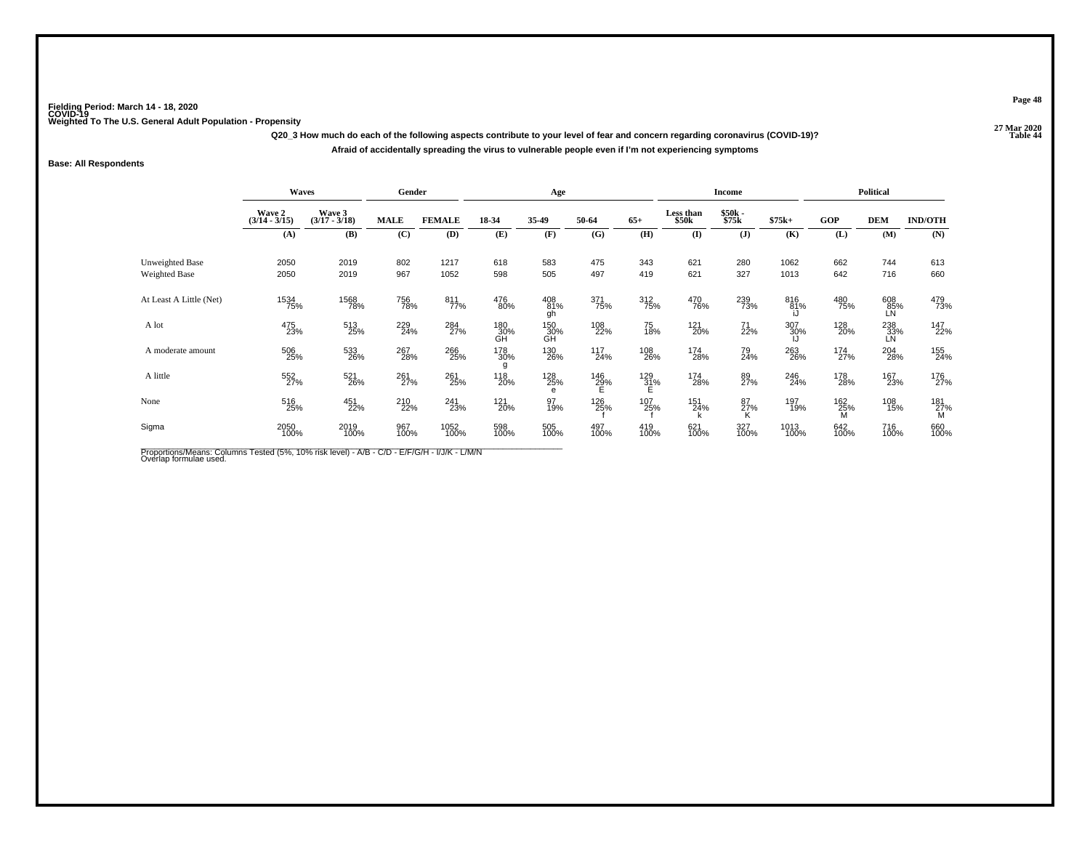**27 Mar 2020Q20\_3 How much do each of the following aspects contribute to your level of fear and concern regarding coronavirus (COVID-19)?Afraid of accidentally spreading the virus to vulnerable people even if I'm not experiencing symptoms**

### **Base: All Respondents**

|                         | <b>Waves</b>              |                           | Gender      |               |                  | Age                   |                 |                 |                    | <b>Income</b>  |              |             | <b>Political</b> |                 |
|-------------------------|---------------------------|---------------------------|-------------|---------------|------------------|-----------------------|-----------------|-----------------|--------------------|----------------|--------------|-------------|------------------|-----------------|
|                         | Wave 2<br>$(3/14 - 3/15)$ | Wave 3<br>$(3/17 - 3/18)$ | <b>MALE</b> | <b>FEMALE</b> | 18-34            | 35-49                 | 50-64           | $65+$           | Less than<br>\$50k | \$50k<br>\$75k | $$75k+$      | <b>GOP</b>  | <b>DEM</b>       | <b>IND/OTH</b>  |
|                         | (A)                       | (B)                       | (C)         | (D)           | (E)              | (F)                   | (G)             | (H)             | $($ $\Gamma$       | $\mathbf{J}$   | (K)          | (L)         | (M)              | (N)             |
| Unweighted Base         | 2050                      | 2019                      | 802         | 1217          | 618              | 583                   | 475             | 343             | 621                | 280            | 1062         | 662         | 744              | 613             |
| Weighted Base           | 2050                      | 2019                      | 967         | 1052          | 598              | 505                   | 497             | 419             | 621                | 327            | 1013         | 642         | 716              | 660             |
| At Least A Little (Net) | 1534<br>75%               | 1568<br>78%               | 756<br>78%  | 811<br>77%    | 476<br>80%       | $^{408}_{81\%}$<br>gh | 371<br>75%      | 312<br>75%      | 470<br>76%         | 239<br>73%     | 816<br>81%   | 480<br>75%  | 608<br>85%<br>LN | 479<br>73%      |
| A lot                   | 475<br>23%                | 513<br>25%                | 229<br>24%  | 284<br>27%    | 180<br>30%<br>GH | 150<br>30%<br>GH      | 108<br>22%      | 75<br>18%       | 121<br>20%         | 71<br>22%      | 307<br>30%   | 128<br>20%  | 238<br>33%<br>LN | 147<br>22%      |
| A moderate amount       | 506<br>25%                | 533<br>26%                | 267<br>28%  | 266<br>25%    | 178<br>30%       | 130<br>26%            | 117<br>24%      | 108<br>26%      | 174<br>28%         | 79<br>24%      | 263<br>26%   | 174<br>27%  | 204<br>28%       | 155<br>24%      |
| A little                | 552<br>27%                | 521<br>26%                | 261<br>27%  | 261<br>25%    | 118<br>20%       | 128<br>25%<br>е       | $^{146}_{29\%}$ | $^{129}_{31\%}$ | 174<br>28%         | 89<br>27%      | 246<br>24%   | 178<br>28%  | 167<br>23%       | 176<br>27%      |
| None                    | 516<br>25%                | 451<br>22%                | 210<br>22%  | 241<br>23%    | 121<br>20%       | 97<br>19%             | 126<br>25%      | 107<br>25%      | 151<br>24%         | 87<br>27%<br>ĸ | 197<br>19%   | 162<br>25%  | 108<br>15%       | 181<br>27%<br>M |
| Sigma                   | 2050<br>100%              | 2019<br>100%              | 967<br>100% | 1052<br>100%  | 598<br>100%      | 505<br>100%           | 497<br>100%     | 419<br>100%     | 621<br>100%        | 327<br>100%    | 1013<br>100% | 642<br>100% | 716<br>100%      | 660<br>100%     |

Proportions/Means: Columns Tested (5%, 10% risk level) - A/B - C/D - E/F/G/H - I/J/K - L/M/N<br>Overlap formulae used.

**Page 48**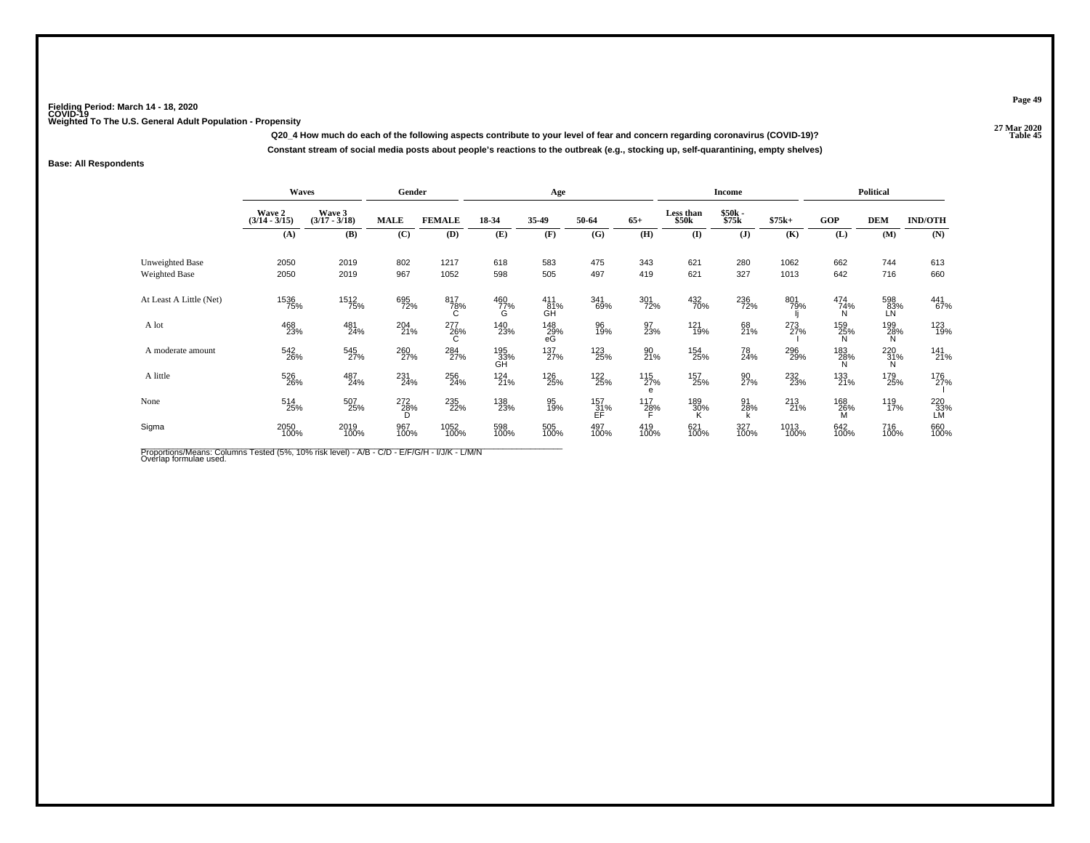**27 Mar 2020Q20\_4 How much do each of the following aspects contribute to your level of fear and concern regarding coronavirus (COVID-19)?Constant stream of social media posts about people's reactions to the outbreak (e.g., stocking up, self-quarantining, empty shelves)**

### **Base: All Respondents**

|                         | Waves                     |                           | Gender          |               |                  | Age              |                          |                     |                               | Income         |              |                 | <b>Political</b> |                  |
|-------------------------|---------------------------|---------------------------|-----------------|---------------|------------------|------------------|--------------------------|---------------------|-------------------------------|----------------|--------------|-----------------|------------------|------------------|
|                         | Wave 2<br>$(3/14 - 3/15)$ | Wave 3<br>$(3/17 - 3/18)$ | <b>MALE</b>     | <b>FEMALE</b> | 18-34            | 35-49            | 50-64                    | $65+$               | Less than<br>\$50k            | \$50k<br>\$75k | $$75k+$      | <b>GOP</b>      | <b>DEM</b>       | <b>IND/OTH</b>   |
|                         | (A)                       | (B)                       | (C)             | (D)           | (E)              | (F)              | (G)                      | (H)                 | $\mathbf{I}$                  | $\mathbf{J}$   | (K)          | (L)             | (M)              | (N)              |
| Unweighted Base         | 2050                      | 2019                      | 802             | 1217          | 618              | 583              | 475                      | 343                 | 621                           | 280            | 1062         | 662             | 744              | 613              |
| Weighted Base           | 2050                      | 2019                      | 967             | 1052          | 598              | 505              | 497                      | 419                 | 621                           | 327            | 1013         | 642             | 716              | 660              |
| At Least A Little (Net) | 1536<br>75%               | 1512<br>75%               | 695<br>72%      | 817<br>78%    | $^{460}_{77\%}$  | 411<br>81%<br>GH | 341<br>69%               | 301<br>72%          | 432<br>70%                    | 236<br>72%     | 801<br>79%   | 474<br>74%      | 598<br>83%<br>ĽΝ | 441<br>67%       |
| A lot                   | 468<br>23%                | 481<br>24%                | 204<br>21%      | 277<br>26%    | 140<br>23%       | 148<br>29%<br>eĞ | 96<br>19%                | 97<br>23%           | 121<br>19%                    | 68<br>21%      | 273<br>27%   | 159<br>25%      | 199<br>28%<br>N  | 123<br>19%       |
| A moderate amount       | 542<br>26%                | 545<br>27%                | 260<br>27%      | 284<br>27%    | 195<br>33%<br>GH | 137 <sub>%</sub> | 123<br>25%               | 90<br>21%           | <sup>154</sup> <sub>25%</sub> | 78<br>24%      | 296<br>29%   | 183<br>28%      | 220<br>31%<br>N  | $^{141}_{21\%}$  |
| A little                | 526<br>26%                | 487<br>24%                | 231<br>24%      | 256<br>24%    | 124<br>21%       | 126<br>25%       | 122<br>25%               | 115<br>27%<br>e     | 157<br>25%                    | 90<br>27%      | 232<br>23%   | 133<br>21%      | 179<br>25%       | 176<br>27%       |
| None                    | 514<br>25%                | 507<br>25%                | 272<br>28%<br>D | 235<br>22%    | 138<br>23%       | 95<br>19%        | $\frac{157}{31\%}$<br>ÉF | 117<br>2 <u>8</u> % | 189<br>30%                    | 91<br>28%      | 213<br>21%   | 168<br>26%<br>м | 119<br>17%       | 220<br>33%<br>LM |
| Sigma                   | 2050<br>100%              | 2019<br>100%              | 967<br>100%     | 1052<br>100%  | 598<br>100%      | 505<br>100%      | 497<br>100%              | 419<br>100%         | 621<br>100%                   | 327<br>100%    | 1013<br>100% | 642<br>100%     | 716<br>100%      | 660<br>100%      |

Proportions/Means: Columns Tested (5%, 10% risk level) - A/B - C/D - E/F/G/H - I/J/K - L/M/N<br>Overlap formulae used.

**P** Table 45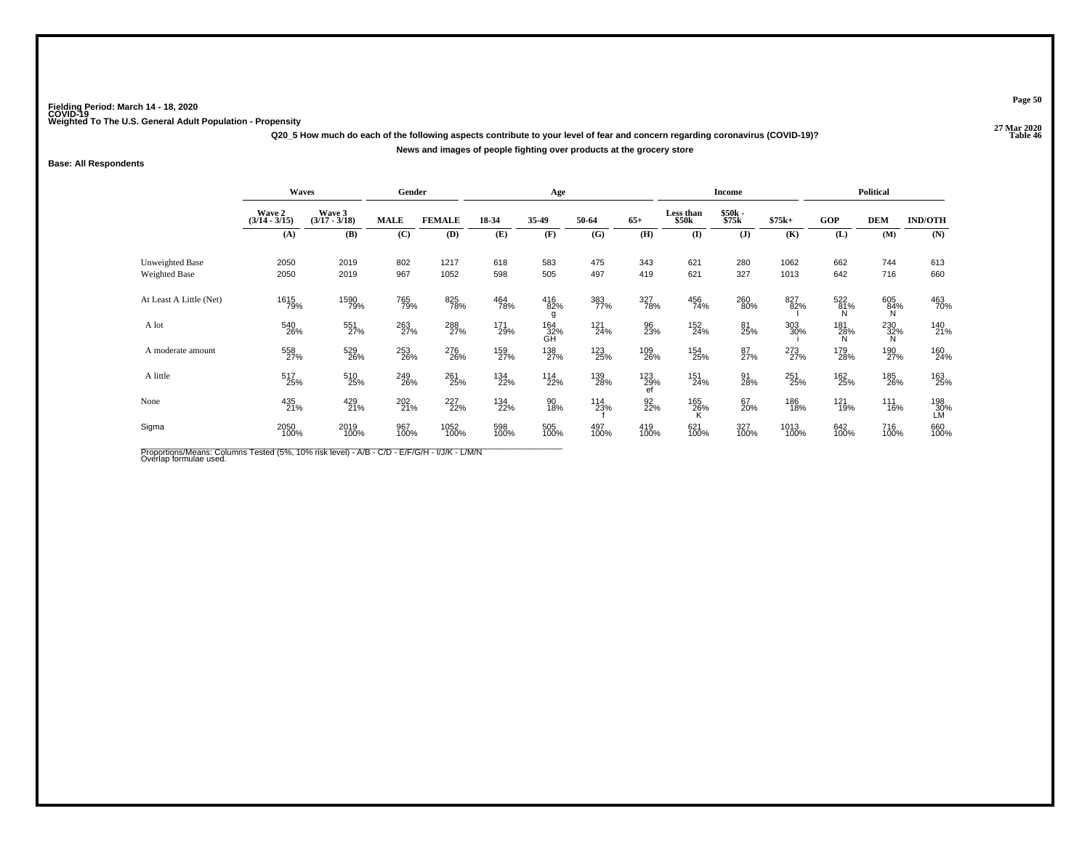**27 Mar 2020Q20\_5 How much do each of the following aspects contribute to your level of fear and concern regarding coronavirus (COVID-19)?News and images of people fighting over products at the grocery store**

### **Base: All Respondents**

|                         | Waves                     |                           | Gender      |               |             | Age              |             |             |                    | Income          |              |                    | <b>Political</b> |                  |
|-------------------------|---------------------------|---------------------------|-------------|---------------|-------------|------------------|-------------|-------------|--------------------|-----------------|--------------|--------------------|------------------|------------------|
|                         | Wave 2<br>$(3/14 - 3/15)$ | Wave 3<br>$(3/17 - 3/18)$ | <b>MALE</b> | <b>FEMALE</b> | 18-34       | 35.49            | 50-64       | $65+$       | Less than<br>\$50k | \$50k<br>\$75k  | $$75k+$      | <b>GOP</b>         | <b>DEM</b>       | <b>IND/OTH</b>   |
|                         | (A)                       | (B)                       | (C)         | (D)           | (E)         | (F)              | (G)         | (H)         | $\mathbf{I}$       | $\mathbf{J}$    | (K)          | (L)                | (M)              | (N)              |
| Unweighted Base         | 2050                      | 2019                      | 802         | 1217          | 618<br>598  | 583              | 475         | 343<br>419  | 621<br>621         | 280             | 1062         | 662<br>642         | 744<br>716       | 613              |
| Weighted Base           | 2050                      | 2019                      | 967         | 1052          |             | 505              | 497         |             |                    | 327             | 1013         |                    |                  | 660              |
| At Least A Little (Net) | 1615<br>79%               | 1590<br>79%               | 765<br>79%  | 825<br>78%    | 464<br>78%  | 416<br>82%<br>g  | 383<br>77%  | 327<br>78%  | 456<br>74%         | 260<br>80%      | 827<br>82%   | $\frac{522}{81\%}$ | 605<br>84%       | 463<br>70%       |
| A lot                   | 540<br>26%                | 551<br>27%                | 263<br>27%  | 288<br>27%    | 171<br>29%  | 164<br>32%<br>GH | 121<br>24%  | 96<br>23%   | 152<br>24%         | 81<br>25%       | 303<br>30%   | 181<br>28%<br>N    | 230<br>32%<br>N  | 140<br>21%       |
| A moderate amount       | 558<br>27%                | 529<br>26%                | 253<br>26%  | 276<br>26%    | 159<br>27%  | 138<br>27%       | 123<br>25%  | 109<br>26%  | 154<br>25%         | 87 <sub>%</sub> | 273<br>27%   | 179<br>28%         | 190<br>27%       | 160<br>24%       |
| A little                | 517<br>25%                | 510<br>25%                | 249<br>26%  | 261<br>25%    | 134<br>22%  | 114<br>22%       | 139<br>28%  | 123<br>29%  | 151<br>24%         | 91<br>28%       | 251<br>25%   | 162<br>25%         | 185<br>26%       | 163<br>25%       |
| None                    | 435<br>21%                | 429<br>21%                | 202<br>21%  | 227<br>22%    | 134<br>22%  | 90<br>18%        | 114<br>23%  | 92<br>22%   | 165<br>26%         | 67<br>20%       | 186<br>18%   | 121<br>19%         | 111<br>16%       | 198<br>30%<br>LM |
| Sigma                   | 2050<br>100%              | 2019<br>100%              | 967<br>100% | 1052<br>100%  | 598<br>100% | 505<br>100%      | 497<br>100% | 419<br>100% | 621<br>100%        | 327<br>100%     | 1013<br>100% | 642<br>100%        | 716<br>100%      | 660<br>100%      |

Proportions/Means: Columns Tested (5%, 10% risk level) - A/B - C/D - E/F/G/H - I/J/K - L/M/N<br>Overlap formulae used.

**Page 50**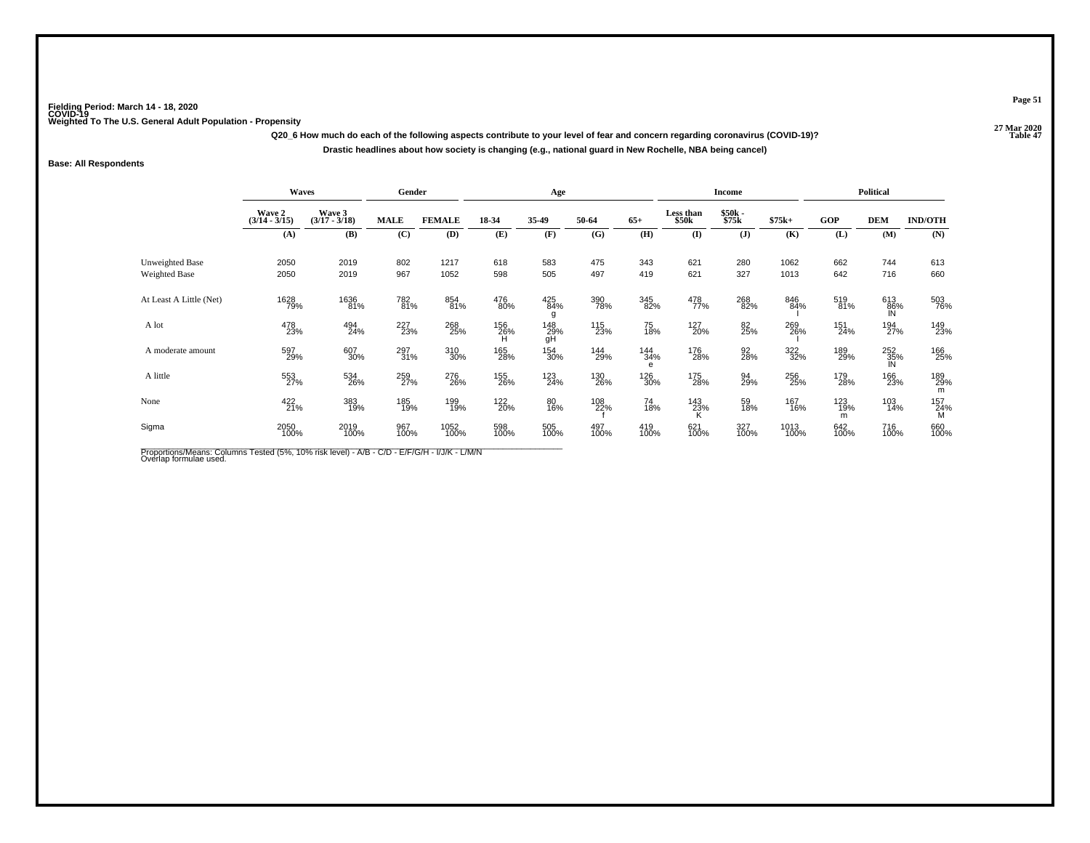**27 Mar 2020Q20\_6 How much do each of the following aspects contribute to your level of fear and concern regarding coronavirus (COVID-19)?Drastic headlines about how society is changing (e.g., national guard in New Rochelle, NBA being cancel)**

### **Base: All Respondents**

|                         | <b>Waves</b>              |                           | Gender      |               |             | Age              |             |                 |                    | <b>Income</b>  |              |                 | <b>Political</b> |                 |
|-------------------------|---------------------------|---------------------------|-------------|---------------|-------------|------------------|-------------|-----------------|--------------------|----------------|--------------|-----------------|------------------|-----------------|
|                         | Wave 2<br>$(3/14 - 3/15)$ | Wave 3<br>$(3/17 - 3/18)$ | <b>MALE</b> | <b>FEMALE</b> | 18-34       | 35-49            | 50-64       | $65+$           | Less than<br>\$50k | \$50k<br>\$75k | $$75k+$      | <b>GOP</b>      | <b>DEM</b>       | <b>IND/OTH</b>  |
|                         | (A)                       | (B)                       | (C)         | (D)           | (E)         | (F)              | (G)         | (H)             | $($ $\Gamma$       | $\mathbf{J}$   | (K)          | (L)             | (M)              | (N)             |
| Unweighted Base         | 2050                      | 2019                      | 802         | 1217          | 618         | 583              | 475         | 343             | 621                | 280            | 1062         | 662             | 744              | 613             |
| Weighted Base           | 2050                      | 2019                      | 967         | 1052          | 598         | 505              | 497         | 419             | 621                | 327            | 1013         | 642             | 716              | 660             |
| At Least A Little (Net) | 1628<br>79%               | 1636<br>81%               | 782<br>81%  | 854<br>81%    | 476<br>80%  | 425<br>84%       | 390<br>78%  | 345<br>82%      | 478<br>77%         | 268<br>82%     | 846<br>84%   | 519<br>81%      | 613<br>86%<br>IN | 503<br>76%      |
| A lot                   | 478<br>23%                | 494<br>24%                | 227<br>23%  | 268<br>25%    | 156<br>26%  | 148<br>29%<br>gH | 115<br>23%  | 75<br>18%       | 127<br>20%         | 82<br>25%      | 269<br>26%   | 151<br>24%      | 194<br>27%       | 149<br>23%      |
| A moderate amount       | 597<br>29%                | 607<br>30%                | 297<br>31%  | 310<br>30%    | 165<br>28%  | 154<br>30%       | 144<br>29%  | 144<br>34%<br>e | 176<br>28%         | 92<br>28%      | 322<br>32%   | 189<br>29%      | 252<br>35%<br>İŃ | 166<br>25%      |
| A little                | 553<br>27%                | 534<br>26%                | 259<br>27%  | 276<br>26%    | 155<br>26%  | 123<br>24%       | 130<br>26%  | 126<br>30%      | 175<br>28%         | 94<br>29%      | 256<br>25%   | 179<br>28%      | 166<br>23%       | 189<br>29%<br>m |
| None                    | 422<br>21%                | 383<br>19%                | 185<br>19%  | 199<br>19%    | 122<br>20%  | 80<br>16%        | 108<br>22%  | 74<br>18%       | 143<br>23%         | 59<br>18%      | 167<br>16%   | 123<br>19%<br>m | 103<br>14%       | 157<br>24%<br>M |
| Sigma                   | 2050<br>100%              | 2019<br>100%              | 967<br>100% | 1052<br>100%  | 598<br>100% | 505<br>100%      | 497<br>100% | 419<br>100%     | 621<br>100%        | 327<br>100%    | 1013<br>100% | 642<br>100%     | 716<br>100%      | 660<br>100%     |

Proportions/Means: Columns Tested (5%, 10% risk level) - A/B - C/D - E/F/G/H - I/J/K - L/M/N<br>Overlap formulae used.

**Page 51**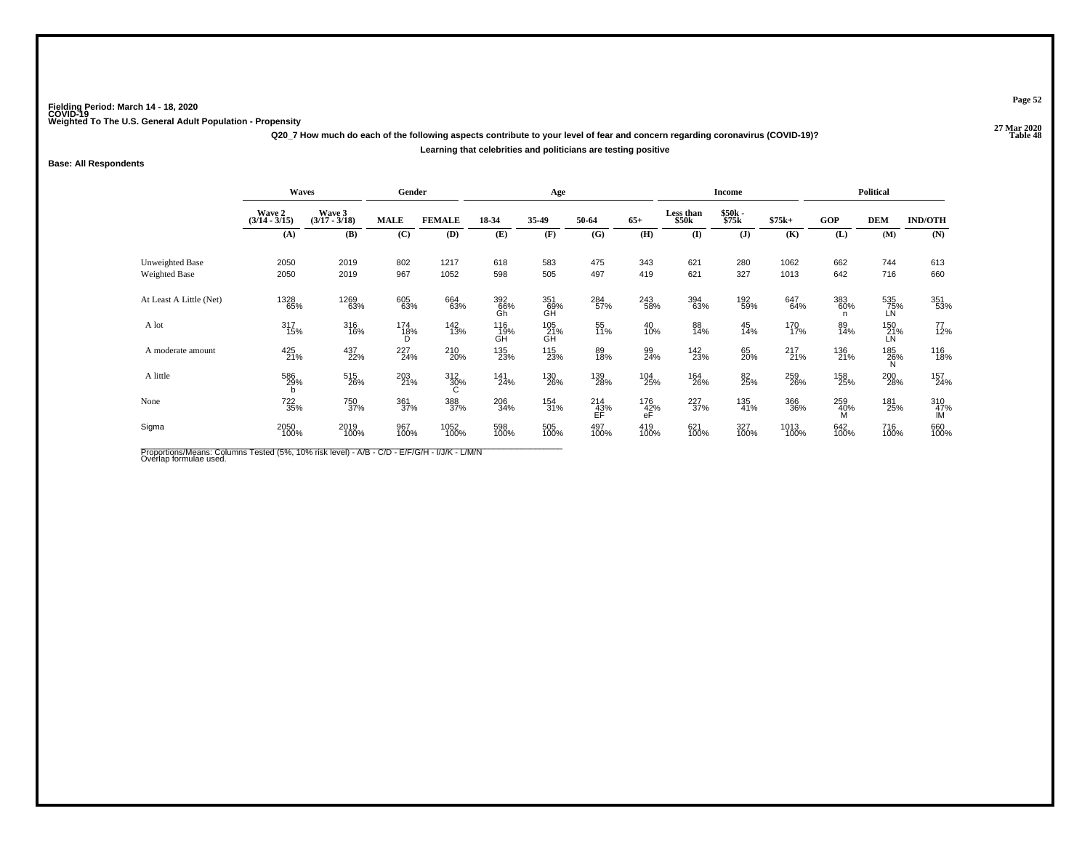**27 Mar 2020Q20\_7 How much do each of the following aspects contribute to your level of fear and concern regarding coronavirus (COVID-19)?Table 48 Learning that celebrities and politicians are testing positive**

### **Base: All Respondents**

|                         | Waves                     |                           | Gender          |                    |                  | Age              |                       |                  |                               | Income         |              |             | <b>Political</b> |                  |
|-------------------------|---------------------------|---------------------------|-----------------|--------------------|------------------|------------------|-----------------------|------------------|-------------------------------|----------------|--------------|-------------|------------------|------------------|
|                         | Wave 2<br>$(3/14 - 3/15)$ | Wave 3<br>$(3/17 - 3/18)$ | <b>MALE</b>     | <b>FEMALE</b>      | 18-34            | 35-49            | 50-64                 | $65+$            | Less than \$50k               | \$50k<br>\$75k | $$75k+$      | GOP         | <b>DEM</b>       | <b>IND/OTH</b>   |
|                         | (A)                       | (B)                       | (C)             | (D)                | (E)              | (F)              | (G)                   | (H)              | $\mathbf{I}$                  | J              | (K)          | (L)         | (M)              | (N)              |
| Unweighted Base         | 2050                      | 2019                      | 802             | 1217               | 618              | 583              | 475                   | 343              | 621                           | 280            | 1062         | 662         | 744              | 613              |
| <b>Weighted Base</b>    | 2050                      | 2019                      | 967             | 1052               | 598              | 505              | 497                   | 419              | 621                           | 327            | 1013         | 642         | 716              | 660              |
| At Least A Little (Net) | 1328<br>65%               | 1269<br>63%               | 605<br>63%      | 664<br>63%         | 392<br>66%<br>Gh | 351<br>69%<br>GH | 284<br>57%            | 243<br>58%       | 394<br>63%                    | 192<br>59%     | 647<br>64%   | 383<br>60%  | 535<br>75%<br>LN | 351<br>53%       |
| A lot                   | 317<br>15%                | 316<br>16%                | 174<br>18%<br>D | 142<br>13%         | 116<br>19%<br>GH | 105<br>21%<br>GH | 55<br>11%             | 40<br>10%        | 88<br>14%                     | 45<br>14%      | 170<br>17%   | 89<br>14%   | 150<br>21%<br>LN | 77<br>12%        |
| A moderate amount       | 425<br>21%                | 437<br>22%                | 227<br>24%      | 210<br>20%         | 135<br>23%       | 115<br>23%       | 89<br>18%             | 99<br>24%        | <sup>142</sup> <sub>23%</sub> | 65<br>20%      | 217<br>21%   | 136<br>21%  | 185<br>26%<br>N  | 116<br>18%       |
| A little                | 586<br>29%                | 515<br>26%                | 203<br>21%      | $\frac{312}{30\%}$ | 141<br>24%       | 130<br>26%       | 139<br>28%            | 104<br>25%       | 164<br>26%                    | 82<br>25%      | 259<br>26%   | 158<br>25%  | 200<br>28%       | 157<br>24%       |
| None                    | 722<br>35%                | 750<br>37%                | 361<br>37%      | 388<br>37%         | 206<br>34%       | 154<br>31%       | $^{214}_{43\%}$<br>EĖ | 176<br>42%<br>еF | 227<br>37%                    | 135<br>41%     | 366<br>36%   | 259<br>40%  | 181<br>25%       | 310<br>47%<br>IM |
| Sigma                   | 2050<br>100%              | 2019<br>100%              | 967<br>100%     | 1052<br>100%       | 598<br>100%      | 505<br>100%      | 497<br>100%           | 419<br>100%      | 621<br>100%                   | 327<br>100%    | 1013<br>100% | 642<br>100% | 716<br>100%      | 660<br>100%      |

Proportions/Means: Columns Tested (5%, 10% risk level) - A/B - C/D - E/F/G/H - I/J/K - L/M/N<br>Overlap formulae used.

**Page 52**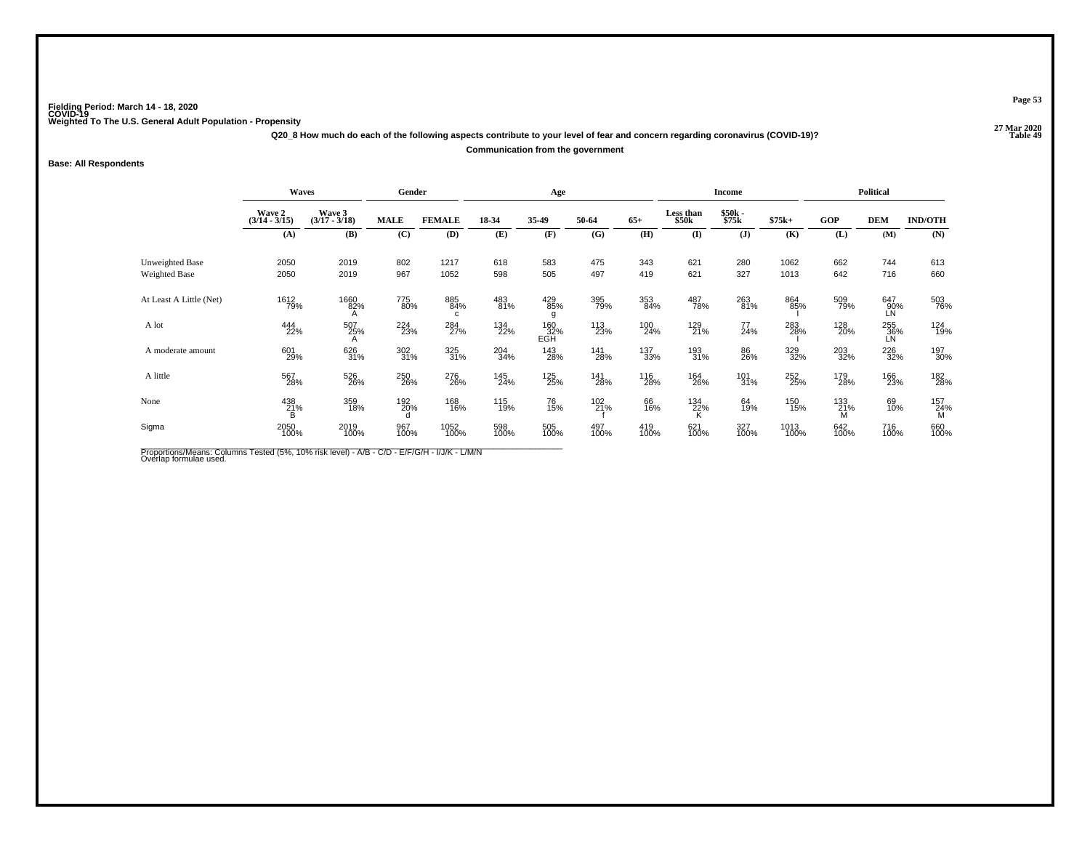**27 Mar 2020Q20\_8 How much do each of the following aspects contribute to your level of fear and concern regarding coronavirus (COVID-19)?Table 49 Communication from the government**

### **Base: All Respondents**

|                         | <b>Waves</b>              |                           | Gender      |               |             | Age               |             |             |                    | Income             |              |             | <b>Political</b> |                 |
|-------------------------|---------------------------|---------------------------|-------------|---------------|-------------|-------------------|-------------|-------------|--------------------|--------------------|--------------|-------------|------------------|-----------------|
|                         | Wave 2<br>$(3/14 - 3/15)$ | Wave 3<br>$(3/17 - 3/18)$ | <b>MALE</b> | <b>FEMALE</b> | 18-34       | 35-49             | 50-64       | $65+$       | Less than<br>\$50k | \$50k<br>\$75k     | $$75k+$      | <b>GOP</b>  | <b>DEM</b>       | <b>IND/OTH</b>  |
|                         | (A)                       | (B)                       | (C)         | (D)           | (E)         | (F)               | (G)         | (H)         | $\mathbf{I}$       | $\mathbf{J}$       | (K)          | (L)         | (M)              | (N)             |
| Unweighted Base         | 2050                      | 2019                      | 802         | 1217          | 618         | 583               | 475         | 343         | 621                | 280                | 1062         | 662         | 744              | 613             |
| Weighted Base           | 2050                      | 2019                      | 967         | 1052          | 598         | 505               | 497         | 419         | 621                | 327                | 1013         | 642         | 716              | 660             |
| At Least A Little (Net) | 1612<br>79%               | 1660<br>82%<br>A          | 775<br>80%  | 885<br>84%    | 483<br>81%  | 429<br>85%<br>g   | 395<br>79%  | 353<br>84%  | 487<br>78%         | 263<br>81%         | 864<br>85%   | 509<br>79%  | 647<br>90%<br>LN | 503<br>76%      |
| A lot                   | 444<br>22%                | 507<br>25%                | 224<br>23%  | 284<br>27%    | 134<br>22%  | 160<br>32%<br>EGH | 113<br>23%  | 100<br>24%  | 129<br>21%         | 77<br>24%          | 283<br>28%   | 128<br>20%  | 255<br>36%<br>LN | 124<br>19%      |
| A moderate amount       | 601<br>29%                | 626<br>31%                | 302<br>31%  | 325<br>31%    | 204<br>34%  | 143<br>28%        | 141<br>28%  | 137<br>33%  | 193<br>31%         | 86<br>26%          | 329<br>32%   | 203<br>32%  | 226<br>32%       | 197<br>30%      |
| A little                | 567<br>28%                | 526<br>26%                | 250<br>26%  | 276<br>26%    | 145<br>24%  | 125<br>25%        | 141<br>28%  | 116<br>28%  | 164<br>26%         | $\frac{101}{31\%}$ | 252<br>25%   | 179<br>28%  | 166<br>23%       | 182<br>28%      |
| None                    | 438<br>21%<br>B           | 359<br>18%                | 192<br>20%  | 168<br>16%    | 115<br>19%  | 76<br>15%         | 102<br>21%  | 66<br>16%   | 134<br>22%         | 64<br>19%          | 150<br>15%   | 133<br>21%  | 69<br>10%        | 157<br>24%<br>M |
| Sigma                   | 2050<br>100%              | 2019<br>100%              | 967<br>100% | 1052<br>100%  | 598<br>100% | 505<br>100%       | 497<br>100% | 419<br>100% | 621<br>100%        | 327<br>100%        | 1013<br>100% | 642<br>100% | 716<br>100%      | 660<br>100%     |

Proportions/Means: Columns Tested (5%, 10% risk level) - A/B - C/D - E/F/G/H - I/J/K - L/M/N<br>Overlap formulae used.

**Page 53**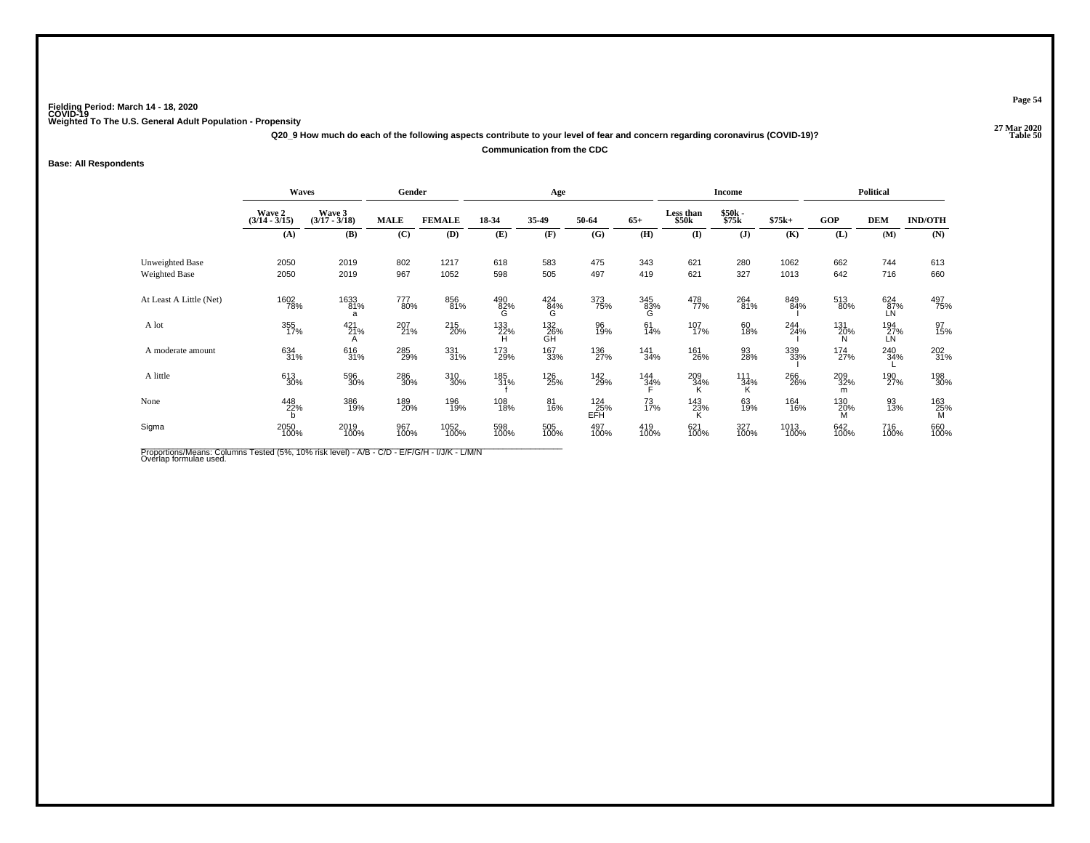**27 Mar 2020Q20\_9 How much do each of the following aspects contribute to your level of fear and concern regarding coronavirus (COVID-19)?Communication from the CDC**

### **Base: All Respondents**

|                         | <b>Waves</b>              |                             | Gender      |                    |                 | Age                  |                   |                 |                 | Income          |              |                 | <b>Political</b> |                 |
|-------------------------|---------------------------|-----------------------------|-------------|--------------------|-----------------|----------------------|-------------------|-----------------|-----------------|-----------------|--------------|-----------------|------------------|-----------------|
|                         | Wave 2<br>$(3/14 - 3/15)$ | Wave 3<br>$(3/17 - 3/18)$   | <b>MALE</b> | <b>FEMALE</b>      | 18-34           | 35-49                | 50-64             | $65+$           | Less than \$50k | \$50k<br>\$75k  | $$75k+$      | <b>GOP</b>      | <b>DEM</b>       | <b>IND/OTH</b>  |
|                         | (A)                       | (B)                         | (C)         | (D)                | (E)             | (F)                  | (G)               | (H)             | $\mathbf{I}$    | J               | (K)          | (L)             | (M)              | (N)             |
| Unweighted Base         | 2050                      | 2019                        | 802         | 1217               | 618             | 583                  | 475               | 343             | 621             | 280             | 1062         | 662             | 744              | 613             |
| Weighted Base           | 2050                      | 2019                        | 967         | 1052               | 598             | 505                  | 497               | 419             | 621             | 327             | 1013         | 642             | 716              | 660             |
| At Least A Little (Net) | 1602<br>78%               | 1633<br>81%<br>$\mathbf{a}$ | 777<br>80%  | 856<br>81%         | 490<br>82%<br>G | $^{424}_{84\%}$<br>G | 373<br>75%        | 345<br>83%<br>G | 478<br>77%      | 264<br>81%      | 849<br>84%   | 513<br>80%      | 624<br>87%<br>ĽŃ | 497<br>75%      |
| A lot                   | 355<br>17%                | $^{421}_{21\%}$<br>А        | 207<br>21%  | 215<br>20%         | 133<br>22%      | 132<br>26%<br>GH     | 96<br>19%         | 61<br>14%       | 107<br>17%      | 60<br>18%       | 244<br>24%   | 131<br>20%<br>N | 194<br>27%<br>LN | 97<br>15%       |
| A moderate amount       | 634<br>31%                | 616<br>31%                  | 285<br>29%  | $\frac{331}{31\%}$ | 173<br>29%      | 167<br>33%           | 136<br>27%        | 141<br>34%      | 161<br>26%      | 93<br>28%       | 339<br>33%   | 174<br>27%      | 240<br>34%       | 202<br>31%      |
| A little                | 613<br>30%                | 596<br>30%                  | 286<br>30%  | 310<br>30%         | 185<br>31%      | 126<br>25%           | 142<br>29%        | 144<br>34%      | 209<br>34%      | 111<br>34%<br>K | 266<br>26%   | 209<br>32%<br>m | 190<br>27%       | 198<br>30%      |
| None                    | 448<br>22%<br>h           | 386<br>19%                  | 189<br>20%  | 196<br>19%         | 108<br>18%      | 81<br>16%            | 124<br>25%<br>EFH | 73<br>17%       | 143<br>23%      | 63<br>19%       | 164<br>16%   | 130<br>20%      | 93<br>13%        | 163<br>25%<br>M |
| Sigma                   | 2050<br>100%              | 2019<br>100%                | 967<br>100% | 1052<br>100%       | 598<br>100%     | 505<br>100%          | 497<br>100%       | 419<br>100%     | 621<br>100%     | 327<br>100%     | 1013<br>100% | 642<br>100%     | 716<br>100%      | 660<br>100%     |

Proportions/Means: Columns Tested (5%, 10% risk level) - A/B - C/D - E/F/G/H - I/J/K - L/M/N<br>Overlap formulae used.

**Page 54**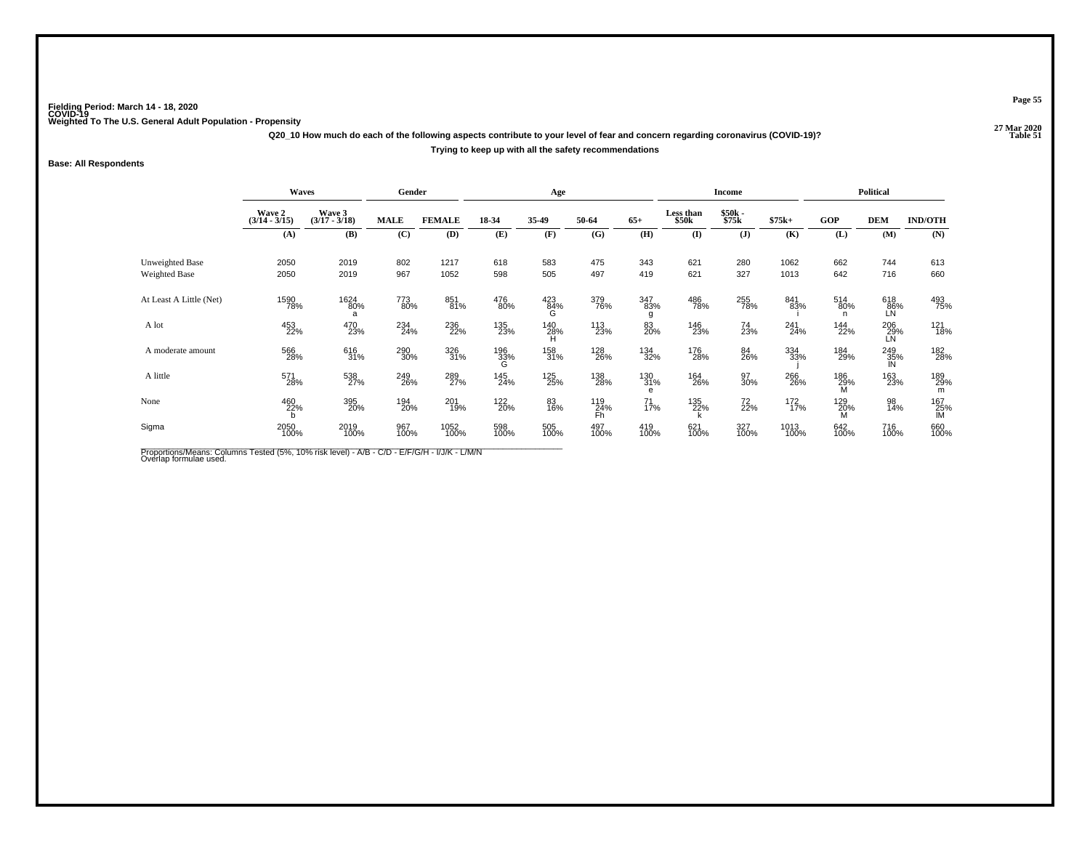**27 Mar 2020Q20\_10 How much do each of the following aspects contribute to your level of fear and concern regarding coronavirus (COVID-19)?P** Table 51 **Trying to keep up with all the safety recommendations**

### **Base: All Respondents**

|                         | <b>Waves</b>              |                           | Gender      |               |                 | Age             |                               |                 |                 | Income          |              |                 | <b>Political</b> |                  |
|-------------------------|---------------------------|---------------------------|-------------|---------------|-----------------|-----------------|-------------------------------|-----------------|-----------------|-----------------|--------------|-----------------|------------------|------------------|
|                         | Wave 2<br>$(3/14 - 3/15)$ | Wave 3<br>$(3/17 - 3/18)$ | <b>MALE</b> | <b>FEMALE</b> | 18-34           | 35-49           | 50-64                         | $65+$           | Less than \$50k | \$50k<br>\$75k  | $$75k+$      | GOP             | <b>DEM</b>       | <b>IND/OTH</b>   |
|                         | (A)                       | (B)                       | (C)         | (D)           | (E)             | (F)             | (G)                           | (H)             | $\mathbf{I}$    | $\mathbf{J}$    | (K)          | (L)             | (M)              | (N)              |
| Unweighted Base         | 2050                      | 2019                      | 802         | 1217          | 618             | 583             | 475                           | 343             | 621             | 280             | 1062         | 662             | 744              | 613              |
| Weighted Base           | 2050                      | 2019                      | 967         | 1052          | 598             | 505             | 497                           | 419             | 621             | 327             | 1013         | 642             | 716              | 660              |
| At Least A Little (Net) | 1590<br>78%               | 1624<br>80%               | 773<br>80%  | 851<br>81%    | 476<br>80%      | 423<br>84%<br>G | 379<br>76%                    | 347<br>83%      | 486<br>78%      | 255<br>78%      | 841<br>83%   | 514<br>80%      | 618<br>86%<br>LN | 493<br>75%       |
| A lot                   | 453<br>22%                | 470<br>23%                | 234<br>24%  | 236<br>22%    | 135<br>23%      | 140<br>28%      | 113<br>23%                    | 83<br>20%       | 146<br>23%      | 74<br>23%       | 241<br>24%   | 144<br>22%      | 206<br>29%<br>LN | 121<br>18%       |
| A moderate amount       | 566<br>28%                | 616<br>31%                | 290<br>30%  | 326<br>31%    | 196<br>33%<br>G | 158<br>31%      | 128<br>26%                    | 134<br>32%      | 176<br>28%      | 84<br>26%       | 334<br>33%   | 184<br>29%      | 249<br>35%<br>IÑ | 182<br>28%       |
| A little                | 571<br>28%                | 538<br>27%                | 249<br>26%  | 289<br>27%    | 145<br>24%      | 125<br>25%      | 138<br>28%                    | 130<br>31%<br>е | 164<br>26%      | 97<br>30%       | 266<br>26%   | 186<br>29%<br>M | 163<br>23%       | 189<br>29%<br>m  |
| None                    | 460<br>22%                | 395<br>20%                | 194<br>20%  | 201<br>19%    | 122<br>20%      | 83<br>16%       | 119<br>24%<br>Fh <sup>1</sup> | 71<br>17%       | 135<br>22%      | 72 <sub>%</sub> | 172<br>17%   | 129<br>20%      | 98<br>14%        | 167<br>25%<br>IM |
| Sigma                   | 2050<br>100%              | 2019<br>100%              | 967<br>100% | 1052<br>100%  | 598<br>100%     | 505<br>100%     | 497<br>100%                   | 419<br>100%     | 621<br>100%     | 327<br>100%     | 1013<br>100% | 642<br>100%     | 716<br>100%      | 660<br>100%      |

Proportions/Means: Columns Tested (5%, 10% risk level) - A/B - C/D - E/F/G/H - I/J/K - L/M/N<br>Overlap formulae used.

**Page 55**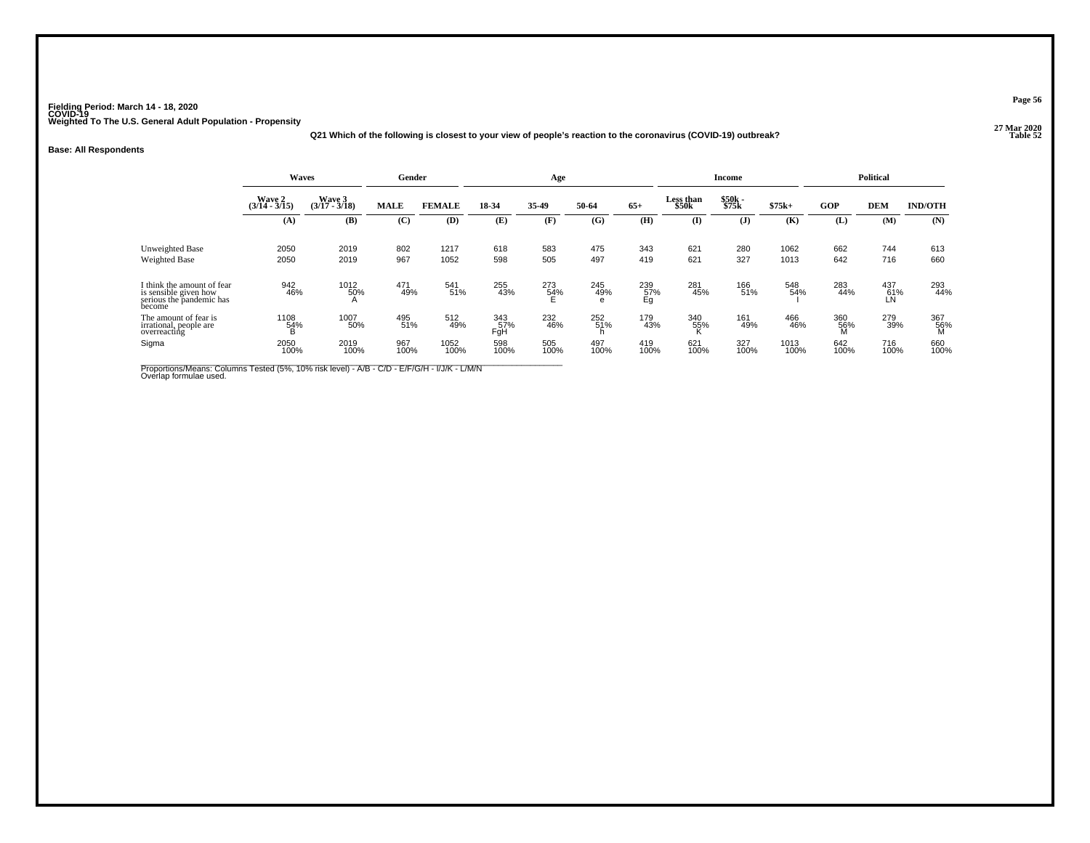**27 Mar 2020Q21 Which of the following is closest to your view of people's reaction to the coronavirus (COVID-19) outbreak?**

#### **Base: All Respondents**

|                                                                                           | <b>Waves</b>              |                           | Gender      |               |                   | Age         |                 |                  |                    | Income         |              |             | <b>Political</b> |                 |
|-------------------------------------------------------------------------------------------|---------------------------|---------------------------|-------------|---------------|-------------------|-------------|-----------------|------------------|--------------------|----------------|--------------|-------------|------------------|-----------------|
|                                                                                           | Wave 2<br>$(3/14 - 3/15)$ | Wave 3<br>$(3/17 - 3/18)$ | <b>MALE</b> | <b>FEMALE</b> | 18-34             | 35-49       | 50-64           | $65+$            | Less than<br>\$50k | \$50k<br>\$75k | $$75k+$      | GOP         | <b>DEM</b>       | <b>IND/OTH</b>  |
|                                                                                           | (A)                       | (B)                       | (C)         | (D)           | (E)               | (F)         | (G)             | (H)              | $\mathbf{I}$       | $\mathbf{J}$   | (K)          | (L)         | (M)              | (N)             |
| Unweighted Base                                                                           | 2050                      | 2019                      | 802         | 1217          | 618               | 583         | 475             | 343              | 621                | 280            | 1062         | 662         | 744              | 613             |
| <b>Weighted Base</b>                                                                      | 2050                      | 2019                      | 967         | 1052          | 598               | 505         | 497             | 419              | 621                | 327            | 1013         | 642         | 716              | 660             |
| I think the amount of fear<br>is sensible given how<br>serious the pandemic has<br>become | 942<br>46%                | 1012<br>50%               | 471<br>49%  | 541<br>51%    | 255<br>43%        | 273<br>54%  | 245<br>49%<br>е | 239<br>57%<br>Eg | 281<br>45%         | 166<br>51%     | 548<br>54%   | 283<br>44%  | 437<br>61%<br>LN | 293<br>44%      |
| The amount of fear is<br>irrational, people are<br>overreacting                           | 1108<br>54%<br>B          | 1007<br>50%               | 495<br>51%  | 512<br>49%    | 343<br>57%<br>FgH | 232<br>46%  | 252<br>51%      | 179<br>43%       | 340<br>55%         | 161<br>49%     | 466<br>46%   | 360<br>56%  | 279<br>39%       | 367<br>56%<br>M |
| Sigma                                                                                     | 2050<br>100%              | 2019<br>100%              | 967<br>100% | 1052<br>100%  | 598<br>100%       | 505<br>100% | 497<br>100%     | 419<br>100%      | 621<br>100%        | 327<br>100%    | 1013<br>100% | 642<br>100% | 716<br>100%      | 660<br>100%     |

Proportions/Means: Columns Tested (5%, 10% risk level) - A/B - C/D - E/F/G/H - I/J/K - L/M/N<br>Overlap formulae used.

**Page 56**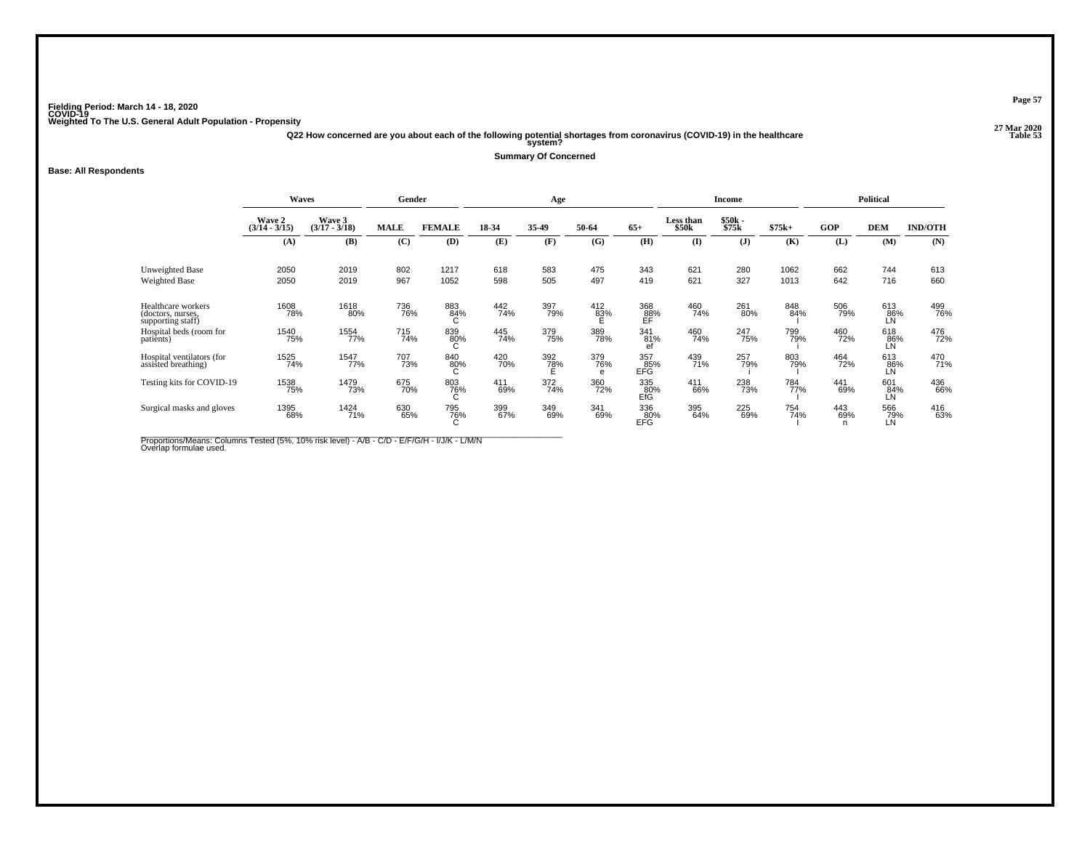**27 Mar 2020Q22 How concerned are you about each of the following potential shortages from coronavirus (COVID-19) in the healthcare Table 53 system?**

**Summary Of Concerned**

### **Base: All Respondents**

|                                                              | <b>Waves</b>                      |                         | Gender      |               |            | Age                 |                    |                           |                    | <b>Income</b>  |            |            | <b>Political</b> |                |
|--------------------------------------------------------------|-----------------------------------|-------------------------|-------------|---------------|------------|---------------------|--------------------|---------------------------|--------------------|----------------|------------|------------|------------------|----------------|
|                                                              | $\frac{\text{Wave}}{(3/14-3/15)}$ | Wave 3<br>(3/17 - 3/18) | <b>MALE</b> | <b>FEMALE</b> | 18-34      | 35-49               | 50-64              | $65+$                     | Less than<br>\$50k | \$50k<br>\$75k | $$75k+$    | <b>GOP</b> | <b>DEM</b>       | <b>IND/OTH</b> |
|                                                              | (A)                               | (B)                     | (C)         | (D)           | (E)        | (F)                 | (G)                | (H)                       | $\mathbf{I}$       | $\mathbf{J}$   | (K)        | (L)        | (M)              | (N)            |
| Unweighted Base                                              | 2050                              | 2019                    | 802         | 1217          | 618        | 583                 | 475                | 343                       | 621                | 280            | 1062       | 662        | 744              | 613            |
| Weighted Base                                                | 2050                              | 2019                    | 967         | 1052          | 598        | 505                 | 497                | 419                       | 621                | 327            | 1013       | 642        | 716              | 660            |
| Healthcare workers<br>(doctors, nurses,<br>supporting staff) | 1608<br>78%                       | 1618<br>80%             | 736<br>76%  | 883<br>84%    | 442<br>74% | 397<br>79%          | $\frac{412}{83}\%$ | 368<br>88%<br>EF          | 460<br>74%         | 261<br>80%     | 848<br>84% | 506<br>79% | 613<br>86%<br>LN | 499<br>76%     |
| Hospital beds (room for<br>patients)                         | 1540<br>75%                       | 1554<br>77%             | 715<br>74%  | 839<br>80%    | 445<br>74% | 379<br>75%          | 389<br>78%         | 341<br>81%                | 460<br>74%         | 247<br>75%     | 799<br>79% | 460<br>72% | 618<br>86%<br>LN | 476<br>72%     |
| Hospital ventilators (for<br>assisted breathing)             | 1525<br>74%                       | 1547<br>77%             | 707<br>73%  | 840<br>80%    | 420<br>70% | 392<br>7 <u>8</u> % | 379<br>76%<br>e    | 357<br>85%<br><b>EFG</b>  | 439<br>71%         | 257<br>79%     | 803<br>79% | 464<br>72% | 613<br>86%<br>LN | 470<br>71%     |
| Testing kits for COVID-19                                    | 1538<br>75%                       | 1479<br>73%             | 675<br>70%  | 803<br>76%    | 411<br>69% | 372<br>74%          | 360<br>72%         | 335<br>80%<br>EfG         | 411<br>66%         | 238<br>73%     | 784<br>77% | 441<br>69% | 601<br>84%<br>LN | 436<br>66%     |
| Surgical masks and gloves                                    | 1395<br>68%                       | 1424<br>71%             | 630<br>65%  | 795<br>76%    | 399<br>67% | 349<br>69%          | 341<br>69%         | 336<br>EFG <sup>30%</sup> | 395<br>64%         | 225<br>69%     | 754<br>74% | 443<br>69% | 566<br>79%<br>LN | 416<br>63%     |

Proportions/Means: Columns Tested (5%, 10% risk level) - A/B - C/D - E/F/G/H - I/J/K - L/M/N<br>Overlap formulae used.

**Page 57**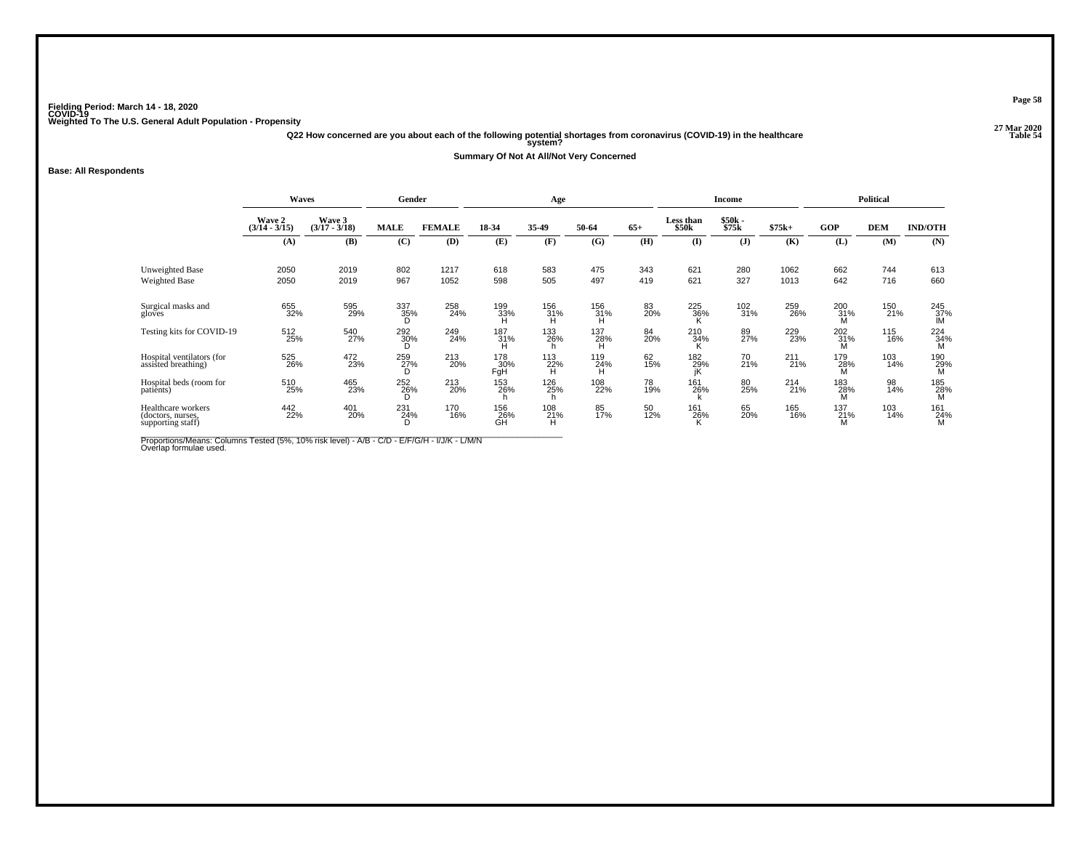**27 Mar 2020Q22 How concerned are you about each of the following potential shortages from coronavirus (COVID-19) in the healthcare Table 54 system?**

**Summary Of Not At All/Not Very Concerned**

### **Base: All Respondents**

|                                                              | <b>Waves</b>              |                           | Gender           |               |                         | Age             |                 |           |                    | Income         |            |                 | <b>Political</b> |                              |
|--------------------------------------------------------------|---------------------------|---------------------------|------------------|---------------|-------------------------|-----------------|-----------------|-----------|--------------------|----------------|------------|-----------------|------------------|------------------------------|
|                                                              | Wave 2<br>$(3/14 - 3/15)$ | Wave 3<br>$(3/17 - 3/18)$ | <b>MALE</b>      | <b>FEMALE</b> | 18-34                   | 35-49           | 50-64           | $65+$     | Less than<br>\$50k | \$50k<br>\$75k | $$75k+$    | <b>GOP</b>      | <b>DEM</b>       | <b>IND/OTH</b>               |
|                                                              | (A)                       | (B)                       | (C)              | (D)           | (E)                     | (F)             | (G)             | (H)       | $\bf{D}$           | $\mathbf{J}$   | (K)        | (L)             | (M)              | (N)                          |
| Unweighted Base                                              | 2050                      | 2019                      | 802              | 1217          | 618                     | 583             | 475             | 343       | 621                | 280            | 1062       | 662             | 744              | 613                          |
| Weighted Base                                                | 2050                      | 2019                      | 967              | 1052          | 598                     | 505             | 497             | 419       | 621                | 327            | 1013       | 642             | 716              | 660                          |
| Surgical masks and<br>gloves                                 | 655<br>32%                | 595<br>29%                | 337<br>35%<br>D  | 258<br>24%    | 199<br>33%<br>н         | 156<br>31%<br>Ή | 156<br>31%<br>Н | 83<br>20% | 225<br>36%         | 102<br>31%     | 259<br>26% | 200<br>31%      | 150<br>21%       | $^{245}_{37\%}$<br><b>IM</b> |
| Testing kits for COVID-19                                    | 512<br>25%                | 540<br>27%                | 292<br>30%<br>D  | 249<br>24%    | 187<br>$\frac{31\%}{H}$ | 133<br>26%      | 137<br>28%      | 84<br>20% | 210<br>34%         | 89<br>27%      | 229<br>23% | 202<br>31%      | 115<br>16%       | 224<br>-34%<br>M             |
| Hospital ventilators (for<br>assisted breathing)             | 525<br>26%                | 472<br>23%                | 259<br>27%<br>D  | 213<br>20%    | 178<br>30%<br>FgH       | 113<br>22%<br>н | 119<br>24%<br>Н | 62<br>15% | 182<br>29%<br>ıĸ   | 70<br>21%      | 211<br>21% | 179<br>28%<br>м | 103<br>14%       | 190<br>29%<br>M              |
| Hospital beds (room for<br>patients)                         | 510<br>25%                | 465<br>23%                | 252<br>26%<br>D  | 213<br>20%    | 153<br>26%              | 126<br>25%      | 108<br>22%      | 78<br>19% | 161<br>26%         | 80<br>25%      | 214<br>21% | 183<br>28%      | 98<br>14%        | 185<br>28%                   |
| Healthcare workers<br>(doctors, nurses,<br>supporting staff) | 442<br>22%                | 401<br>20%                | 231<br>24%<br>D. | 170<br>16%    | 156<br>26%<br>GH        | 108<br>21%<br>H | 85<br>17%       | 50<br>12% | 161<br>26%         | 65<br>20%      | 165<br>16% | 137<br>21%<br>M | 103<br>14%       | $\frac{161}{24\%}$           |

Proportions/Means: Columns Tested (5%, 10% risk level) - A/B - C/D - E/F/G/H - I/J/K - L/M/N<br>Overlap formulae used.

**Page 58**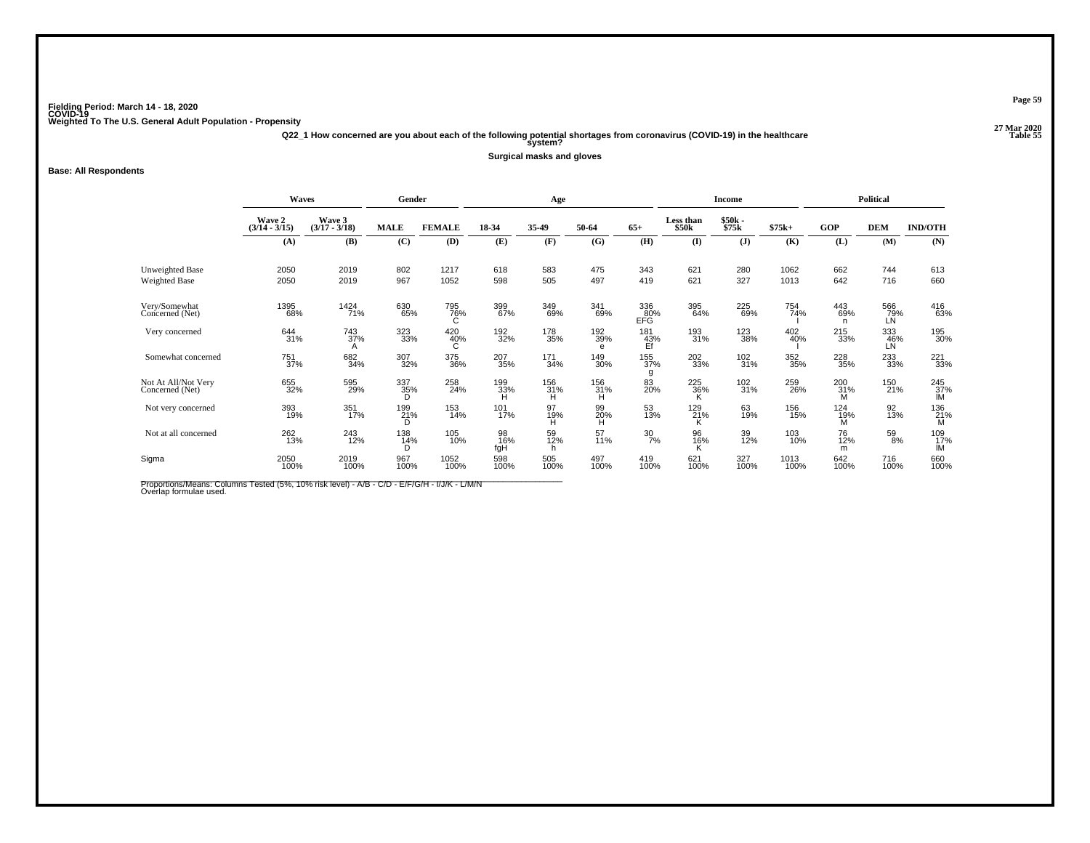**27 Mar 2020Q22\_1 How concerned are you about each of the following potential shortages from coronavirus (COVID-19) in the healthcare Table 55 system?**

**Surgical masks and gloves**

### **Base: All Respondents**

|                                        | <b>Waves</b>                      |                                   | Gender          |               |                  | Age             |                 |                          |                    | Income         |              |                 | <b>Political</b> |                                             |
|----------------------------------------|-----------------------------------|-----------------------------------|-----------------|---------------|------------------|-----------------|-----------------|--------------------------|--------------------|----------------|--------------|-----------------|------------------|---------------------------------------------|
|                                        | $\frac{\text{Wave}}{(3/14-3/15)}$ | $\frac{\text{Wave}}{(3/17-3/18)}$ | <b>MALE</b>     | <b>FEMALE</b> | 18-34            | 35-49           | 50-64           | $65+$                    | Less than<br>\$50k | \$50k<br>\$75k | $$75k+$      | <b>GOP</b>      | <b>DEM</b>       | <b>IND/OTH</b>                              |
|                                        | (A)                               | (B)                               | (C)             | (D)           | (E)              | (F)             | (G)             | (H)                      | $\bf(I)$           | $\mathbf{J}$   | (K)          | (L)             | (M)              | (N)                                         |
| Unweighted Base                        | 2050                              | 2019                              | 802             | 1217          | 618              | 583             | 475             | 343                      | 621                | 280            | 1062         | 662             | 744              | 613                                         |
| Weighted Base                          | 2050                              | 2019                              | 967             | 1052          | 598              | 505             | 497             | 419                      | 621                | 327            | 1013         | 642             | 716              | 660                                         |
| Very/Somewhat<br>Concerned (Net)       | 1395<br>68%                       | 1424<br>71%                       | 630<br>65%      | 795<br>76%    | 399<br>67%       | 349<br>69%      | 341<br>69%      | 336<br>80%<br><b>EFG</b> | 395<br>64%         | 225<br>69%     | 754<br>74%   | 443<br>69%<br>n | 566<br>79%<br>LÑ | 416<br>63%                                  |
| Very concerned                         | 644<br>31%                        | 743<br>37%<br>А                   | 323<br>33%      | 420<br>40%    | 192<br>32%       | 178<br>35%      | 192<br>39%<br>е | 181<br>43%<br>Ef         | 193<br>31%         | 123<br>38%     | 402<br>40%   | 215<br>33%      | 333<br>46%<br>LÑ | 195<br>30%                                  |
| Somewhat concerned                     | 751<br>37%                        | 682<br>34%                        | 307<br>32%      | 375<br>36%    | 207<br>35%       | 171<br>34%      | 149<br>30%      | 155<br>37%<br>g          | 202<br>33%         | 102<br>31%     | 352<br>35%   | 228<br>35%      | 233<br>33%       | 221<br>33%                                  |
| Not At All/Not Very<br>Concerned (Net) | 655<br>32%                        | 595<br>29%                        | 337<br>35%<br>D | 258<br>24%    | 199<br>33%<br>н  | 156<br>31%<br>н | 156<br>31%<br>н | 83<br>20%                | 225<br>36%<br>Κ    | 102<br>31%     | 259<br>26%   | 200<br>31%<br>M | 150<br>21%       | $\frac{245}{37\%}$                          |
| Not very concerned                     | 393<br>19%                        | 351<br>17%                        | 199<br>21%<br>D | 153<br>14%    | 101<br>17%       | 97<br>19%<br>Ĥ  | 99<br>20%<br>H  | 53<br>13%                | 129<br>21%<br>K    | 63<br>19%      | 156<br>15%   | 124<br>19%      | 92<br>13%        | $^{136}_{\hphantom{1}21\%}_{\hphantom{1}M}$ |
| Not at all concerned                   | 262<br>13%                        | 243<br>12%                        | 138<br>14%<br>D | 105<br>10%    | 98<br>16%<br>fgH | 59<br>12%<br>n  | 57<br>11%       | $\frac{30}{7\%}$         | 96<br>16%<br>ĸ     | 39<br>12%      | 103<br>10%   | 76<br>12%<br>m  | 59<br>8%         | 109<br>17%<br>ΙM                            |
| Sigma                                  | 2050<br>100%                      | 2019<br>100%                      | 967<br>100%     | 1052<br>100%  | 598<br>100%      | 505<br>100%     | 497<br>100%     | 419<br>100%              | 621<br>100%        | 327<br>100%    | 1013<br>100% | 642<br>100%     | 716<br>100%      | 660<br>100%                                 |

Proportions/Means: Columns Tested (5%, 10% risk level) - A/B - C/D - E/F/G/H - I/J/K - L/M/N<br>Overlap formulae used.

**Page 59**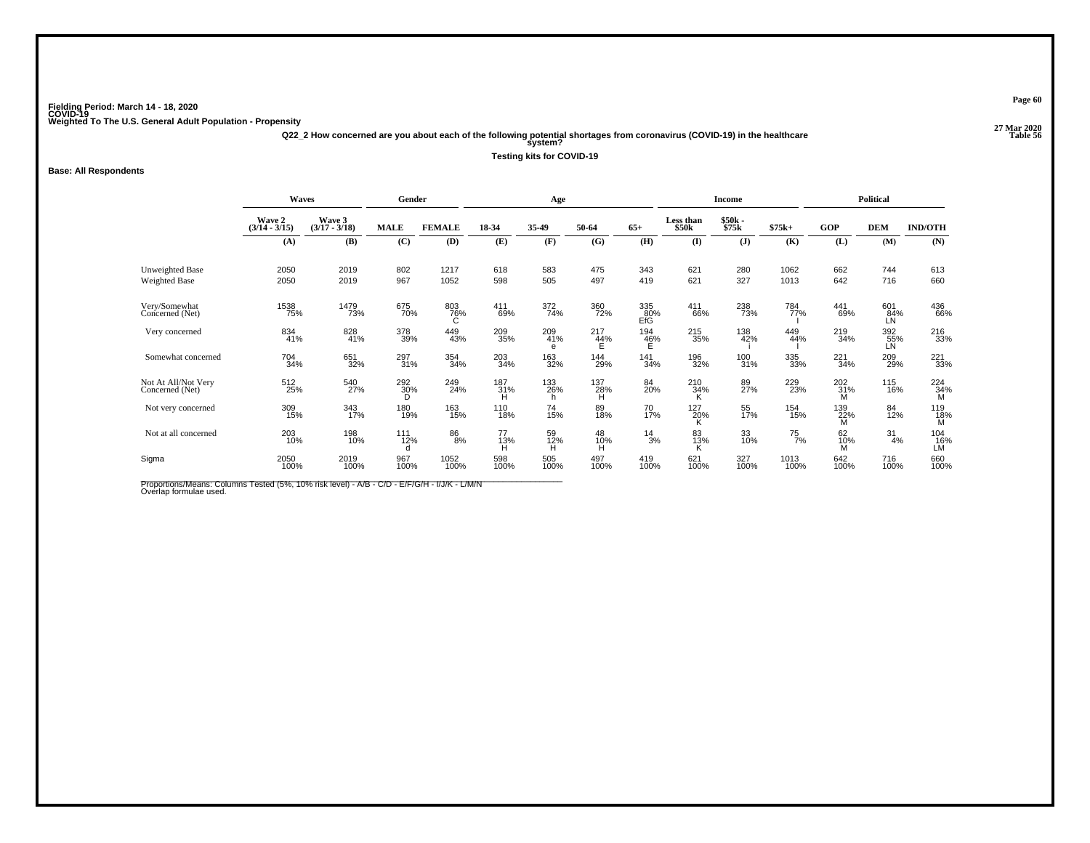**27 Mar 2020Q22\_2 How concerned are you about each of the following potential shortages from coronavirus (COVID-19) in the healthcare Table 56 system?**

**Testing kits for COVID-19**

### **Base: All Respondents**

|                                        | <b>Waves</b>                      |                                   | Gender          |               |                 | Age              |                       |                   |                    | Income         |               |                 | <b>Political</b>  |                   |
|----------------------------------------|-----------------------------------|-----------------------------------|-----------------|---------------|-----------------|------------------|-----------------------|-------------------|--------------------|----------------|---------------|-----------------|-------------------|-------------------|
|                                        | $\frac{\text{Wave}}{(3/14-3/15)}$ | $\frac{\text{Wave}}{(3/17-3/18)}$ | <b>MALE</b>     | <b>FEMALE</b> | 18-34           | 35-49            | 50-64                 | $65+$             | Less than<br>\$50k | \$50k<br>\$75k | $$75k+$       | <b>GOP</b>      | <b>DEM</b>        | <b>IND/OTH</b>    |
|                                        | (A)                               | (B)                               | (C)             | (D)           | (E)             | (F)              | (G)                   | (H)               | $\bf(I)$           | $\mathbf{J}$   | (K)           | (L)             | (M)               | (N)               |
| Unweighted Base                        | 2050                              | 2019                              | 802             | 1217          | 618             | 583              | 475                   | 343               | 621                | 280            | 1062          | 662             | 744               | 613               |
| Weighted Base                          | 2050                              | 2019                              | 967             | 1052          | 598             | 505              | 497                   | 419               | 621                | 327            | 1013          | 642             | 716               | 660               |
| Very/Somewhat<br>Concerned (Net)       | 1538<br>75%                       | 1479<br>73%                       | 675<br>70%      | 803<br>76%    | 411<br>69%      | 372<br>74%       | 360<br>72%            | 335<br>80%<br>EfG | 411<br>66%         | 238<br>73%     | 784<br>77%    | 441<br>69%      | 601<br>84%<br>LΝ. | 436<br>66%        |
| Very concerned                         | 834<br>41%                        | 828<br>41%                        | 378<br>39%      | 449<br>43%    | 209<br>35%      | 209<br>41%<br>e  | 217<br>$\frac{44}{5}$ | $^{194}_{46\%}$   | 215<br>35%         | 138<br>42%     | 449<br>44%    | 219<br>34%      | 392<br>55%<br>LN  | 216<br>33%        |
| Somewhat concerned                     | 704<br>34%                        | 651<br>32%                        | 297<br>31%      | 354<br>34%    | 203<br>34%      | 163<br>32%       | 144<br>29%            | 141<br>34%        | 196<br>32%         | 100<br>31%     | 335<br>33%    | 221<br>34%      | 209<br>29%        | 221<br>33%        |
| Not At All/Not Very<br>Concerned (Net) | 512<br>25%                        | 540<br>27%                        | 292<br>30%<br>D | 249<br>24%    | 187<br>31%<br>н | 133<br>26%<br>h. | 137<br>28%<br>н       | 84<br>20%         | 210<br>34%<br>Κ    | 89<br>27%      | 229<br>23%    | 202<br>31%<br>M | 115<br>16%        | $^{224}_{34\%}$ M |
| Not very concerned                     | 309<br>15%                        | 343<br>17%                        | 180<br>19%      | 163<br>15%    | 110<br>18%      | 74<br>15%        | 89<br>18%             | 70<br>17%         | 127<br>20%         | 55<br>17%      | 154<br>15%    | 139<br>22%<br>M | 84<br>12%         | 119<br>18%<br>M   |
| Not at all concerned                   | 203<br>10%                        | 198<br>10%                        | 111<br>12%<br>d | 86<br>8%      | 77<br>13%<br>н  | 59<br>12%<br>н   | 48<br>10%<br>Ĥ        | $\frac{14}{3%}$   | 83<br>13%          | 33<br>10%      | $^{75}_{7\%}$ | 62<br>10%<br>М  | $\frac{31}{4\%}$  | 104<br>16%<br>LM  |
| Sigma                                  | 2050<br>100%                      | 2019<br>100%                      | 967<br>100%     | 1052<br>100%  | 598<br>100%     | 505<br>100%      | 497<br>100%           | 419<br>100%       | 621<br>100%        | 327<br>100%    | 1013<br>100%  | 642<br>100%     | 716<br>100%       | 660<br>100%       |

Proportions/Means: Columns Tested (5%, 10% risk level) - A/B - C/D - E/F/G/H - I/J/K - L/M/N<br>Overlap formulae used.

**Page 60**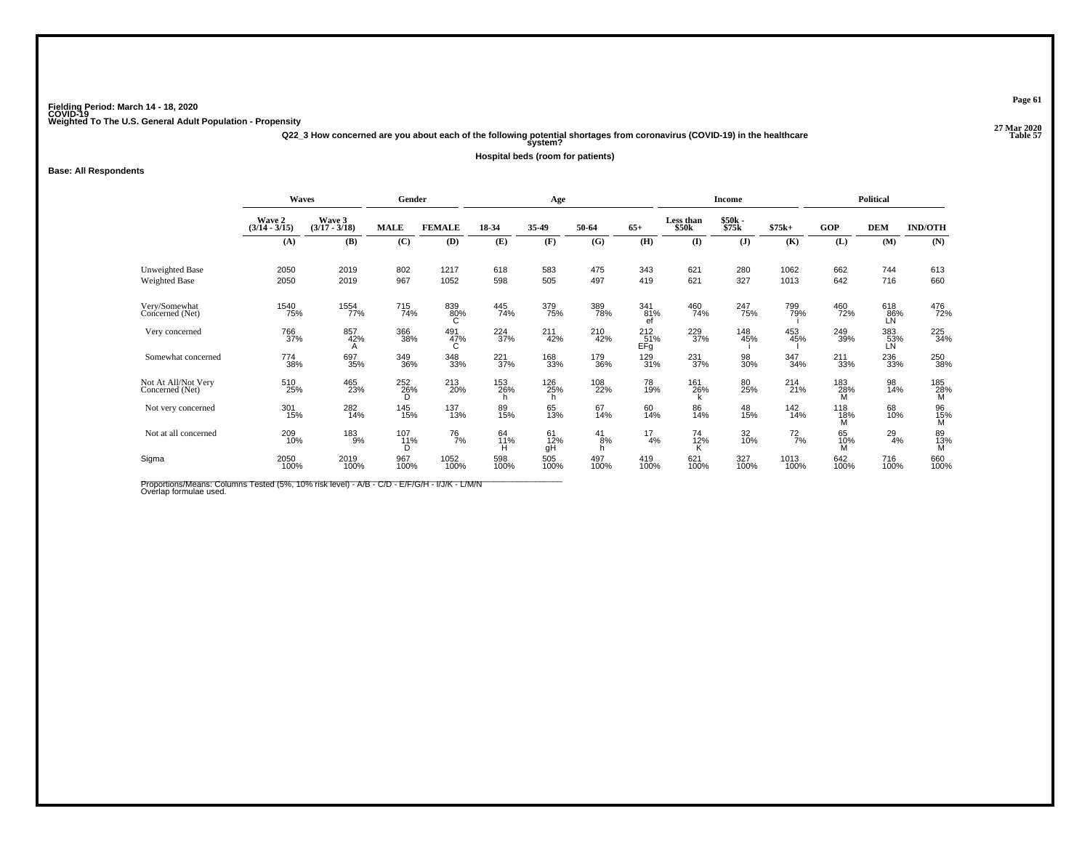**27 Mar 2020Q22\_3 How concerned are you about each of the following potential shortages from coronavirus (COVID-19) in the healthcare Table 57 system?**

**Hospital beds (room for patients)**

### **Base: All Respondents**

|                                        | <b>Waves</b>                      |                                   | Gender          |                  |                | Age             |                    |                          |                    | Income            |                 |                 | <b>Political</b>        |                 |
|----------------------------------------|-----------------------------------|-----------------------------------|-----------------|------------------|----------------|-----------------|--------------------|--------------------------|--------------------|-------------------|-----------------|-----------------|-------------------------|-----------------|
|                                        | $\frac{\text{Wave}}{(3/14-3/15)}$ | $\frac{\text{Wave}}{(3/17-3/18)}$ | <b>MALE</b>     | <b>FEMALE</b>    | 18-34          | 35-49           | 50-64              | $65+$                    | Less than<br>\$50k | \$50k<br>\$75k    | $$75k+$         | <b>GOP</b>      | <b>DEM</b>              | <b>IND/OTH</b>  |
|                                        | (A)                               | (B)                               | (C)             | (D)              | (E)            | (F)             | (G)                | (H)                      | $\bf(I)$           | $\mathbf{J}$      | (K)             | (L)             | (M)                     | (N)             |
| Unweighted Base                        | 2050                              | 2019                              | 802             | 1217             | 618            | 583             | 475                | 343                      | 621                | 280               | 1062            | 662             | 744                     | 613             |
| Weighted Base                          | 2050                              | 2019                              | 967             | 1052             | 598            | 505             | 497                | 419                      | 621                | 327               | 1013            | 642             | 716                     | 660             |
| Very/Somewhat<br>Concerned (Net)       | 1540<br>75%                       | 1554<br>77%                       | 715<br>74%      | 839<br>80%<br>С  | 445<br>74%     | 379<br>75%      | 389<br>78%         | $\frac{341}{81\%}$<br>ef | 460<br>74%         | 247<br>75%        | 799%            | 460<br>72%      | 618<br>86%<br><b>LN</b> | 476<br>72%      |
| Very concerned                         | 766<br>37%                        | 857<br>42%                        | 366<br>38%      | 491<br>47%<br>C  | 224<br>37%     | 211<br>42%      | 210<br>42%         | 212<br>51%<br>EFg        | 229<br>37%         | 148<br>45%        | 453<br>45%      | 249<br>39%      | 383<br>53%<br>LN        | 225<br>34%      |
| Somewhat concerned                     | 774<br>38%                        | 697<br>35%                        | 349<br>36%      | 348<br>33%       | 221<br>37%     | 168<br>33%      | 179<br>36%         | 129<br>31%               | 231<br>37%         | 98<br>30%         | 347<br>34%      | 211<br>33%      | 236<br>33%              | 250<br>38%      |
| Not At All/Not Very<br>Concerned (Net) | 510<br>25%                        | 465<br>23%                        | 252<br>26%<br>D | 213<br>20%       | 153<br>26%     | 126<br>25%<br>n | 108<br>22%         | 78<br>19%                | 161<br>26%         | 80 <sub>25%</sub> | $^{214}_{21\%}$ | 183<br>28%<br>M | 98<br>14%               | 185<br>28%<br>M |
| Not very concerned                     | 301<br>15%                        | 282<br>14%                        | 145<br>15%      | 137<br>13%       | 89<br>15%      | 65<br>13%       | 67<br>14%          | 60<br>14%                | 86<br>14%          | 48<br>15%         | 142<br>14%      | 118<br>18%      | 68<br>10%               | 96<br>15%<br>M  |
| Not at all concerned                   | 209<br>10%                        | 183<br>9%                         | 107<br>11%<br>D | <sup>76</sup> 7% | 64<br>11%<br>н | 61<br>12%<br>gН | $^{41}_{8\%}$<br>n | $^{17}_{4\%}$            | 74<br>12%<br>Κ     | 32<br>10%         | $^{72}_{7\%}$   | 65<br>10%<br>М  | $^{29}_{4\%}$           | 89<br>13%<br>м  |
| Sigma                                  | 2050<br>100%                      | 2019<br>100%                      | 967<br>100%     | 1052<br>100%     | 598<br>100%    | 505<br>100%     | 497<br>100%        | 419<br>100%              | 621<br>100%        | 327<br>100%       | 1013<br>100%    | 642<br>100%     | 716<br>100%             | 660<br>100%     |

Proportions/Means: Columns Tested (5%, 10% risk level) - A/B - C/D - E/F/G/H - I/J/K - L/M/N<br>Overlap formulae used.

**Page 61**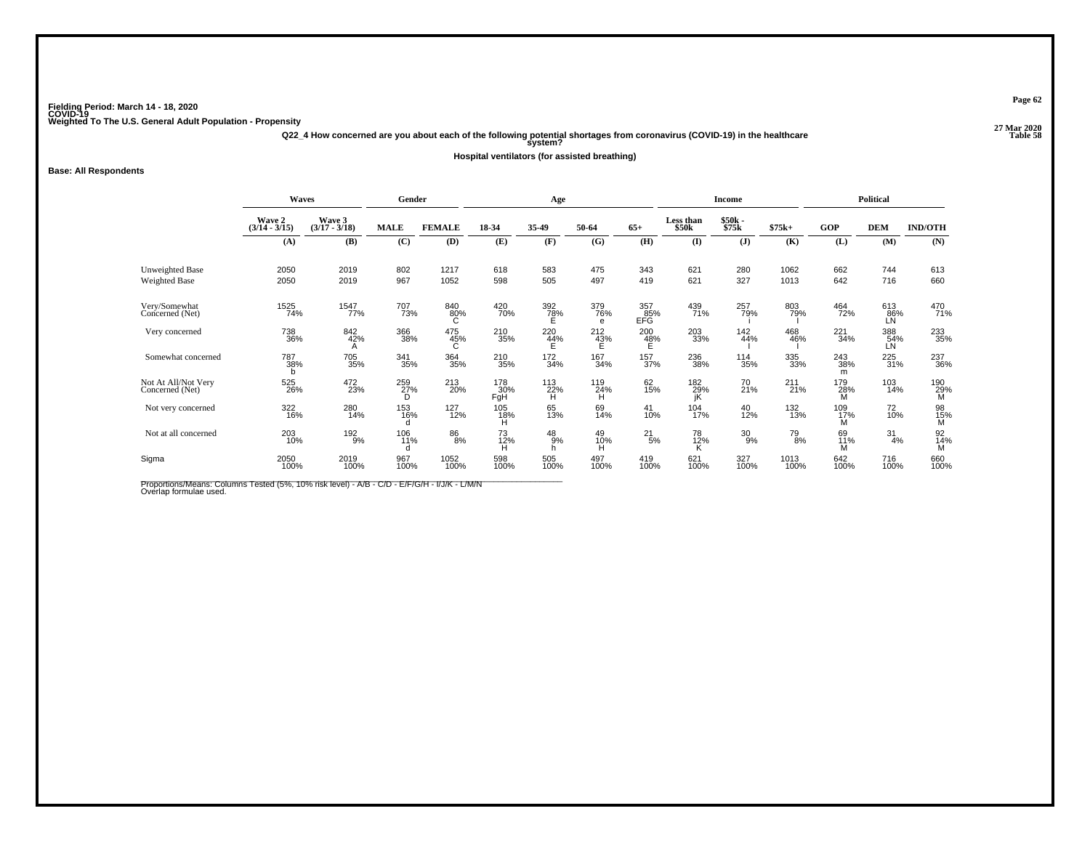**27 Mar 2020Q22\_4 How concerned are you about each of the following potential shortages from coronavirus (COVID-19) in the healthcare Table 58 system?**

**Hospital ventilators (for assisted breathing)**

### **Base: All Respondents**

|                                        | Waves                               |                                   | Gender             |               |                   | Age                 |                 |                     |                    | <b>Income</b>  |                 |                 | <b>Political</b> |                   |
|----------------------------------------|-------------------------------------|-----------------------------------|--------------------|---------------|-------------------|---------------------|-----------------|---------------------|--------------------|----------------|-----------------|-----------------|------------------|-------------------|
|                                        | $\frac{\text{Wave}}{(3/14 - 3/15)}$ | $\frac{\text{Wave}}{(3/17-3/18)}$ | <b>MALE</b>        | <b>FEMALE</b> | 18-34             | 35-49               | 50-64           | $65+$               | Less than<br>\$50k | \$50k<br>\$75k | $$75k+$         | <b>GOP</b>      | <b>DEM</b>       | <b>IND/OTH</b>    |
|                                        | (A)                                 | (B)                               | (C)                | (D)           | (E)               | (F)                 | (G)             | (H)                 | $\mathbf{I}$       | $\mathbf{J}$   | (K)             | (L)             | (M)              | (N)               |
| Unweighted Base                        | 2050                                | 2019                              | 802                | 1217          | 618               | 583                 | 475             | 343                 | 621                | 280            | 1062            | 662             | 744              | 613               |
| Weighted Base                          | 2050                                | 2019                              | 967                | 1052          | 598               | 505                 | 497             | 419                 | 621                | 327            | 1013            | 642             | 716              | 660               |
| Very/Somewhat<br>Concerned (Net)       | 1525<br>74%                         | 1547<br>77%                       | <sup>707</sup> 73% | 840<br>80%    | 420<br>70%        | 392<br>7 <u>8</u> % | 379<br>76%<br>e | 357<br>85%<br>EFG   | 439<br>71%         | 257<br>79%     | 803<br>79%      | 464<br>72%      | 613<br>86%<br>LN | 470<br>71%        |
| Very concerned                         | 738<br>36%                          | 842<br>42%                        | 366<br>38%         | 475<br>45%    | 210<br>35%        | 220<br>44%<br>E     | $^{212}_{43\%}$ | 200<br>4 <u>8</u> % | 203<br>33%         | 142<br>44%     | 468<br>46%      | 221<br>34%      | 388<br>54%<br>LN | 233<br>35%        |
| Somewhat concerned                     | 787<br>38%<br>b                     | 705<br>35%                        | 341<br>35%         | 364<br>35%    | 210<br>35%        | 172<br>34%          | 167<br>34%      | 157<br>37%          | 236<br>38%         | 114<br>35%     | 335<br>33%      | 243<br>38%<br>m | 225<br>31%       | 237<br>36%        |
| Not At All/Not Very<br>Concerned (Net) | 525<br>26%                          | 472<br>23%                        | 259<br>27%<br>D    | 213<br>20%    | 178<br>30%<br>FgH | 113<br>22%<br>н     | 119<br>24%<br>н | 62<br>15%           | 182<br>29%<br>iΚ   | 70<br>21%      | $^{211}_{21\%}$ | 179<br>28%<br>м | 103<br>14%       | $^{190}_{29\%}$ M |
| Not very concerned                     | 322<br>16%                          | 280<br>14%                        | 153<br>16%<br>d    | 127<br>12%    | 105<br>18%<br>H   | 65<br>13%           | 69<br>14%       | $^{41}_{10\%}$      | 104<br>17%         | 40<br>12%      | 132<br>13%      | 109<br>17%<br>м | 72<br>10%        | 98<br>15%<br>M    |
| Not at all concerned                   | 203<br>10%                          | 192<br>9%                         | 106<br>11%<br>d    | 86<br>8%      | 73<br>12%<br>н    | $^{48}_{9%}$<br>h   | 49<br>10%<br>Ĥ  | $^{21}_{5\%}$       | 78<br>12%<br>n.    | $^{30}_{9\%}$  | 79<br>8%        | 69<br>11%<br>м  | $\frac{31}{4\%}$ | 92<br>14%<br>M    |
| Sigma                                  | 2050<br>100%                        | 2019<br>100%                      | 967<br>100%        | 1052<br>100%  | 598<br>100%       | 505<br>100%         | 497<br>100%     | 419<br>100%         | 621<br>100%        | 327<br>100%    | 1013<br>100%    | 642<br>100%     | 716<br>100%      | 660<br>100%       |

Proportions/Means: Columns Tested (5%, 10% risk level) - A/B - C/D - E/F/G/H - I/J/K - L/M/N<br>Overlap formulae used.

**Page 62**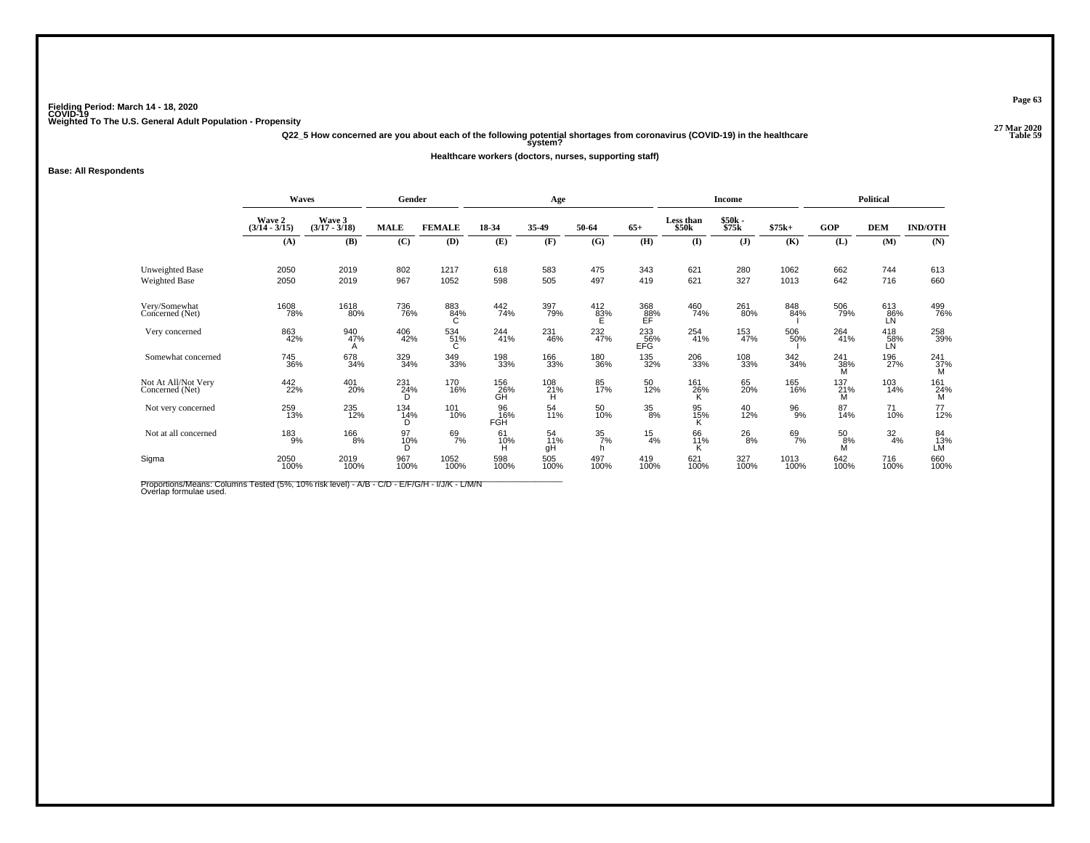**27 Mar 2020Q22\_5 How concerned are you about each of the following potential shortages from coronavirus (COVID-19) in the healthcare Table 59 system?**

**Healthcare workers (doctors, nurses, supporting staff)**

### **Base: All Respondents**

|                                        | <b>Waves</b>                        |                                   | Gender                   |                 |                    | Age             |                       |                   |                 | <b>Income</b>  |              |                 | <b>Political</b> |                      |
|----------------------------------------|-------------------------------------|-----------------------------------|--------------------------|-----------------|--------------------|-----------------|-----------------------|-------------------|-----------------|----------------|--------------|-----------------|------------------|----------------------|
|                                        | $\frac{\text{Wave}}{(3/14 - 3/15)}$ | $\frac{\text{Wave}}{(3/17-3/18)}$ | <b>MALE</b>              | <b>FEMALE</b>   | 18-34              | 35-49           | 50-64                 | $65+$             | Less than \$50k | \$50k<br>\$75k | $$75k+$      | <b>GOP</b>      | <b>DEM</b>       | <b>IND/OTH</b>       |
|                                        | (A)                                 | (B)                               | (C)                      | <b>(D)</b>      | (E)                | (F)             | (G)                   | (H)               | $\mathbf{I}$    | $\mathbf{J}$   | (K)          | (L)             | (M)              | (N)                  |
| Unweighted Base                        | 2050                                | 2019                              | 802                      | 1217            | 618                | 583             | 475                   | 343               | 621             | 280            | 1062         | 662             | 744              | 613                  |
| Weighted Base                          | 2050                                | 2019                              | 967                      | 1052            | 598                | 505             | 497                   | 419               | 621             | 327            | 1013         | 642             | 716              | 660                  |
| Very/Somewhat<br>Concerned (Net)       | 1608<br>78%                         | 1618<br>80%                       | 736<br>76%               | 883<br>84%<br>C | 442<br>74%         | 397<br>79%      | $^{412}_{83\%}$<br>Ė  | 368<br>88%<br>ÉĖ  | 460<br>74%      | 261<br>80%     | 848<br>84%   | 506<br>79%      | 613<br>86%<br>LN | 499<br>76%           |
| Very concerned                         | 863<br>42%                          | 940<br>47%                        | 406<br>42%               | 534<br>51%      | 244<br>41%         | 231<br>46%      | 232<br>47%            | 233<br>56%<br>EFG | 254<br>41%      | 153<br>47%     | 506<br>50%   | 264<br>41%      | 418<br>58%<br>ĽΝ | 258<br>39%           |
| Somewhat concerned                     | 745<br>36%                          | 678<br>34%                        | 329<br>34%               | 349<br>33%      | 198<br>33%         | 166<br>33%      | 180<br>36%            | 135<br>32%        | 206<br>33%      | 108<br>33%     | 342<br>34%   | 241<br>38%<br>м | 196<br>27%       | $^{241}_{37\%}$<br>М |
| Not At All/Not Very<br>Concerned (Net) | 442<br>22%                          | 401<br>20%                        | 231<br>24%<br>D          | 170<br>16%      | 156<br>26%<br>GH   | 108<br>21%<br>н | 85<br>17%             | 50<br>12%         | 161<br>26%<br>ĸ | 65<br>20%      | 165<br>16%   | 137<br>21%<br>м | 103<br>14%       | 161<br>24%<br>М      |
| Not very concerned                     | 259<br>13%                          | 235<br>12%                        | 134<br>1 <u>4</u> %<br>D | 101<br>10%      | 96<br>- 16%<br>FGH | 54<br>11%       | 50<br>10%             | $\frac{35}{8\%}$  | 95<br>15%<br>K  | 40<br>12%      | 96<br>9%     | 87<br>14%       | 71<br>10%        | 77<br>12%            |
| Not at all concerned                   | 183<br>9%                           | 166<br>8%                         | 97<br>10%<br>D           | 69<br>7%        | 61<br>10%<br>н     | 54<br>11%<br>gH | $\frac{35}{7\%}$<br>h | $\frac{15}{4\%}$  | 66<br>11%<br>ĸ  | $^{26}_{8\%}$  | 69<br>7%     | 50<br>8%<br>М   | $\frac{32}{4\%}$ | 84<br>13%<br>LM      |
| Sigma                                  | 2050<br>100%                        | 2019<br>100%                      | 967<br>100%              | 1052<br>100%    | 598<br>100%        | 505<br>100%     | 497<br>100%           | 419<br>100%       | 621<br>100%     | 327<br>100%    | 1013<br>100% | 642<br>100%     | 716<br>100%      | 660<br>100%          |

Proportions/Means: Columns Tested (5%, 10% risk level) - A/B - C/D - E/F/G/H - I/J/K - L/M/N<br>Overlap formulae used.

**Page 63**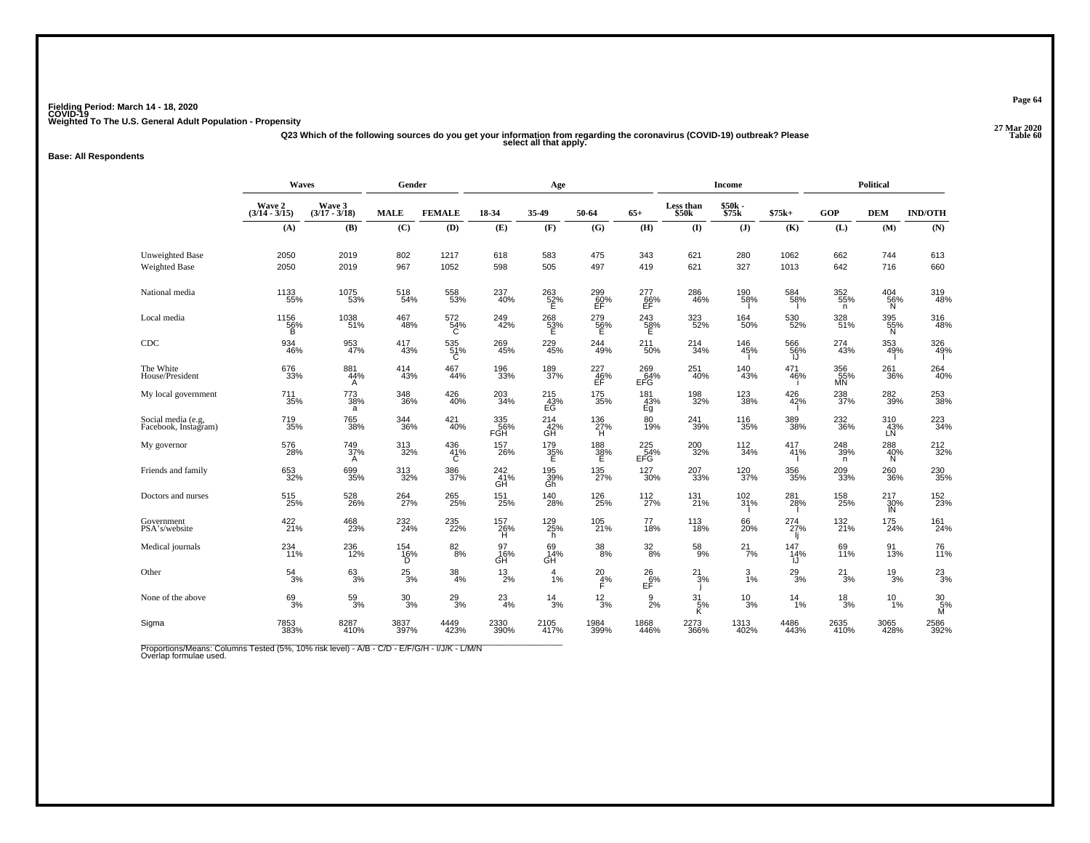**27 Mar 2020Q23 Which of the following sources do you get your information from regarding the coronavirus (COVID-19) outbreak? Please Table 60 select all that apply.**

### **Base: All Respondents**

|                                                |                           | Waves                     |                 | Gender                  |                    | Age                     |                                       |                   |                    | Income             |                  |                         | <b>Political</b>        |                                               |
|------------------------------------------------|---------------------------|---------------------------|-----------------|-------------------------|--------------------|-------------------------|---------------------------------------|-------------------|--------------------|--------------------|------------------|-------------------------|-------------------------|-----------------------------------------------|
|                                                | Wave 2<br>$(3/14 - 3/15)$ | Wave 3<br>$(3/17 - 3/18)$ | <b>MALE</b>     | <b>FEMALE</b>           | 18-34              | 35-49                   | 50-64                                 | $65+$             | Less than<br>\$50k | \$50k -<br>\$75k   | $$75k+$          | <b>GOP</b>              | <b>DEM</b>              | <b>IND/OTH</b>                                |
|                                                | (A)                       | (B)                       | (C)             | (D)                     | (E)                | (F)                     | (G)                                   | (H)               | $($ $\Gamma$       | $($ $)$            | (K)              | (L)                     | (M)                     | (N)                                           |
| <b>Unweighted Base</b><br><b>Weighted Base</b> | 2050<br>2050              | 2019<br>2019              | 802<br>967      | 1217<br>1052            | 618<br>598         | 583<br>505              | 475<br>497                            | 343<br>419        | 621<br>621         | 280<br>327         | 1062<br>1013     | 662<br>642              | 744<br>716              | 613<br>660                                    |
| National media                                 | 1133<br>55%               | 1075<br>53%               | 518<br>54%      | 558<br>53%              | 237<br>40%         | 263<br>52%<br>E         | $^{299}_{\substack{60\%\\\text{EF}}}$ | 277<br>66%<br>EF  | 286<br>46%         | 190<br>58%         | 584<br>58%       | 352<br>55%<br>n         | 404<br>56%<br>N         | 319<br>48%                                    |
| Local media                                    | 1156<br>56%<br>Έi         | 1038<br>51%               | 467<br>48%      | 572%<br>С               | 249<br>42%         | 268<br>53%<br>E         | 279<br>56%<br>E                       | 243<br>58%        | 323<br>52%         | 164<br>50%         | 530<br>52%       | 328                     | 395<br>55%<br>N         | 316<br>48%                                    |
| CDC                                            | 934<br>46%                | 953<br>47%                | 417<br>43%      | 535<br>51%<br>C         | 269<br>45%         | 229<br>45%              | 244<br>49%                            | 211<br>50%        | $^{214}_{34\%}$    | $146$<br>$45%$     | 566<br>56%<br>IJ | 274<br>43%              | 353<br>49%              | 326<br>49%                                    |
| The White<br>House/President                   | 676<br>33%                | 881<br>44%<br>A           | 414<br>43%      | 467<br>44%              | 196<br>33%         | 189<br>37%              | 227<br>$\frac{46}{5}$                 | 269<br>64%<br>EFG | 251<br>40%         | 140<br>43%         | 471<br>46%       | 356<br>55%<br><b>MN</b> | 261<br>36%              | 264<br>40%                                    |
| My local government                            | 711<br>35%                | 773<br>38%<br>a           | 348<br>36%      | 426<br>40%              | 203<br>34%         | 215<br>43%<br>EG        | 175<br>35%                            | 181<br>43%<br>Eg  | 198<br>32%         | 123<br>38%         | 426<br>42%       | 238<br>37%              | 282<br>39%              | 253<br>38%                                    |
| Social media (e.g,<br>Facebook, Instagram)     | 719<br>35%                | 765<br>38%                | 344<br>36%      | 421<br>40%              | 335<br>56%<br>FGH  | 214<br>42%<br><b>GH</b> | 136<br>27%<br>н                       | 80<br>19%         | 241<br>39%         | 116<br>35%         | 389<br>38%       | 232<br>36%              | 310<br>43%<br>LN        | 223<br>34%                                    |
| My governor                                    | 576<br>28%                | 749<br>37%<br>A           | 313<br>32%      | 436<br>41%              | 157<br>26%         | 179<br>$\frac{35}{5}$ % | 188<br>$\frac{38}{5}$ %               | 225<br>EFG        | 200<br>32%         | $\frac{112}{34\%}$ | 417<br>41%       | 248<br>39%<br>n         | 288<br>$\frac{40\%}{N}$ | 212<br>32%                                    |
| Friends and family                             | 653<br>32%                | 699<br>35%                | 313<br>32%      | 386<br>37%              | 242<br>41%<br>GH   | 195<br>39%<br>Gh        | 135<br>27%                            | 127<br>30%        | 207<br>33%         | 120<br>37%         | 356<br>35%       | 209<br>33%              | 260<br>36%              | 230<br>35%                                    |
| Doctors and nurses                             | 515<br>25%                | 528<br>26%                | 264<br>27%      | 265<br>25%              | 151 <sub>25%</sub> | 140<br>28%              | 126 <sub>%</sub>                      | $^{112}_{27\%}$   | $^{131}_{21\%}$    | 102 %              | 281<br>28%       | 158<br>25%              | 217<br>30%<br>IN        | 152<br>23%                                    |
| Government<br>PSA's/website                    | 422<br>21%                | 468<br>23%                | 232<br>24%      | 235<br>22%              | 157<br>26%<br>H    | 129<br>25%<br>h         | 105<br>21%                            | 77<br>18%         | 113<br>18%         | 66<br>20%          | 274<br>27%<br>Ш  | 132<br>21%              | 175<br>24%              | 161<br>24%                                    |
| Medical journals                               | 234<br>11%                | 236<br>12%                | 154<br>16%<br>D | $\underset{8\%}{^{82}}$ | 97<br>16%<br>GH    | 69<br>14%<br>GH         | 38 <sub>8%</sub>                      | $\frac{32}{8\%}$  | $^{58}_{9\%}$      | $^{21}_{7\%}$      | 147<br>14%<br>IJ | 69<br>11%               | 91<br>13%               | 76<br>11%                                     |
| Other                                          | $\frac{54}{3%}$           | $^{63}_{3\%}$             | $^{25}_{3\%}$   | $\frac{38}{4\%}$        | 13<br>2%           | $\overline{4}$<br>1%    | 20<br>4%<br>É                         | $^{26}_{6\%}$ EF  | $^{21}_{3\%}$      | $\frac{3}{1\%}$    | $^{29}_{3\%}$    | $^{21}_{3\%}$           | $\frac{19}{3%}$         | $^{23}_{3%}$                                  |
| None of the above                              | 69<br>3%                  | $^{59}_{3\%}$             | $^{30}_{\ 3\%}$ | $^{29}_{3\%}$           | $^{23}_{4\%}$      | $\frac{14}{3%}$         | $^{12}_{3\%}$                         | 9<br>2%           | $\frac{31}{5\%}$   | $^{10}_{3\%}$      | $14 \atop 1\%$   | $^{18}_{3\%}$           | $^{10}_{1\%}$           | $\begin{array}{c} 30 \\ 5\% \\ M \end{array}$ |
| Sigma                                          | 7853<br>383%              | 8287<br>410%              | 3837<br>397%    | 4449<br>423%            | 2330<br>390%       | 2105<br>417%            | 1984<br>399%                          | 1868<br>446%      | 2273<br>366%       | 1313<br>402%       | 4486<br>443%     | 2635<br>410%            | 3065<br>428%            | 2586<br>392%                                  |

Proportions/Means: Columns Tested (5%, 10% risk level) - A/B - C/D - E/F/G/H - I/J/K - L/M/N<br>Overlap formulae used.

**Page 64**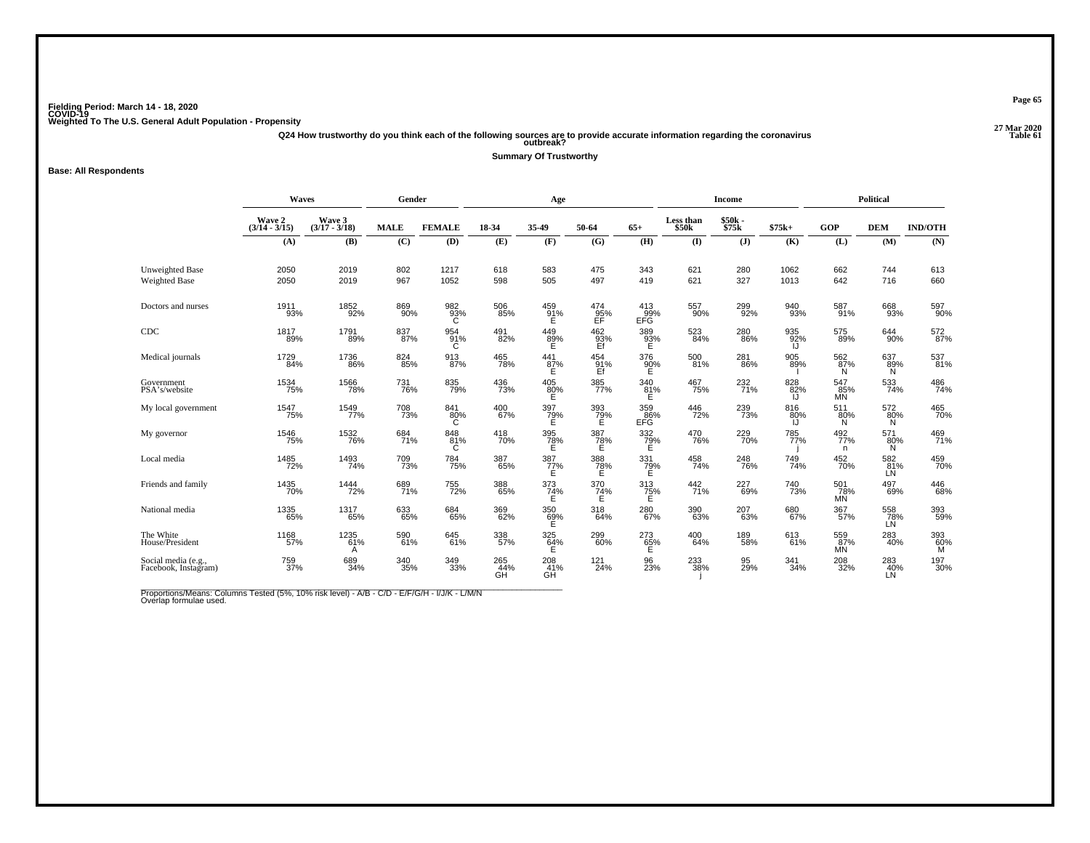**27 Mar 2020Q24 How trustworthy do you think each of the following sources are to provide accurate information regarding the coronavirus Table 61 outbreak?**

**Summary Of Trustworthy**

### **Base: All Respondents**

|                                                | Waves                             |                                   | Gender      |                      |                  | Age                |                  |                                |                    | Income         |                          |                          | <b>Political</b> |                 |
|------------------------------------------------|-----------------------------------|-----------------------------------|-------------|----------------------|------------------|--------------------|------------------|--------------------------------|--------------------|----------------|--------------------------|--------------------------|------------------|-----------------|
|                                                | $\frac{\text{Wave}}{(3/14-3/15)}$ | $\frac{\text{Wave}}{(3/17-3/18)}$ | <b>MALE</b> | <b>FEMALE</b>        | 18-34            | 35-49              | 50-64            | $65+$                          | Less than<br>\$50k | \$50k<br>\$75k | $$75k+$                  | <b>GOP</b>               | <b>DEM</b>       | <b>IND/OTH</b>  |
|                                                | (A)                               | (B)                               | (C)         | (D)                  | (E)              | (F)                | (G)              | (H)                            | $\mathbf{I}$       | $\mathbf{J}$   | (K)                      | (L)                      | (M)              | (N)             |
| <b>Unweighted Base</b><br><b>Weighted Base</b> | 2050<br>2050                      | 2019<br>2019                      | 802<br>967  | 1217<br>1052         | 618<br>598       | 583<br>505         | 475<br>497       | 343<br>419                     | 621<br>621         | 280<br>327     | 1062<br>1013             | 662<br>642               | 744<br>716       | 613<br>660      |
|                                                |                                   |                                   |             |                      |                  |                    |                  |                                |                    |                |                          |                          |                  |                 |
| Doctors and nurses                             | 1911<br>93%                       | 1852<br>92%                       | 869<br>90%  | 982<br>93%<br>C      | 506<br>85%       | $^{459}_{91\%}$    | 474<br>95%<br>EF | $413 \over 99\%$<br><b>EFG</b> | 557<br>90%         | 299<br>92%     | 940<br>93%               | 587%                     | 668<br>93%       | 597<br>90%      |
| CDC                                            | 1817<br>89%                       | 1791<br>89%                       | 837<br>87%  | 954<br>91%<br>C      | 491<br>82%       | 449<br>89%<br>E    | 462<br>93%<br>Ef | 389<br>93%<br>E                | 523<br>84%         | 280<br>86%     | 935<br>92%<br>IJ         | 575<br>89%               | 644<br>90%       | 572<br>87%      |
| Medical journals                               | 1729<br>84%                       | 1736<br>86%                       | 824<br>85%  | 913<br>87%           | 465<br>78%       | 441<br>87%         | 454<br>91%<br>Ef | 376<br>90%<br>E                | $^{500}_{81\%}$    | 281<br>86%     | 905<br>89%               | 562<br>87%<br>N          | 637<br>89%<br>N  | 537<br>81%      |
| Government<br>PSA's/website                    | 1534<br>75%                       | 1566<br>78%                       | 731<br>76%  | 835<br>79%           | 436<br>73%       | $^{405}_{80\%}$    | 385<br>77%       | 340<br>81%                     | 467<br>75%         | 232<br>71%     | 828<br>82%<br>IJ         | 547<br>85%<br><b>MN</b>  | 533<br>74%       | 486<br>74%      |
| My local government                            | 1547<br>75%                       | 1549<br>77%                       | 708<br>73%  | 841<br>$^{80\%}_{C}$ | 400<br>67%       | 397<br>79%<br>E    | 393<br>79%<br>E  | 359<br>86%<br>EFG              | 446<br>72%         | 239<br>73%     | 816<br>$\frac{80\%}{10}$ | 511<br>$^{80\%}_{N}$     | 572<br>80%<br>N  | 465<br>70%      |
| My governor                                    | 1546<br>75%                       | 1532<br>76%                       | 684<br>71%  | 848<br>81%<br>C      | 418<br>70%       | 395<br>78%         | 387<br>78%<br>Е  | 332<br>79%<br>Ė                | 470<br>76%         | 229<br>70%     | 785<br>77%               | $\frac{492}{77\%}$<br>n. | 571<br>80%<br>N  | 469<br>71%      |
| Local media                                    | 1485<br>72%                       | 1493<br>74%                       | 709<br>73%  | 784<br>75%           | 387<br>65%       | $\frac{387}{77\%}$ | 388<br>78%<br>Е  | 331<br>79%<br>Ė                | 458<br>74%         | 248<br>76%     | 749<br>74%               | 452<br>70%               | 582<br>81%<br>LN | 459<br>70%      |
| Friends and family                             | 1435<br>70%                       | 1444<br>72%                       | 689<br>71%  | 755<br>72%           | 388<br>65%       | $\frac{373}{74\%}$ | 370<br>74%<br>Е  | $\frac{313}{75\%}$             | 442<br>71%         | 227<br>69%     | 740<br>73%               | 501<br>78%<br>MÑ         | 497<br>69%       | 446<br>68%      |
| National media                                 | 1335<br>65%                       | 1317<br>65%                       | 633<br>65%  | 684<br>65%           | 369<br>62%       | 350<br>69%<br>E    | 318<br>64%       | 280<br>67%                     | 390<br>63%         | 207<br>63%     | 680<br>67%               | 367<br>57%               | 558<br>78%<br>LN | 393<br>59%      |
| The White<br>House/President                   | 1168<br>57%                       | 1235<br>61%<br>Α                  | 590<br>61%  | 645<br>61%           | 338<br>57%       | 325<br>64%         | 299<br>60%       | 273<br>65%<br>Ė                | $^{400}_{64\%}$    | 189<br>58%     | 613<br>61%               | 559<br>87%<br><b>MN</b>  | 283<br>40%       | 393<br>60%<br>M |
| Social media (e.g.,<br>Facebook, Instagram)    | 759<br>37%                        | 689<br>34%                        | 340<br>35%  | 349<br>33%           | 265<br>44%<br>GH | 208<br>41%<br>GH   | $^{121}_{24\%}$  | 96<br>23%                      | 233<br>38%         | 95<br>29%      | 341<br>34%               | 208<br>32%               | 283<br>40%<br>LN | 197<br>30%      |

Proportions/Means: Columns Tested (5%, 10% risk level) - A/B - C/D - E/F/G/H - I/J/K - L/M/N<br>Overlap formulae used.

**Page 65**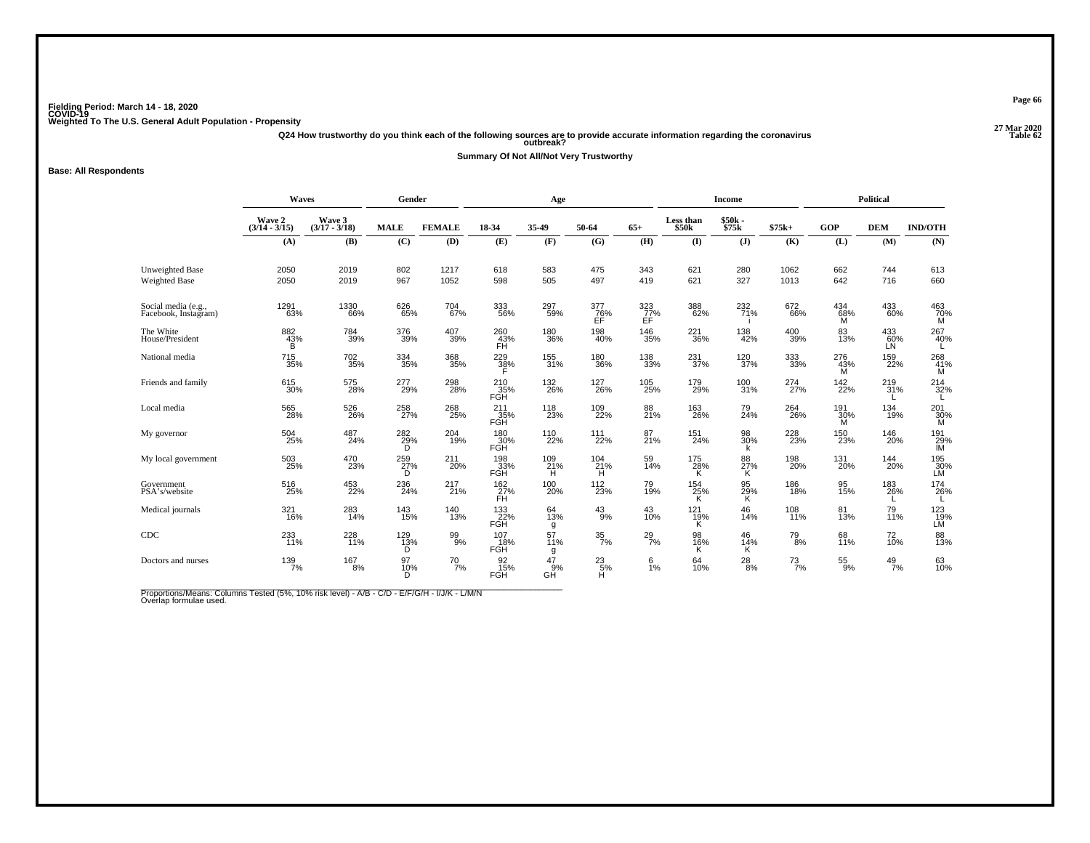**27 Mar 2020Q24 How trustworthy do you think each of the following sources are to provide accurate information regarding the coronavirus Table 62 outbreak?**

**Summary Of Not All/Not Very Trustworthy**

### **Base: All Respondents**

|                                             |                                       | <b>Waves</b>                      |                              | Gender             |                                 | Age                 |                                |                          |                                     | Income          |               |                         | <b>Political</b> |                                |
|---------------------------------------------|---------------------------------------|-----------------------------------|------------------------------|--------------------|---------------------------------|---------------------|--------------------------------|--------------------------|-------------------------------------|-----------------|---------------|-------------------------|------------------|--------------------------------|
|                                             | $\frac{\text{Wave}}{(3/14-3/15)}$     | $\frac{\text{Wave}}{(3/17-3/18)}$ | <b>MALE</b>                  | <b>FEMALE</b>      | 18-34                           | 35-49               | 50-64                          | $65+$                    | Less than<br>\$50k                  | \$50k<br>\$75k  | $$75k+$       | <b>GOP</b>              | <b>DEM</b>       | <b>IND/OTH</b>                 |
|                                             | (A)                                   | (B)                               | (C)                          | (D)                | (E)                             | (F)                 | (G)                            | (H)                      | $\mathbf{I}$                        | $\mathbf{J}$    | (K)           | (L)                     | (M)              | (N)                            |
| Unweighted Base<br><b>Weighted Base</b>     | 2050<br>2050                          | 2019<br>2019                      | 802<br>967                   | 1217<br>1052       | 618<br>598                      | 583<br>505          | 475<br>497                     | 343<br>419               | 621<br>621                          | 280<br>327      | 1062<br>1013  | 662<br>642              | 744<br>716       | 613<br>660                     |
| Social media (e.g.,<br>Facebook, Instagram) | 1291<br>63%                           | 1330<br>66%                       | 626<br>65%                   | 704 <sub>%</sub>   | 333<br>56%                      | 297<br>59%          | 377<br>76%<br>EF               | $\frac{323}{77}\%$<br>EF | 388<br>62%                          | 232%            | 672<br>66%    | 434<br>68%<br>M         | 433<br>60%       | $^{463}_{70\%}$ M              |
| The White<br>House/President                | 882<br>43%<br>B                       | 784<br>39%                        | 376<br>39%                   | 407<br>39%         | 260<br>43%<br>FH                | 180<br>36%          | 198<br>40%                     | 146<br>35%               | 221<br>36%                          | 138<br>42%      | 400<br>39%    | 83<br>13%               | 433<br>60%<br>ĽŇ | 267<br>40%                     |
| National media                              | 715<br>35%                            | 702<br>35%                        | 334<br>35%                   | 368<br>35%         | 229<br>38%                      | 155<br>31%          | 180<br>36%                     | 138<br>33%               | 231<br>37%                          | 120<br>37%      | 333<br>33%    | 276<br>43%<br>м         | 159<br>22%       | $^{268}_{\substack{41\% \ M}}$ |
| Friends and family                          | 615<br>30%                            | 575<br>28%                        | 277<br>29%                   | 298<br>28%         | $^{210}_{35\%}$<br>FGH          | 132<br>26%          | 127<br>26%                     | 105<br>25%               | 179<br>29%                          | 100<br>31%      | 274<br>27%    | 142<br>22%              | 219<br>31%       | 214<br>32%                     |
| Local media                                 | 565<br>28%                            | 526<br>26%                        | 258<br>27%                   | 268<br>25%         | 211<br>35%<br>FGH               | 118<br>23%          | 109<br>22%                     | 88<br>21%                | 163<br>26%                          | 79<br>24%       | 264<br>26%    | 191<br>$\frac{30\%}{M}$ | 134<br>19%       | $^{201}_{30\%}$                |
| My governor                                 | $^{504}_{\phantom{1}\phantom{1}25\%}$ | 487<br>24%                        | 282<br>29%<br>D              | 204<br>19%         | 180<br>30%<br>FGH               | 110<br>22%          | 111<br>22%                     | 87<br>21%                | 151<br>24%                          | 98<br>30%<br>k  | 228<br>23%    | 150<br>23%              | 146<br>20%       | 191<br>29%<br>IM               |
| My local government                         | 503<br>25%                            | 470<br>23%                        | 259<br>$\tilde{P}_{D}^{7\%}$ | 211<br>20%         | 198<br>33%<br><b>FGH</b>        | 109<br>21%<br>н     | 104<br>21%<br>н                | 59<br>14%                | 175<br>28%<br>K                     | 88<br>27%<br>ĸ  | 198<br>20%    | 131<br>20%              | 144<br>20%       | 195<br>30%<br>LM               |
| Government<br>PSA's/website                 | 516<br>25%                            | 453<br>22%                        | 236<br>24%                   | 217 <sub>21%</sub> | $\frac{162}{27\%}$<br><b>FH</b> | 100<br>20%          | <sup>112</sup> <sub>23</sub> % | 79<br>19%                | <sup>154</sup> <sub>25</sub> %<br>K | 95<br>29%<br>ĸ  | 186<br>18%    | 95<br>15%               | 183<br>26%       | 174<br>26%                     |
| Medical journals                            | 321<br>16%                            | 283<br>14%                        | 143<br>15%                   | 140<br>13%         | 133<br>POH <sub>22%</sub>       | 64<br>13%<br>g      | $^{43}_{9\%}$                  | $^{43}_{10\%}$           | 121<br>19%<br>Κ                     | 46<br>14%       | 108<br>11%    | 81<br>13%               | 79<br>11%        | 123<br>19%<br>LM               |
| CDC                                         | 233<br>11%                            | 228<br>11%                        | 129<br>13%<br>D              | 99<br>9%           | 107<br>18%<br><b>FGH</b>        | 57<br>11%<br>g      | $\frac{35}{7\%}$               | $^{29}_{7\%}$            | 98<br>16%<br>Κ                      | 46<br>14%<br>Κ  | $^{79}_{8\%}$ | 68<br>11%               | 72<br>10%        | 88<br>13%                      |
| Doctors and nurses                          | 139/7%                                | $^{167}_{8\%}$                    | 97<br>10%<br>D               | 70 <sub>7%</sub>   | 92<br>15%<br><b>FGH</b>         | $^{47}_{9\%}$<br>GĤ | $^{23}_{5\%}$<br>н             | $6\frac{6}{1\%}$         | 64<br>10%                           | $^{28}_{\ 8\%}$ | $^{73}_{7\%}$ | $^{55}_{9\%}$           | $^{49}_{7\%}$    | 63<br>10%                      |

Proportions/Means: Columns Tested (5%, 10% risk level) - A/B - C/D - E/F/G/H - I/J/K - L/M/N<br>Overlap formulae used.

**Page 66**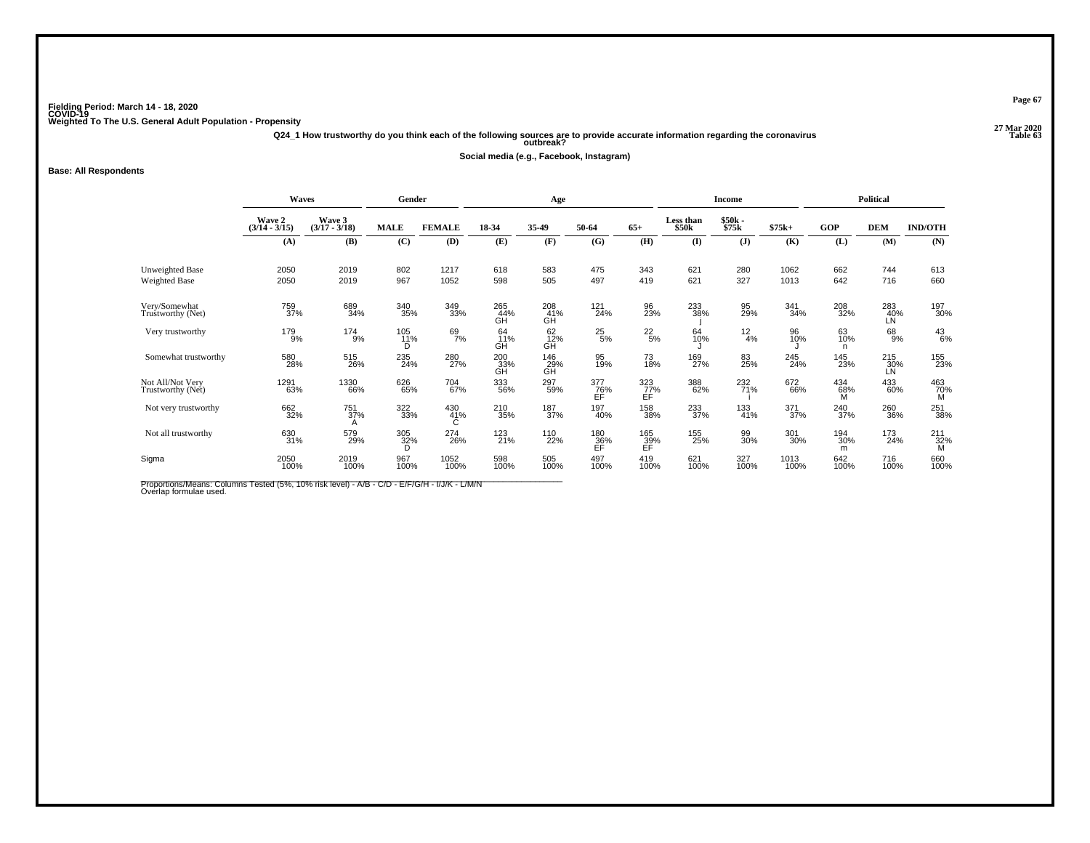**27 Mar 2020Q24\_1 How trustworthy do you think each of the following sources are to provide accurate information regarding the coronavirus Table 63 outbreak?**

**Social media (e.g., Facebook, Instagram)**

### **Base: All Respondents**

|                                       | <b>Waves</b>                      |                                   | Gender                   |               |                  | Age              |                   |                                       |                 | Income          |              |                 | <b>Political</b> |                    |
|---------------------------------------|-----------------------------------|-----------------------------------|--------------------------|---------------|------------------|------------------|-------------------|---------------------------------------|-----------------|-----------------|--------------|-----------------|------------------|--------------------|
|                                       | $\frac{\text{Wave}}{(3/14-3/15)}$ | $\frac{\text{Wave}}{(3/17-3/18)}$ | <b>MALE</b>              | <b>FEMALE</b> | 18-34            | 35-49            | 50-64             | $65+$                                 | Less than \$50k | \$50k<br>\$75k  | $$75k+$      | <b>GOP</b>      | <b>DEM</b>       | <b>IND/OTH</b>     |
|                                       | (A)                               | (B)                               | (C)                      | (D)           | (E)              | (F)              | (G)               | (H)                                   | $\bf(I)$        | $\mathbf{J}$    | (K)          | (L)             | (M)              | (N)                |
| Unweighted Base                       | 2050                              | 2019                              | 802                      | 1217          | 618              | 583              | 475               | 343                                   | 621             | 280             | 1062         | 662             | 744              | 613                |
| Weighted Base                         | 2050                              | 2019                              | 967                      | 1052          | 598              | 505              | 497               | 419                                   | 621             | 327             | 1013         | 642             | 716              | 660                |
| Very/Somewhat<br>Trustworthy (Net)    | 759<br>37%                        | 689<br>34%                        | 340<br>35%               | 349<br>33%    | 265<br>44%<br>GH | 208<br>41%<br>GH | 121<br>24%        | 96<br>23%                             | 233<br>38%      | 95<br>29%       | 341<br>34%   | 208<br>32%      | 283<br>40%<br>LŃ | 197<br>30%         |
| Very trustworthy                      | 179<br>9%                         | 174<br>9%                         | 105<br>1 <u>1</u> %<br>D | 69<br>7%      | 64<br>11%<br>GH  | 62<br>12%<br>GH  | $^{25}_{\ 5\%}$   | $^{22}_{\ 5\%}$                       | 64<br>10%       | $\frac{12}{4%}$ | 96<br>10%    | 63<br>10%<br>n  | 68<br>9%         | $^{43}_{6\%}$      |
| Somewhat trustworthy                  | 580<br>28%                        | 515<br>26%                        | 235<br>24%               | 280<br>27%    | 200<br>33%<br>GH | 146<br>29%<br>GH | 95<br>19%         | 73<br>18%                             | 169<br>27%      | 83<br>25%       | 245<br>24%   | 145<br>23%      | 215<br>30%<br>LN | 155<br>23%         |
| Not All/Not Very<br>Trustworthy (Net) | 1291<br>63%                       | 1330<br>66%                       | 626<br>65%               | 704<br>67%    | 333<br>56%       | 297<br>59%       | 377<br>76%<br>EĖ. | $\frac{323}{77}\%$<br>EF <sup>1</sup> | 388<br>62%      | 232<br>71%      | 672<br>66%   | 434<br>68%<br>M | 433<br>60%       | 463<br>70%<br>M    |
| Not very trustworthy                  | 662<br>32%                        | $\frac{751}{37\%}$                | 322<br>33%               | 430<br>41%    | 210<br>35%       | 187<br>37%       | 197<br>40%        | 158<br>38%                            | 233<br>37%      | 133<br>41%      | 371<br>37%   | 240<br>37%      | 260<br>36%       | 251<br>38%         |
| Not all trustworthy                   | 630<br>31%                        | 579<br>29%                        | 305<br>32%<br>D          | 274<br>26%    | 123<br>21%       | 110<br>22%       | 180<br>36%<br>ÉĖ  | 165<br>39%<br>ÉĖ                      | 155<br>25%      | 99<br>30%       | 301<br>30%   | 194<br>30%<br>m | 173<br>24%       | $\frac{211}{32\%}$ |
| Sigma                                 | 2050<br>100%                      | 2019<br>100%                      | 967<br>100%              | 1052<br>100%  | 598<br>100%      | 505<br>100%      | 497<br>100%       | 419<br>100%                           | 621<br>100%     | 327<br>100%     | 1013<br>100% | 642<br>100%     | 716<br>100%      | 660<br>100%        |

Proportions/Means: Columns Tested (5%, 10% risk level) - A/B - C/D - E/F/G/H - I/J/K - L/M/N<br>Overlap formulae used.

**Page 67**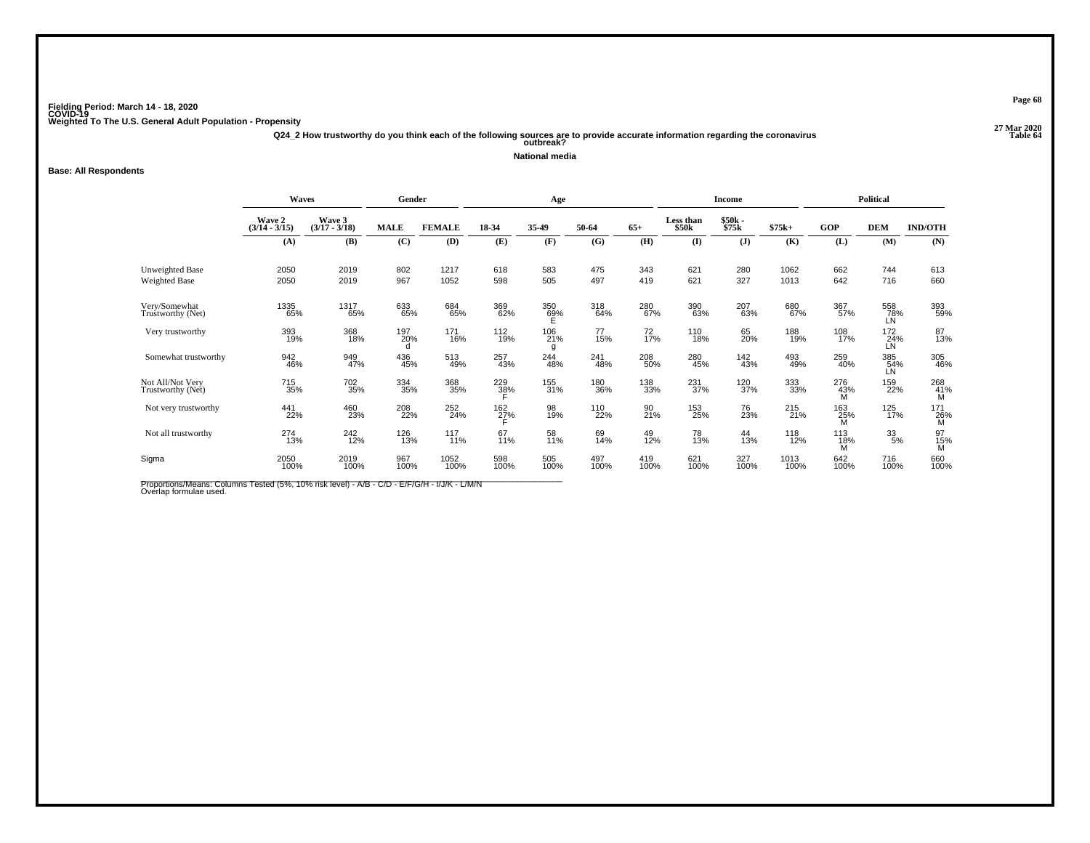**27 Mar 2020Q24\_2 How trustworthy do you think each of the following sources are to provide accurate information regarding the coronavirus Table 64 outbreak?**

**National media**

### **Base: All Respondents**

|                                       | <b>Waves</b>                      |                                   | Gender          |               |                     | Age                 |             |             |                 | Income         |              |                 | <b>Political</b> |                       |
|---------------------------------------|-----------------------------------|-----------------------------------|-----------------|---------------|---------------------|---------------------|-------------|-------------|-----------------|----------------|--------------|-----------------|------------------|-----------------------|
|                                       | $\frac{\text{Wave}}{(3/14-3/15)}$ | $\frac{\text{Wave}}{(3/17-3/18)}$ | <b>MALE</b>     | <b>FEMALE</b> | 18-34               | 35-49               | 50-64       | $65+$       | Less than \$50k | \$50k<br>\$75k | $$75k+$      | <b>GOP</b>      | <b>DEM</b>       | <b>IND/OTH</b>        |
|                                       | (A)                               | (B)                               | (C)             | (D)           | (E)                 | (F)                 | (G)         | (H)         | $\bf(I)$        | $\mathbf{J}$   | (K)          | (L)             | (M)              | (N)                   |
| Unweighted Base<br>Weighted Base      | 2050<br>2050                      | 2019<br>2019                      | 802<br>967      | 1217<br>1052  | 618<br>598          | 583<br>505          | 475<br>497  | 343<br>419  | 621<br>621      | 280<br>327     | 1062<br>1013 | 662<br>642      | 744<br>716       | 613<br>660            |
| Very/Somewhat<br>Trustworthy (Net)    | 1335<br>65%                       | 1317<br>65%                       | 633<br>65%      | 684<br>65%    | 369<br>62%          | 350<br>6 <u>9</u> % | 318<br>64%  | 280<br>67%  | 390<br>63%      | 207<br>63%     | 680<br>67%   | 367<br>57%      | 558<br>78%<br>LÑ | 393<br>59%            |
| Very trustworthy                      | 393<br>19%                        | 368<br>18%                        | 197<br>20%<br>d | 171<br>16%    | 112<br>19%          | 106<br>21%<br>g     | 77<br>15%   | 72<br>17%   | 110<br>18%      | 65<br>20%      | 188<br>19%   | 108<br>17%      | 172<br>24%<br>LN | 87<br>13%             |
| Somewhat trustworthy                  | 942<br>46%                        | 949<br>47%                        | 436<br>45%      | 513<br>49%    | 257<br>43%          | 244<br>48%          | 241<br>48%  | 208<br>50%  | 280<br>45%      | 142<br>43%     | 493<br>49%   | 259<br>40%      | 385<br>54%<br>LN | 305<br>46%            |
| Not All/Not Very<br>Trustworthy (Net) | 715<br>35%                        | 702<br>35%                        | 334<br>35%      | 368<br>35%    | 229<br>38%          | 155<br>31%          | 180<br>36%  | 138<br>33%  | 231<br>37%      | 120<br>37%     | 333<br>33%   | 276<br>43%<br>M | 159<br>22%       | 268<br>41%<br>М       |
| Not very trustworthy                  | 441<br>22%                        | 460<br>23%                        | 208<br>22%      | 252<br>24%    | 162<br>2 <u>7</u> % | 98<br>19%           | 110<br>22%  | 90<br>21%   | 153<br>25%      | 76<br>23%      | 215<br>21%   | 163<br>25%<br>M | 125<br>17%       | 171<br>$\frac{26}{M}$ |
| Not all trustworthy                   | 274<br>13%                        | 242<br>12%                        | 126<br>13%      | 117<br>11%    | 67<br>11%           | 58<br>11%           | 69<br>14%   | 49<br>12%   | 78<br>13%       | 44<br>13%      | 118<br>12%   | 113<br>18%<br>М | $\frac{33}{5\%}$ | 97<br>15%<br>м        |
| Sigma                                 | 2050<br>100%                      | 2019<br>100%                      | 967<br>100%     | 1052<br>100%  | 598<br>100%         | 505<br>100%         | 497<br>100% | 419<br>100% | 621<br>100%     | 327<br>100%    | 1013<br>100% | 642<br>100%     | 716<br>100%      | 660<br>100%           |

Proportions/Means: Columns Tested (5%, 10% risk level) - A/B - C/D - E/F/G/H - I/J/K - L/M/N<br>Overlap formulae used.

**Page 68**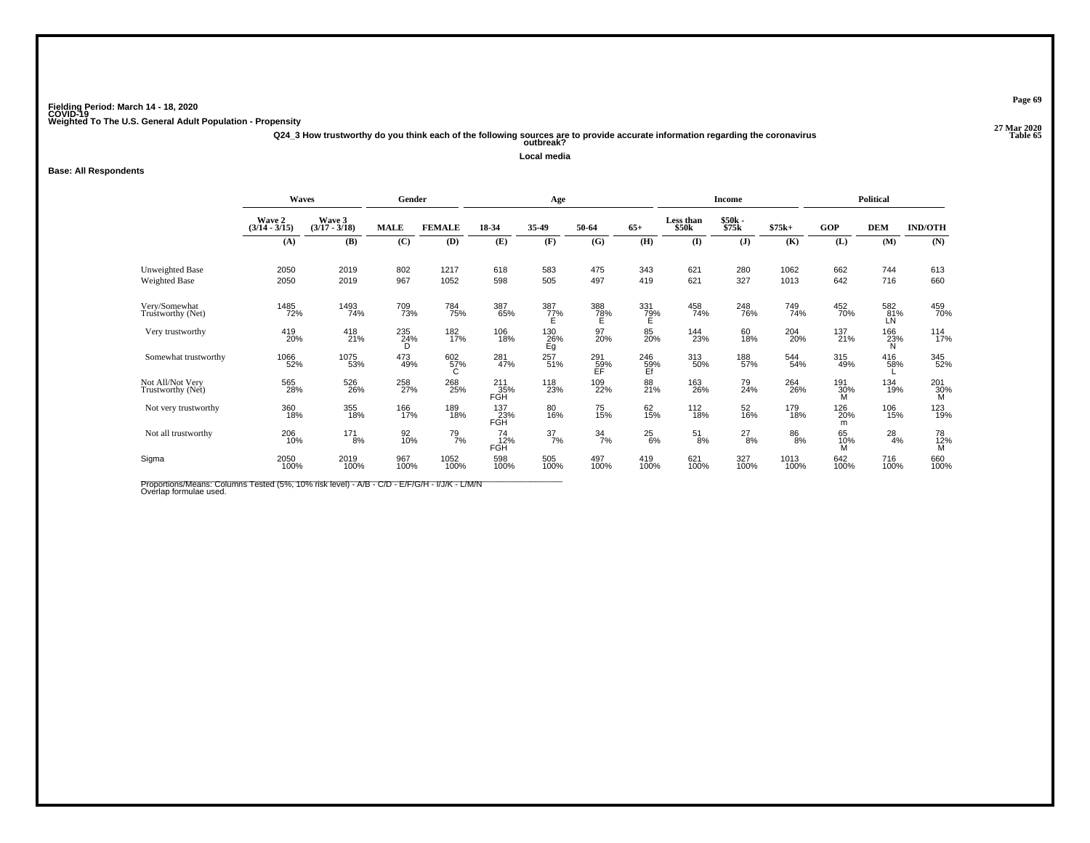**27 Mar 2020Q24\_3 How trustworthy do you think each of the following sources are to provide accurate information regarding the coronavirus Table 65 outbreak?**

**Local media**

### **Base: All Respondents**

|                                       | <b>Waves</b>                      |                                   | Gender          |               |                               | Age              |                  |                          |                      | <b>Income</b>  |                        |                 | <b>Political</b> |                   |
|---------------------------------------|-----------------------------------|-----------------------------------|-----------------|---------------|-------------------------------|------------------|------------------|--------------------------|----------------------|----------------|------------------------|-----------------|------------------|-------------------|
|                                       | $\frac{\text{Wave}}{(3/14-3/15)}$ | $\frac{\text{Wave}}{(3/17-3/18)}$ | <b>MALE</b>     | <b>FEMALE</b> | 18-34                         | 35-49            | 50-64            | $65+$                    | Less than<br>\$50k   | \$50k<br>\$75k | $$75k+$                | <b>GOP</b>      | <b>DEM</b>       | <b>IND/OTH</b>    |
|                                       | (A)                               | (B)                               | (C)             | <b>(D)</b>    | (E)                           | (F)              | (G)              | (H)                      | $\mathbf{I}$         | $\mathbf{J}$   | (K)                    | (L)             | (M)              | (N)               |
| Unweighted Base                       | 2050                              | 2019                              | 802             | 1217          | 618                           | 583              | 475              | 343                      | 621                  | 280            | 1062                   | 662             | 744              | 613               |
| Weighted Base                         | 2050                              | 2019                              | 967             | 1052          | 598                           | 505              | 497              | 419                      | 621                  | 327            | 1013                   | 642             | 716              | 660               |
| Very/Somewhat<br>Trustworthy (Net)    | 1485<br>72%                       | 1493<br>74%                       | 709<br>73%      | 784<br>75%    | 387<br>65%                    | 387<br>77%       | 388<br>78%<br>E  | 331<br>7 <u>9</u> %<br>E | 458<br>74%           | 248<br>76%     | 749<br>74%             | 452<br>70%      | 582<br>81%<br>LN | 459<br>70%        |
| Very trustworthy                      | 419<br>20%                        | 418<br>21%                        | 235<br>24%<br>D | 182<br>17%    | 106<br>18%                    | 130<br>26%<br>Eg | 97<br>20%        | 85<br>20%                | 144<br>23%           | 60<br>18%      | 204<br>20%             | 137<br>21%      | 166<br>23%       | 114<br>17%        |
| Somewhat trustworthy                  | 1066<br>52%                       | 1075<br>53%                       | 473<br>49%      | 602<br>57%    | 281<br>47%                    | 257<br>51%       | 291<br>59%<br>ÉĖ | 246<br>59%<br>Ef         | 313<br>50%           | 188<br>57%     | 544<br>54%             | 315<br>49%      | 416<br>58%       | 345<br>52%        |
| Not All/Not Very<br>Trustworthy (Net) | 565<br>28%                        | 526<br>26%                        | 258<br>27%      | 268<br>25%    | $^{211}_{35\%}$<br><b>FGH</b> | 118<br>23%       | 109<br>22%       | 88<br>21%                | 163<br>26%           | 79<br>24%      | 264<br>26%             | 191<br>30%<br>M | 134<br>19%       | $^{201}_{30\%}$ M |
| Not very trustworthy                  | 360<br>18%                        | 355<br>18%                        | 166<br>17%      | 189<br>18%    | 137<br>– Ž3%<br>FGH           | 80<br>16%        | 75<br>15%        | 62<br>15%                | 112<br>18%           | 52<br>16%      | 179<br>18%             | 126<br>20%<br>m | 106<br>15%       | 123<br>19%        |
| Not all trustworthy                   | 206<br>10%                        | $^{171}_{8\%}$                    | 92<br>10%       | 79<br>7%      | 74<br>12%<br><b>FGH</b>       | $\frac{37}{7\%}$ | $\frac{34}{7\%}$ | $^{25}_{6\%}$            | $\substack{51\\8\%}$ | $^{27}_{8\%}$  | $\substack{86 \\ 8\%}$ | 65<br>10%<br>м  | $^{28}_{4\%}$    | 78<br>12%<br>M    |
| Sigma                                 | 2050<br>100%                      | 2019<br>100%                      | 967<br>100%     | 1052<br>100%  | 598<br>100%                   | 505<br>100%      | 497<br>100%      | 419<br>100%              | 621<br>100%          | 327<br>100%    | 1013<br>100%           | 642<br>100%     | 716<br>100%      | 660<br>100%       |

Proportions/Means: Columns Tested (5%, 10% risk level) - A/B - C/D - E/F/G/H - I/J/K - L/M/N<br>Overlap formulae used.

**Page 69**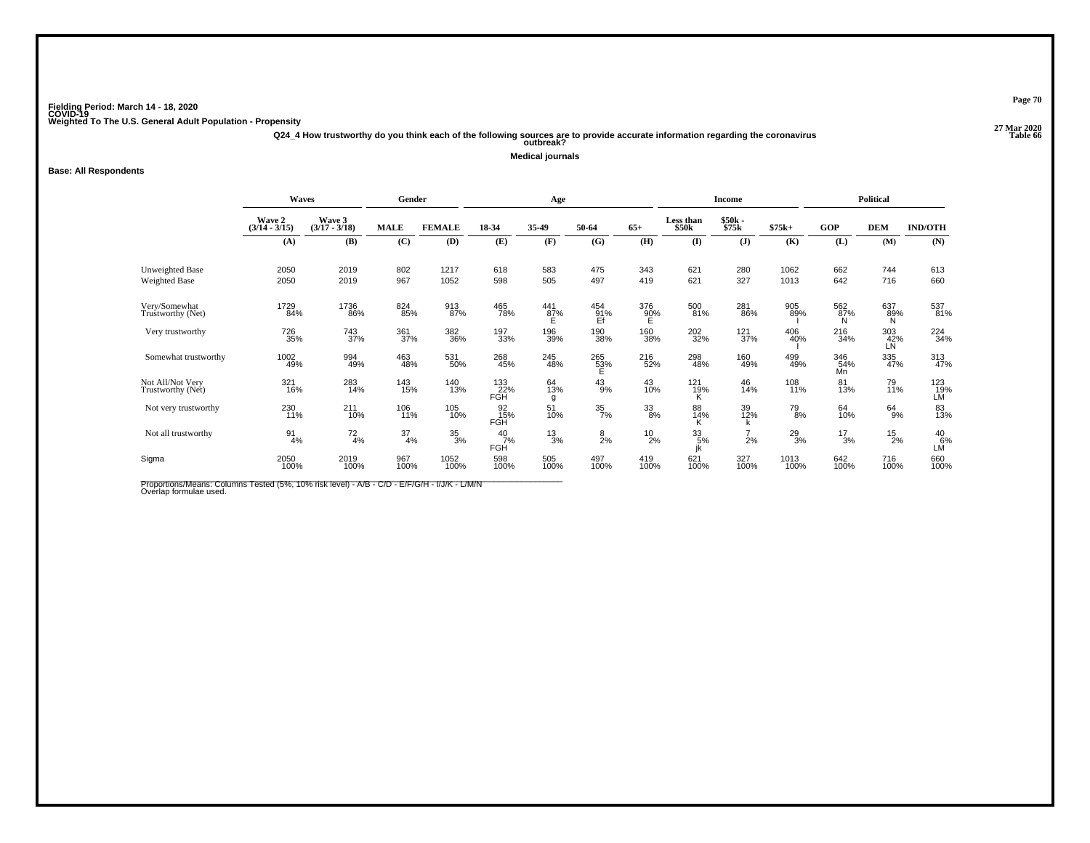**27 Mar 2020Q24\_4 How trustworthy do you think each of the following sources are to provide accurate information regarding the coronavirus Table 66 outbreak?**

**Medical journals**

### **Base: All Respondents**

|                                       | <b>Waves</b>                      |                                   | Gender           |                 |                             | Age                |                  |                          |                        | <b>Income</b>      |               |                  | <b>Political</b> |                                                |
|---------------------------------------|-----------------------------------|-----------------------------------|------------------|-----------------|-----------------------------|--------------------|------------------|--------------------------|------------------------|--------------------|---------------|------------------|------------------|------------------------------------------------|
|                                       | $\frac{\text{Wave}}{(3/14-3/15)}$ | $\frac{\text{Wave}}{(3/17-3/18)}$ | <b>MALE</b>      | <b>FEMALE</b>   | 18-34                       | 35-49              | 50-64            | $65+$                    | Less than \$50k        | \$50k<br>\$75k     | $$75k+$       | <b>GOP</b>       | <b>DEM</b>       | <b>IND/OTH</b>                                 |
|                                       | (A)                               | (B)                               | (C)              | (D)             | (E)                         | (F)                | (G)              | (H)                      | $\mathbf{I}$           | $\mathbf{J}$       | (K)           | (L)              | (M)              | (N)                                            |
| Unweighted Base                       | 2050                              | 2019                              | 802              | 1217            | 618                         | 583                | 475              | 343                      | 621                    | 280                | 1062          | 662              | 744              | 613                                            |
| Weighted Base                         | 2050                              | 2019                              | 967              | 1052            | 598                         | 505                | 497              | 419                      | 621                    | 327                | 1013          | 642              | 716              | 660                                            |
| Very/Somewhat<br>Trustworthy (Net)    | 1729<br>84%                       | 1736<br>86%                       | 824<br>85%       | 913<br>87%      | 465<br>78%                  | $\frac{441}{87\%}$ | 454<br>91%<br>Ef | 376<br>9 <u>0</u> %<br>E | 500<br>81%             | 281<br>86%         | 905<br>89%    | 562<br>87%<br>N  | 637<br>89%<br>N  | 537<br>81%                                     |
| Very trustworthy                      | 726<br>35%                        | 743<br>37%                        | 361<br>37%       | 382<br>36%      | 197<br>33%                  | 196<br>39%         | 190<br>38%       | 160<br>38%               | 202<br>32%             | $\frac{121}{37\%}$ | 406<br>40%    | 216<br>34%       | 303<br>42%<br>LN | 224<br>34%                                     |
| Somewhat trustworthy                  | 1002<br>49%                       | 994<br>49%                        | 463<br>48%       | 531<br>50%      | 268<br>45%                  | 245<br>48%         | 265<br>53%<br>E  | 216<br>52%               | 298<br>48%             | 160<br>49%         | 499<br>49%    | 346<br>54%<br>Mn | 335<br>47%       | 313<br>47%                                     |
| Not All/Not Very<br>Trustworthy (Net) | 321<br>16%                        | 283<br>14%                        | 143<br>15%       | 140<br>13%      | 133<br>22%<br><b>FGH</b>    | 64<br>13%<br>g     | $^{43}_{9\%}$    | 43<br>10%                | 121<br>19%<br>κ        | 46<br>14%          | 108<br>11%    | 81<br>13%        | 79<br>11%        | 123<br>- 19%<br>LM                             |
| Not very trustworthy                  | 230<br>11%                        | $^{211}_{10\%}$                   | 106<br>11%       | 105<br>10%      | 92<br>15%<br>FGH            | 51<br>10%          | $\frac{35}{7\%}$ | $\frac{33}{8\%}$         | 88<br>14%              | 39<br>12%          | $^{79}_{8\%}$ | 64<br>10%        | $^{64}_{9\%}$    | 83<br>13%                                      |
| Not all trustworthy                   | $\frac{91}{4\%}$                  | $^{72}_{4\%}$                     | $\frac{37}{4\%}$ | $^{35}_{\ 3\%}$ | $^{40}_{7\%}$<br><b>FGH</b> | $\frac{13}{3\%}$   | $\frac{8}{2%}$   | $^{10}_{2\%}$            | $\frac{33}{5\%}$<br>ik | $\frac{7}{2%}$     | $^{29}_{3\%}$ | $\frac{17}{3\%}$ | $^{15}_{2\%}$    | $\begin{array}{c} 40 \\ 6\% \\ LM \end{array}$ |
| Sigma                                 | 2050<br>100%                      | 2019<br>100%                      | 967<br>100%      | 1052<br>100%    | 598<br>100%                 | 505<br>100%        | 497<br>100%      | 419<br>100%              | 621<br>100%            | 327<br>100%        | 1013<br>100%  | 642<br>100%      | 716<br>100%      | 660<br>100%                                    |

Proportions/Means: Columns Tested (5%, 10% risk level) - A/B - C/D - E/F/G/H - I/J/K - L/M/N<br>Overlap formulae used.

**Page 70**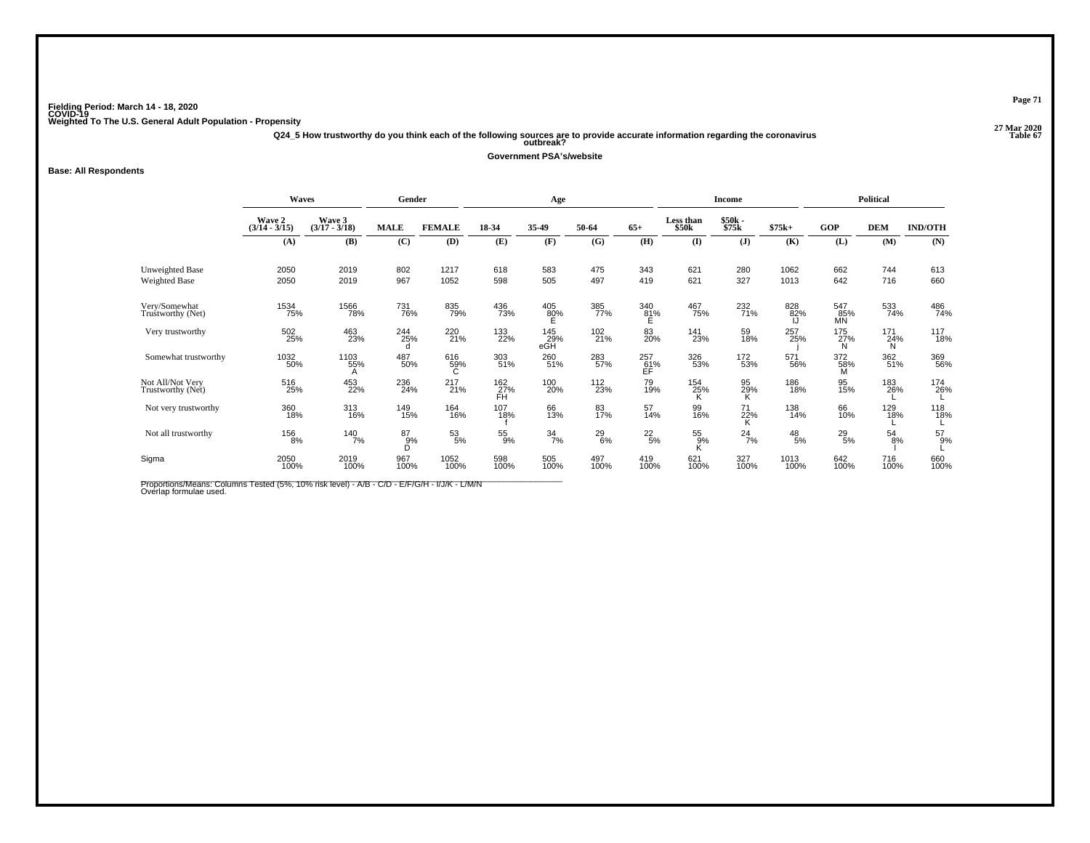**27 Mar 2020Q24\_5 How trustworthy do you think each of the following sources are to provide accurate information regarding the coronavirus Table 67 outbreak?**

**Government PSA's/website**

### **Base: All Respondents**

|                                       | <b>Waves</b>                      |                                   | Gender            |                  |             | Age               |               |                       |                 | Income                |                  |                         | <b>Political</b>      |                |
|---------------------------------------|-----------------------------------|-----------------------------------|-------------------|------------------|-------------|-------------------|---------------|-----------------------|-----------------|-----------------------|------------------|-------------------------|-----------------------|----------------|
|                                       | $\frac{\text{Wave}}{(3/14-3/15)}$ | $\frac{\text{Wave}}{(3/17-3/18)}$ | <b>MALE</b>       | <b>FEMALE</b>    | 18-34       | 35-49             | 50-64         | $65+$                 | Less than \$50k | \$50k<br>\$75k        | $$75k+$          | <b>GOP</b>              | <b>DEM</b>            | <b>IND/OTH</b> |
|                                       | (A)                               | (B)                               | (C)               | (D)              | (E)         | (F)               | (G)           | (H)                   | $\bf(I)$        | $\mathbf{J}$          | (K)              | (L)                     | (M)                   | (N)            |
| Unweighted Base<br>Weighted Base      | 2050<br>2050                      | 2019<br>2019                      | 802<br>967        | 1217<br>1052     | 618<br>598  | 583<br>505        | 475<br>497    | 343<br>419            | 621<br>621      | 280<br>327            | 1062<br>1013     | 662<br>642              | 744<br>716            | 613<br>660     |
|                                       |                                   |                                   |                   |                  |             |                   |               |                       |                 |                       |                  |                         |                       |                |
| Very/Somewhat<br>Trustworthy (Net)    | 1534<br>75%                       | 1566<br>78%                       | 731<br>76%        | 835<br>79%       | 436<br>73%  | 405<br>80%        | 385<br>77%    | 340<br>81%            | 467<br>75%      | 232<br>71%            | 828<br>82%<br>IJ | 547<br>85%<br><b>MN</b> | 533<br>74%            | 486<br>74%     |
| Very trustworthy                      | 502<br>25%                        | 463<br>23%                        | 244<br>25%<br>d   | 220<br>21%       | 133<br>22%  | 145<br>29%<br>eGH | 102<br>21%    | 83<br>20%             | 141<br>23%      | 59<br>18%             | 257<br>25%       | 175<br>$\frac{27}{N}$   | 171<br>$\frac{24}{N}$ | 117<br>18%     |
| Somewhat trustworthy                  | 1032<br>50%                       | 1103<br>55%<br>A                  | 487<br>50%        | 616<br>59%<br>C. | 303<br>51%  | 260<br>51%        | 283<br>57%    | $^{257}_{61\%}$<br>ÉF | 326<br>53%      | 172<br>53%            | 571<br>56%       | 372<br>58%<br>м         | 362<br>51%            | 369<br>56%     |
| Not All/Not Very<br>Trustworthy (Net) | 516<br>25%                        | 453<br>22%                        | 236<br>24%        | $^{217}_{21\%}$  | 162%<br>FH. | 100<br>20%        | 112<br>23%    | 79<br>19%             | 154<br>25%<br>Κ | 95<br>29%<br>Κ        | 186<br>18%       | 95<br>15%               | 183<br>26%            | 174<br>26%     |
| Not very trustworthy                  | 360<br>18%                        | 313<br>16%                        | 149<br>15%        | 164<br>16%       | 107<br>18%  | 66<br>13%         | 83<br>17%     | 57<br>14%             | 99<br>16%       | $\frac{71}{22\%}$     | 138<br>14%       | 66<br>10%               | 129<br>18%            | 118<br>18%     |
| Not all trustworthy                   | 156<br>8%                         | 140<br>7%                         | $^{87}_{9%}$<br>D | $\frac{53}{5\%}$ | 55<br>9%    | $\frac{34}{7\%}$  | $^{29}_{6\%}$ | $^{22}_{\ 5\%}$       | 55<br>9%<br>Κ   | $^{24}$ <sup>7%</sup> | $^{48}_{\ 5\%}$  | $^{29}_{\ 5\%}$         | 54<br>8%              | 57<br>9%       |
| Sigma                                 | 2050<br>100%                      | 2019<br>100%                      | 967<br>100%       | 1052<br>100%     | 598<br>100% | 505<br>100%       | 497<br>100%   | 419<br>100%           | 621<br>100%     | 327<br>100%           | 1013<br>100%     | 642<br>100%             | 716<br>100%           | 660<br>100%    |

Proportions/Means: Columns Tested (5%, 10% risk level) - A/B - C/D - E/F/G/H - I/J/K - L/M/N<br>Overlap formulae used.

**Page 71**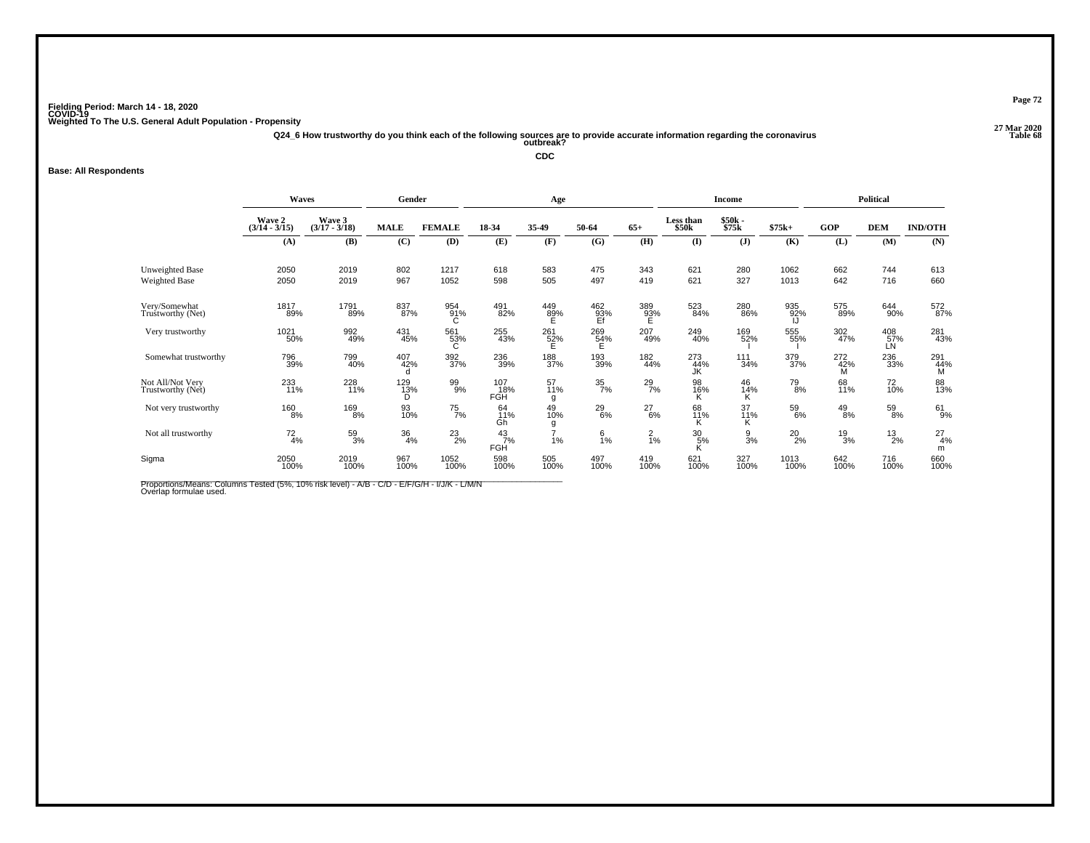**27 Mar 2020Q24\_6 How trustworthy do you think each of the following sources are to provide accurate information regarding the coronavirus Table 68 outbreak?**

**CDC**

### **Base: All Respondents**

|                                       | <b>Waves</b>                      |                                   | Gender           |                 |                             | Age                 |                  |                |                       | Income                |               |               | <b>Political</b> |                   |
|---------------------------------------|-----------------------------------|-----------------------------------|------------------|-----------------|-----------------------------|---------------------|------------------|----------------|-----------------------|-----------------------|---------------|---------------|------------------|-------------------|
|                                       | $\frac{\text{Wave}}{(3/14-3/15)}$ | $\frac{\text{Wave}}{(3/17-3/18)}$ | <b>MALE</b>      | <b>FEMALE</b>   | 18-34                       | 35-49               | 50-64            | $65+$          | Less than \$50k       | \$50k<br>\$75k        | $$75k+$       | <b>GOP</b>    | <b>DEM</b>       | <b>IND/OTH</b>    |
|                                       | (A)                               | (B)                               | (C)              | (D)             | (E)                         | (F)                 | (G)              | (H)            | $\bf(I)$              | $\mathbf{J}$          | (K)           | (L)           | (M)              | (N)               |
| Unweighted Base                       | 2050                              | 2019                              | 802              | 1217            | 618                         | 583                 | 475              | 343            | 621                   | 280                   | 1062          | 662           | 744              | 613               |
| Weighted Base                         | 2050                              | 2019                              | 967              | 1052            | 598                         | 505                 | 497              | 419            | 621                   | 327                   | 1013          | 642           | 716              | 660               |
| Very/Somewhat<br>Trustworthy (Net)    | 1817<br>89%                       | 1791<br>89%                       | 837<br>87%       | 954<br>91%<br>C | 491<br>82%                  | 449<br>8 <u>9</u> % | 462<br>93%<br>Ef | 389<br>93%     | 523<br>84%            | 280<br>86%            | 935<br>92%    | 575<br>89%    | 644<br>90%       | 572<br>87%        |
| Very trustworthy                      | 1021<br>50%                       | 992<br>49%                        | 431<br>45%       | 561<br>53%<br>C | 255<br>43%                  | 261<br>52%<br>E     | 269<br>54%<br>E  | 207<br>49%     | 249<br>40%            | 169<br>52%            | 555<br>55%    | 302<br>47%    | 408<br>57%<br>LN | 281<br>43%        |
| Somewhat trustworthy                  | 796<br>39%                        | 799<br>40%                        | 407<br>42%<br>d  | 392<br>37%      | 236<br>39%                  | 188<br>37%          | 193<br>39%       | 182<br>44%     | 273<br>44%<br>JK      | 111<br>34%            | 379<br>37%    | 272<br>42%    | 236<br>33%       | 291<br>44%<br>М   |
| Not All/Not Very<br>Trustworthy (Net) | 233<br>11%                        | 228<br>11%                        | 129<br>13%<br>D  | 99<br>9%        | 107<br>18%<br><b>FGH</b>    | 57<br>11%<br>g      | $\frac{35}{7\%}$ | $^{29}_{7\%}$  | 98<br>16%<br>Κ        | 46<br>14%<br>Κ        | 79<br>8%      | 68<br>11%     | 72<br>10%        | 88<br>13%         |
| Not very trustworthy                  | 160<br>8%                         | 169<br>8%                         | 93<br>10%        | $^{75}_{7\%}$   | 64<br>11%<br>Gh             | 49<br>10%<br>g      | $^{29}_{6\%}$    | $^{27}_{6\%}$  | 68<br>11%<br>K        | 37<br>$\frac{11}{16}$ | 59<br>6%      | $^{49}_{8\%}$ | 59<br>8%         | $\frac{61}{9\%}$  |
| Not all trustworthy                   | $^{72}_{4\%}$                     | $^{59}_{3\%}$                     | $\frac{36}{4\%}$ | $^{23}_{2\%}$   | $^{43}_{7\%}$<br><b>FGH</b> | 1%                  | $6\frac{1}{1%}$  | $\frac{2}{1%}$ | $\frac{30}{5\%}$<br>κ | $\frac{9}{3%}$        | $^{20}_{2\%}$ | $^{19}_{3\%}$ | $^{13}_{2\%}$    | $^{27}_{4%}$<br>m |
| Sigma                                 | 2050<br>100%                      | 2019<br>100%                      | 967<br>100%      | 1052<br>100%    | 598<br>100%                 | 505<br>100%         | 497<br>100%      | 419<br>100%    | 621<br>100%           | 327<br>100%           | 1013<br>100%  | 642<br>100%   | 716<br>100%      | 660<br>100%       |

Proportions/Means: Columns Tested (5%, 10% risk level) - A/B - C/D - E/F/G/H - I/J/K - L/M/N<br>Overlap formulae used.

**Page 72**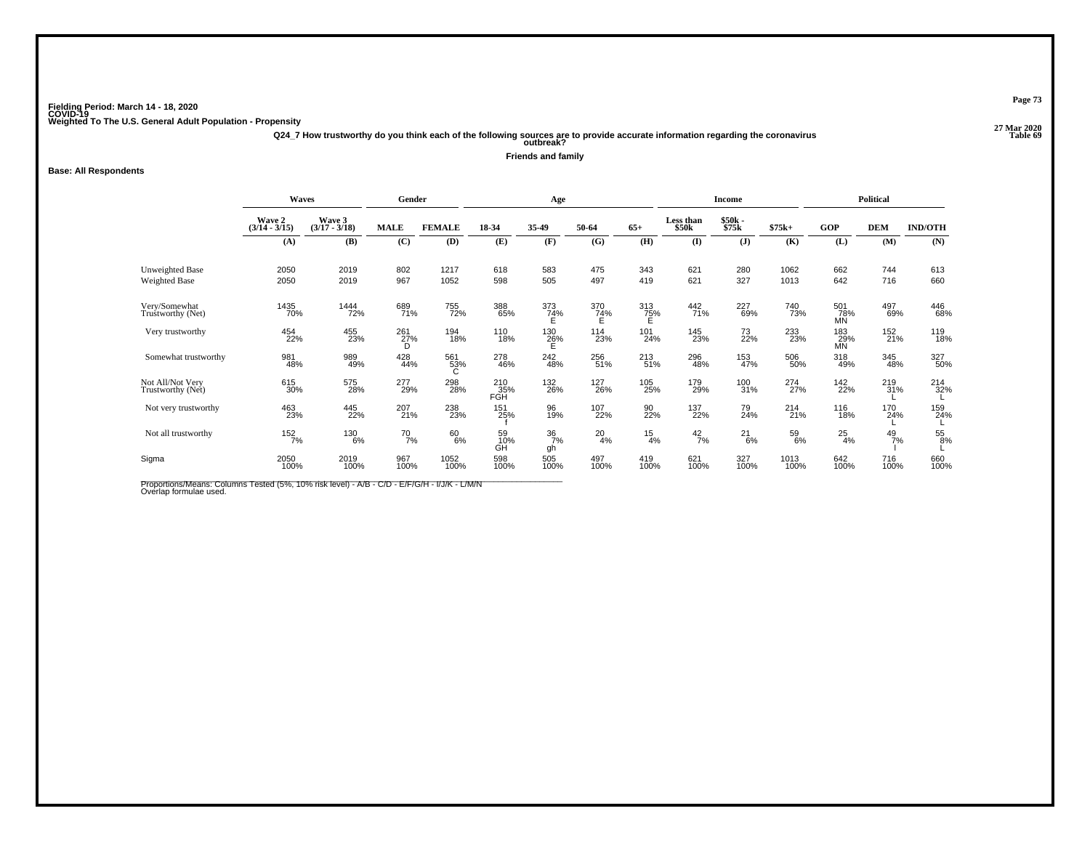**27 Mar 2020Q24\_7 How trustworthy do you think each of the following sources are to provide accurate information regarding the coronavirus Table 69 outbreak?**

**Friends and family**

## **Base: All Respondents**

|                                       | <b>Waves</b>                      |                                   | Gender          |                  |                          | Age                    |                 |                     |                 | Income         |                    |                           | <b>Political</b> |                |
|---------------------------------------|-----------------------------------|-----------------------------------|-----------------|------------------|--------------------------|------------------------|-----------------|---------------------|-----------------|----------------|--------------------|---------------------------|------------------|----------------|
|                                       | $\frac{\text{Wave}}{(3/14-3/15)}$ | $\frac{\text{Wave}}{(3/17-3/18)}$ | <b>MALE</b>     | <b>FEMALE</b>    | 18-34                    | 35-49                  | 50-64           | $65+$               | Less than \$50k | \$50k<br>\$75k | $$75k+$            | <b>GOP</b>                | <b>DEM</b>       | <b>IND/OTH</b> |
|                                       | (A)                               | (B)                               | (C)             | (D)              | (E)                      | (F)                    | (G)             | (H)                 | $\bf(I)$        | $\mathbf{J}$   | (K)                | (L)                       | (M)              | (N)            |
| Unweighted Base                       | 2050                              | 2019                              | 802             | 1217             | 618                      | 583                    | 475             | 343                 | 621             | 280            | 1062               | 662                       | 744              | 613            |
| Weighted Base                         | 2050                              | 2019                              | 967             | 1052             | 598                      | 505                    | 497             | 419                 | 621             | 327            | 1013               | 642                       | 716              | 660            |
| Very/Somewhat<br>Trustworthy (Net)    | 1435<br>70%                       | 1444<br>72%                       | 689<br>71%      | 755<br>72%       | 388<br>65%               | $\frac{373}{74\%}$     | 370<br>74%<br>E | 313<br>7 <u>5</u> % | 442<br>71%      | 227<br>69%     | <sup>740</sup> 73% | 501<br>78%<br><b>MN</b>   | 497<br>69%       | 446<br>68%     |
| Very trustworthy                      | 454<br>22%                        | 455<br>23%                        | 261<br>27%<br>D | 194<br>18%       | 110<br>18%               | $^{130}_{26\%}$        | 114<br>23%      | 101<br>24%          | 145<br>23%      | 73<br>22%      | 233<br>23%         | 183<br>$\frac{29}{100}$ % | 152<br>21%       | 119<br>18%     |
| Somewhat trustworthy                  | 981<br>48%                        | 989<br>49%                        | 428<br>44%      | 561<br>53%<br>C. | 278<br>46%               | 242<br>48%             | 256<br>51%      | 213<br>51%          | 296<br>48%      | 153<br>47%     | 506<br>50%         | 318<br>49%                | 345<br>48%       | 327<br>50%     |
| Not All/Not Very<br>Trustworthy (Net) | 615<br>30%                        | 575<br>28%                        | 277<br>29%      | 298<br>28%       | 210<br>35%<br><b>FGH</b> | 132<br>26%             | 127<br>26%      | 105<br>25%          | 179<br>29%      | 100<br>31%     | 274<br>27%         | 142<br>22%                | $^{219}_{31\%}$  | 214<br>32%     |
| Not very trustworthy                  | 463<br>23%                        | 445<br>22%                        | 207<br>21%      | 238<br>23%       | 151<br>25%               | 96<br>19%              | 107<br>22%      | 90<br>22%           | 137<br>22%      | 79<br>24%      | 214<br>21%         | 116<br>18%                | 170<br>24%       | 159<br>24%     |
| Not all trustworthy                   | 152<br>7%                         | 130<br>6%                         | 70<br>7%        | 60<br>6%         | 59<br>10%<br>GH          | $\frac{36}{7\%}$<br>gh | $^{20}_{4\%}$   | $\frac{15}{4\%}$    | $^{42}_{7\%}$   | $^{21}_{6\%}$  | 59<br>6%           | $^{25}_{4\%}$             | $^{49}$ $^{7\%}$ | 55<br>8%       |
| Sigma                                 | 2050<br>100%                      | 2019<br>100%                      | 967<br>100%     | 1052<br>100%     | 598<br>100%              | 505<br>100%            | 497<br>100%     | 419<br>100%         | 621<br>100%     | 327<br>100%    | 1013<br>100%       | 642<br>100%               | 716<br>100%      | 660<br>100%    |

Proportions/Means: Columns Tested (5%, 10% risk level) - A/B - C/D - E/F/G/H - I/J/K - L/M/N<br>Overlap formulae used.

**Page 73**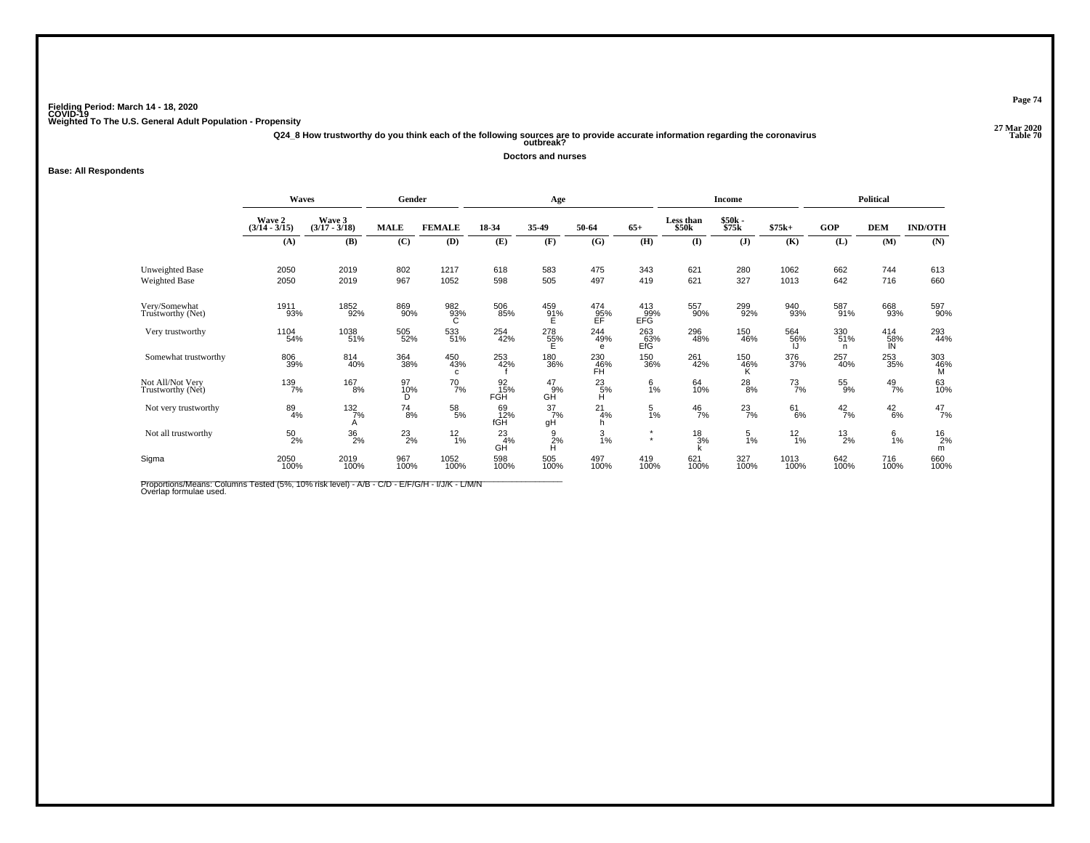**27 Mar 2020Q24\_8 How trustworthy do you think each of the following sources are to provide accurate information regarding the coronavirus Table 70 outbreak?**

**Doctors and nurses**

## **Base: All Respondents**

|                                       | Waves                             |                                   | Gender         |                 |                  | Age                 |                             |                         |                    | Income          |                  |                 | <b>Political</b> |                    |
|---------------------------------------|-----------------------------------|-----------------------------------|----------------|-----------------|------------------|---------------------|-----------------------------|-------------------------|--------------------|-----------------|------------------|-----------------|------------------|--------------------|
|                                       | $\frac{\text{Wave}}{(3/14-3/15)}$ | $\frac{\text{Wave}}{(3/17-3/18)}$ | <b>MALE</b>    | <b>FEMALE</b>   | 18-34            | 35-49               | 50-64                       | $65+$                   | Less than<br>\$50k | \$50k<br>\$75k  | $$75k+$          | <b>GOP</b>      | <b>DEM</b>       | <b>IND/OTH</b>     |
|                                       | (A)                               | (B)                               | (C)            | (D)             | (E)              | (F)                 | (G)                         | (H)                     | $\bf(I)$           | $\mathbf{J}$    | (K)              | (L)             | (M)              | (N)                |
| Unweighted Base                       | 2050                              | 2019                              | 802            | 1217            | 618              | 583                 | 475                         | 343                     | 621                | 280             | 1062             | 662             | 744              | 613                |
| Weighted Base                         | 2050                              | 2019                              | 967            | 1052            | 598              | 505                 | 497                         | 419                     | 621                | 327             | 1013             | 642             | 716              | 660                |
| Very/Somewhat<br>Trustworthy (Net)    | 1911<br>93%                       | 1852<br>92%                       | 869<br>90%     | 982<br>93%<br>C | 506<br>85%       | 459<br>91%<br>E     | $\frac{474}{95\%}$<br>ÉĖ    | $413$ 99%<br><b>EFG</b> | 557<br>90%         | 299<br>92%      | 940<br>93%       | 587<br>91%      | 668<br>93%       | 597<br>90%         |
| Very trustworthy                      | 1104<br>54%                       | 1038<br>51%                       | 505<br>52%     | 533<br>51%      | 254<br>42%       | 278<br>55%<br>E     | 244<br>49%<br>e             | 263<br>E <sub>63%</sub> | 296<br>48%         | 150<br>46%      | 564<br>56%<br>IJ | 330<br>51%<br>n | 414<br>58%<br>IN | 293<br>44%         |
| Somewhat trustworthy                  | 806<br>39%                        | 814<br>40%                        | 364<br>38%     | 450<br>43%<br>c | 253<br>42%       | 180<br>36%          | 230<br>46%<br>FH            | 150<br>36%              | 261<br>42%         | 150<br>46%<br>K | 376<br>37%       | 257<br>40%      | 253<br>35%       | 303<br>46%<br>M    |
| Not All/Not Very<br>Trustworthy (Net) | 139 <sub>7%</sub>                 | 167<br>8%                         | 97<br>10%<br>D | $^{70}_{7\%}$   | 92<br>15%<br>FGH | $^{47}_{9\%}$<br>GH | $^{23}_{\substack{5\%\\H}}$ | $6\frac{6}{1}\%$        | 64<br>10%          | $^{28}_{8\%}$   | $^{73}_{7\%}$    | $^{55}_{9\%}$   | $^{49}_{7\%}$    | 63<br>10%          |
| Not very trustworthy                  | $\frac{89}{4\%}$                  | $\frac{132}{7}\%$<br>Α            | $^{74}_{8\%}$  | $^{58}_{\ 5\%}$ | 69<br>12%<br>fGH | 37<br>7%<br>gH      | $^{21}_{4\%}$<br>h.         | 5<br>1%                 | $\frac{46}{7%}$    | $^{23}_{7\%}$   | $^{61}_{6\%}$    | $^{42}_{7\%}$   | $^{42}_{6\%}$    | $\frac{47}{7\%}$   |
| Not all trustworthy                   | $^{50}_{2\%}$                     | $\frac{36}{2\%}$                  | $^{23}_{2\%}$  | $^{12}_{1\%}$   | 23<br>4%<br>GH   | $\frac{9}{11}$ %    | $\frac{3}{1\%}$             | ٠                       | $\frac{18}{3%}$    | $\frac{5}{1\%}$ | $\frac{12}{1%}$  | $^{13}_{2\%}$   | $6\frac{6}{1%}$  | $^{16}_{2\%}$<br>m |
| Sigma                                 | 2050<br>100%                      | 2019<br>100%                      | 967<br>100%    | 1052<br>100%    | 598<br>100%      | 505<br>100%         | 497<br>100%                 | 419<br>100%             | 621<br>100%        | 327<br>100%     | 1013<br>100%     | 642<br>100%     | 716<br>100%      | 660<br>100%        |

Proportions/Means: Columns Tested (5%, 10% risk level) - A/B - C/D - E/F/G/H - I/J/K - L/M/N<br>Overlap formulae used.

**Page 74**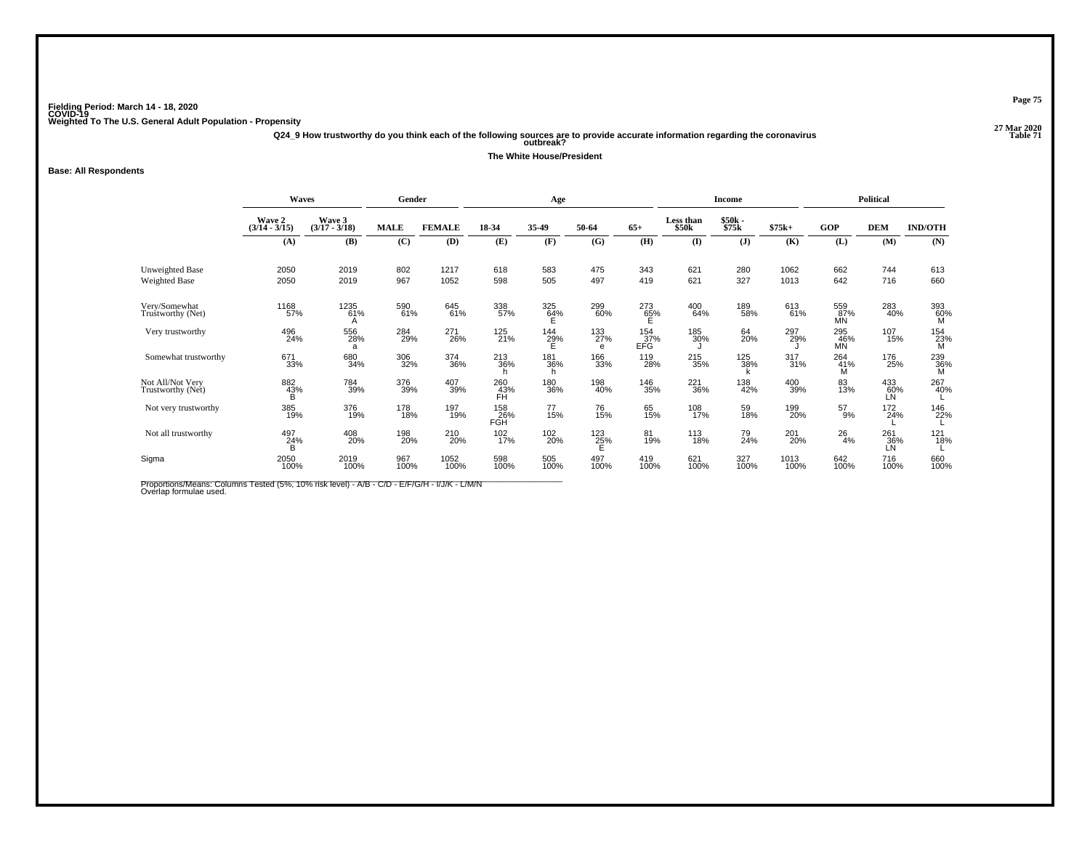**27 Mar 2020Q24\_9 How trustworthy do you think each of the following sources are to provide accurate information regarding the coronavirus Table 71 outbreak?**

**The White House/President**

## **Base: All Respondents**

|                                       | <b>Waves</b>                      |                                   | Gender      |               |                           | Age                |                 |             |                    | Income         |              |                         | <b>Political</b>        |                   |
|---------------------------------------|-----------------------------------|-----------------------------------|-------------|---------------|---------------------------|--------------------|-----------------|-------------|--------------------|----------------|--------------|-------------------------|-------------------------|-------------------|
|                                       | $\frac{\text{Wave}}{(3/14-3/15)}$ | $\frac{\text{Wave}}{(3/17-3/18)}$ | <b>MALE</b> | <b>FEMALE</b> | 18-34                     | 35-49              | 50-64           | $65+$       | Less than<br>\$50k | \$50k<br>\$75k | $$75k+$      | <b>GOP</b>              | <b>DEM</b>              | <b>IND/OTH</b>    |
|                                       | (A)                               | (B)                               | (C)         | (D)           | (E)                       | (F)                | (G)             | (H)         | $\bf(I)$           | $\mathbf{J}$   | (K)          | (L)                     | (M)                     | (N)               |
| Unweighted Base                       | 2050                              | 2019                              | 802         | 1217          | 618                       | 583                | 475             | 343         | 621                | 280            | 1062         | 662                     | 744                     | 613               |
| Weighted Base                         | 2050                              | 2019                              | 967         | 1052          | 598                       | 505                | 497             | 419         | 621                | 327            | 1013         | 642                     | 716                     | 660               |
| Very/Somewhat<br>Trustworthy (Net)    | 1168<br>57%                       | 1235<br>61%<br>Α                  | 590<br>61%  | 645<br>61%    | 338<br>57%                | 325<br>64%         | 299<br>60%      | 273<br>65%  | $^{400}_{64\%}$    | 189<br>58%     | 613<br>61%   | 559<br>87%<br><b>MN</b> | 283<br>40%              | 393<br>60%        |
| Very trustworthy                      | 496<br>24%                        | 556<br>28%<br>a                   | 284<br>29%  | 271<br>26%    | 125<br>21%                | $\frac{144}{29\%}$ | 133<br>27%<br>e | 154<br>EFG  | 185<br>30%         | 64<br>20%      | 297<br>29%   | 295<br>46%<br>MN        | 107<br>15%              | 154<br>23%<br>M   |
| Somewhat trustworthy                  | 671<br>33%                        | 680<br>34%                        | 306<br>32%  | 374<br>36%    | 213<br>36%                | 181<br>36%         | 166<br>33%      | 119<br>28%  | 215<br>35%         | 125<br>38%     | 317<br>31%   | 264<br>41%<br>м         | 176<br>25%              | $^{239}_{36\%}$ M |
| Not All/Not Very<br>Trustworthy (Net) | 882<br>43%                        | 784<br>39%                        | 376<br>39%  | 407<br>39%    | 260<br>43%<br>FH.         | 180<br>36%         | 198<br>40%      | 146<br>35%  | 221<br>36%         | 138<br>42%     | 400<br>39%   | 83<br>13%               | 433<br>60%<br><b>LN</b> | 267<br>40%        |
| Not very trustworthy                  | 385<br>19%                        | 376<br>19%                        | 178<br>18%  | 197<br>19%    | 158<br>FGH <sup>26%</sup> | 77<br>15%          | 76<br>15%       | 65<br>15%   | 108<br>17%         | 59<br>18%      | 199<br>20%   | 57<br>9%                | 172<br>24%              | 146<br>22%        |
| Not all trustworthy                   | 497<br>24%                        | 408<br>20%                        | 198<br>20%  | 210<br>20%    | 102<br>17%                | 102<br>20%         | 123<br>25%      | 81<br>19%   | 113<br>18%         | 79<br>24%      | 201<br>20%   | $^{26}_{4\%}$           | 261<br>36%<br>LN        | 121<br>18%        |
| Sigma                                 | 2050<br>100%                      | 2019<br>100%                      | 967<br>100% | 1052<br>100%  | 598<br>100%               | 505<br>100%        | 497<br>100%     | 419<br>100% | 621<br>100%        | 327<br>100%    | 1013<br>100% | 642<br>100%             | 716<br>100%             | 660<br>100%       |

Proportions/Means: Columns Tested (5%, 10% risk level) - A/B - C/D - E/F/G/H - I/J/K - L/M/N<br>Overlap formulae used.

**Page 75**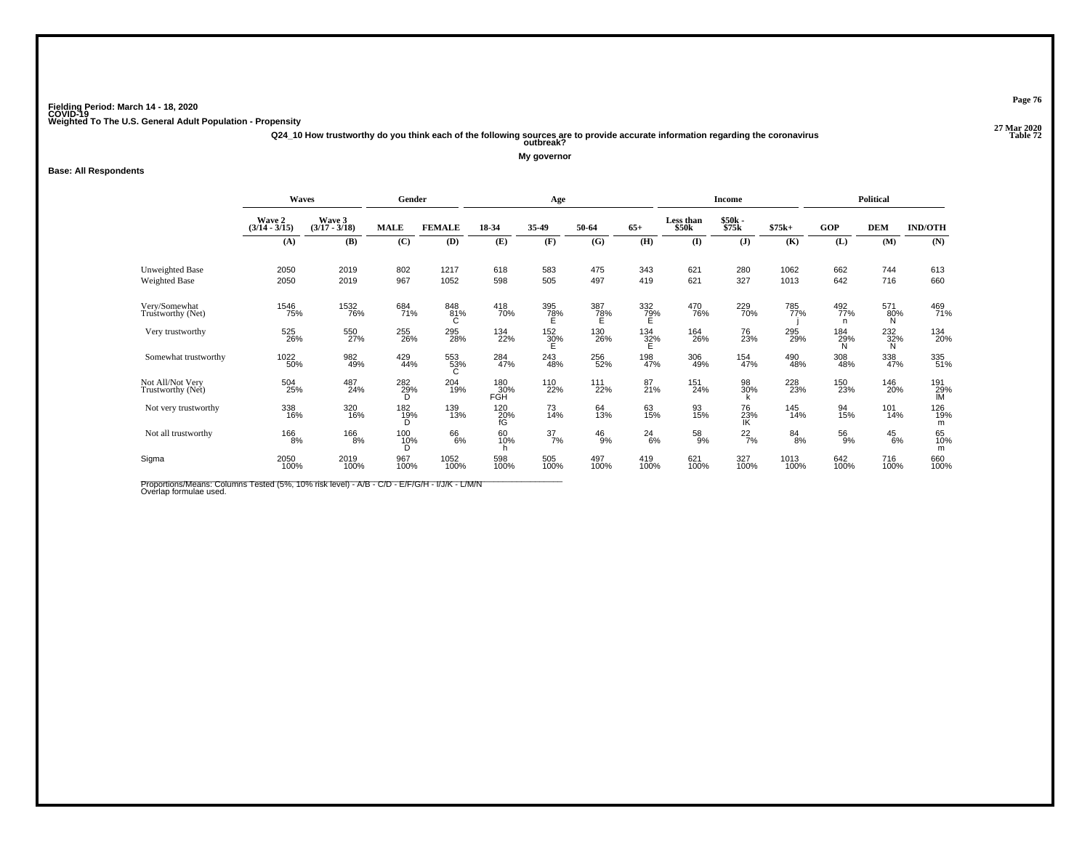**27 Mar 2020Q24\_10 How trustworthy do you think each of the following sources are to provide accurate information regarding the coronavirus Table 72 outbreak?**

**My governor**

## **Base: All Respondents**

|                                       | <b>Waves</b>                      |                                   | Gender          |               |                          | Age                 |                 |                          |                    | <b>Income</b>   |                 |                         | <b>Political</b> |                  |
|---------------------------------------|-----------------------------------|-----------------------------------|-----------------|---------------|--------------------------|---------------------|-----------------|--------------------------|--------------------|-----------------|-----------------|-------------------------|------------------|------------------|
|                                       | $\frac{\text{Wave}}{(3/14-3/15)}$ | $\frac{\text{Wave}}{(3/17-3/18)}$ | <b>MALE</b>     | <b>FEMALE</b> | 18-34                    | 35-49               | 50-64           | $65+$                    | Less than<br>\$50k | \$50k<br>\$75k  | $$75k+$         | <b>GOP</b>              | <b>DEM</b>       | <b>IND/OTH</b>   |
|                                       | (A)                               | (B)                               | (C)             | <b>(D)</b>    | (E)                      | (F)                 | (G)             | (H)                      | $\mathbf{I}$       | $\mathbf{J}$    | (K)             | (L)                     | (M)              | (N)              |
| Unweighted Base                       | 2050                              | 2019                              | 802             | 1217          | 618                      | 583                 | 475             | 343                      | 621                | 280             | 1062            | 662                     | 744              | 613              |
| Weighted Base                         | 2050                              | 2019                              | 967             | 1052          | 598                      | 505                 | 497             | 419                      | 621                | 327             | 1013            | 642                     | 716              | 660              |
| Very/Somewhat<br>Trustworthy (Net)    | 1546<br>75%                       | 1532<br>76%                       | 684<br>71%      | 848<br>81%    | 418<br>70%               | 395<br>7 <u>8</u> % | 387<br>78%<br>E | 332<br>7 <u>9</u> %<br>E | 470<br>76%         | 229<br>70%      | 785<br>77%      | 492 <sub>77%</sub><br>n | 571<br>80%<br>N  | 469<br>71%       |
| Very trustworthy                      | 525<br>26%                        | 550<br>27%                        | 255<br>26%      | 295<br>28%    | 134<br>22%               | $^{152}_{30\%}$     | 130<br>26%      | $^{134}_{32\%}$          | 164<br>26%         | 76<br>23%       | 295<br>29%      | 184<br>29%              | 232<br>32%       | 134<br>20%       |
| Somewhat trustworthy                  | 1022<br>50%                       | 982<br>49%                        | 429<br>44%      | 553<br>53%    | 284<br>47%               | 243<br>48%          | 256<br>52%      | 198<br>47%               | 306<br>49%         | 154<br>47%      | 490<br>48%      | 308<br>48%              | 338<br>47%       | 335<br>51%       |
| Not All/Not Very<br>Trustworthy (Net) | 504<br>25%                        | 487<br>24%                        | 282<br>29%<br>D | 204<br>19%    | 180<br>30%<br><b>FGH</b> | 110<br>22%          | 111<br>22%      | 87<br>21%                | 151<br>24%         | 98<br>30%<br>ĸ  | 228<br>23%      | 150<br>23%              | 146<br>20%       | 191<br>29%<br>IM |
| Not very trustworthy                  | 338<br>16%                        | 320<br>16%                        | 182<br>19%      | 139<br>13%    | 120<br>20%<br>fG         | 73<br>14%           | 64<br>13%       | 63<br>15%                | 93<br>15%          | 76<br>23%<br>IK | 145<br>14%      | 94<br>15%               | 101<br>14%       | 126<br>19%<br>m  |
| Not all trustworthy                   | 166<br>8%                         | 166<br>8%                         | 100<br>10%<br>D | 66<br>6%      | 60<br>10%                | $\frac{37}{7\%}$    | $^{46}_{9%}$    | $^{24}_{6\%}$            | 58<br>9%           | $^{22}_{7\%}$   | $\frac{84}{8%}$ | 56<br>9%                | $^{45}_{6\%}$    | 65<br>10%<br>m   |
| Sigma                                 | 2050<br>100%                      | 2019<br>100%                      | 967<br>100%     | 1052<br>100%  | 598<br>100%              | 505<br>100%         | 497<br>100%     | 419<br>100%              | 621<br>100%        | 327<br>100%     | 1013<br>100%    | 642<br>100%             | 716<br>100%      | 660<br>100%      |

Proportions/Means: Columns Tested (5%, 10% risk level) - A/B - C/D - E/F/G/H - I/J/K - L/M/N<br>Overlap formulae used.

**Page 76**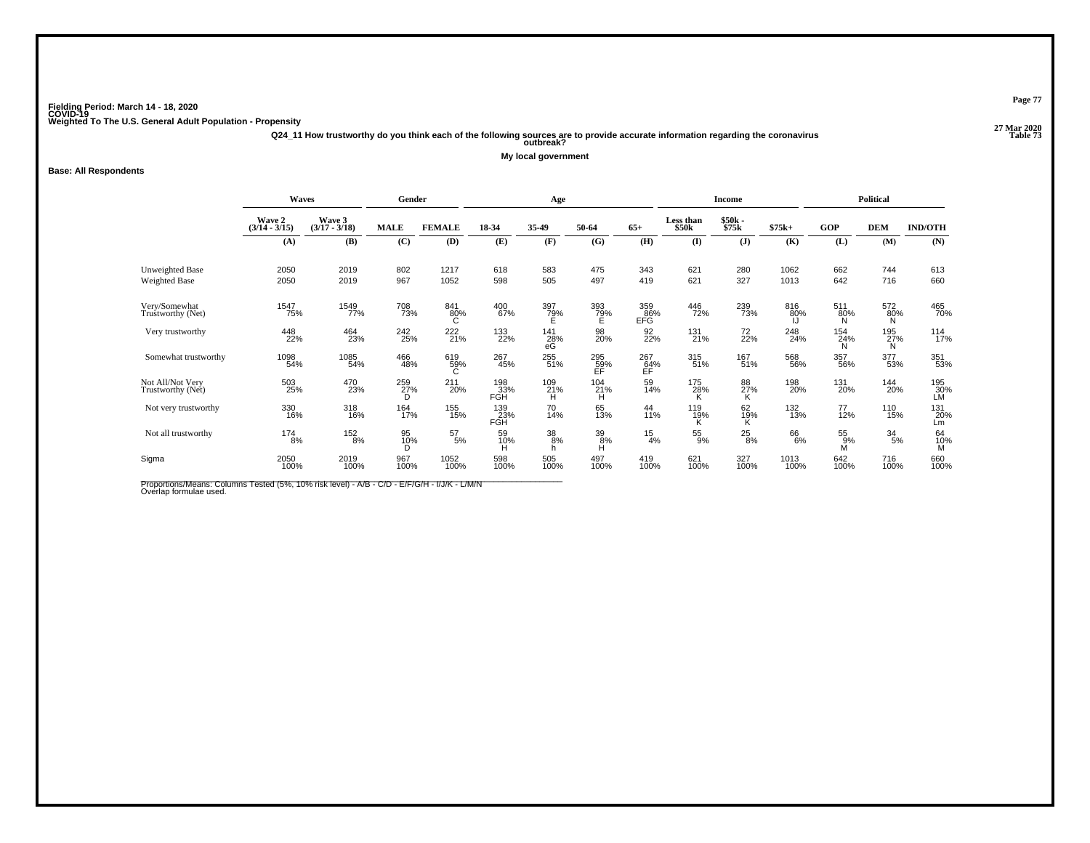**27 Mar 2020Q24\_11 How trustworthy do you think each of the following sources are to provide accurate information regarding the coronavirus Table 73 outbreak?**

**My local government**

## **Base: All Respondents**

|                                       | <b>Waves</b>                      |                                   | Gender          |                 |                           | Age                      |                  |                   |                 | Income          |              |                       | <b>Political</b> |                  |
|---------------------------------------|-----------------------------------|-----------------------------------|-----------------|-----------------|---------------------------|--------------------------|------------------|-------------------|-----------------|-----------------|--------------|-----------------------|------------------|------------------|
|                                       | $\frac{\text{Wave}}{(3/14-3/15)}$ | $\frac{\text{Wave}}{(3/17-3/18)}$ | <b>MALE</b>     | <b>FEMALE</b>   | 18-34                     | 35-49                    | 50-64            | $65+$             | Less than \$50k | \$50k<br>\$75k  | $$75k+$      | <b>GOP</b>            | <b>DEM</b>       | <b>IND/OTH</b>   |
|                                       | (A)                               | (B)                               | (C)             | (D)             | (E)                       | (F)                      | (G)              | (H)               | $\bf(I)$        | $\mathbf{J}$    | (K)          | (L)                   | (M)              | (N)              |
| Unweighted Base                       | 2050                              | 2019                              | 802             | 1217            | 618                       | 583                      | 475              | 343               | 621             | 280             | 1062         | 662                   | 744              | 613              |
| Weighted Base                         | 2050                              | 2019                              | 967             | 1052            | 598                       | 505                      | 497              | 419               | 621             | 327             | 1013         | 642                   | 716              | 660              |
| Very/Somewhat<br>Trustworthy (Net)    | 1547<br>75%                       | 1549<br>77%                       | 708<br>73%      | 841<br>80%<br>C | 400<br>67%                | 397<br>7 <u>9</u> %<br>E | 393<br>79%<br>E  | 359<br>86%<br>EFG | 446<br>72%      | 239<br>73%      | 816<br>80%   | 511<br>80%<br>N       | 572<br>80%<br>N  | 465<br>70%       |
| Very trustworthy                      | 448<br>22%                        | 464<br>23%                        | 242<br>25%      | 222<br>21%      | 133<br>22%                | $^{141}_{28\%}$ eG       | 98<br>20%        | 92<br>22%         | 131<br>21%      | 72<br>22%       | 248<br>24%   | 154<br>$\frac{24}{N}$ | 195<br>27%<br>N  | 114<br>17%       |
| Somewhat trustworthy                  | 1098<br>54%                       | 1085<br>54%                       | 466<br>48%      | 619<br>59%      | 267<br>45%                | 255<br>51%               | 295<br>59%<br>ÉĖ | 267<br>64%<br>ÉF  | 315<br>51%      | 167<br>51%      | 568<br>56%   | 357<br>56%            | 377<br>53%       | 351<br>53%       |
| Not All/Not Very<br>Trustworthy (Net) | 503<br>25%                        | 470<br>23%                        | 259<br>27%<br>D | 211<br>20%      | 198<br>33%<br><b>FGH</b>  | 109<br>21%<br>н          | 104<br>21%<br>н  | 59<br>14%         | 175<br>28%<br>Κ | 88<br>27%<br>Κ  | 198<br>20%   | 131<br>20%            | 144<br>20%       | 195<br>30%<br>LM |
| Not very trustworthy                  | 330<br>16%                        | 318<br>16%                        | 164<br>17%      | 155<br>15%      | 139<br>FGH <sup>23%</sup> | 70<br>14%                | 65<br>13%        | 44<br>11%         | 119<br>19%      | 62<br>19%<br>K  | 132<br>13%   | 77<br>12%             | 110<br>15%       | 131<br>20%<br>Lm |
| Not all trustworthy                   | 174<br>8%                         | 152<br>8%                         | 95<br>10%<br>D  | $^{57}_{\ 5\%}$ | 59<br>10%<br>н            | $\frac{38}{8%}$          | 39<br>8%<br>н    | $\frac{15}{4\%}$  | 55<br>9%        | $^{25}_{\ 8\%}$ | 66<br>6%     | 55<br>9%<br>м         | $\frac{34}{5\%}$ | 64<br>10%<br>м   |
| Sigma                                 | 2050<br>100%                      | 2019<br>100%                      | 967<br>100%     | 1052<br>100%    | 598<br>100%               | 505<br>100%              | 497<br>100%      | 419<br>100%       | 621<br>100%     | 327<br>100%     | 1013<br>100% | 642<br>100%           | 716<br>100%      | 660<br>100%      |

Proportions/Means: Columns Tested (5%, 10% risk level) - A/B - C/D - E/F/G/H - I/J/K - L/M/N<br>Overlap formulae used.

**Page 77**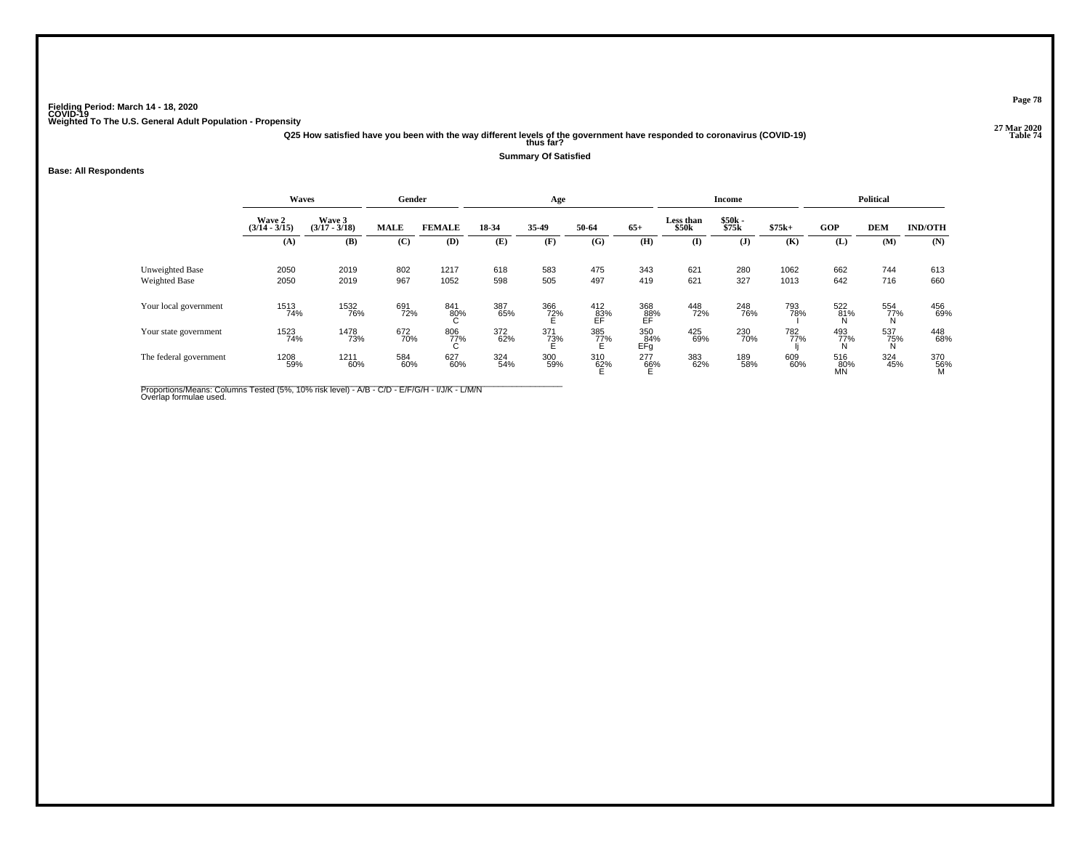**27 Mar 2020Q25 How satisfied have you been with the way different levels of the government have responded to coronavirus (COVID-19) thus far?**

**Summary Of Satisfied**

## **Base: All Respondents**

|                        | Waves                             |                                   | Gender      |               |            | Age                 |                          |                   |                 | Income         |            |                         | <b>Political</b> |                 |
|------------------------|-----------------------------------|-----------------------------------|-------------|---------------|------------|---------------------|--------------------------|-------------------|-----------------|----------------|------------|-------------------------|------------------|-----------------|
|                        | $\frac{\text{Wave}}{(3/14-3/15)}$ | $\frac{\text{Wave}}{(3/17-3/18)}$ | <b>MALE</b> | <b>FEMALE</b> | 18-34      | 35-49               | 50-64                    | $65+$             | Less than \$50k | \$50k<br>\$75k | $$75k+$    | <b>GOP</b>              | <b>DEM</b>       | <b>IND/OTH</b>  |
|                        | (A)                               | (B)                               | (C)         | (D)           | (E)        | (F)                 | (G)                      | (H)               | $\mathbf{I}$    | $\mathbf{J}$   | (K)        | (L)                     | (M)              | (N)             |
| Unweighted Base        | 2050                              | 2019                              | 802         | 1217          | 618        | 583                 | 475                      | 343               | 621             | 280            | 1062       | 662                     | 744              | 613             |
| Weighted Base          | 2050                              | 2019                              | 967         | 1052          | 598        | 505                 | 497                      | 419               | 621             | 327            | 1013       | 642                     | 716              | 660             |
| Your local government  | 1513<br>74%                       | 1532<br>76%                       | 691<br>72%  | 841<br>80%    | 387<br>65% | 366<br>72%          | $\frac{412}{83\%}$<br>ÉĖ | 368<br>88%<br>ÉĖ  | 448<br>72%      | 248<br>76%     | 793<br>78% | 522<br>81%              | 554<br>77%       | 456<br>69%      |
| Your state government  | 1523<br>74%                       | 1478<br>73%                       | 672<br>70%  | 806<br>77%    | 372<br>62% | 371<br>7 <u>3</u> % | 385<br>77%<br>E          | 350<br>84%<br>EFg | 425<br>69%      | 230<br>70%     | 782<br>77% | 493<br>77%              | 537<br>75%       | 448<br>68%      |
| The federal government | 1208<br>59%                       | 1211<br>60%                       | 584<br>60%  | 627<br>60%    | 324<br>54% | 300<br>59%          | 310<br>62%               | 277<br>66%        | 383<br>62%      | 189<br>58%     | 609<br>60% | 516<br>80%<br><b>MN</b> | 324<br>45%       | 370<br>56%<br>M |

Proportions/Means: Columns Tested (5%, 10% risk level) - A/B - C/D - E/F/G/H - I/J/K - L/M/N<br>Overlap formulae used.

**Page 78**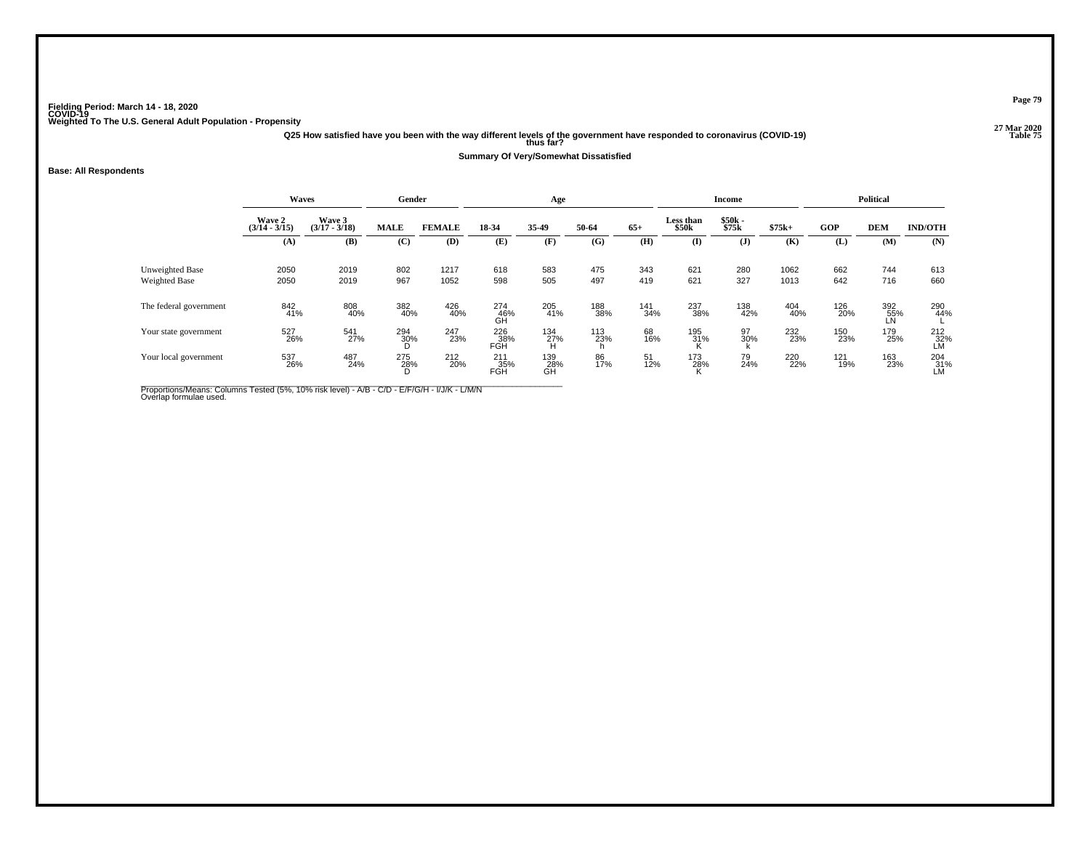**27 Mar 2020Q25 How satisfied have you been with the way different levels of the government have responded to coronavirus (COVID-19) thus far?**

**Summary Of Very/Somewhat Dissatisfied**

## **Base: All Respondents**

|                        | Waves                             |                                   | Gender                           |               |                          | Age              |            |            |                    | Income         |            |            | <b>Political</b>  |                  |
|------------------------|-----------------------------------|-----------------------------------|----------------------------------|---------------|--------------------------|------------------|------------|------------|--------------------|----------------|------------|------------|-------------------|------------------|
|                        | $\frac{\text{Wave}}{(3/14-3/15)}$ | $\frac{\text{Wave}}{(3/17-3/18)}$ | <b>MALE</b>                      | <b>FEMALE</b> | 18-34                    | 35-49            | 50-64      | $65+$      | Less than<br>\$50k | \$50k<br>\$75k | $$75k+$    | <b>GOP</b> | <b>DEM</b>        | <b>IND/OTH</b>   |
|                        | (A)                               | (B)                               | (C)                              | (D)           | (E)                      | (F)              | (G)        | (H)        | $\mathbf{I}$       | $\mathbf{J}$   | (K)        | (L)        | (M)               | (N)              |
| Unweighted Base        | 2050                              | 2019                              | 802                              | 1217          | 618                      | 583              | 475        | 343        | 621                | 280            | 1062       | 662        | 744               | 613              |
| Weighted Base          | 2050                              | 2019                              | 967                              | 1052          | 598                      | 505              | 497        | 419        | 621                | 327            | 1013       | 642        | 716               | 660              |
| The federal government | 842<br>41%                        | 808<br>40%                        | 382<br>40%                       | 426<br>40%    | 274<br>46%<br>GH         | 205<br>41%       | 188<br>38% | 141<br>34% | 237<br>38%         | 138<br>42%     | 404<br>40% | 126<br>20% | 392<br>55%<br>LΝ. | 290<br>44%       |
| Your state government  | 527<br>26%                        | 541<br>27%                        | $^{294}_{30\%}$                  | 247<br>23%    | 226<br>38%<br>FGH        | 134<br>27%<br>н  | 113<br>23% | 68<br>16%  | 195<br>31%         | 97<br>30%      | 232<br>23% | 150<br>23% | 179<br>25%        | $^{212}_{32\%}$  |
| Your local government  | 537<br>26%                        | 487<br>24%                        | 275<br>$\bar{P}_{\bar{D}}^{8\%}$ | 212<br>20%    | 211<br>35%<br><b>FGH</b> | 139<br>28%<br>GH | 86<br>17%  | 51<br>12%  | 173<br>28%         | 79<br>24%      | 220<br>22% | 121<br>19% | 163<br>23%        | 204<br>31%<br>LM |

Proportions/Means: Columns Tested (5%, 10% risk level) - A/B - C/D - E/F/G/H - I/J/K - L/M/N<br>Overlap formulae used.

**Page 79**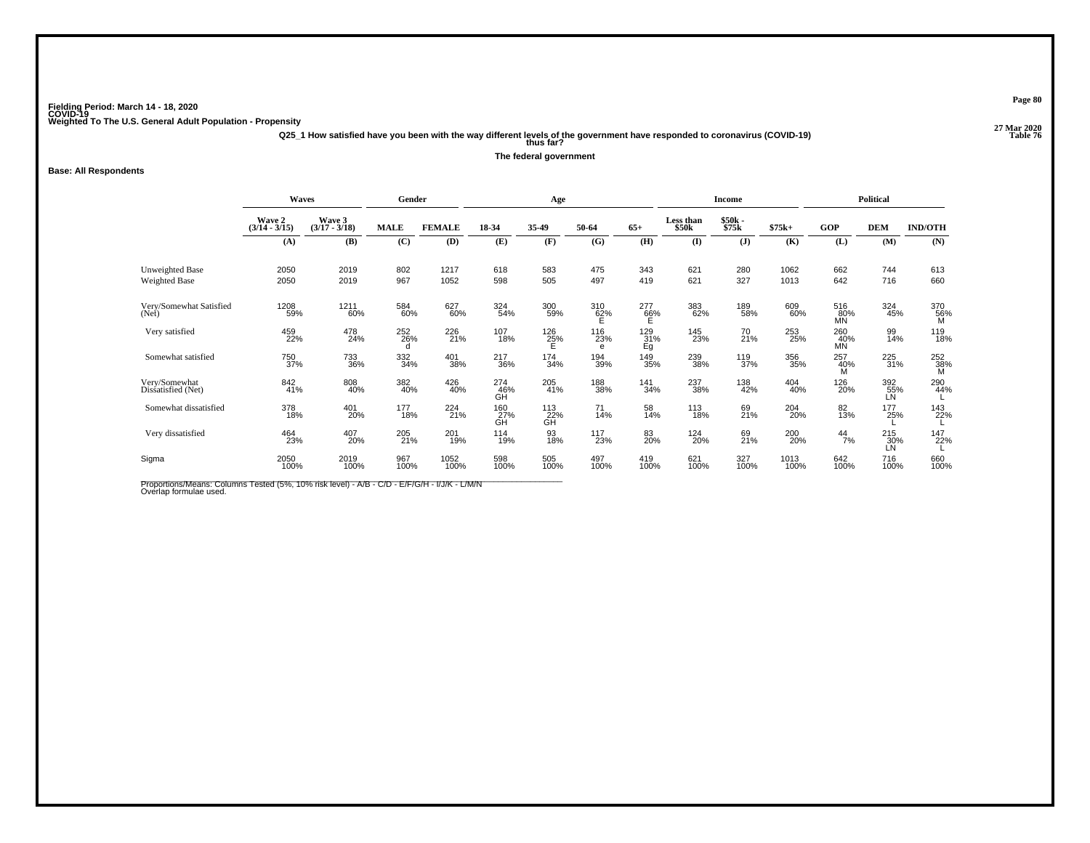**27 Mar 2020Q25\_1 How satisfied have you been with the way different levels of the government have responded to coronavirus (COVID-19) thus far?**

**The federal government**

## **Base: All Respondents**

|                                         | Waves                             |                                   | Gender          |               |                  | Age                           |                    |                  |                    | Income         |              |                         | <b>Political</b>  |                                              |
|-----------------------------------------|-----------------------------------|-----------------------------------|-----------------|---------------|------------------|-------------------------------|--------------------|------------------|--------------------|----------------|--------------|-------------------------|-------------------|----------------------------------------------|
|                                         | $\frac{\text{Wave}}{(3/14-3/15)}$ | $\frac{\text{Wave}}{(3/17-3/18)}$ | <b>MALE</b>     | <b>FEMALE</b> | 18-34            | 35-49                         | 50-64              | $65+$            | Less than<br>\$50k | \$50k<br>\$75k | $$75k+$      | GOP                     | <b>DEM</b>        | <b>IND/OTH</b>                               |
|                                         | (A)                               | (B)                               | (C)             | (D)           | (E)              | (F)                           | (G)                | (H)              | $\mathbf{I}$       | $\mathbf{J}$   | (K)          | (L)                     | (M)               | (N)                                          |
| Unweighted Base<br><b>Weighted Base</b> | 2050<br>2050                      | 2019<br>2019                      | 802<br>967      | 1217<br>1052  | 618<br>598       | 583<br>505                    | 475<br>497         | 343<br>419       | 621<br>621         | 280<br>327     | 1062<br>1013 | 662<br>642              | 744<br>716        | 613<br>660                                   |
| Very/Somewhat Satisfied<br>(Net)        | 1208<br>59%                       | 1211<br>60%                       | 584<br>60%      | 627<br>60%    | 324<br>54%       | 300<br>59%                    | $\frac{310}{62\%}$ | 277<br>66%       | 383<br>62%         | 189<br>58%     | 609<br>60%   | 516<br>80%<br><b>MN</b> | 324<br>45%        | 370<br>56%<br>M                              |
| Very satisfied                          | 459<br>22%                        | 478<br>24%                        | 252<br>26%<br>d | 226<br>21%    | 107<br>18%       | $\frac{126}{25\%}$            | 116<br>23%<br>е    | 129<br>31%<br>Eg | 145<br>23%         | 70<br>21%      | 253<br>25%   | 260<br>40%<br>MÑ        | 99<br>14%         | 119<br>18%                                   |
| Somewhat satisfied                      | 750<br>37%                        | 733<br>36%                        | 332<br>34%      | 401<br>38%    | 217<br>36%       | 174<br>34%                    | 194<br>39%         | 149<br>35%       | 239<br>38%         | 119<br>37%     | 356<br>35%   | 257<br>40%              | 225<br>31%        | $\overset{252}{\underset{\text{38%}}{38\%}}$ |
| Very/Somewhat<br>Dissatisfied (Net)     | 842<br>41%                        | 808<br>40%                        | 382<br>40%      | 426<br>40%    | 274<br>46%<br>GĤ | 205<br>41%                    | 188<br>38%         | 141<br>34%       | 237<br>38%         | 138<br>42%     | 404<br>40%   | 126<br>20%              | 392<br>55%<br>LN. | 290<br>44%                                   |
| Somewhat dissatisfied                   | 378<br>18%                        | 401<br>20%                        | 177<br>18%      | 224<br>21%    | 160<br>27%<br>GH | 113<br>$\frac{22}{\text{GH}}$ | 71<br>14%          | 58<br>14%        | 113<br>18%         | 69<br>21%      | 204<br>20%   | 82<br>13%               | 177<br>25%        | 143<br>22%                                   |
| Very dissatisfied                       | 464<br>23%                        | 407<br>20%                        | 205<br>21%      | 201<br>19%    | 114<br>19%       | 93<br>18%                     | 117<br>23%         | 83<br>20%        | 124<br>20%         | 69<br>21%      | 200<br>20%   | $^{44}_{7\%}$           | 215<br>30%<br>LN  | 147<br>22%                                   |
| Sigma                                   | 2050<br>100%                      | 2019<br>100%                      | 967<br>100%     | 1052<br>100%  | 598<br>100%      | 505<br>100%                   | 497<br>100%        | 419<br>100%      | 621<br>100%        | 327<br>100%    | 1013<br>100% | 642<br>100%             | 716<br>100%       | 660<br>100%                                  |

Proportions/Means: Columns Tested (5%, 10% risk level) - A/B - C/D - E/F/G/H - I/J/K - L/M/N<br>Overlap formulae used.

**Page 80**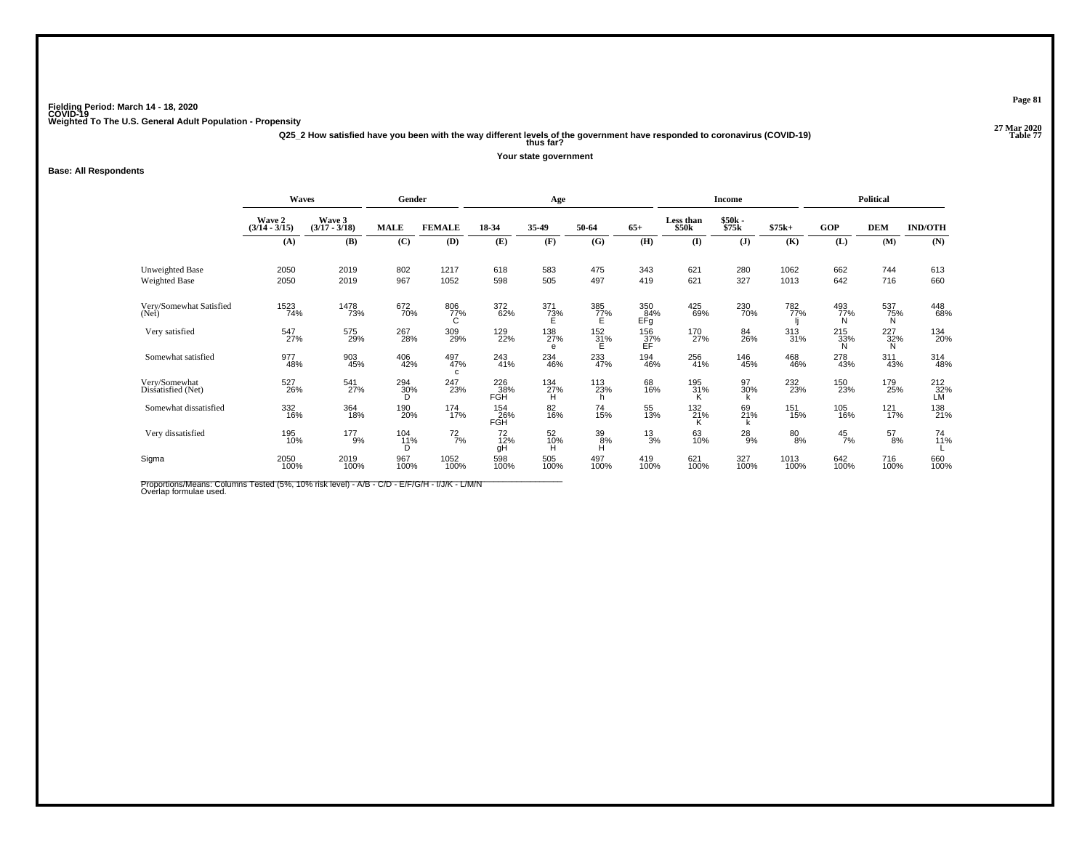**27 Mar 2020Q25\_2 How satisfied have you been with the way different levels of the government have responded to coronavirus (COVID-19) thus far?**

**Your state government**

## **Base: All Respondents**

|                                     | <b>Waves</b>                      |                                   | Gender               |                 |                          | Age                 |                          |                   |                    | <b>Income</b>  |                      |                    | <b>Political</b> |                       |
|-------------------------------------|-----------------------------------|-----------------------------------|----------------------|-----------------|--------------------------|---------------------|--------------------------|-------------------|--------------------|----------------|----------------------|--------------------|------------------|-----------------------|
|                                     | $\frac{\text{Wave}}{(3/14-3/15)}$ | $\frac{\text{Wave}}{(3/17-3/18)}$ | <b>MALE</b>          | <b>FEMALE</b>   | 18-34                    | 35-49               | 50-64                    | $65+$             | Less than<br>\$50k | \$50k<br>\$75k | $$75k+$              | <b>GOP</b>         | <b>DEM</b>       | <b>IND/OTH</b>        |
|                                     | (A)                               | (B)                               | (C)                  | <b>(D)</b>      | (E)                      | (F)                 | (G)                      | (H)               | $\mathbf{I}$       | $\mathbf{J}$   | (K)                  | (L)                | (M)              | (N)                   |
| Unweighted Base                     | 2050                              | 2019                              | 802                  | 1217            | 618                      | 583                 | 475                      | 343               | 621                | 280            | 1062                 | 662                | 744              | 613                   |
| Weighted Base                       | 2050                              | 2019                              | 967                  | 1052            | 598                      | 505                 | 497                      | 419               | 621                | 327            | 1013                 | 642                | 716              | 660                   |
| Very/Somewhat Satisfied<br>(Net)    | 1523<br>74%                       | 1478<br>73%                       | 672<br>70%           | 806<br>77%      | 372<br>62%               | 371<br>7 <u>3</u> % | 385<br>7 <u>7</u> %<br>E | 350<br>84%<br>EFg | 425<br>69%         | 230<br>70%     | 782<br>77%           | 493<br>77%<br>N    | 537<br>75%<br>N  | 448<br>68%            |
| Very satisfied                      | 547<br>27%                        | 575<br>29%                        | 267<br>28%           | 309<br>29%      | 129<br>22%               | 138<br>27%<br>e     | $^{152}_{31\%}$          | 156<br>37%<br>EF  | 170<br>27%         | 84<br>26%      | 313<br>31%           | $\frac{215}{33\%}$ | 227<br>32%<br>N  | 134<br>20%            |
| Somewhat satisfied                  | 977<br>48%                        | 903<br>45%                        | 406<br>42%           | 497<br>47%<br>c | 243<br>41%               | 234<br>46%          | 233<br>47%               | 194<br>46%        | 256<br>41%         | 146<br>45%     | 468<br>46%           | 278<br>43%         | 311<br>43%       | 314<br>48%            |
| Very/Somewhat<br>Dissatisfied (Net) | 527<br>26%                        | 541<br>27%                        | 294<br>30%<br>D      | 247<br>23%      | 226<br>38%<br><b>FGH</b> | 134<br>27%<br>н     | 113<br>23%<br>h.         | 68<br>16%         | 195<br>31%<br>κ    | 97<br>30%<br>ĸ | 232<br>23%           | 150<br>23%         | 179<br>25%       | $^{212}_{32\%}$<br>LM |
| Somewhat dissatisfied               | 332<br>16%                        | 364<br>18%                        | 190<br>20%           | 174<br>17%      | 154<br>POH<br>FGH        | 82<br>16%           | 74<br>15%                | 55<br>13%         | 132<br>21%<br>K    | 69<br>21%      | 151<br>15%           | 105<br>16%         | 121<br>17%       | 138<br>21%            |
| Very dissatisfied                   | 195<br>10%                        | 177<br>9%                         | $^{104}_{11\%}$<br>D | $^{72}_{7\%}$   | 72<br>12%<br>gН          | 52<br>10%<br>н      | 39<br>8%<br>н            | $\frac{13}{3%}$   | 63<br>10%          | $^{28}_{9%}$   | $\substack{80\\8\%}$ | $^{45}_{7\%}$      | $^{57}_{\ 8\%}$  | 74<br>11%             |
| Sigma                               | 2050<br>100%                      | 2019<br>100%                      | 967<br>100%          | 1052<br>100%    | 598<br>100%              | 505<br>100%         | 497<br>100%              | 419<br>100%       | 621<br>100%        | 327<br>100%    | 1013<br>100%         | 642<br>100%        | 716<br>100%      | 660<br>100%           |

Proportions/Means: Columns Tested (5%, 10% risk level) - A/B - C/D - E/F/G/H - I/J/K - L/M/N<br>Overlap formulae used.

**Page 81**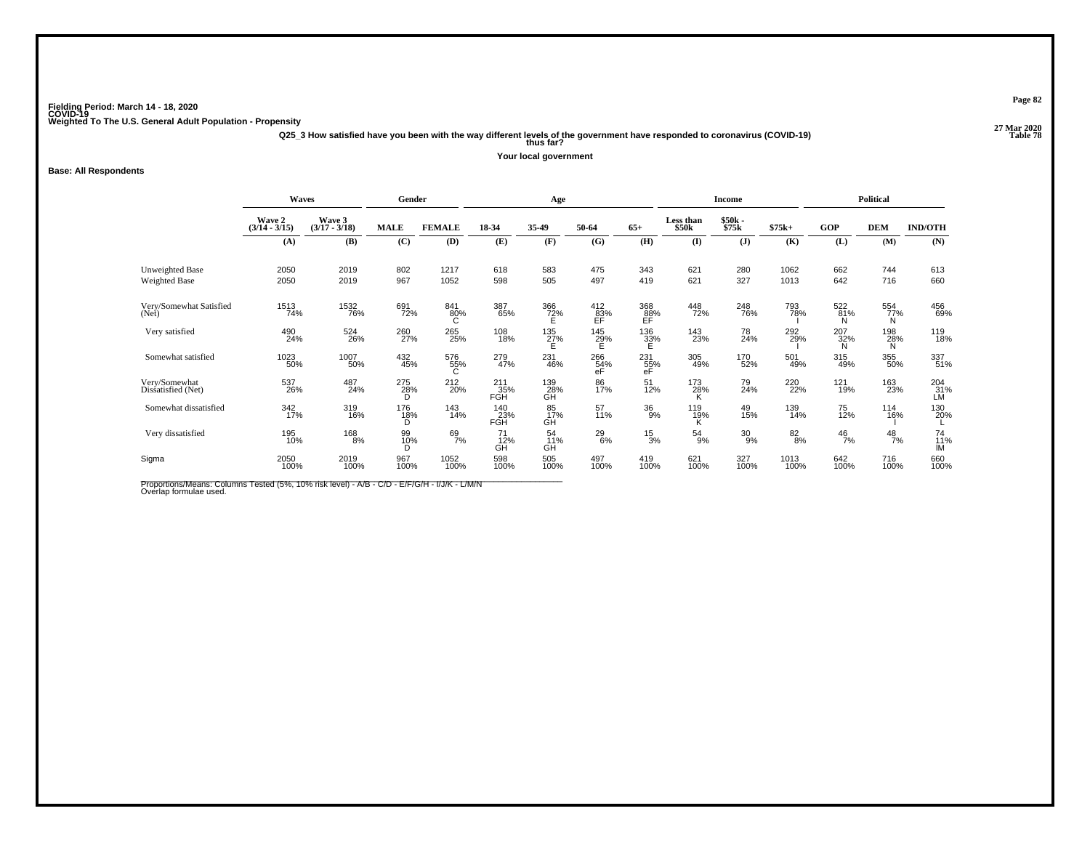**27 Mar 2020Q25\_3 How satisfied have you been with the way different levels of the government have responded to coronavirus (COVID-19) thus far?**

**Your local government**

## **Base: All Respondents**

|                                     | <b>Waves</b>                      |                                   | Gender          |                 |                               | Age              |                       |                    |                    | Income         |                 |                 | <b>Political</b> |                               |
|-------------------------------------|-----------------------------------|-----------------------------------|-----------------|-----------------|-------------------------------|------------------|-----------------------|--------------------|--------------------|----------------|-----------------|-----------------|------------------|-------------------------------|
|                                     | $\frac{\text{Wave}}{(3/14-3/15)}$ | $\frac{\text{Wave}}{(3/17-3/18)}$ | <b>MALE</b>     | <b>FEMALE</b>   | 18-34                         | 35-49            | 50-64                 | $65+$              | Less than<br>\$50k | \$50k<br>\$75k | $$75k+$         | <b>GOP</b>      | <b>DEM</b>       | <b>IND/OTH</b>                |
|                                     | (A)                               | (B)                               | (C)             | (D)             | (E)                           | (F)              | (G)                   | (H)                | $\bf(I)$           | $\mathbf{J}$   | (K)             | (L)             | (M)              | (N)                           |
| Unweighted Base                     | 2050                              | 2019                              | 802             | 1217            | 618                           | 583              | 475                   | 343                | 621                | 280            | 1062            | 662             | 744              | 613                           |
| Weighted Base                       | 2050                              | 2019                              | 967             | 1052            | 598                           | 505              | 497                   | 419                | 621                | 327            | 1013            | 642             | 716              | 660                           |
| Very/Somewhat Satisfied<br>(Net)    | 1513<br>74%                       | 1532<br>76%                       | 691<br>72%      | 841<br>80%<br>C | 387<br>65%                    | 366<br>72%<br>E. | $^{412}_{83\%}$<br>ÉĖ | 368<br>88%<br>ÉĖ   | 448<br>72%         | 248<br>76%     | 793<br>78%      | 522<br>81%<br>N | 554<br>77%<br>N  | 456<br>69%                    |
| Very satisfied                      | 490<br>24%                        | 524<br>26%                        | 260<br>27%      | 265<br>25%      | 108<br>18%                    | 135<br>27%<br>E  | $^{145}_{29\%}$       | $\frac{136}{33\%}$ | 143<br>23%         | 78<br>24%      | 292<br>29%      | 207<br>32%      | 198<br>28%<br>N  | 119<br>18%                    |
| Somewhat satisfied                  | 1023<br>50%                       | 1007<br>50%                       | 432<br>45%      | 576<br>55%<br>C | 279<br>47%                    | 231<br>46%       | 266<br>54%<br>eF      | 231<br>55%<br>eF   | 305<br>49%         | 170<br>52%     | 501<br>49%      | 315<br>49%      | 355<br>50%       | 337<br>51%                    |
| Very/Somewhat<br>Dissatisfied (Net) | 537<br>26%                        | 487<br>24%                        | 275<br>28%<br>D | 212<br>20%      | $^{211}_{35\%}$<br><b>FGH</b> | 139<br>28%<br>GH | 86<br>17%             | 51<br>12%          | 173<br>28%<br>Κ    | 79<br>24%      | 220<br>22%      | 121<br>19%      | 163<br>23%       | $^{204}_{\phantom{1}31\%}$ LM |
| Somewhat dissatisfied               | 342<br>17%                        | 319<br>16%                        | 176<br>18%<br>D | 143<br>14%      | 140<br>23%<br>FGH             | 85<br>17%<br>GH  | 57<br>11%             | $^{36}_{9\%}$      | 119<br>19%         | 49<br>15%      | 139<br>14%      | 75<br>12%       | 114<br>16%       | 130<br>20%                    |
| Very dissatisfied                   | 195<br>10%                        | 168<br>8%                         | 99<br>10%<br>D  | 69<br>7%        | 71<br>12%<br>GH               | 54<br>11%<br>GH  | $^{29}_{6\%}$         | $^{15}_{3\%}$      | $\frac{54}{9\%}$   | $^{30}_{9\%}$  | $\frac{82}{8%}$ | $^{46}_{7\%}$   | $^{48}_{7\%}$    | 74<br>11%<br><b>IM</b>        |
| Sigma                               | 2050<br>100%                      | 2019<br>100%                      | 967<br>100%     | 1052<br>100%    | 598<br>100%                   | 505<br>100%      | 497<br>100%           | 419<br>100%        | 621<br>100%        | 327<br>100%    | 1013<br>100%    | 642<br>100%     | 716<br>100%      | 660<br>100%                   |

Proportions/Means: Columns Tested (5%, 10% risk level) - A/B - C/D - E/F/G/H - I/J/K - L/M/N<br>Overlap formulae used.

**Page 82**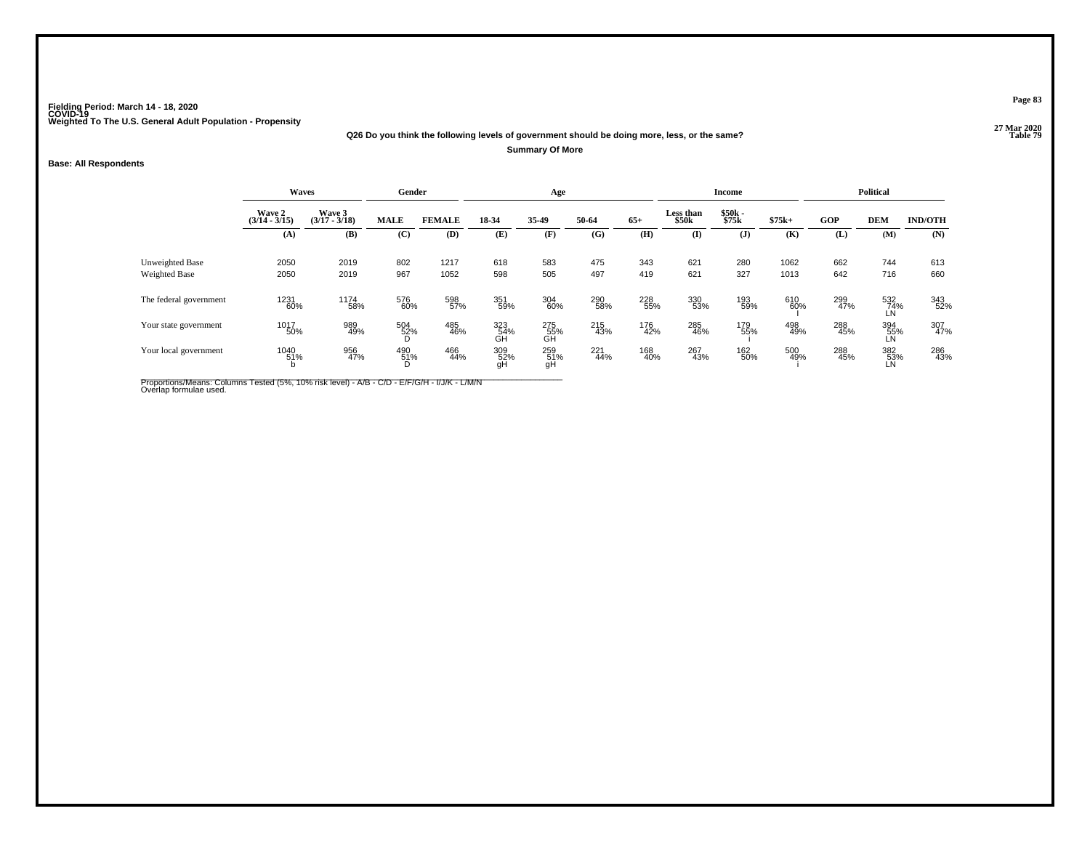# **27 Mar 2020Q26 Do you think the following levels of government should be doing more, less, or the same?Summary Of More**

## **Base: All Respondents**

|                        | Waves                     |                           | Gender      |               |                  | Age              |            |            |                    | <b>Income</b>  |            |            | <b>Political</b> |                |
|------------------------|---------------------------|---------------------------|-------------|---------------|------------------|------------------|------------|------------|--------------------|----------------|------------|------------|------------------|----------------|
|                        | Wave 2<br>$(3/14 - 3/15)$ | Wave 3<br>$(3/17 - 3/18)$ | <b>MALE</b> | <b>FEMALE</b> | 18-34            | 35-49            | 50-64      | $65+$      | Less than<br>\$50k | \$50k<br>\$75k | $$75k+$    | GOP        | <b>DEM</b>       | <b>IND/OTH</b> |
|                        | (A)                       | (B)                       | (C)         | (D)           | (E)              | (F)              | (G)        | (H)        | $\mathbf{I}$       | $($ $)$        | (K)        | (L)        | (M)              | (N)            |
| Unweighted Base        | 2050                      | 2019                      | 802         | 1217          | 618              | 583              | 475        | 343        | 621                | 280            | 1062       | 662        | 744              | 613            |
| Weighted Base          | 2050                      | 2019                      | 967         | 1052          | 598              | 505              | 497        | 419        | 621                | 327            | 1013       | 642        | 716              | 660            |
| The federal government | 1231<br>60%               | 1174<br>58%               | 576<br>60%  | 598<br>57%    | 351<br>59%       | 304<br>60%       | 290<br>58% | 228<br>55% | 330<br>53%         | 193<br>59%     | 610<br>60% | 299<br>47% | 532<br>74%<br>LN | 343<br>52%     |
| Your state government  | 1017<br>50%               | 989<br>49%                | 504<br>52%  | 485<br>46%    | 323<br>54%<br>GH | 275<br>55%<br>GH | 215<br>43% | 176<br>42% | 285<br>46%         | 179<br>55%     | 498<br>49% | 288<br>45% | 394<br>55%<br>LN | 307<br>47%     |
| Your local government  | 1040<br>51%               | 956<br>47%                | 490<br>51%  | 466<br>44%    | 309<br>52%<br>gH | 259<br>51%<br>gH | 221<br>44% | 168<br>40% | 267<br>43%         | 162<br>50%     | 500<br>49% | 288<br>45% | 382<br>53%<br>LN | 286<br>43%     |

Proportions/Means: Columns Tested (5%, 10% risk level) - A/B - C/D - E/F/G/H - I/J/K - L/M/N<br>Overlap formulae used.

**Page 83**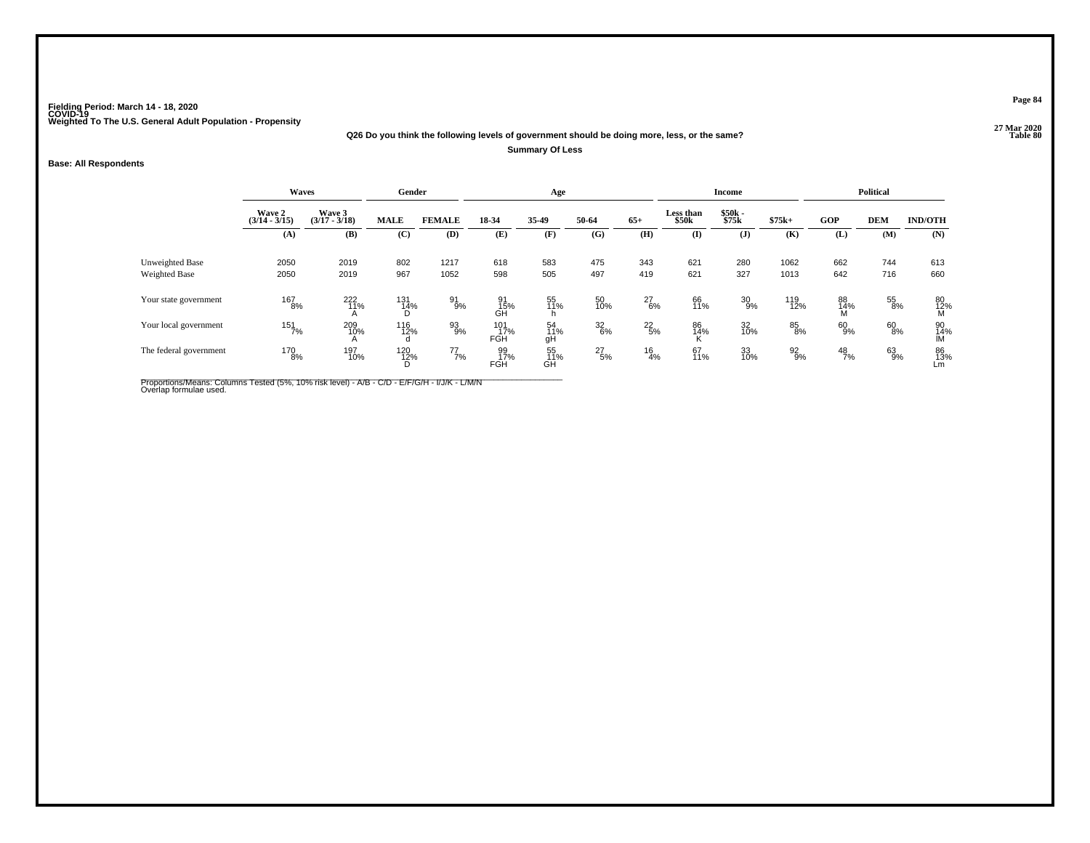# **27 Mar 2020Q26 Do you think the following levels of government should be doing more, less, or the same?**

**Summary Of Less**

## **Base: All Respondents**

|                        | <b>Waves</b>              |                            | Gender          |               |                          | Age             |                  |                 |                    | Income         |                  |               | <b>Political</b> |                 |
|------------------------|---------------------------|----------------------------|-----------------|---------------|--------------------------|-----------------|------------------|-----------------|--------------------|----------------|------------------|---------------|------------------|-----------------|
|                        | Wave 2<br>$(3/14 - 3/15)$ | Wave 3<br>$(3/17 - 3/18)$  | <b>MALE</b>     | <b>FEMALE</b> | 18-34                    | 35-49           | 50-64            | $65+$           | Less than<br>\$50k | \$50k<br>\$75k | $$75k+$          | <b>GOP</b>    | <b>DEM</b>       | <b>IND/OTH</b>  |
|                        | (A)                       | (B)                        | (C)             | <b>(D)</b>    | (E)                      | (F)             | (G)              | (H)             | $\mathbf{I}$       | $\mathbf{J}$   | (K)              | (L)           | (M)              | (N)             |
| Unweighted Base        | 2050                      | 2019                       | 802             | 1217          | 618                      | 583             | 475              | 343             | 621                | 280            | 1062             | 662           | 744              | 613             |
| <b>Weighted Base</b>   | 2050                      | 2019                       | 967             | 1052          | 598                      | 505             | 497              | 419             | 621                | 327            | 1013             | 642           | 716              | 660             |
| Your state government  | 167<br>8%                 | 222<br>11%                 | 131<br>14%<br>D | 91<br>9%      | 91<br>15%<br>GH          | 55<br>11%       | 50<br>10%        | $^{27}_{6\%}$   | 66<br>11%          | $^{30}_{9\%}$  | 119<br>12%       | 88<br>14%     | 55<br>8%         | 80<br>12%<br>M  |
| Your local government  | 151<br>7%                 | 209<br>10%<br>$\mathsf{A}$ | 116<br>12%      | 93<br>9%      | 101<br>17%<br><b>FGH</b> | 54<br>11%<br>gH | $\frac{32}{6\%}$ | $^{22}_{\ 5\%}$ | 86<br>14%<br>ĸ     | 32<br>10%      | 85<br>8%         | 60<br>9%      | 60<br>8%         | 90<br>14%<br>IM |
| The federal government | 170<br>8%                 | 197<br>10%                 | $^{120}_{12\%}$ | $^{77}_{7\%}$ | 99<br>17%<br><b>FGH</b>  | 55<br>11%<br>GH | $^{27}_{5\%}$    | $^{16}_{4\%}$   | 67<br>11%          | 33<br>10%      | $\frac{92}{9\%}$ | $^{48}_{7\%}$ | 63<br>9%         | 86<br>13%<br>Lm |

Proportions/Means: Columns Tested (5%, 10% risk level) - A/B - C/D - E/F/G/H - I/J/K - L/M/N<br>Overlap formulae used.

**Page 84**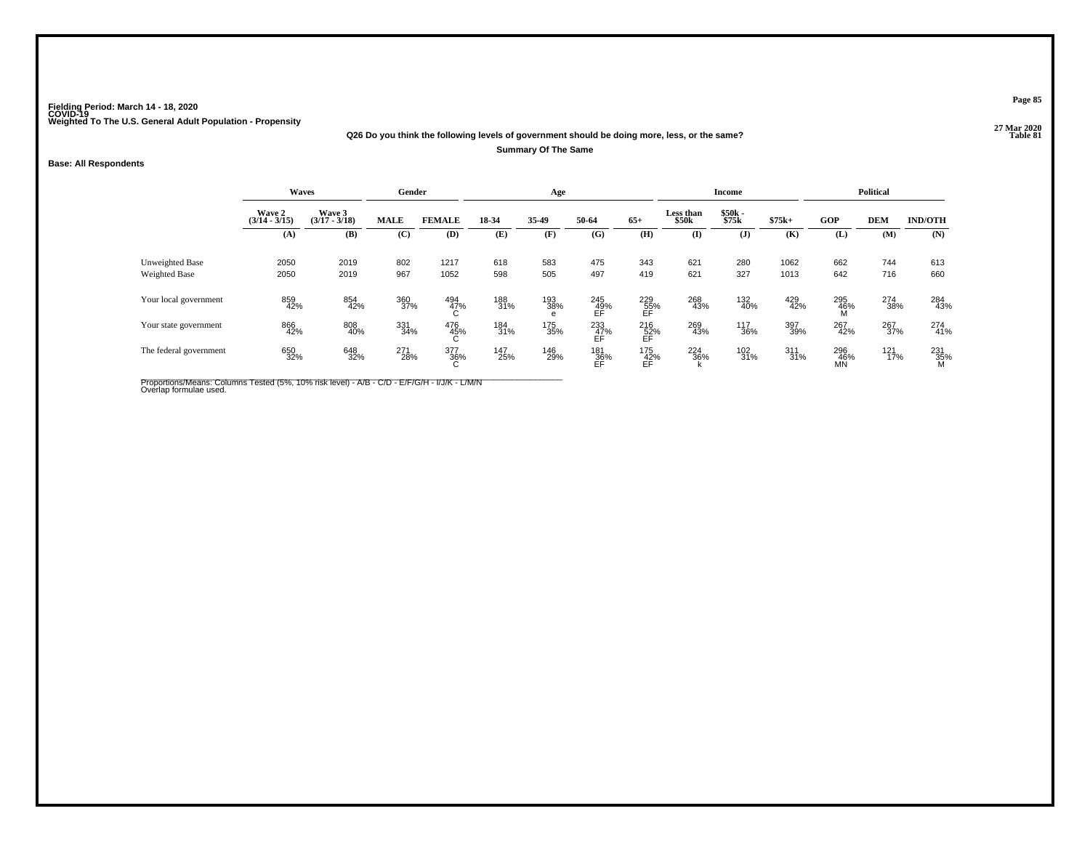# **27 Mar 2020Q26 Do you think the following levels of government should be doing more, less, or the same?**

**Summary Of The Same**

## **Base: All Respondents**

|                        | <b>Waves</b>              |                           | Gender      |               |            | Age        |                  |                  |                 | <b>Income</b>  |            |                         | <b>Political</b> |                   |
|------------------------|---------------------------|---------------------------|-------------|---------------|------------|------------|------------------|------------------|-----------------|----------------|------------|-------------------------|------------------|-------------------|
|                        | Wave 2<br>$(3/14 - 3/15)$ | Wave 3<br>$(3/17 - 3/18)$ | <b>MALE</b> | <b>FEMALE</b> | 18-34      | 35-49      | 50-64            | $65+$            | Less than \$50k | \$50k<br>\$75k | $$75k+$    | <b>GOP</b>              | <b>DEM</b>       | <b>IND/OTH</b>    |
|                        | (A)                       | (B)                       | (C)         | (D)           | (E)        | (F)        | (G)              | (H)              | $\mathbf{I}$    | $($ $)$        | (K)        | (L)                     | (M)              | (N)               |
| Unweighted Base        | 2050                      | 2019                      | 802         | 1217          | 618        | 583        | 475              | 343              | 621             | 280            | 1062       | 662                     | 744              | 613               |
| <b>Weighted Base</b>   | 2050                      | 2019                      | 967         | 1052          | 598        | 505        | 497              | 419              | 621             | 327            | 1013       | 642                     | 716              | 660               |
| Your local government  | 859<br>42%                | 854<br>42%                | 360<br>37%  | 494<br>47%    | 188<br>31% | 193<br>38% | 245<br>49%<br>EF | 229<br>55%<br>EF | 268<br>43%      | 132<br>40%     | 429<br>42% | 295<br>46%<br>M         | 274<br>38%       | 284<br>43%        |
| Your state government  | 866<br>42%                | 808<br>40%                | 331<br>34%  | 476<br>45%    | 184<br>31% | 175<br>35% | 233<br>47%<br>EF | 216<br>52%<br>ÉF | 269<br>43%      | 117<br>36%     | 397<br>39% | 267<br>42%              | 267<br>37%       | 274<br>41%        |
| The federal government | 650<br>32%                | 648<br>32%                | 271<br>28%  | 377<br>36%    | 147<br>25% | 146<br>29% | 181<br>36%<br>EF | 175<br>42%<br>EF | 224<br>36%      | 102<br>31%     | 311<br>31% | 296<br>46%<br><b>MN</b> | 121<br>17%       | $^{231}_{35\%}$ M |

Proportions/Means: Columns Tested (5%, 10% risk level) - A/B - C/D - E/F/G/H - I/J/K - L/M/N<br>Overlap formulae used.

**Page 85**

**P Table 81**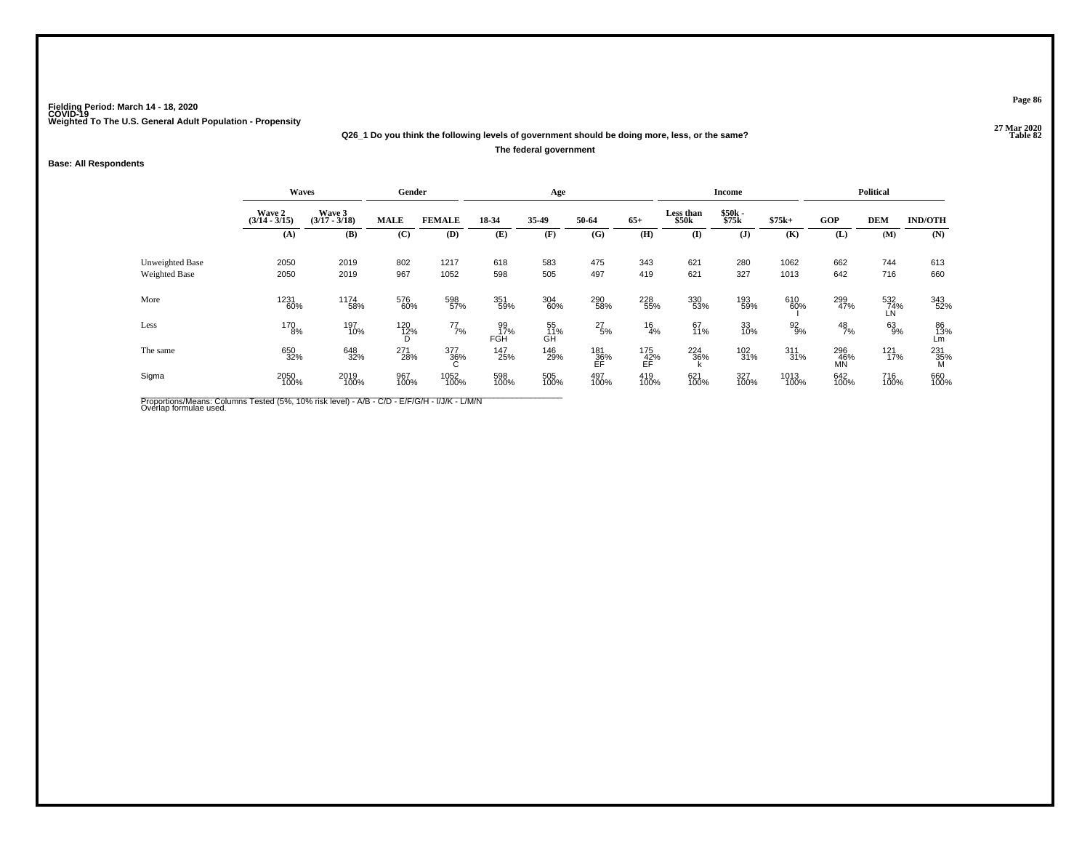# **27 Mar 2020Q26\_1 Do you think the following levels of government should be doing more, less, or the same?**

# **The federal government**

## **Base: All Respondents**

|                 | Waves                     |                           | Gender      |               |                         | Age             |                  |                  |                    | Income            |               |                         | <b>Political</b> |                   |
|-----------------|---------------------------|---------------------------|-------------|---------------|-------------------------|-----------------|------------------|------------------|--------------------|-------------------|---------------|-------------------------|------------------|-------------------|
|                 | Wave 2<br>$(3/14 - 3/15)$ | Wave 3<br>$(3/17 - 3/18)$ | <b>MALE</b> | <b>FEMALE</b> | 18-34                   | 35-49           | 50-64            | $65+$            | Less than<br>\$50k | $$50k -$<br>\$75k | $$75k+$       | GOP                     | <b>DEM</b>       | <b>IND/OTH</b>    |
|                 | (A)                       | (B)                       | (C)         | (D)           | (E)                     | (F)             | (G)              | (H)              | $\mathbf{I}$       | ( <b>J</b> )      | (K)           | (L)                     | (M)              | (N)               |
| Unweighted Base | 2050                      | 2019                      | 802         | 1217          | 618                     | 583             | 475              | 343              | 621                | 280               | 1062          | 662                     | 744              | 613               |
| Weighted Base   | 2050                      | 2019                      | 967         | 1052          | 598                     | 505             | 497              | 419              | 621                | 327               | 1013          | 642                     | 716              | 660               |
| More            | 1231<br>60%               | 1174<br>58%               | 576<br>60%  | 598<br>57%    | 351<br>59%              | 304<br>60%      | 290<br>58%       | 228<br>55%       | 330<br>53%         | 193<br>59%        | 610<br>60%    | 299<br>47%              | 532<br>74%<br>LN | 343<br>52%        |
| Less            | 170<br>8%                 | 197<br>10%                | 120<br>12%  | 77<br>7%      | 99<br>17%<br><b>FGH</b> | 55<br>11%<br>GH | $^{27}_{\ 5\%}$  | $^{16}_{4\%}$    | 67<br>11%          | 33<br>10%         | $^{92}_{9\%}$ | $^{48}_{7\%}$           | 63<br>9%         | 86<br>13%<br>Lm   |
| The same        | 650<br>32%                | 648<br>32%                | 271<br>28%  | 377<br>36%    | 147<br>25%              | 146<br>29%      | 181<br>36%<br>EF | 175<br>42%<br>EF | 224<br>36%         | 102<br>31%        | 311<br>31%    | 296<br>46%<br><b>MN</b> | 121<br>17%       | $^{231}_{35\%}$ M |
| Sigma           | 2050<br>100%              | 2019<br>100%              | 967<br>100% | 1052<br>100%  | 598<br>100%             | 505<br>100%     | 497<br>100%      | 419<br>100%      | 621<br>100%        | 327<br>100%       | 1013<br>100%  | 642<br>100%             | 716<br>100%      | 660<br>100%       |

Proportions/Means: Columns Tested (5%, 10% risk level) - A/B - C/D - E/F/G/H - I/J/K - L/M/N<br>Overlap formulae used.

**Page 86**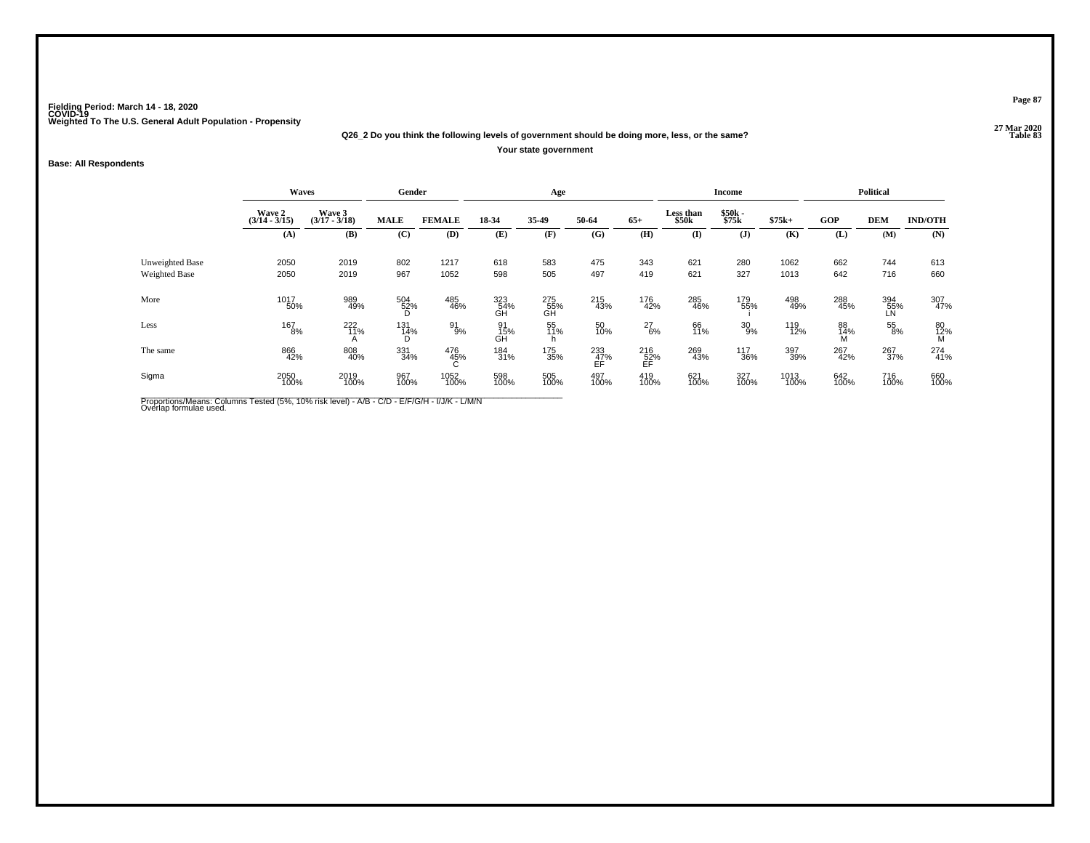# **27 Mar 2020Q26\_2 Do you think the following levels of government should be doing more, less, or the same?**

# **Your state government**

## **Base: All Respondents**

|                 | <b>Waves</b>              |                           | Gender           |               |                  | Age              |                                                  |                  |                    | Income         |              |             | <b>Political</b> |                 |
|-----------------|---------------------------|---------------------------|------------------|---------------|------------------|------------------|--------------------------------------------------|------------------|--------------------|----------------|--------------|-------------|------------------|-----------------|
|                 | Wave 2<br>$(3/14 - 3/15)$ | Wave 3<br>$(3/17 - 3/18)$ | <b>MALE</b>      | <b>FEMALE</b> | 18-34            | 35.49            | 50-64                                            | $65+$            | Less than<br>\$50k | \$50k<br>\$75k | $$75k+$      | <b>GOP</b>  | <b>DEM</b>       | <b>IND/OTH</b>  |
|                 | (A)                       | (B)                       | (C)              | (D)           | (E)              | (F)              | (G)                                              | (H)              | $\mathbf{I}$       | $($ $)$        | (K)          | (L)         | (M)              | (N)             |
| Unweighted Base | 2050                      | 2019                      | 802              | 1217          | 618              | 583              | 475                                              | 343              | 621                | 280            | 1062         | 662         | 744              | 613             |
| Weighted Base   | 2050                      | 2019                      | 967              | 1052          | 598              | 505              | 497                                              | 419              | 621                | 327            | 1013         | 642         | 716              | 660             |
| More            | 1017<br>50%               | 989<br>49%                | $504 \atop 52\%$ | 485<br>46%    | 323<br>54%<br>GH | 275<br>55%<br>GH | 215<br>43%                                       | 176<br>42%       | 285<br>46%         | 179<br>55%     | 498<br>49%   | 288<br>45%  | 394<br>55%<br>LN | 307<br>47%      |
| Less            | 167<br>8%                 | 222<br>11%                | 131<br>14%<br>D  | 91<br>9%      | 91<br>15%<br>GH  | 55<br>11%        | 50<br>10%                                        | $^{27}_{6\%}$    | 66<br>11%          | $^{30}_{9\%}$  | 119<br>12%   | 88<br>14%   | 55<br>8%         | 80<br>12%<br>M  |
| The same        | 866<br>42%                | 808<br>40%                | 331<br>34%       | 476<br>45%    | 184<br>31%       | 175<br>35%       | $^{233}_{\hphantom{1}\hphantom{1}47\%}_{\rm EF}$ | 216<br>52%<br>ÉF | 269<br>43%         | 117<br>36%     | 397<br>39%   | 267<br>42%  | 267<br>37%       | $^{274}_{41\%}$ |
| Sigma           | 2050<br>100%              | 2019<br>100%              | 967<br>100%      | 1052<br>100%  | 598<br>100%      | 505<br>100%      | 497<br>100%                                      | 419<br>100%      | 621<br>100%        | 327<br>100%    | 1013<br>100% | 642<br>100% | 716<br>100%      | 660<br>100%     |

Proportions/Means: Columns Tested (5%, 10% risk level) - A/B - C/D - E/F/G/H - I/J/K - L/M/N<br>Overlap formulae used.

**Page 87**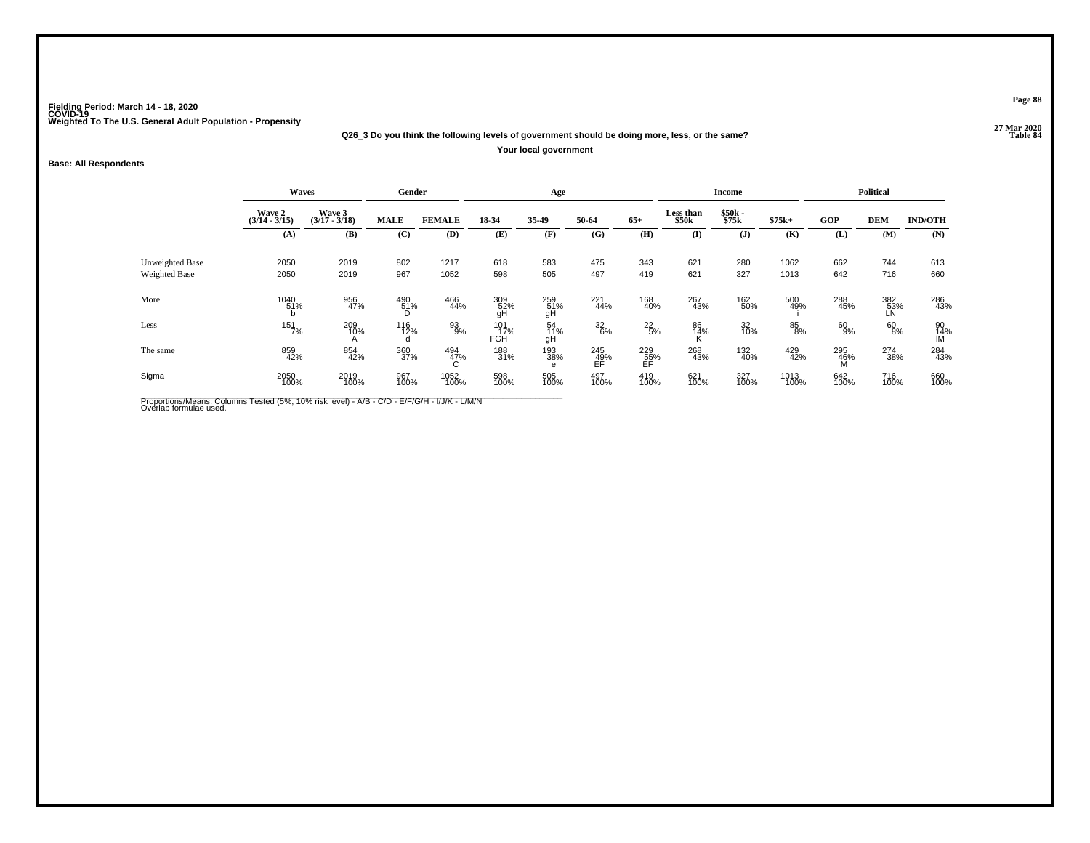# **27 Mar 2020Q26\_3 Do you think the following levels of government should be doing more, less, or the same?**

# **Your local government**

## **Base: All Respondents**

|                 | Waves                     |                           | Gender                      |               |                          | Age              |                                       |                  |                    | Income           |               |             | <b>Political</b> |                 |
|-----------------|---------------------------|---------------------------|-----------------------------|---------------|--------------------------|------------------|---------------------------------------|------------------|--------------------|------------------|---------------|-------------|------------------|-----------------|
|                 | Wave 2<br>$(3/14 - 3/15)$ | Wave 3<br>$(3/17 - 3/18)$ | <b>MALE</b>                 | <b>FEMALE</b> | 18-34                    | 35-49            | 50-64                                 | $65+$            | Less than<br>\$50k | \$50k -<br>\$75k | $$75k+$       | <b>GOP</b>  | <b>DEM</b>       | <b>IND/OTH</b>  |
|                 | (A)                       | (B)                       | (C)                         | (D)           | (E)                      | (F)              | (G)                                   | (H)              | $\bf{D}$           | $\mathbf{J}$     | (K)           | (L)         | (M)              | (N)             |
| Unweighted Base | 2050                      | 2019                      | 802                         | 1217          | 618                      | 583              | 475                                   | 343              | 621                | 280              | 1062          | 662         | 744              | 613             |
| Weighted Base   | 2050                      | 2019                      | 967                         | 1052          | 598                      | 505              | 497                                   | 419              | 621                | 327              | 1013          | 642         | 716              | 660             |
| More            | 1040<br>51%               | 956<br>47%                | $^{490}_{\substack{51\%} }$ | 466<br>44%    | 309<br>52%<br>gH         | 259<br>51%<br>gH | 221<br>44%                            | 168<br>40%       | 267<br>43%         | 162<br>50%       | 500<br>49%    | 288<br>45%  | 382<br>53%<br>LN | 286<br>43%      |
| Less            | 151<br>7%                 | 209<br>10%<br>A           | 116<br>12%                  | 93<br>9%      | 101<br>17%<br><b>FGH</b> | 54<br>11%<br>gH  | $\frac{32}{6\%}$                      | $^{22}_{\ 5\%}$  | 86<br>14%          | 32<br>10%        | $^{85}_{8\%}$ | 60<br>9%    | 60<br>8%         | 90<br>14%<br>ÍМ |
| The same        | 859<br>42%                | 854<br>42%                | 360<br>37%                  | 494<br>47%    | 188<br>31%               | 193<br>38%<br>e  | $^{245}_{\substack{49\%\\\text{EF}}}$ | 229<br>55%<br>EF | 268<br>43%         | 132<br>40%       | 429<br>42%    | 295<br>46%  | 274<br>38%       | 284<br>43%      |
| Sigma           | 2050<br>100%              | 2019<br>100%              | 967<br>100%                 | 1052<br>100%  | 598<br>100%              | 505<br>100%      | 497<br>100%                           | 419<br>100%      | 621<br>100%        | 327<br>100%      | 1013<br>100%  | 642<br>100% | 716<br>100%      | 660<br>100%     |

Proportions/Means: Columns Tested (5%, 10% risk level) - A/B - C/D - E/F/G/H - I/J/K - L/M/N<br>Overlap formulae used.

**Page 88**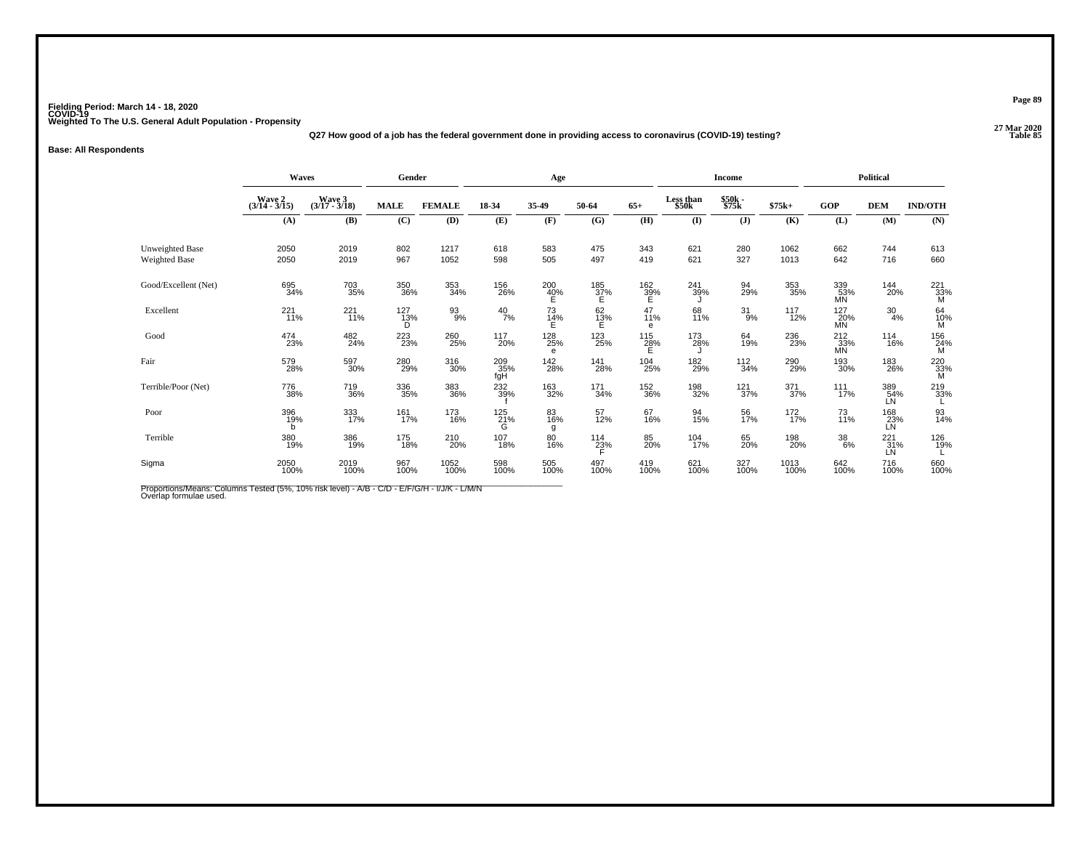**27 Mar 2020Q27 How good of a job has the federal government done in providing access to coronavirus (COVID-19) testing?Table 85** 

#### **Base: All Respondents**

|                      | Waves                                  |                                   | Gender          |               |                   | Age             |                      |                      |                    | <b>Income</b>      |              |                              | <b>Political</b>               |                    |
|----------------------|----------------------------------------|-----------------------------------|-----------------|---------------|-------------------|-----------------|----------------------|----------------------|--------------------|--------------------|--------------|------------------------------|--------------------------------|--------------------|
|                      | $\frac{\text{Wave } 2}{(3/14 - 3/15)}$ | $\frac{\text{Wave}}{(3/17-3/18)}$ | <b>MALE</b>     | <b>FEMALE</b> | 18-34             | 35-49           | 50-64                | $65+$                | Less than<br>\$50k | \$50k<br>\$75k     | $$75k+$      | <b>GOP</b>                   | <b>DEM</b>                     | <b>IND/OTH</b>     |
|                      | (A)                                    | (B)                               | (C)             | (D)           | (E)               | (F)             | (G)                  | (H)                  | $\mathbf{I}$       | $($ $)$            | (K)          | (L)                          | (M)                            | (N)                |
| Unweighted Base      | 2050                                   | 2019                              | 802             | 1217          | 618               | 583             | 475                  | 343                  | 621                | 280                | 1062         | 662                          | 744                            | 613                |
| Weighted Base        | 2050                                   | 2019                              | 967             | 1052          | 598               | 505             | 497                  | 419                  | 621                | 327                | 1013         | 642                          | 716                            | 660                |
| Good/Excellent (Net) | 695<br>34%                             | 703<br>35%                        | 350<br>36%      | 353<br>34%    | 156<br>26%        | 200<br>40%<br>E | $^{185}_{37\%}$<br>Е | $^{162}_{39\%}$<br>E | 241<br>39%         | 94<br>29%          | 353<br>35%   | 339<br>53%<br><b>MN</b>      | 144<br>20%                     | $\frac{221}{33\%}$ |
| Excellent            | $^{221}_{11\%}$                        | $^{221}_{11\%}$                   | 127<br>13%<br>D | 93%           | $^{40}_{7\%}$     | 73<br>14%<br>E  | 62<br>13%<br>E       | 47<br>11%<br>e       | 68<br>11%          | $\frac{31}{9%}$    | 117<br>12%   | 127<br><b>20%</b><br>MN      | $\frac{30}{4\%}$               | 64<br>10%<br>M     |
| Good                 | 474<br>23%                             | 482<br>24%                        | 223<br>23%      | 260<br>25%    | 117<br>20%        | 128<br>25%<br>e | 123<br>25%           | 115<br>2 <u>8</u> %  | 173<br>28%         | 64<br>19%          | 236<br>23%   | $^{212}_{33\%}$<br><b>MN</b> | 114<br>16%                     | 156<br>24%<br>M    |
| Fair                 | 579<br>28%                             | 597<br>30%                        | 280<br>29%      | 316<br>30%    | 209<br>35%<br>fgH | 142<br>28%      | 141<br>28%           | 104<br>25%           | 182<br>29%         | $\frac{112}{34\%}$ | 290<br>29%   | 193<br>30%                   | 183<br>26%                     | $^{220}_{33\%}$ M  |
| Terrible/Poor (Net)  | 776<br>38%                             | 719<br>36%                        | 336<br>35%      | 383<br>36%    | 232%              | 163<br>32%      | 171<br>34%           | 152<br>36%           | 198<br>32%         | $^{121}_{37\%}$    | 371<br>37%   | $111$ <sub>17%</sub>         | 389<br>54%<br>LN.              | 219<br>33%         |
| Poor                 | 396<br>19%<br>h                        | 333<br>17%                        | 161<br>17%      | 173<br>16%    | 125<br>21%<br>G   | 83<br>16%<br>g  | 57<br>12%            | 67<br>16%            | 94<br>15%          | 56<br>17%          | 172<br>17%   | 73<br>11%                    | 168<br>23%<br>LN               | 93<br>14%          |
| Terrible             | 380<br>19%                             | 386<br>19%                        | 175<br>18%      | 210<br>20%    | 107<br>18%        | 80<br>16%       | 114<br>23%<br>F      | 85<br>20%            | 104<br>17%         | 65<br>20%          | 198<br>20%   | $\frac{38}{6\%}$             | 221<br>$\overline{31\%}$<br>LN | 126<br>19%         |
| Sigma                | 2050<br>100%                           | 2019<br>100%                      | 967<br>100%     | 1052<br>100%  | 598<br>100%       | 505<br>100%     | 497<br>100%          | 419<br>100%          | 621<br>100%        | 327<br>100%        | 1013<br>100% | 642<br>100%                  | 716<br>100%                    | 660<br>100%        |

Proportions/Means: Columns Tested (5%, 10% risk level) - A/B - C/D - E/F/G/H - I/J/K - L/M/N<br>Overlap formulae used.

**Page 89**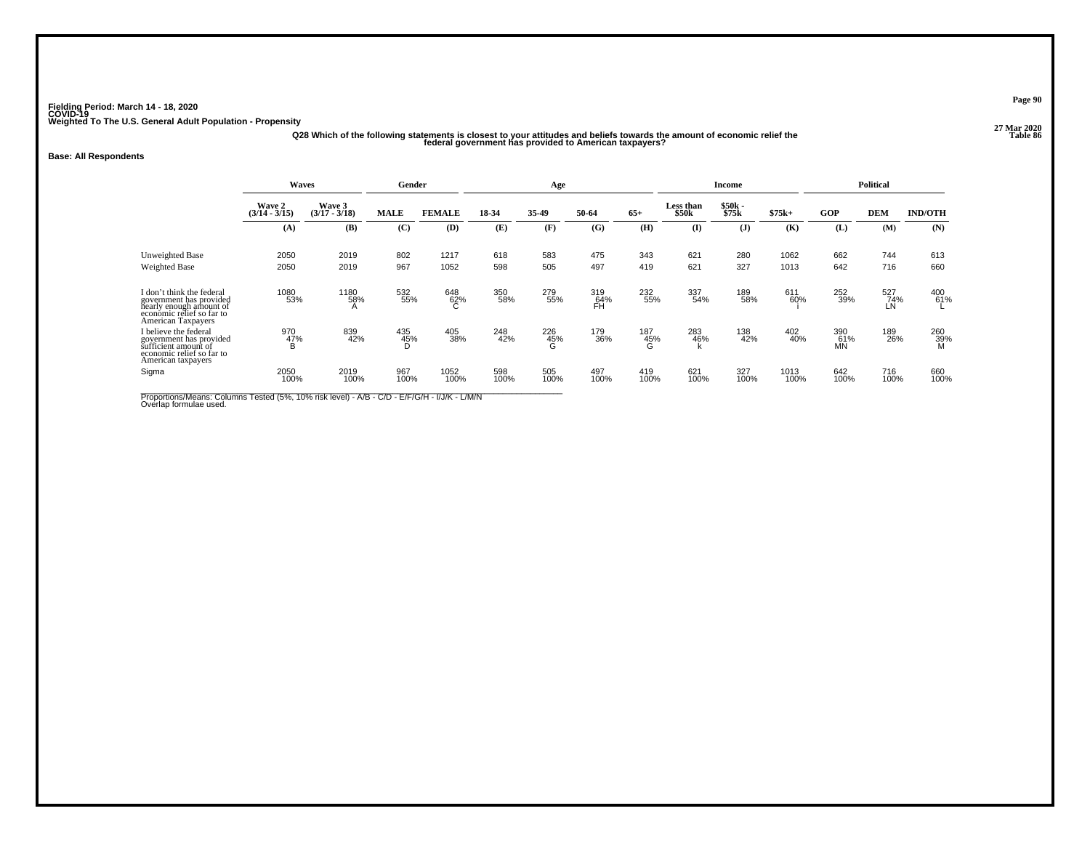# **27 Mar 2020Q28 Which of the following statements is closest to your attitudes and beliefs towards the amount of economic relief the Table 86 federal government has provided to American taxpayers?**

## **Base: All Respondents**

|                                                                                                                                    | Waves                     |                           | Gender          |               |             | Age         |                  |                 |                    | Income           |              |                  | <b>Political</b> |                 |
|------------------------------------------------------------------------------------------------------------------------------------|---------------------------|---------------------------|-----------------|---------------|-------------|-------------|------------------|-----------------|--------------------|------------------|--------------|------------------|------------------|-----------------|
|                                                                                                                                    | Wave 2<br>$(3/14 - 3/15)$ | Wave 3<br>$(3/17 - 3/18)$ | <b>MALE</b>     | <b>FEMALE</b> | 18-34       | 35-49       | 50-64            | $65+$           | Less than<br>\$50k | \$50k -<br>\$75k | $$75k+$      | <b>GOP</b>       | <b>DEM</b>       | <b>IND/OTH</b>  |
|                                                                                                                                    | (A)                       | (B)                       | (C)             | (D)           | (E)         | (F)         | (G)              | (H)             | $\mathbf{I}$       | $\mathbf{J}$     | (K)          | (L)              | (M)              | (N)             |
| Unweighted Base                                                                                                                    | 2050                      | 2019                      | 802             | 1217          | 618         | 583         | 475              | 343             | 621                | 280              | 1062         | 662              | 744              | 613             |
| Weighted Base                                                                                                                      | 2050                      | 2019                      | 967             | 1052          | 598         | 505         | 497              | 419             | 621                | 327              | 1013         | 642              | 716              | 660             |
| I don't think the federal<br>government has provided<br>nearly enough amount of<br>economic relief so far to<br>American Taxpayers | 1080<br>53%               | 1180<br>58%               | 532<br>55%      | 648<br>62%    | 350<br>58%  | 279<br>55%  | 319<br>64%<br>FH | 232<br>55%      | 337<br>54%         | 189<br>58%       | 611<br>60%   | 252<br>39%       | 527<br>74%<br>LN | 400<br>61%      |
| I believe the federal<br>government has provided<br>sufficient amount of<br>economic relief so far to<br>American taxpayers        | 970<br>$\frac{47}{8}$     | 839<br>42%                | 435<br>45%<br>D | 405<br>38%    | 248<br>42%  | 226<br>45%  | 179<br>36%       | 187<br>45%<br>G | 283<br>46%         | 138<br>42%       | 402<br>40%   | 390<br>61%<br>ΜŃ | 189<br>26%       | 260<br>39%<br>M |
| Sigma                                                                                                                              | 2050<br>100%              | 2019<br>100%              | 967<br>100%     | 1052<br>100%  | 598<br>100% | 505<br>100% | 497<br>100%      | 419<br>100%     | 621<br>100%        | 327<br>100%      | 1013<br>100% | 642<br>100%      | 716<br>100%      | 660<br>100%     |

Proportions/Means: Columns Tested (5%, 10% risk level) - A/B - C/D - E/F/G/H - I/J/K - L/M/N<br>Overlap formulae used.

**Page 90**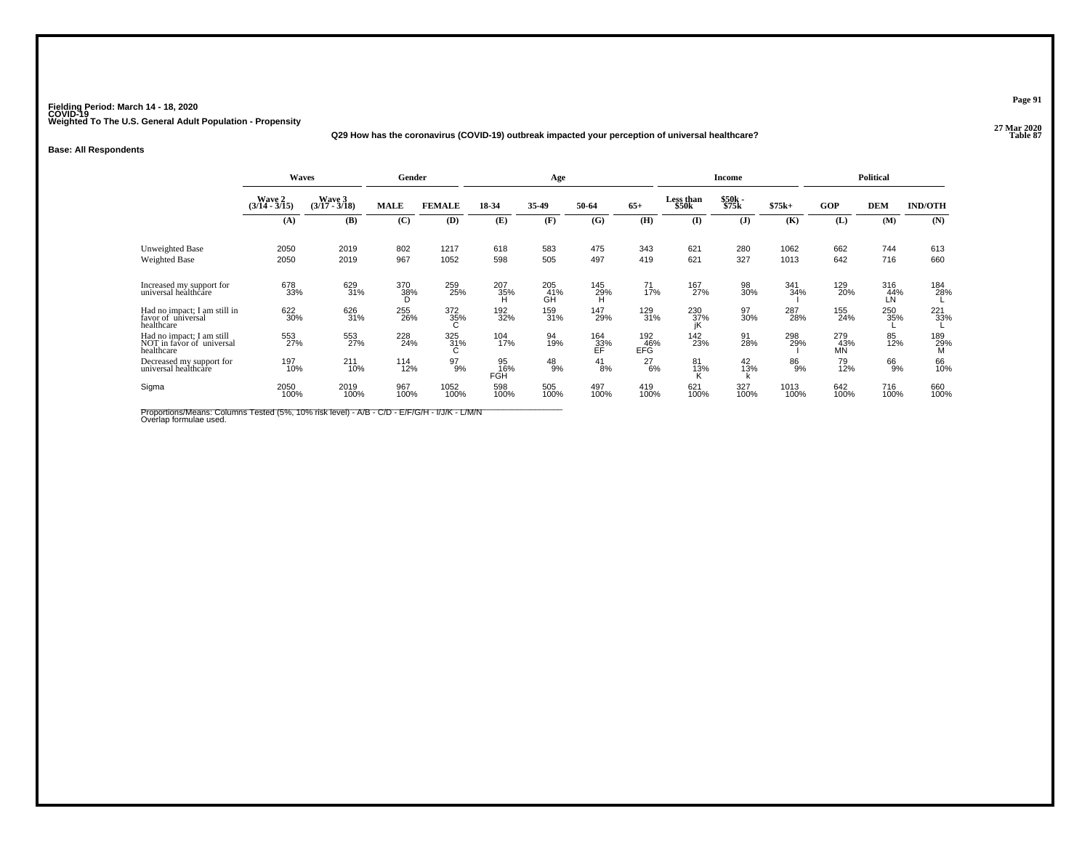# **27 Mar 2020Q29 How has the coronavirus (COVID-19) outbreak impacted your perception of universal healthcare?**

# **Base: All Respondents**

|                                                                      | <b>Waves</b>                      |                                   | Gender      |               |                         | Age              |                  |                   |                        | <b>Income</b>  |              |                         | <b>Political</b> |                 |
|----------------------------------------------------------------------|-----------------------------------|-----------------------------------|-------------|---------------|-------------------------|------------------|------------------|-------------------|------------------------|----------------|--------------|-------------------------|------------------|-----------------|
|                                                                      | $\frac{\text{Wave}}{(3/14-3/15)}$ | $\frac{\text{Wave}}{(3/17-3/18)}$ | <b>MALE</b> | <b>FEMALE</b> | 18-34                   | 35-49            | 50-64            | $65+$             | Less than<br>\$50k     | \$50k<br>\$75k | $$75k+$      | GOP                     | <b>DEM</b>       | <b>IND/OTH</b>  |
|                                                                      | (A)                               | (B)                               | (C)         | (D)           | (E)                     | (F)              | (G)              | (H)               | $\bf(I)$               | $($ $)$        | (K)          | (L)                     | (M)              | (N)             |
| Unweighted Base                                                      | 2050                              | 2019                              | 802         | 1217          | 618                     | 583              | 475              | 343               | 621                    | 280            | 1062         | 662                     | 744              | 613             |
| <b>Weighted Base</b>                                                 | 2050                              | 2019                              | 967         | 1052          | 598                     | 505              | 497              | 419               | 621                    | 327            | 1013         | 642                     | 716              | 660             |
| Increased my support for<br>universal healthcare                     | 678<br>33%                        | 629<br>31%                        | 370<br>38%  | 259<br>25%    | 207<br>35%              | 205<br>41%<br>GH | 145<br>29%<br>Ĥ  | 71<br>17%         | 167<br>27%             | 98<br>30%      | 341<br>34%   | 129<br>20%              | 316<br>44%<br>LN | 184<br>28%      |
| Had no impact; I am still in<br>favor of universal<br>healthcare     | 622<br>30%                        | 626<br>31%                        | 255<br>26%  | 372<br>35%    | 192<br>32%              | 159<br>31%       | 147<br>29%       | 129<br>31%        | $^{230}_{37\%}$<br>IK. | 97<br>30%      | 287<br>28%   | 155<br>24%              | 250<br>35%       | 221<br>33%      |
| Had no impact; I am still<br>NOT in favor of universal<br>healthcare | 553<br>27%                        | 553<br>27%                        | 228<br>24%  | 325<br>31%    | 104<br>17%              | 94<br>19%        | 164<br>33%<br>ÉĖ | 192<br>46%<br>EFG | 142<br>23%             | 91<br>28%      | 298<br>29%   | 279<br>43%<br><b>MN</b> | 85<br>12%        | 189<br>29%<br>М |
| Decreased my support for<br>universal healthcare                     | 197<br>10%                        | 211<br>10%                        | 114<br>12%  | 97<br>9%      | 95<br>16%<br><b>FGH</b> | $^{48}_{9%}$     | $^{41}_{8\%}$    | 27<br>6%          | 81<br>13%              | 42<br>13%      | 86<br>9%     | 79<br>12%               | 66<br>9%         | 66<br>10%       |
| Sigma                                                                | 2050<br>100%                      | 2019<br>100%                      | 967<br>100% | 1052<br>100%  | 598<br>100%             | 505<br>100%      | 497<br>100%      | 419<br>100%       | 621<br>100%            | 327<br>100%    | 1013<br>100% | 642<br>100%             | 716<br>100%      | 660<br>100%     |

Proportions/Means: Columns Tested (5%, 10% risk level) - A/B - C/D - E/F/G/H - I/J/K - L/M/N<br>Overlap formulae used.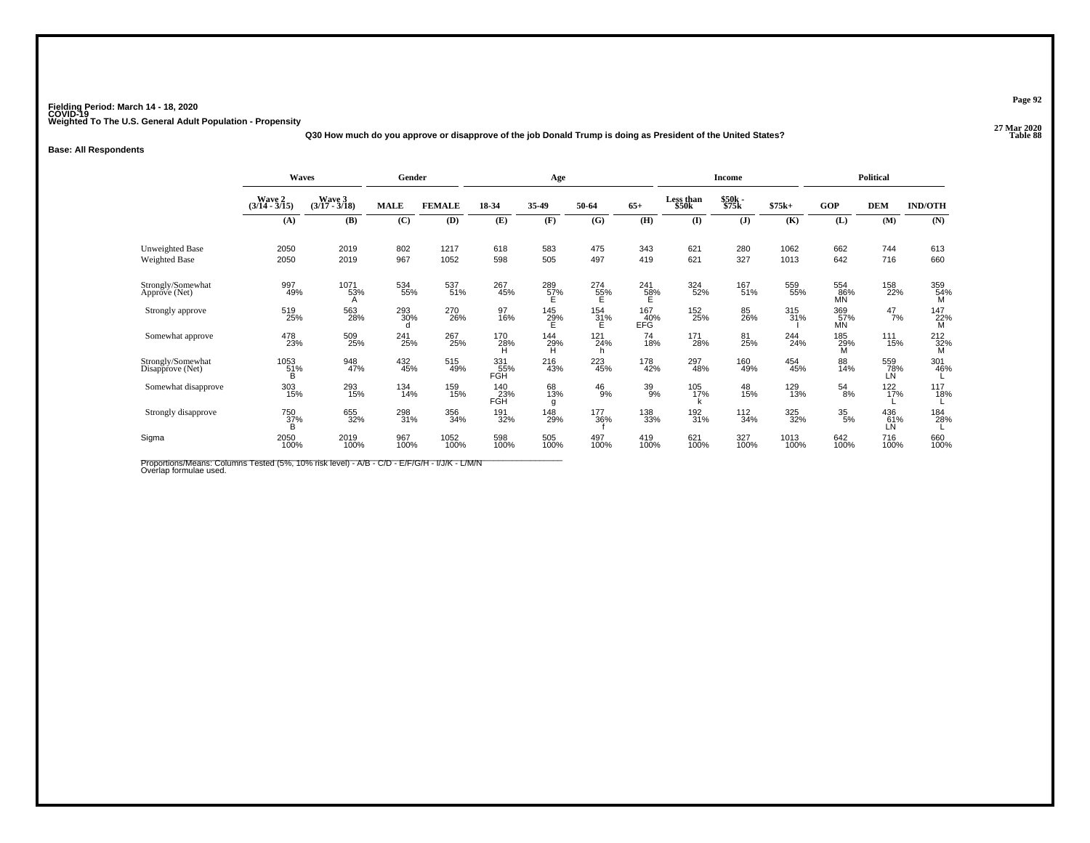**27 Mar 2020Q30 How much do you approve or disapprove of the job Donald Trump is doing as President of the United States?**

# **Base: All Respondents**

|                                       | <b>Waves</b>                      |                         | Gender          |               |                   | Age             |                 |                           |                 | Income             |                    |                         | <b>Political</b>   |                      |
|---------------------------------------|-----------------------------------|-------------------------|-----------------|---------------|-------------------|-----------------|-----------------|---------------------------|-----------------|--------------------|--------------------|-------------------------|--------------------|----------------------|
|                                       | $\frac{\text{Wave}}{(3/14-3/15)}$ | Wave 3<br>(3/17 - 3/18) | <b>MALE</b>     | <b>FEMALE</b> | 18-34             | 35-49           | 50-64           | $65+$                     | Less than \$50k | \$50k<br>\$75k     | $$75k+$            | <b>GOP</b>              | <b>DEM</b>         | <b>IND/OTH</b>       |
|                                       | (A)                               | (B)                     | (C)             | (D)           | (E)               | (F)             | (G)             | (H)                       | $\bf(I)$        | $\mathbf{J}$       | (K)                | (L)                     | (M)                | (N)                  |
| Unweighted Base                       | 2050                              | 2019                    | 802             | 1217          | 618               | 583             | 475             | 343                       | 621             | 280                | 1062               | 662                     | 744                | 613                  |
| Weighted Base                         | 2050                              | 2019                    | 967             | 1052          | 598               | 505             | 497             | 419                       | 621             | 327                | 1013               | 642                     | 716                | 660                  |
| Strongly/Somewhat<br>Approve (Net)    | 997<br>49%                        | 1071<br>53%<br>А        | 534<br>55%      | 537<br>51%    | 267<br>45%        | 289<br>57%<br>E | 274<br>55%<br>Ě | 241<br>5 <u>8</u> %       | 324<br>52%      | 167<br>51%         | 559<br>55%         | 554<br>86%<br><b>MN</b> | 158<br>22%         | 359<br>54%<br>M      |
| Strongly approve                      | 519<br>25%                        | 563<br>28%              | 293<br>30%<br>d | 270<br>26%    | 97<br>16%         | 145<br>29%<br>E | $^{154}_{31\%}$ | 167<br>EFG <sup>40%</sup> | 152<br>25%      | 85<br>26%          | $\frac{315}{31\%}$ | 369<br>57%<br>MN        | $^{47}_{7\%}$      | $\frac{147}{20}$ %   |
| Somewhat approve                      | 478<br>23%                        | 509<br>25%              | 241<br>25%      | 267<br>25%    | 170<br>28%<br>н   | 144<br>29%<br>н | 121<br>24%<br>h | 74<br>18%                 | 171<br>28%      | 81<br>25%          | 244<br>24%         | 185<br>29%<br>М         | 111<br>15%         | $^{212}_{32\%}$<br>M |
| Strongly/Somewhat<br>Disapprove (Net) | 1053<br>51%<br>B                  | 948<br>47%              | 432<br>45%      | 515<br>49%    | 331<br>55%<br>FGH | 216<br>43%      | 223<br>45%      | 178<br>42%                | 297<br>48%      | 160<br>49%         | 454<br>45%         | 88<br>14%               | 559<br>78%<br>LÑ   | 301<br>46%           |
| Somewhat disapprove                   | 303<br>15%                        | 293<br>15%              | 134<br>14%      | 159<br>15%    | 140<br>23%<br>FGH | 68<br>13%<br>g  | $^{46}_{9%}$    | 39<br>9%                  | 105<br>17%      | 48<br>15%          | 129<br>13%         | $^{54}_{8\%}$           | $\frac{122}{17\%}$ | 117<br>18%           |
| Strongly disapprove                   | 750<br>37%<br>B                   | 655<br>32%              | 298<br>31%      | 356<br>34%    | 191<br>32%        | 148<br>29%      | 177<br>36%      | 138<br>33%                | 192<br>31%      | $\frac{112}{34\%}$ | 325<br>32%         | $\frac{35}{5\%}$        | 436<br>61%<br>ĽΝ   | 184<br>28%           |
| Sigma                                 | 2050<br>100%                      | 2019<br>100%            | 967<br>100%     | 1052<br>100%  | 598<br>100%       | 505<br>100%     | 497<br>100%     | 419<br>100%               | 621<br>100%     | 327<br>100%        | 1013<br>100%       | 642<br>100%             | 716<br>100%        | 660<br>100%          |

Proportions/Means: Columns Tested (5%, 10% risk level) - A/B - C/D - E/F/G/H - I/J/K - L/M/N<br>Overlap formulae used.

**Page 92**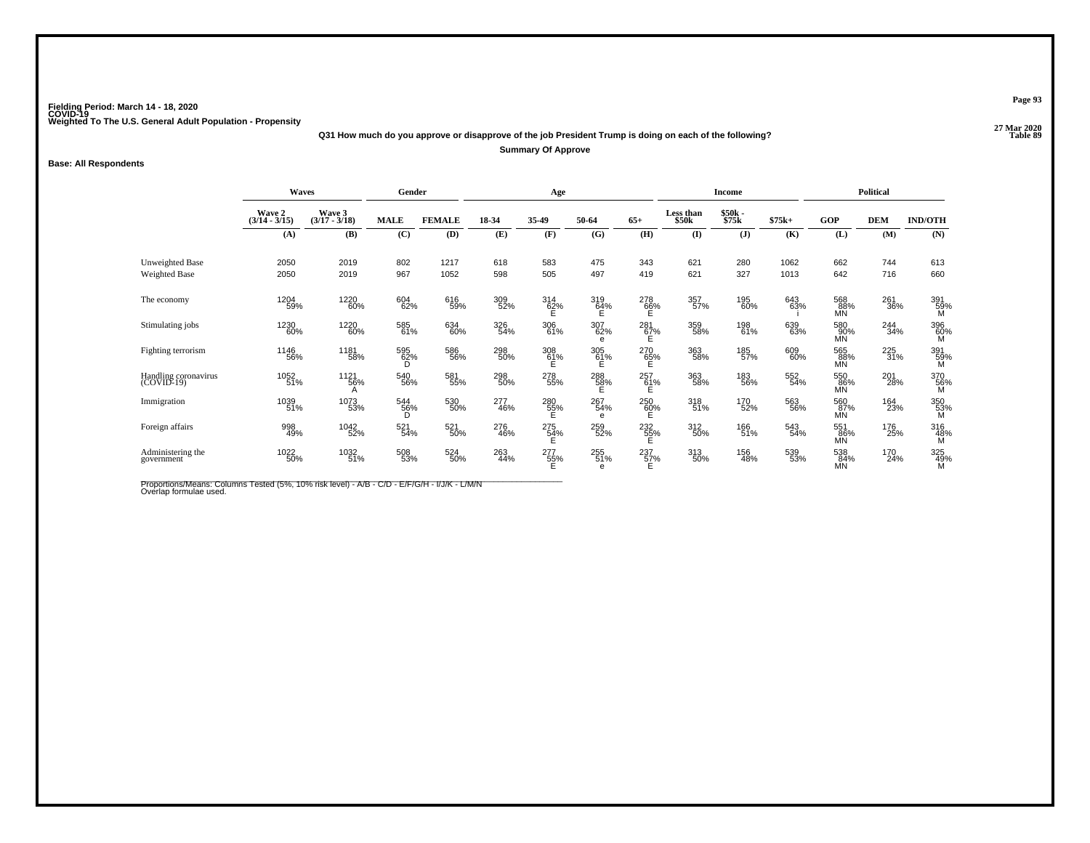**27 Mar 2020Q31 How much do you approve or disapprove of the job President Trump is doing on each of the following?**

**Summary Of Approve**

## **Base: All Respondents**

|                                      | <b>Waves</b>              |                           | Gender          |               |            | Age             |                      |                           |                    | <b>Income</b>  |            |                         | <b>Political</b> |                 |
|--------------------------------------|---------------------------|---------------------------|-----------------|---------------|------------|-----------------|----------------------|---------------------------|--------------------|----------------|------------|-------------------------|------------------|-----------------|
|                                      | Wave 2<br>$(3/14 - 3/15)$ | Wave 3<br>$(3/17 - 3/18)$ | <b>MALE</b>     | <b>FEMALE</b> | 18-34      | 35-49           | 50-64                | $65+$                     | Less than<br>\$50k | \$50k<br>\$75k | $$75k+$    | GOP                     | <b>DEM</b>       | <b>IND/OTH</b>  |
|                                      | (A)                       | (B)                       | (C)             | (D)           | (E)        | (F)             | (G)                  | (H)                       | $\mathbf{I}$       | $\mathbf{J}$   | (K)        | (L)                     | (M)              | (N)             |
| Unweighted Base                      | 2050                      | 2019                      | 802             | 1217          | 618        | 583             | 475                  | 343                       | 621                | 280            | 1062       | 662                     | 744              | 613             |
| <b>Weighted Base</b>                 | 2050                      | 2019                      | 967             | 1052          | 598        | 505             | 497                  | 419                       | 621                | 327            | 1013       | 642                     | 716              | 660             |
| The economy                          | 1204<br>59%               | 1220<br>60%               | 604<br>62%      | 616<br>59%    | 309<br>52% | 314<br>62%<br>E | 319<br>64%<br>E      | 278<br>66%<br>E           | 357<br>57%         | 195<br>60%     | 643<br>63% | 568<br>88%<br>MN        | 261<br>36%       | 391<br>59%<br>M |
| Stimulating jobs                     | 1230<br>60%               | 1220<br>60%               | 585<br>61%      | 634<br>60%    | 326<br>54% | 306<br>61%      | 307<br>62%<br>e      | $^{281}_{67\%}$<br>E      | 359<br>58%         | 198<br>61%     | 639<br>63% | 580<br>90%<br><b>MN</b> | 244<br>34%       | 396<br>60%<br>M |
| Fighting terrorism                   | 1146<br>56%               | 1181<br>58%               | 595<br>62%<br>D | 586<br>56%    | 298<br>50% | 308<br>61%      | $^{305}_{61\%}$<br>Е | 270<br>65%<br>E           | 363<br>58%         | 185<br>57%     | 609<br>60% | 565<br>88%<br><b>MN</b> | 225<br>31%       | 391<br>59%<br>M |
| Handling coronavirus<br>$(COVID-19)$ | 1052<br>51%               | 1121<br>56%<br>A          | 540<br>56%      | 581<br>55%    | 298<br>50% | 278<br>55%      | $^{288}_{~58\%}$     | $^{257}_{61\%}$           | 363<br>58%         | 183<br>56%     | 552<br>54% | 550<br>86%<br>MN        | 201<br>28%       | 370<br>56%<br>M |
| Immigration                          | 1039<br>51%               | 1073<br>53%               | 544<br>56%<br>D | 530<br>50%    | 277<br>46% | 280<br>55%      | 267<br>54%<br>e      | 250<br>6 <u>0</u> %<br>E. | 318<br>51%         | 170<br>52%     | 563<br>56% | 560<br>87%<br><b>MN</b> | 164<br>23%       | 350<br>53%<br>м |
| Foreign affairs                      | 998<br>49%                | 1042<br>52%               | 521<br>54%      | 521<br>50%    | 276<br>46% | $^{275}_{54\%}$ | 259<br>52%           | 232<br>55%                | 312<br>50%         | 166<br>51%     | 543<br>54% | 551<br>86%<br><b>MN</b> | 176<br>25%       | 316<br>48%<br>M |
| Administering the<br>government      | 1022<br>50%               | 1032<br>51%               | 508<br>53%      | 524<br>50%    | 263<br>44% | $^{277}_{55\%}$ | 255<br>51%<br>e      | $^{237}_{57\%}$           | 313<br>50%         | 156<br>48%     | 539<br>53% | 538<br>84%<br><b>MN</b> | 170<br>24%       | 325<br>49%      |

Proportions/Means: Columns Tested (5%, 10% risk level) - A/B - C/D - E/F/G/H - I/J/K - L/M/N<br>Overlap formulae used.

**Page 93**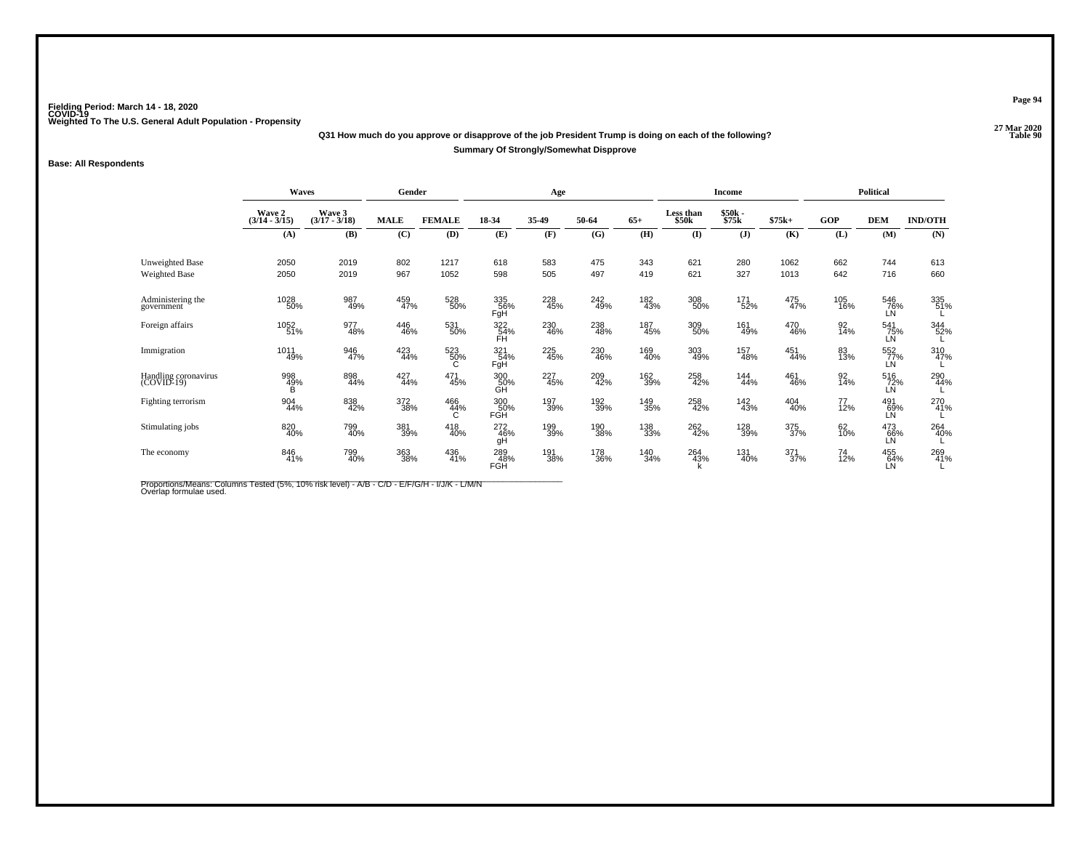**27 Mar 2020Q31 How much do you approve or disapprove of the job President Trump is doing on each of the following?Summary Of Strongly/Somewhat Dispprove**

## **Base: All Respondents**

|                                      | <b>Waves</b>              |                           | Gender      |                  |                          | Age        |            |            |                    | Income         |            |            | <b>Political</b> |                |
|--------------------------------------|---------------------------|---------------------------|-------------|------------------|--------------------------|------------|------------|------------|--------------------|----------------|------------|------------|------------------|----------------|
|                                      | Wave 2<br>$(3/14 - 3/15)$ | Wave 3<br>$(3/17 - 3/18)$ | <b>MALE</b> | <b>FEMALE</b>    | 18-34                    | 35-49      | 50-64      | $65+$      | Less than<br>\$50k | \$50k<br>\$75k | $$75k+$    | GOP        | <b>DEM</b>       | <b>IND/OTH</b> |
|                                      | (A)                       | (B)                       | (C)         | (D)              | (E)                      | (F)        | (G)        | (H)        | $\mathbf{I}$       | $($ $)$        | (K)        | (L)        | (M)              | (N)            |
| Unweighted Base                      | 2050                      | 2019                      | 802         | 1217             | 618                      | 583        | 475        | 343        | 621                | 280            | 1062       | 662        | 744              | 613            |
| <b>Weighted Base</b>                 | 2050                      | 2019                      | 967         | 1052             | 598                      | 505        | 497        | 419        | 621                | 327            | 1013       | 642        | 716              | 660            |
| Administering the<br>government      | 1028<br>50%               | 987<br>49%                | 459<br>47%  | 528<br>50%       | 335<br>56%<br>FgH        | 228<br>45% | 242<br>49% | 182<br>43% | 308<br>50%         | 171<br>52%     | 475<br>47% | 105<br>16% | 546<br>76%<br>LN | 335<br>51%     |
| Foreign affairs                      | 1052<br>51%               | 977<br>48%                | 446<br>46%  | 531<br>50%       | 322<br>54%<br>FH         | 230<br>46% | 238<br>48% | 187<br>45% | 309<br>50%         | 161<br>49%     | 470<br>46% | 92<br>14%  | 541<br>75%<br>LN | 344<br>52%     |
| Immigration                          | 1011<br>49%               | 946<br>47%                | 423<br>44%  | 523<br>50%<br>ι, | 321<br>54%<br>FgH        | 225<br>45% | 230<br>46% | 169<br>40% | 303<br>49%         | 157<br>48%     | 451<br>44% | 83<br>13%  | 552<br>77%<br>LN | 310<br>47%     |
| Handling coronavirus<br>$(COVID-19)$ | 998<br>49%<br>B           | 898<br>44%                | 427<br>44%  | 471<br>45%       | 300<br>50%<br>GH         | 227<br>45% | 209<br>42% | 162<br>39% | 258<br>42%         | 144<br>44%     | 461<br>46% | 92<br>14%  | 516<br>72%<br>LN | 290<br>44%     |
| Fighting terrorism                   | 904<br>44%                | 838<br>42%                | 372<br>38%  | 466<br>44%<br>C  | 300<br>50%<br>FGH        | 197<br>39% | 192<br>39% | 149<br>35% | 258<br>42%         | 142<br>43%     | 404<br>40% | 77<br>12%  | 491<br>69%<br>LN | 270<br>41%     |
| Stimulating jobs                     | 820<br>40%                | 799<br>40%                | 381<br>39%  | 418<br>40%       | 272<br>46%<br>gH         | 199<br>39% | 190<br>38% | 138<br>33% | 262<br>42%         | 128<br>39%     | 375<br>37% | 62<br>10%  | 473<br>66%<br>LN | 264<br>40%     |
| The economy                          | 846<br>41%                | 799<br>40%                | 363<br>38%  | 436<br>41%       | 289<br>48%<br><b>FGH</b> | 191<br>38% | 178<br>36% | 140<br>34% | 264<br>43%         | 131<br>40%     | 371<br>37% | 74<br>12%  | 455<br>64%<br>LN | 269<br>41%     |

Proportions/Means: Columns Tested (5%, 10% risk level) - A/B - C/D - E/F/G/H - I/J/K - L/M/N<br>Overlap formulae used.

**Page 94**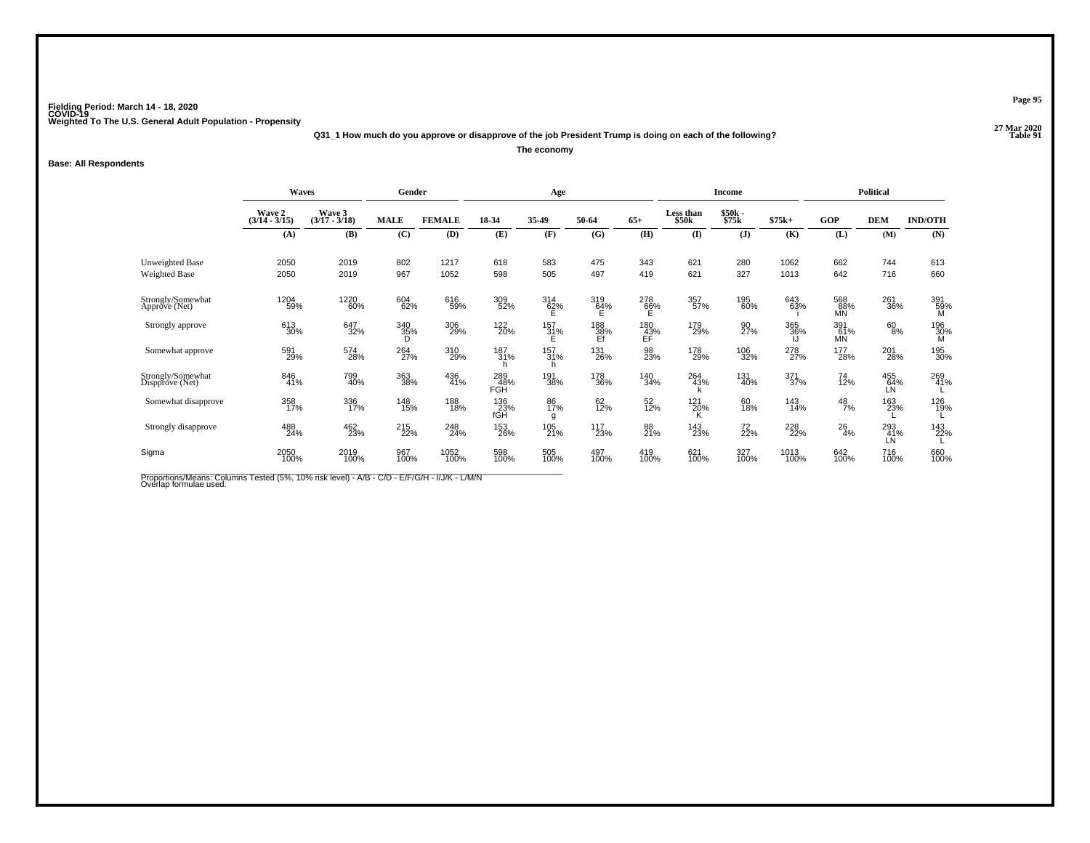**27 Mar 2020Q31\_1 How much do you approve or disapprove of the job President Trump is doing on each of the following?**

**The economy**

## **Base: All Respondents**

|                                      | <b>Waves</b>              |                           | Gender          |               |                   | Age             |                  |                  |                    | Income           |              |                         | <b>Political</b> |                 |
|--------------------------------------|---------------------------|---------------------------|-----------------|---------------|-------------------|-----------------|------------------|------------------|--------------------|------------------|--------------|-------------------------|------------------|-----------------|
|                                      | Wave 2<br>$(3/14 - 3/15)$ | Wave 3<br>$(3/17 - 3/18)$ | <b>MALE</b>     | <b>FEMALE</b> | 18-34             | 35-49           | 50-64            | $65+$            | Less than<br>\$50k | \$50k -<br>\$75k | $$75k+$      | <b>GOP</b>              | <b>DEM</b>       | <b>IND/OTH</b>  |
|                                      | (A)                       | (B)                       | (C)             | (D)           | (E)               | (F)             | (G)              | (H)              | $\mathbf{I}$       | $\mathbf{J}$     | (K)          | (L)                     | (M)              | (N)             |
| Unweighted Base                      | 2050                      | 2019                      | 802             | 1217          | 618               | 583             | 475              | 343              | 621                | 280              | 1062         | 662                     | 744              | 613             |
| <b>Weighted Base</b>                 | 2050                      | 2019                      | 967             | 1052          | 598               | 505             | 497              | 419              | 621                | 327              | 1013         | 642                     | 716              | 660             |
| Strongly/Somewhat<br>Approve (Net)   | 1204<br>59%               | 1220<br>60%               | 604<br>62%      | 616<br>59%    | 309<br>52%        | 314<br>62%      | 319<br>64%<br>E  | 278<br>66%<br>E  | 357<br>57%         | 195<br>60%       | 643<br>63%   | 568<br>88%<br>MN        | 261<br>36%       | 391<br>59%<br>M |
| Strongly approve                     | 613<br>30%                | 647<br>32%                | 340<br>35%<br>D | 306<br>29%    | 122<br>20%        | 157<br>31%      | 188<br>38%<br>Ef | 180<br>43%<br>EĖ | 179<br>29%         | 90<br>27%        | 365<br>36%   | 391<br>61%<br><b>MN</b> | $^{60}_{\,8\%}$  | 196<br>30%<br>М |
| Somewhat approve                     | 591<br>29%                | 574<br>28%                | 264<br>27%      | 310<br>29%    | 187<br>31%        | $^{157}_{31\%}$ | 131<br>26%       | 98<br>23%        | 178<br>29%         | 106<br>32%       | 278<br>27%   | 177<br>28%              | 201<br>28%       | 195<br>30%      |
| Strongly/Somewhat<br>Dispprove (Net) | 846<br>41%                | 799<br>40%                | 363<br>38%      | 436<br>41%    | 289<br>48%<br>FGH | 191<br>38%      | 178<br>36%       | 140<br>34%       | 264<br>43%         | 131<br>40%       | 371<br>37%   | 74<br>12%               | 455<br>64%<br>ĽΝ | 269<br>41%      |
| Somewhat disapprove                  | 358<br>17%                | 336<br>17%                | 148<br>15%      | 188<br>18%    | 136<br>23%<br>fGH | 86<br>17%<br>g  | 62<br>12%        | 52<br>12%        | 121<br>20%<br>ĸ    | 60<br>18%        | 143<br>14%   | $^{48}_{7\%}$           | 163<br>23%       | 126<br>19%      |
| Strongly disapprove                  | 488<br>24%                | 462<br>23%                | 215<br>22%      | 248<br>24%    | 153<br>26%        | 105<br>21%      | 117<br>23%       | 88<br>21%        | 143<br>23%         | 72<br>22%        | 228<br>22%   | $^{26}_{4\%}$           | 293<br>41%<br>LN | 143<br>22%      |
| Sigma                                | 2050<br>100%              | 2019<br>100%              | 967<br>100%     | 1052<br>100%  | 598<br>100%       | 505<br>100%     | 497<br>100%      | 419<br>100%      | 621<br>100%        | 327<br>100%      | 1013<br>100% | 642<br>100%             | 716<br>100%      | 660<br>100%     |

Proportions/Means: Columns Tested (5%, 10% risk level) - A/B - C/D - E/F/G/H - I/J/K - L/M/N<br>Overlap formulae used.

**Page 95**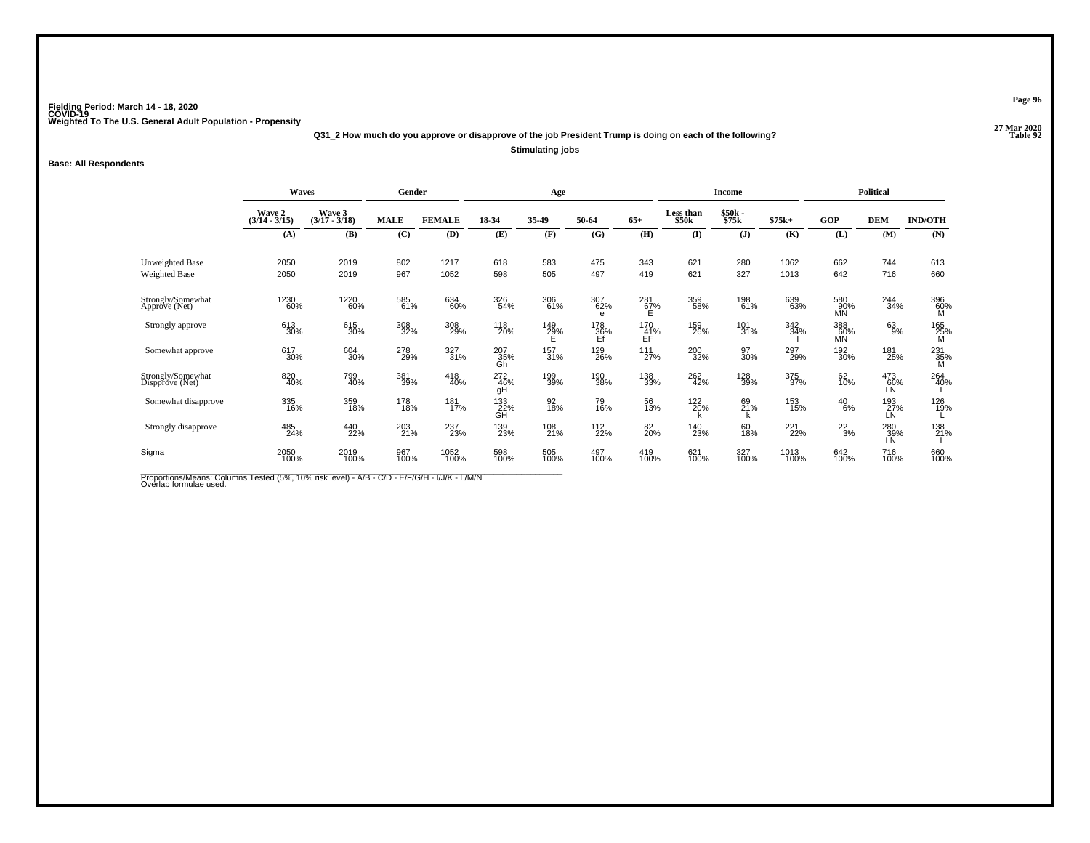**27 Mar 2020Q31\_2 How much do you approve or disapprove of the job President Trump is doing on each of the following?Stimulating jobs**

## **Base: All Respondents**

|                                      | <b>Waves</b>              |                           | Gender      |               |                  | Age                 |                  |                  |                    | Income           |              |                         | <b>Political</b> |                 |
|--------------------------------------|---------------------------|---------------------------|-------------|---------------|------------------|---------------------|------------------|------------------|--------------------|------------------|--------------|-------------------------|------------------|-----------------|
|                                      | Wave 2<br>$(3/14 - 3/15)$ | Wave 3<br>$(3/17 - 3/18)$ | <b>MALE</b> | <b>FEMALE</b> | 18-34            | 35-49               | 50-64            | $65+$            | Less than<br>\$50k | \$50k -<br>\$75k | $$75k+$      | GOP                     | <b>DEM</b>       | <b>IND/OTH</b>  |
|                                      | (A)                       | (B)                       | (C)         | (D)           | (E)              | (F)                 | (G)              | (H)              | $\mathbf{I}$       | $\mathbf{J}$     | (K)          | (L)                     | (M)              | (N)             |
| Unweighted Base                      | 2050                      | 2019                      | 802         | 1217          | 618              | 583                 | 475              | 343              | 621                | 280              | 1062         | 662                     | 744              | 613             |
| <b>Weighted Base</b>                 | 2050                      | 2019                      | 967         | 1052          | 598              | 505                 | 497              | 419              | 621                | 327              | 1013         | 642                     | 716              | 660             |
| Strongly/Somewhat<br>Approve (Net)   | 1230<br>60%               | 1220<br>60%               | 585<br>61%  | 634<br>60%    | 326<br>54%       | 306<br>61%          | 307<br>62%<br>e  | 281<br>67%<br>E  | 359<br>58%         | 198<br>61%       | 639<br>63%   | 580<br>90%<br>MN        | 244<br>34%       | 396<br>60%<br>M |
| Strongly approve                     | 613<br>30%                | 615<br>30%                | 308<br>32%  | 308<br>29%    | 118<br>20%       | 149<br>2 <u>9</u> % | 178<br>36%<br>Ef | 170<br>41%<br>EF | 159<br>26%         | $^{101}_{31\%}$  | 342 34%      | 388<br>60%<br><b>MN</b> | 63<br>9%         | 165<br>25%<br>M |
| Somewhat approve                     | 617<br>30%                | 604<br>30%                | 278<br>29%  | 327<br>31%    | 207<br>35%<br>Gh | 157<br>31%          | 129<br>26%       | $^{111}_{27\%}$  | 200<br>32%         | 97<br>30%        | 297<br>29%   | 192<br>30%              | 181<br>25%       | $^{231}_{35\%}$ |
| Strongly/Somewhat<br>Dispprove (Net) | 820<br>40%                | 799<br>40%                | 381<br>39%  | 418<br>40%    | 272<br>46%<br>gH | 199<br>39%          | 190<br>38%       | 138<br>33%       | 262<br>42%         | 128<br>39%       | 375<br>37%   | 62<br>10%               | 473<br>66%<br>LN | 264<br>40%      |
| Somewhat disapprove                  | 335<br>16%                | 359<br>18%                | 178<br>18%  | 181<br>17%    | 133<br>22%<br>GH | 92<br>18%           | 79<br>16%        | 56<br>13%        | 122<br>20%         | 69<br>21%<br>ĸ   | 153<br>15%   | $^{40}_{6\%}$           | 193<br>27%<br>LN | 126<br>19%      |
| Strongly disapprove                  | 485<br>24%                | 440<br>22%                | 203<br>21%  | 237<br>23%    | 139<br>23%       | 108<br>21%          | 112<br>22%       | 82<br>20%        | 140<br>23%         | 60<br>18%        | 221<br>22%   | $^{22}_{3\%}$           | 280<br>39%<br>LN | 138<br>21%      |
| Sigma                                | 2050<br>100%              | 2019<br>100%              | 967<br>100% | 1052<br>100%  | 598<br>100%      | 505<br>100%         | 497<br>100%      | 419<br>100%      | 621<br>100%        | 327<br>100%      | 1013<br>100% | 642<br>100%             | 716<br>100%      | 660<br>100%     |

Proportions/Means: Columns Tested (5%, 10% risk level) - A/B - C/D - E/F/G/H - I/J/K - L/M/N<br>Overlap formulae used.

**Page 96**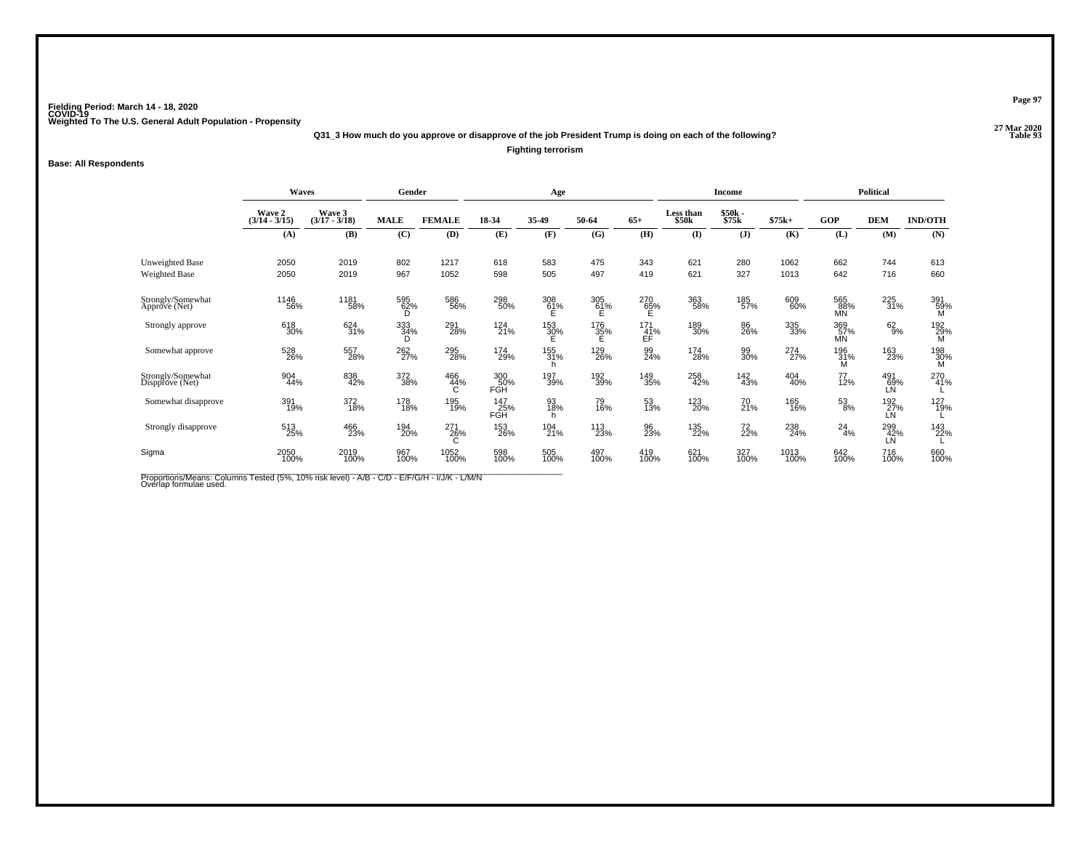**27 Mar 2020Q31\_3 How much do you approve or disapprove of the job President Trump is doing on each of the following?Fighting terrorism**

## **Base: All Respondents**

|                                      | Waves                     |                           | Gender          |               |                   | Age                |                 |                     |                    | Income            |              |                         | <b>Political</b> |                 |
|--------------------------------------|---------------------------|---------------------------|-----------------|---------------|-------------------|--------------------|-----------------|---------------------|--------------------|-------------------|--------------|-------------------------|------------------|-----------------|
|                                      | Wave 2<br>$(3/14 - 3/15)$ | Wave 3<br>$(3/17 - 3/18)$ | <b>MALE</b>     | <b>FEMALE</b> | 18-34             | 35-49              | 50-64           | $65+$               | Less than<br>\$50k | $$50k -$<br>\$75k | $$75k+$      | GOP                     | <b>DEM</b>       | <b>IND/OTH</b>  |
|                                      | (A)                       | (B)                       | (C)             | (D)           | (E)               | (F)                | (G)             | (H)                 | $\mathbf{I}$       | $\mathbf{J}$      | (K)          | (L)                     | (M)              | (N)             |
| Unweighted Base                      | 2050                      | 2019                      | 802             | 1217          | 618               | 583                | 475             | 343                 | 621                | 280               | 1062         | 662                     | 744              | 613             |
| Weighted Base                        | 2050                      | 2019                      | 967             | 1052          | 598               | 505                | 497             | 419                 | 621                | 327               | 1013         | 642                     | 716              | 660             |
| Strongly/Somewhat<br>Approve (Net)   | 1146<br>56%               | 1181<br>58%               | 595<br>62%<br>D | 586<br>56%    | 298<br>50%        | $\frac{308}{61\%}$ | $^{305}_{61\%}$ | 270<br>6 <u>5</u> % | 363<br>58%         | 185<br>57%        | 609<br>60%   | 565<br>88%<br>MN        | 225<br>31%       | 391<br>59%<br>M |
| Strongly approve                     | 618<br>30%                | 624<br>31%                | 333<br>34%<br>D | 291<br>28%    | 124<br>21%        | 153<br>30%         | 176<br>35%<br>E | 171<br>41%<br>EF    | 189<br>30%         | 86<br>26%         | 335<br>33%   | 369<br>57%<br><b>MN</b> | 62<br>9%         | 192<br>29%<br>М |
| Somewhat approve                     | 528<br>26%                | 557<br>28%                | 262<br>27%      | 295<br>28%    | 174<br>29%        | 155<br>31%         | 129<br>26%      | 99<br>24%           | 174<br>28%         | 99<br>30%         | 274<br>27%   | 196<br>31%              | 163<br>23%       | 198<br>30%      |
| Strongly/Somewhat<br>Dispprove (Net) | 904<br>44%                | 838<br>42%                | 372<br>38%      | 466<br>44%    | 300<br>50%<br>FGH | 197<br>39%         | 192<br>39%      | 149<br>35%          | 258<br>42%         | 142<br>43%        | 404<br>40%   | 77<br>12%               | 491<br>69%<br>ĽΝ | 270<br>41%      |
| Somewhat disapprove                  | 391<br>19%                | 372<br>18%                | 178<br>18%      | 195<br>19%    | 147<br>25%<br>FGH | 93<br>18%<br>h     | 79<br>16%       | 53<br>13%           | 123<br>20%         | 70<br>21%         | 165<br>16%   | $^{53}_{8\%}$           | 192<br>27%<br>LN | 127<br>19%      |
| Strongly disapprove                  | 513<br>25%                | 466<br>23%                | 194<br>20%      | 271<br>26%    | 153<br>26%        | 104<br>21%         | 113<br>23%      | 96<br>23%           | 135<br>22%         | 72<br>22%         | 238<br>24%   | 24<br>4%                | 299<br>42%<br>LN | 143<br>22%      |
| Sigma                                | 2050<br>100%              | 2019<br>100%              | 967<br>100%     | 1052<br>100%  | 598<br>100%       | 505<br>100%        | 497<br>100%     | 419<br>100%         | 621<br>100%        | 327<br>100%       | 1013<br>100% | 642<br>100%             | 716<br>100%      | 660<br>100%     |

Proportions/Means: Columns Tested (5%, 10% risk level) - A/B - C/D - E/F/G/H - I/J/K - L/M/N<br>Overlap formulae used.

**Page 97**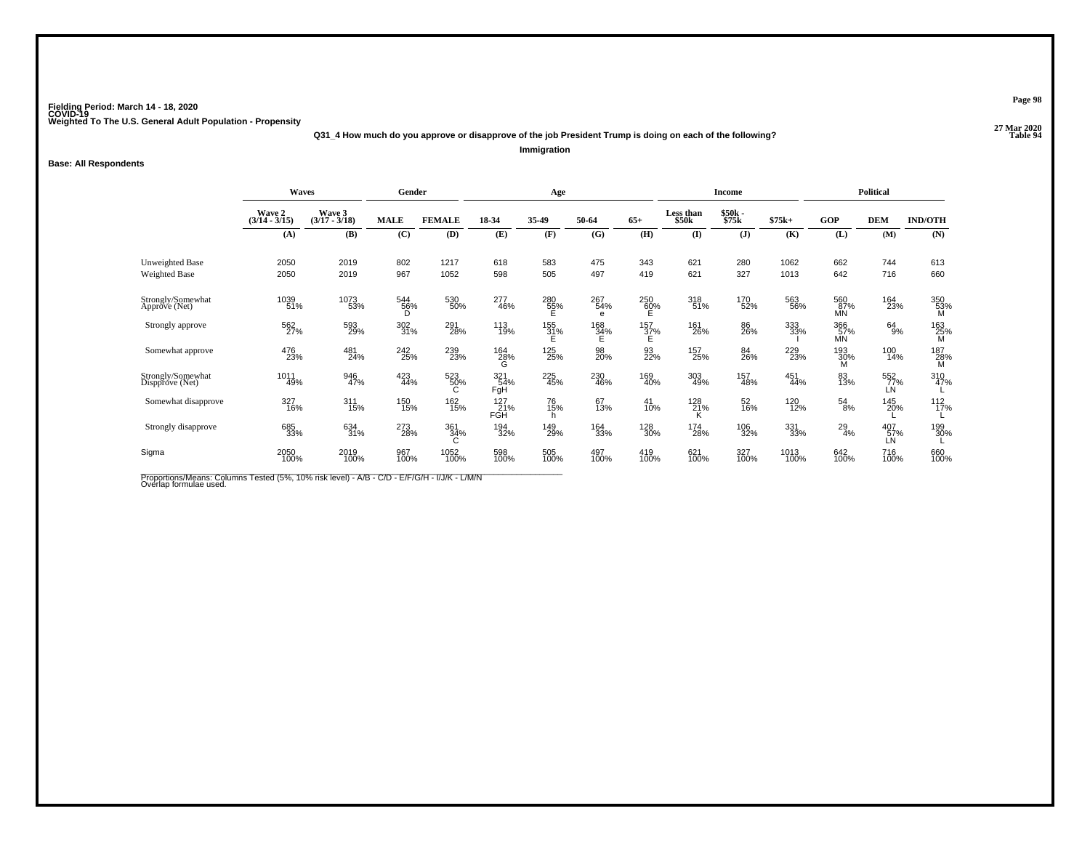**27 Mar 2020Q31\_4 How much do you approve or disapprove of the job President Trump is doing on each of the following?Immigration**

**Base: All Respondents**

|                                      | <b>Waves</b>              |                           | Gender          |                  |                          | Age            |                  |             |                    | <b>Income</b>  |              |                         | <b>Political</b>  |                 |
|--------------------------------------|---------------------------|---------------------------|-----------------|------------------|--------------------------|----------------|------------------|-------------|--------------------|----------------|--------------|-------------------------|-------------------|-----------------|
|                                      | Wave 2<br>$(3/14 - 3/15)$ | Wave 3<br>$(3/17 - 3/18)$ | <b>MALE</b>     | <b>FEMALE</b>    | 18-34                    | 35-49          | 50-64            | $65+$       | Less than<br>\$50k | \$50k<br>\$75k | $$75k+$      | GOP                     | <b>DEM</b>        | <b>IND/OTH</b>  |
|                                      | (A)                       | (B)                       | (C)             | (D)              | (E)                      | (F)            | (G)              | (H)         | $\mathbf{I}$       | $\mathbf{J}$   | (K)          | (L)                     | (M)               | (N)             |
| Unweighted Base                      | 2050                      | 2019                      | 802             | 1217             | 618                      | 583            | 475              | 343         | 621                | 280            | 1062         | 662                     | 744               | 613             |
| <b>Weighted Base</b>                 | 2050                      | 2019                      | 967             | 1052             | 598                      | 505            | 497              | 419         | 621                | 327            | 1013         | 642                     | 716               | 660             |
| Strongly/Somewhat<br>Approve (Net)   | 1039<br>51%               | 1073<br>53%               | 544<br>56%<br>D | 530<br>50%       | 277<br>46%               | 280<br>55%     | 267<br>54%<br>e  | 250<br>60%  | 318<br>51%         | 170<br>52%     | 563<br>56%   | 560<br>$\frac{87}{100}$ | 164<br>23%        | 350<br>53%<br>M |
| Strongly approve                     | 562<br>27%                | 593<br>29%                | 302<br>31%      | 291<br>28%       | 113<br>19%               | 155<br>31%     | 168<br>34%<br>E. | 157<br>37%  | 161<br>26%         | 86<br>26%      | 333<br>33%   | 366<br>57%<br><b>MN</b> | 64<br>9%          | 163<br>25%<br>М |
| Somewhat approve                     | 476<br>23%                | 481<br>24%                | 242<br>25%      | 239<br>23%       | 164<br>28%<br>G          | 125<br>25%     | 98<br>20%        | 93<br>22%   | 157<br>25%         | 84<br>26%      | 229<br>23%   | 193<br>30%              | 100<br>14%        | 187<br>28%      |
| Strongly/Somewhat<br>Dispprove (Net) | 1011<br>49%               | 946<br>47%                | 423<br>44%      | 523<br>50%<br>ι. | 321<br>$F_9H$            | 225<br>45%     | 230<br>46%       | 169<br>40%  | 303<br>49%         | 157<br>48%     | 451<br>44%   | 83<br>13%               | 552<br>77%<br>ĹŃ. | 310<br>47%      |
| Somewhat disapprove                  | 327<br>16%                | 311<br>15%                | 150<br>15%      | 162<br>15%       | 127<br>21%<br><b>FGH</b> | 76<br>15%<br>h | 67<br>13%        | 41<br>10%   | 128<br>21%<br>κ    | 52<br>16%      | 120<br>12%   | $^{54}_{8\%}$           | 145<br>20%        | 112<br>17%      |
| Strongly disapprove                  | 685<br>33%                | 634<br>31%                | 273<br>28%      | 361<br>34%       | 194<br>32%               | 149<br>29%     | 164<br>33%       | 128<br>30%  | 174<br>28%         | 106<br>32%     | 331<br>33%   | 29<br>4%                | 407<br>57%<br>LN  | 199<br>30%      |
| Sigma                                | 2050<br>100%              | 2019<br>100%              | 967<br>100%     | 1052<br>100%     | 598<br>100%              | 505<br>100%    | 497<br>100%      | 419<br>100% | 621<br>100%        | 327<br>100%    | 1013<br>100% | 642<br>100%             | 716<br>100%       | 660<br>100%     |

Proportions/Means: Columns Tested (5%, 10% risk level) - A/B - C/D - E/F/G/H - I/J/K - L/M/N<br>Overlap formulae used.

**Page 98**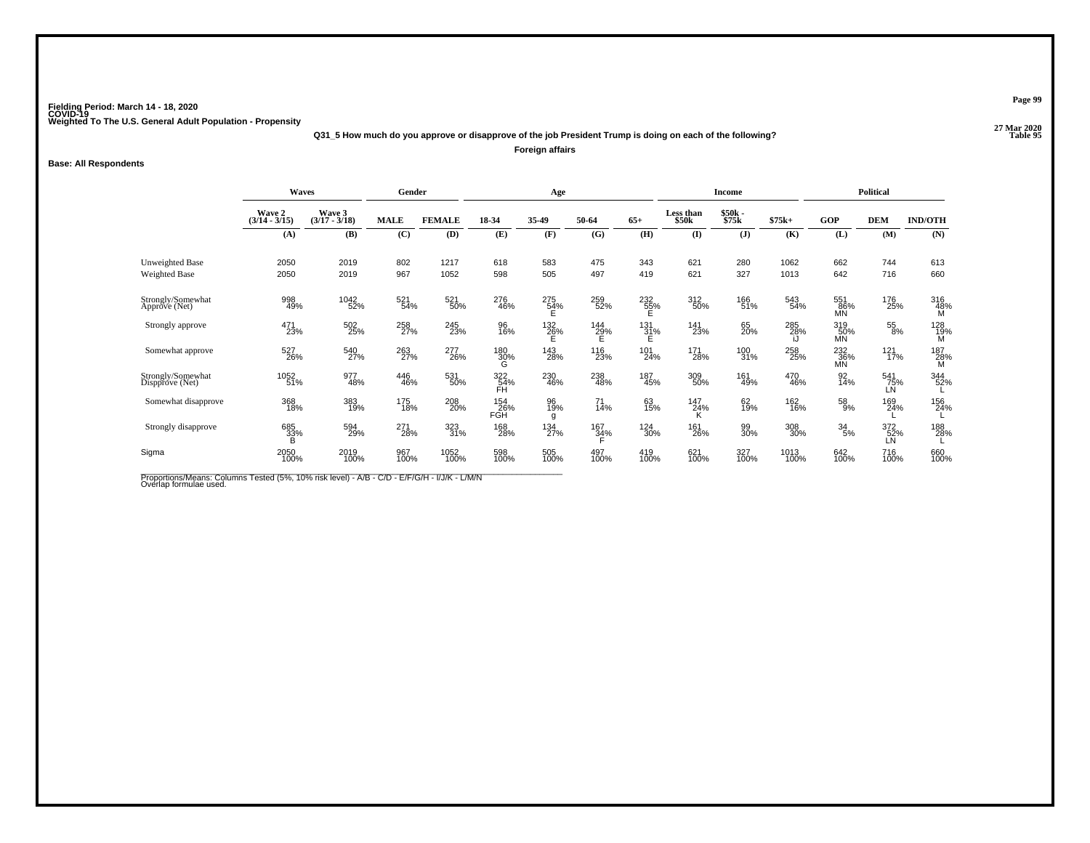**27 Mar 2020Q31\_5 How much do you approve or disapprove of the job President Trump is doing on each of the following?**

**Foreign affairs**

## **Base: All Respondents**

|                                      | <b>Waves</b>              |                           | Gender      |               |                               | Age            |             |                                 |                    | Income           |                  |                         | <b>Political</b> |                 |
|--------------------------------------|---------------------------|---------------------------|-------------|---------------|-------------------------------|----------------|-------------|---------------------------------|--------------------|------------------|------------------|-------------------------|------------------|-----------------|
|                                      | Wave 2<br>$(3/14 - 3/15)$ | Wave 3<br>$(3/17 - 3/18)$ | <b>MALE</b> | <b>FEMALE</b> | 18-34                         | 35-49          | 50-64       | $65+$                           | Less than<br>\$50k | \$50k -<br>\$75k | $$75k+$          | GOP                     | <b>DEM</b>       | <b>IND/OTH</b>  |
|                                      | (A)                       | (B)                       | (C)         | (D)           | (E)                           | (F)            | (G)         | (H)                             | $\mathbf{I}$       | $($ $)$          | (K)              | (L)                     | (M)              | (N)             |
| Unweighted Base                      | 2050                      | 2019                      | 802         | 1217          | 618                           | 583            | 475         | 343                             | 621                | 280              | 1062             | 662                     | 744              | 613             |
| <b>Weighted Base</b>                 | 2050                      | 2019                      | 967         | 1052          | 598                           | 505            | 497         | 419                             | 621                | 327              | 1013             | 642                     | 716              | 660             |
| Strongly/Somewhat<br>Approve (Net)   | 998<br>49%                | 1042<br>52%               | 521<br>54%  | 521<br>50%    | 276<br>46%                    | 275<br>54%     | 259<br>52%  | $^{232}_{\substack{55\% \\ E}}$ | 312<br>50%         | 166<br>51%       | 543<br>54%       | 551<br>86%<br>MN        | 176<br>25%       | 316<br>48%<br>M |
| Strongly approve                     | 471<br>23%                | 502<br>25%                | 258<br>27%  | 245<br>23%    | 96<br>16%                     | 132<br>26%     | 144<br>29%  | 131<br>31%                      | 141<br>23%         | 65<br>20%        | 285<br>28%<br>iJ | 319<br>50%<br><b>MN</b> | 55<br>8%         | 128<br>19%<br>М |
| Somewhat approve                     | 527<br>26%                | 540<br>27%                | 263<br>27%  | 277<br>26%    | 180<br>30%<br>G               | 143<br>28%     | 116<br>23%  | 101<br>24%                      | 171<br>28%         | 100<br>31%       | 258<br>25%       | 232<br>36%<br><b>MN</b> | 121<br>17%       | 187<br>28%      |
| Strongly/Somewhat<br>Dispprove (Net) | 1052<br>51%               | 977<br>48%                | 446<br>46%  | 531<br>50%    | 322<br>$\frac{54}{\text{FH}}$ | 230<br>46%     | 238<br>48%  | 187<br>45%                      | 309<br>50%         | 161<br>49%       | 470<br>46%       | 92<br>14%               | 541<br>75%<br>LN | 344<br>52%      |
| Somewhat disapprove                  | 368<br>18%                | 383<br>19%                | 175<br>18%  | 208<br>20%    | 154<br>26%<br><b>FGH</b>      | 96<br>19%<br>g | 71<br>14%   | 63<br>15%                       | 147<br>24%<br>κ    | 62<br>19%        | 162<br>16%       | 58<br>9%                | 169<br>24%       | 156<br>24%      |
| Strongly disapprove                  | 685<br>33%                | 594<br>29%                | 271<br>28%  | 323<br>31%    | 168<br>28%                    | 134<br>27%     | 167<br>34%  | 124<br>30%                      | 161<br>26%         | 99<br>30%        | 308<br>30%       | $\frac{34}{5\%}$        | 372<br>52%<br>LN | 188<br>28%      |
| Sigma                                | 2050<br>100%              | 2019<br>100%              | 967<br>100% | 1052<br>100%  | 598<br>100%                   | 505<br>100%    | 497<br>100% | 419<br>100%                     | 621<br>100%        | 327<br>100%      | 1013<br>100%     | 642<br>100%             | 716<br>100%      | 660<br>100%     |

Proportions/Means: Columns Tested (5%, 10% risk level) - A/B - C/D - E/F/G/H - I/J/K - L/M/N<br>Overlap formulae used.

**Page 99**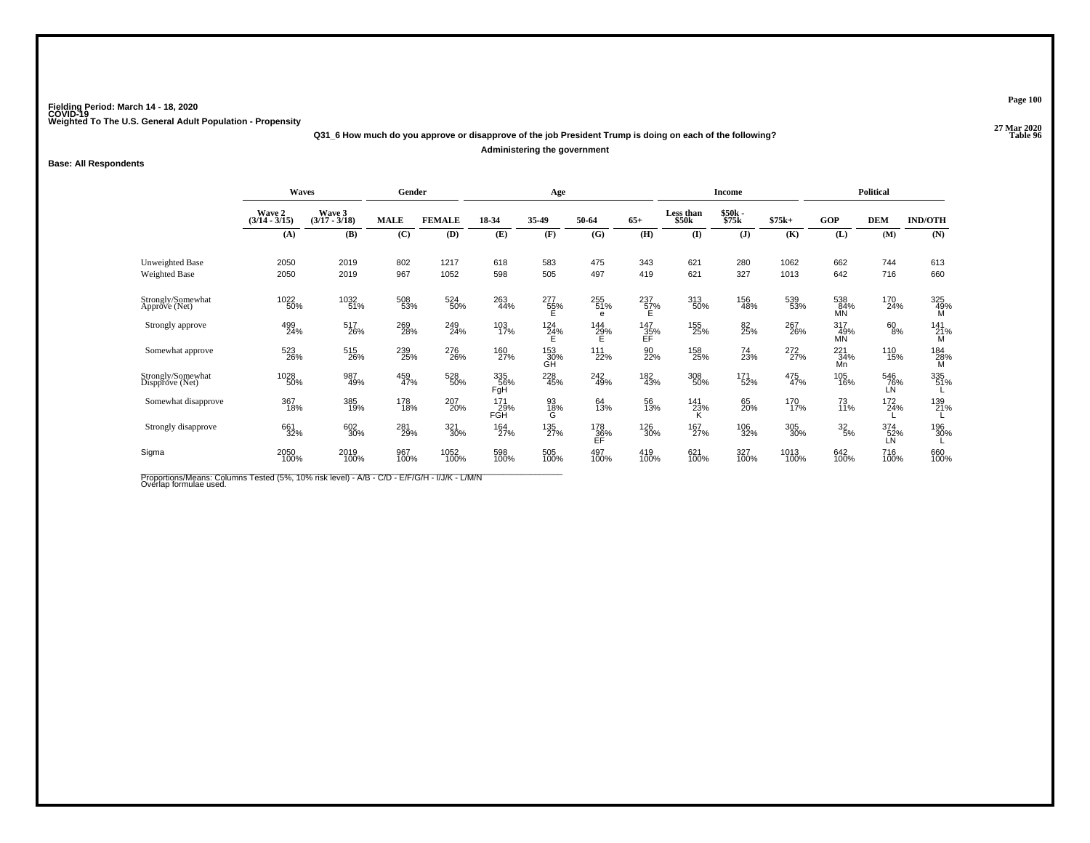**27 Mar 2020Q31\_6 How much do you approve or disapprove of the job President Trump is doing on each of the following?Administering the government**

# **Base: All Respondents**

|                                      | <b>Waves</b>              |                         | Gender      |               |                          | Age              |                            |                  |                           | <b>Income</b>    |              |                         | <b>Political</b> |                      |
|--------------------------------------|---------------------------|-------------------------|-------------|---------------|--------------------------|------------------|----------------------------|------------------|---------------------------|------------------|--------------|-------------------------|------------------|----------------------|
|                                      | Wave 2<br>$(3/14 - 3/15)$ | Wave 3<br>(3/17 - 3/18) | <b>MALE</b> | <b>FEMALE</b> | 18-34                    | 35-49            | 50-64                      | $65+$            | <b>Less than</b><br>\$50k | \$50k -<br>\$75k | $$75k+$      | <b>GOP</b>              | <b>DEM</b>       | <b>IND/OTH</b>       |
|                                      | (A)                       | <b>(B)</b>              | (C)         | (D)           | (E)                      | (F)              | (G)                        | (H)              | $\mathbf{I}$              | $\mathbf{J}$     | (K)          | (L)                     | (M)              | (N)                  |
| Unweighted Base                      | 2050                      | 2019                    | 802         | 1217          | 618                      | 583              | 475                        | 343              | 621                       | 280              | 1062         | 662                     | 744              | 613                  |
| <b>Weighted Base</b>                 | 2050                      | 2019                    | 967         | 1052          | 598                      | 505              | 497                        | 419              | 621                       | 327              | 1013         | 642                     | 716              | 660                  |
| Strongly/Somewhat<br>Approve (Net)   | 1022<br>50%               | 1032<br>51%             | 508<br>53%  | 524<br>50%    | 263<br>44%               | 277<br>55%<br>E  | 255<br>51%<br>e            | 237<br>57%       | 313<br>50%                | 156<br>48%       | 539<br>53%   | 538<br>84%<br>MN        | 170<br>24%       | 325<br>49%<br>M      |
| Strongly approve                     | 499<br>24%                | 517<br>26%              | 269<br>28%  | 249<br>24%    | 103<br>17%               | 124<br>24%<br>E  | 144<br>29%<br>Е            | 147<br>35%<br>ÉĖ | 155<br>25%                | 82<br>25%        | 267<br>26%   | 317<br>49%<br><b>MN</b> | 60<br>8%         | $^{141}_{21\%}$<br>M |
| Somewhat approve                     | 523<br>26%                | 515<br>26%              | 239<br>25%  | 276<br>26%    | 160<br>27%               | 153<br>30%<br>GH | 111<br>22%                 | 90<br>22%        | 158<br>25%                | 74<br>23%        | 272<br>27%   | 221<br>34%<br>Mn        | 110<br>15%       | 184<br>28%<br>М      |
| Strongly/Somewhat<br>Dispprove (Net) | 1028<br>50%               | 987<br>49%              | 459<br>47%  | 528<br>50%    | 335<br>56%<br>FgH        | 228<br>45%       | 242<br>49%                 | 182<br>43%       | 308<br>50%                | 171<br>52%       | 475<br>47%   | 105<br>16%              | 546<br>76%<br>LÑ | 335<br>51%           |
| Somewhat disapprove                  | 367<br>18%                | 385<br>19%              | 178<br>18%  | 207<br>20%    | 171<br>29%<br><b>FGH</b> | 93<br>18%<br>G   | 64<br>13%                  | 56<br>13%        | 141<br>23%<br>n.          | 65<br>20%        | 170<br>17%   | 73<br>11%               | 172<br>24%       | 139<br>21%           |
| Strongly disapprove                  | 661<br>32%                | 602<br>30%              | 281<br>29%  | 321<br>30%    | 164<br>27%               | 135<br>27%       | 178<br>$E$ <sup>36</sup> % | 126<br>30%       | 167<br>27%                | 106<br>32%       | 305<br>30%   | $\frac{32}{5\%}$        | 374<br>52%<br>LN | 196<br>30%           |
| Sigma                                | 2050<br>100%              | 2019<br>100%            | 967<br>100% | 1052<br>100%  | 598<br>100%              | 505<br>100%      | 497<br>100%                | 419<br>100%      | 621<br>100%               | 327<br>100%      | 1013<br>100% | 642<br>100%             | 716<br>100%      | 660<br>100%          |

Proportions/Means: Columns Tested (5%, 10% risk level) - A/B - C/D - E/F/G/H - I/J/K - L/M/N<br>Overlap formulae used.

**Page 100**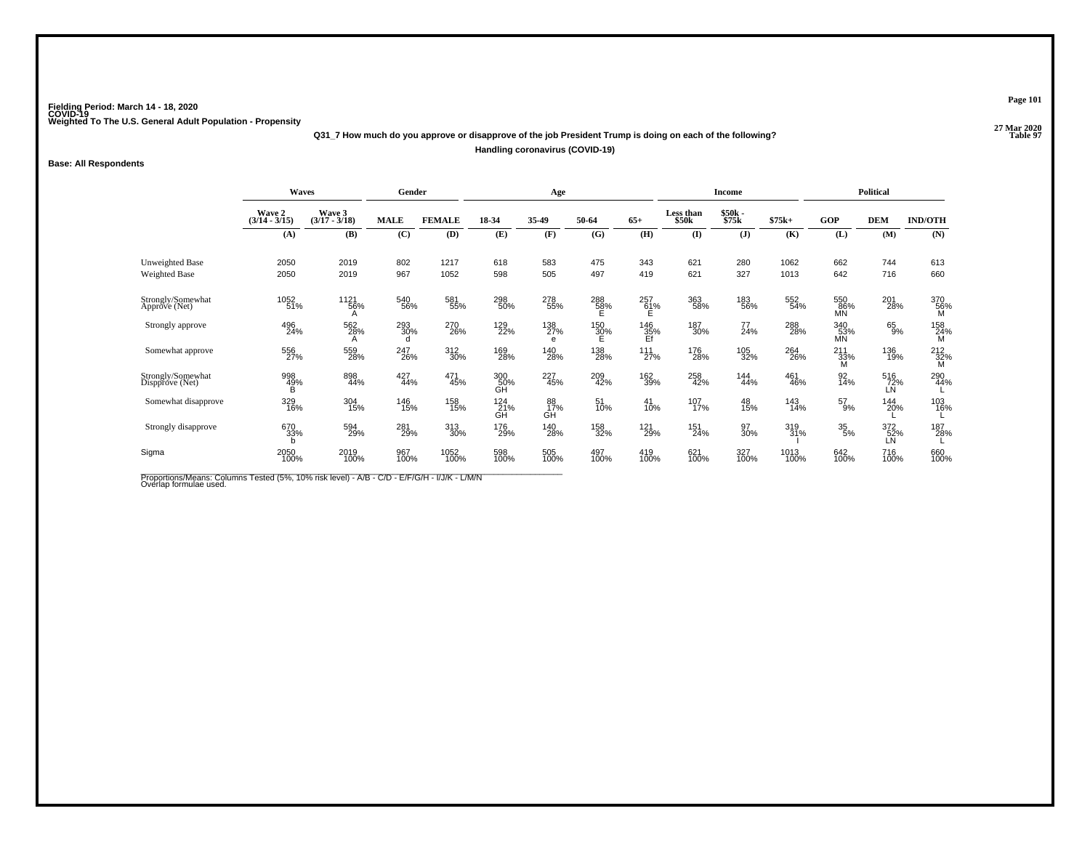**27 Mar 2020Q31\_7 How much do you approve or disapprove of the job President Trump is doing on each of the following?Handling coronavirus (COVID-19)**

## **Base: All Respondents**

|                                      | <b>Waves</b>              |                           | Gender          |               |                  | Age             |             |                  |                    | Income           |              |                         | <b>Political</b> |                    |
|--------------------------------------|---------------------------|---------------------------|-----------------|---------------|------------------|-----------------|-------------|------------------|--------------------|------------------|--------------|-------------------------|------------------|--------------------|
|                                      | Wave 2<br>$(3/14 - 3/15)$ | Wave 3<br>$(3/17 - 3/18)$ | <b>MALE</b>     | <b>FEMALE</b> | 18-34            | 35-49           | 50-64       | $65+$            | Less than<br>\$50k | \$50k -<br>\$75k | $$75k+$      | GOP                     | <b>DEM</b>       | <b>IND/OTH</b>     |
|                                      | (A)                       | (B)                       | (C)             | (D)           | (E)              | (F)             | (G)         | (H)              | $\mathbf{I}$       | $($ $)$          | (K)          | (L)                     | (M)              | (N)                |
| Unweighted Base                      | 2050                      | 2019                      | 802             | 1217          | 618              | 583             | 475         | 343              | 621                | 280              | 1062         | 662                     | 744              | 613                |
| <b>Weighted Base</b>                 | 2050                      | 2019                      | 967             | 1052          | 598              | 505             | 497         | 419              | 621                | 327              | 1013         | 642                     | 716              | 660                |
| Strongly/Somewhat<br>Approve (Net)   | 1052<br>51%               | 1121<br>56%<br>А          | 540<br>56%      | 581<br>55%    | 298<br>50%       | 278<br>55%      | 288<br>58%  | $^{257}_{61\%}$  | 363<br>58%         | 183<br>56%       | 552<br>54%   | 550<br>86%<br>MN        | 201<br>28%       | 370<br>56%<br>M    |
| Strongly approve                     | 496<br>24%                | 562<br>28%<br>A           | 293<br>30%<br>d | 270<br>26%    | 129<br>22%       | 138<br>27%<br>e | 150<br>30%  | 146<br>35%<br>Ef | 187<br>30%         | 77<br>24%        | 288<br>28%   | 340<br>53%<br><b>MN</b> | 65<br>9%         | 158<br>24%<br>м    |
| Somewhat approve                     | 556<br>27%                | 559<br>28%                | 247<br>26%      | 312<br>30%    | 169<br>28%       | 140<br>28%      | 138<br>28%  | $^{111}_{27\%}$  | 176<br>28%         | 105<br>32%       | 264<br>26%   | $^{211}_{33\%}$         | 136<br>19%       | $\frac{212}{32\%}$ |
| Strongly/Somewhat<br>Dispprove (Net) | 998<br>$\frac{49}{B}$     | 898<br>44%                | 427<br>44%      | 471<br>45%    | 300<br>50%<br>GH | 227<br>45%      | 209<br>42%  | 162<br>39%       | 258<br>42%         | 144<br>44%       | 461<br>46%   | 92<br>14%               | 516<br>72%<br>LN | 290<br>44%         |
| Somewhat disapprove                  | 329<br>16%                | 304<br>15%                | 146<br>15%      | 158<br>15%    | 124<br>21%<br>GH | 88<br>17%<br>GH | 51<br>10%   | 41<br>10%        | 107<br>17%         | 48<br>15%        | 143<br>14%   | 57<br>9%                | 144<br>20%       | 103<br>16%         |
| Strongly disapprove                  | 670<br>33%                | 594<br>29%                | 281<br>29%      | 313<br>30%    | 176<br>29%       | 140<br>28%      | 158<br>32%  | 121<br>29%       | 151<br>24%         | 97<br>30%        | 319<br>31%   | $^{35}_{\ 5\%}$         | 372<br>52%<br>LN | 187<br>28%         |
| Sigma                                | 2050<br>100%              | 2019<br>100%              | 967<br>100%     | 1052<br>100%  | 598<br>100%      | 505<br>100%     | 497<br>100% | 419<br>100%      | 621<br>100%        | 327<br>100%      | 1013<br>100% | 642<br>100%             | 716<br>100%      | 660<br>100%        |

Proportions/Means: Columns Tested (5%, 10% risk level) - A/B - C/D - E/F/G/H - I/J/K - L/M/N<br>Overlap formulae used.

**Table 97** 

**Page 101**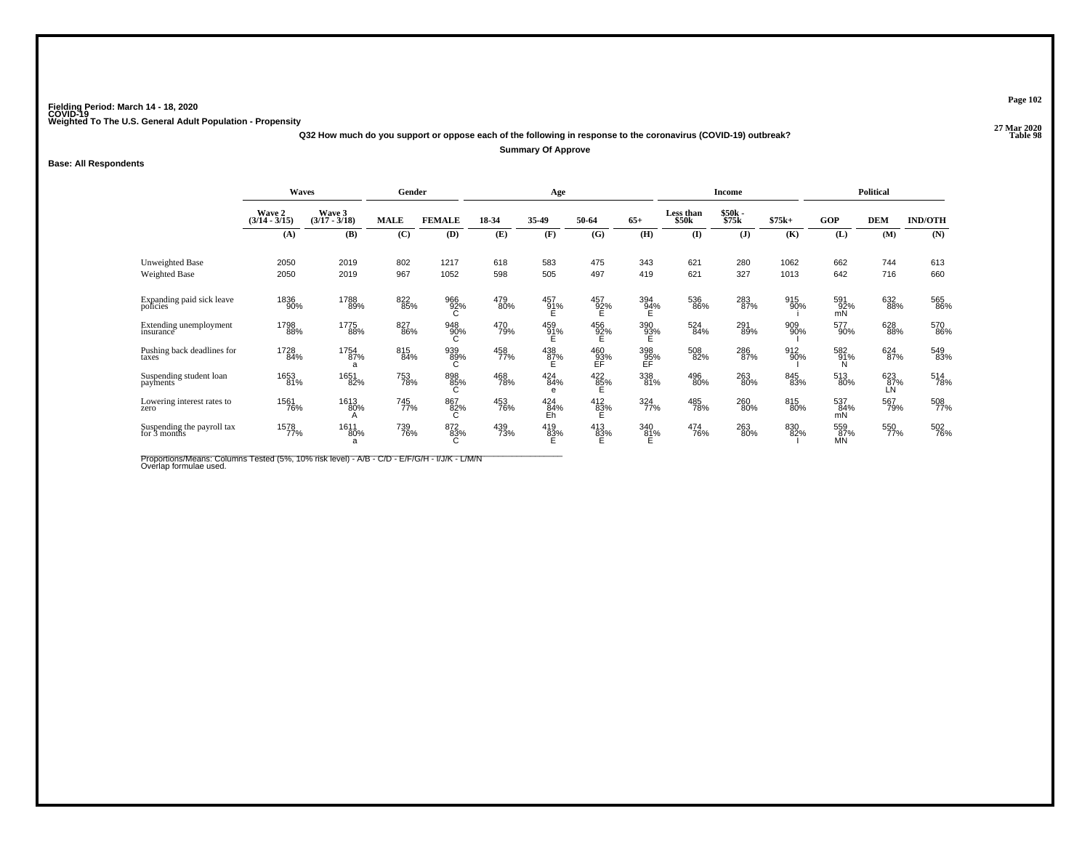**27 Mar 2020Q32 How much do you support or oppose each of the following in response to the coronavirus (COVID-19) outbreak?**

#### **Summary Of Approve**

## **Base: All Respondents**

|                                            | <b>Waves</b>              |                           | Gender      |                  |            | Age                  |                    |                  |                    | <b>Income</b>  |                    |                         | <b>Political</b> |                |
|--------------------------------------------|---------------------------|---------------------------|-------------|------------------|------------|----------------------|--------------------|------------------|--------------------|----------------|--------------------|-------------------------|------------------|----------------|
|                                            | Wave 2<br>$(3/14 - 3/15)$ | Wave 3<br>$(3/17 - 3/18)$ | <b>MALE</b> | <b>FEMALE</b>    | 18-34      | 35-49                | 50-64              | $65+$            | Less than<br>\$50k | \$50k<br>\$75k | $$75k+$            | <b>GOP</b>              | <b>DEM</b>       | <b>IND/OTH</b> |
|                                            | (A)                       | (B)                       | (C)         | (D)              | (E)        | (F)                  | (G)                | (H)              | $\mathbf{I}$       | $\mathbf{J}$   | (K)                | (L)                     | (M)              | (N)            |
| Unweighted Base                            | 2050                      | 2019                      | 802         | 1217             | 618        | 583                  | 475                | 343              | 621                | 280            | 1062               | 662                     | 744              | 613            |
| <b>Weighted Base</b>                       | 2050                      | 2019                      | 967         | 1052             | 598        | 505                  | 497                | 419              | 621                | 327            | 1013               | 642                     | 716              | 660            |
| Expanding paid sick leave<br>policies      | 1836<br>90%               | 1788<br>89%               | 822<br>85%  | 966<br>92%       | 479<br>80% | 457<br>91%           | 457<br>92%         | 394<br>94%       | 536<br>86%         | 283<br>87%     | 915<br>90%         | 591<br>$\frac{92}{2}$   | 632<br>88%       | 565<br>86%     |
| Extending unemployment<br>insurance        | 1798<br>88%               | 1775<br>88%               | 827<br>86%  | 948<br>90%<br>С  | 470<br>79% | 459<br>91%           | 456<br>92%         | 390<br>93%       | 524<br>84%         | 291<br>89%     | 909<br>90%         | 577<br>90%              | 628<br>88%       | 570<br>86%     |
| Pushing back deadlines for<br>taxes        | 1728<br>84%               | 1754<br>87%<br>a          | 815<br>84%  | 939<br>89%       | 458<br>77% | 438<br>87%           | $^{460}_{93\%}$ FF | 398<br>95%<br>EF | 508<br>82%         | 286<br>87%     | 912 <sub>90%</sub> | 582%                    | 624<br>87%       | 549<br>83%     |
| Suspending student loan<br>payments        | 1653<br>81%               | 1651<br>82%               | 753<br>78%  | 898<br>85%       | 468<br>78% | $^{424}_{84\%}$<br>e | 422<br>85%         | 338<br>81%       | 496<br>80%         | 263<br>80%     | 845<br>83%         | 513<br>80%              | 623<br>87%<br>ĽΝ | 514<br>78%     |
| Lowering interest rates to<br>zero         | 1561<br>76%               | 1613<br>80%<br>A          | 745<br>77%  | 867<br>82%<br>ι. | 453<br>76% | 424<br>84%<br>Eh     | 412<br>83%         | 324<br>77%       | 485<br>78%         | 260<br>80%     | 815<br>80%         | 537<br>84%<br>mN        | 567<br>79%       | 508<br>77%     |
| Suspending the payroll tax<br>for 3 months | 1578<br>77%               | 1611<br>80%<br>a          | 739<br>76%  | 872<br>83%       | 439<br>73% | 419<br>83%           | 413<br>83%         | 340<br>81%       | 474<br>76%         | 263<br>80%     | 830<br>82%         | 559<br>87%<br><b>MN</b> | 550<br>77%       | 502<br>76%     |

Proportions/Means: Columns Tested (5%, 10% risk level) - A/B - C/D - E/F/G/H - I/J/K - L/M/N<br>Overlap formulae used.

**Page 102**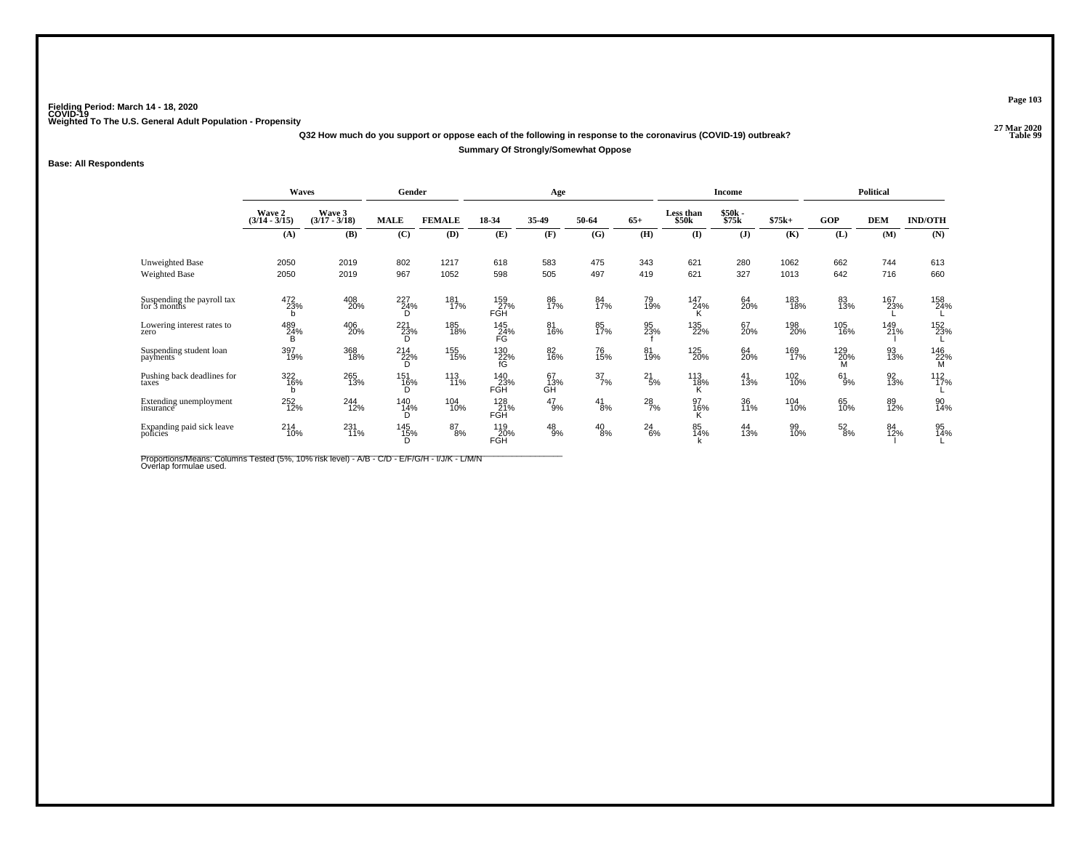**27 Mar 2020Q32 How much do you support or oppose each of the following in response to the coronavirus (COVID-19) outbreak?Summary Of Strongly/Somewhat Oppose**

## **Base: All Respondents**

|                                            | Waves                     |                           | Gender                               |               |                          | Age              |                  |               |                    | <b>Income</b>    |            |                 | <b>Political</b> |                 |
|--------------------------------------------|---------------------------|---------------------------|--------------------------------------|---------------|--------------------------|------------------|------------------|---------------|--------------------|------------------|------------|-----------------|------------------|-----------------|
|                                            | Wave 2<br>$(3/14 - 3/15)$ | Wave 3<br>$(3/17 - 3/18)$ | <b>MALE</b>                          | <b>FEMALE</b> | 18-34                    | 35-49            | 50-64            | $65+$         | Less than<br>\$50k | \$50k -<br>\$75k | $$75k+$    | <b>GOP</b>      | <b>DEM</b>       | <b>IND/OTH</b>  |
|                                            | (A)                       | (B)                       | (C)                                  | (D)           | (E)                      | (F)              | (G)              | (H)           | $\mathbf{I}$       | $\mathbf{J}$     | (K)        | (L)             | (M)              | (N)             |
| Unweighted Base                            | 2050                      | 2019                      | 802                                  | 1217          | 618                      | 583              | 475              | 343           | 621                | 280              | 1062       | 662             | 744              | 613             |
| <b>Weighted Base</b>                       | 2050                      | 2019                      | 967                                  | 1052          | 598                      | 505              | 497              | 419           | 621                | 327              | 1013       | 642             | 716              | 660             |
| Suspending the payroll tax<br>for 3 months | 472<br>23%<br>b           | 408<br>20%                | 227<br>24%<br>D                      | 181<br>17%    | 159<br>27%<br>FGH        | 86<br>17%        | 84<br>17%        | 79<br>19%     | 147<br>24%         | 64<br>20%        | 183<br>18% | 83<br>13%       | 167<br>23%       | 158<br>24%      |
| Lowering interest rates to<br>zero         | 489<br>24%<br>B           | 406<br>20%                | 221<br>23%<br>D                      | 185<br>18%    | 145<br>24%<br>FG         | 81<br>16%        | 85<br>17%        | 95<br>23%     | 135<br>22%         | 67<br>20%        | 198<br>20% | 105<br>16%      | 149<br>21%       | 152<br>23%      |
| Suspending student loan<br>payments        | 397<br>19%                | 368<br>18%                | 214<br>22%<br>D                      | 155<br>15%    | 130<br>22%<br>fG         | 82<br>16%        | 76<br>15%        | 81<br>19%     | 125<br>20%         | 64<br>20%        | 169<br>17% | 129<br>20%<br>М | 93<br>13%        | 146<br>22%<br>M |
| Pushing back deadlines for<br>taxes        | 322<br>16%<br>b           | 265<br>13%                | 151<br>$\overline{D}^{\frac{16}{5}}$ | 113<br>11%    | 140<br>z3%<br>FGH        | 67<br>_13%<br>GH | $\frac{37}{7\%}$ | $^{21}_{5\%}$ | 113<br>18%         | 41<br>13%        | 102<br>10% | 61<br>9%        | 92<br>13%        | $^{112}_{17\%}$ |
| Extending unemployment<br>insurance        | 252<br>12%                | 244<br>12%                | 140<br>14%<br>D                      | 104<br>10%    | 128<br>21%<br><b>FGH</b> | $^{47}_{9\%}$    | $^{41}_{8\%}$    | $^{28}_{7\%}$ | 97<br>16%          | 36<br>11%        | 104<br>10% | 65<br>10%       | 89<br>12%        | 90<br>14%       |
| Expanding paid sick leave<br>policies      | 214<br>10%                | 231<br>11%                | 145<br>15%<br>D                      | $^{87}_{8\%}$ | 119<br>20%<br><b>FGH</b> | $^{48}_{9\%}$    | $^{40}_{8\%}$    | $^{24}_{6\%}$ | 85<br>14%          | 44<br>13%        | 99<br>10%  | 52<br>8%        | 84<br>12%        | 95<br>14%       |

Proportions/Means: Columns Tested (5%, 10% risk level) - A/B - C/D - E/F/G/H - I/J/K - L/M/N<br>Overlap formulae used.

**Page 103**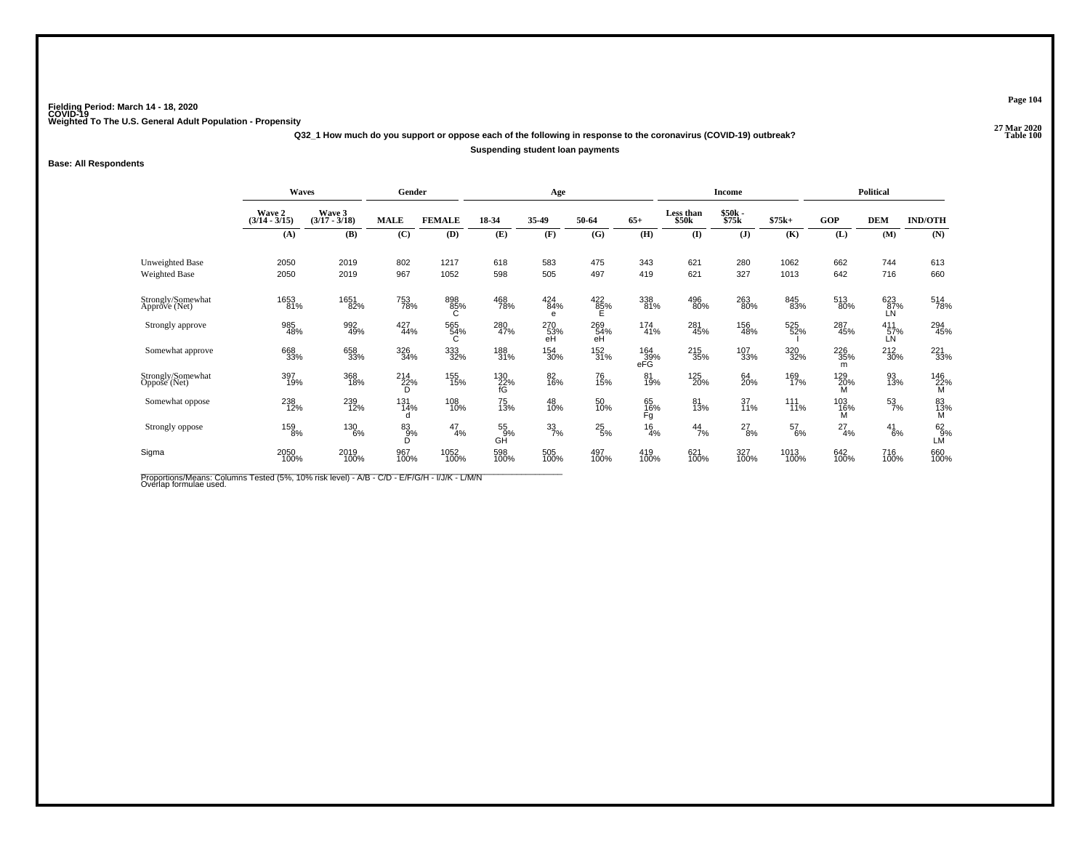**27 Mar 2020Q32\_1 How much do you support or oppose each of the following in response to the coronavirus (COVID-19) outbreak?**

# **Page 104**

**Table 100** 

#### **Suspending student loan payments**

## **Base: All Respondents**

|                                         | Waves                     |                           | Gender          |                 |                  | Age              |                    |                   |                    | <b>Income</b>    |               |                 | <b>Political</b>  |                     |
|-----------------------------------------|---------------------------|---------------------------|-----------------|-----------------|------------------|------------------|--------------------|-------------------|--------------------|------------------|---------------|-----------------|-------------------|---------------------|
|                                         | Wave 2<br>$(3/14 - 3/15)$ | Wave 3<br>$(3/17 - 3/18)$ | <b>MALE</b>     | <b>FEMALE</b>   | 18-34            | 35-49            | 50-64              | $65+$             | Less than<br>\$50k | \$50k -<br>\$75k | $$75k+$       | <b>GOP</b>      | <b>DEM</b>        | <b>IND/OTH</b>      |
|                                         | (A)                       | (B)                       | (C)             | (D)             | (E)              | (F)              | (G)                | (H)               | $\mathbf{I}$       | $($ $)$          | (K)           | (L)             | (M)               | (N)                 |
| Unweighted Base<br><b>Weighted Base</b> | 2050<br>2050              | 2019<br>2019              | 802<br>967      | 1217<br>1052    | 618<br>598       | 583<br>505       | 475<br>497         | 343<br>419        | 621<br>621         | 280<br>327       | 1062<br>1013  | 662<br>642      | 744<br>716        | 613<br>660          |
| Strongly/Somewhat<br>Approve (Net)      | 1653<br>81%               | 1651<br>82%               | 753<br>78%      | 898<br>85%      | 468<br>78%       | 424<br>84%<br>e  | $\frac{422}{85\%}$ | 338<br>81%        | 496<br>80%         | 263<br>80%       | 845<br>83%    | 513<br>80%      | 623<br>87%<br>ĽΝ. | 514<br>78%          |
| Strongly approve                        | 985<br>48%                | 992<br>49%                | 427<br>44%      | 565<br>54%<br>С | 280<br>47%       | 270<br>53%<br>eH | 269<br>54%<br>eH   | 174<br>41%        | 281<br>45%         | 156<br>48%       | 525<br>52%    | 287<br>45%      | 411<br>57%<br>LN  | 294<br>45%          |
| Somewhat approve                        | 668<br>33%                | 658<br>33%                | 326<br>34%      | 333<br>32%      | 188<br>31%       | 154<br>30%       | 152<br>31%         | 164<br>39%<br>eFG | 215<br>35%         | 107<br>33%       | 320<br>32%    | 226<br>35%<br>m | 212<br>30%        | 221<br>33%          |
| Strongly/Somewhat<br>Oppose (Net)       | 397<br>19%                | 368<br>18%                | 214<br>22%<br>D | 155<br>15%      | 130<br>22%<br>fG | 82<br>16%        | 76<br>15%          | 81<br>19%         | 125<br>20%         | 64<br>20%        | 169<br>17%    | 129<br>20%      | 93<br>13%         | 146<br>22%<br>M     |
| Somewhat oppose                         | 238<br>12%                | 239<br>12%                | 131<br>14%<br>d | 108<br>10%      | 75<br>13%        | 48<br>10%        | 50<br>10%          | 65<br>16%<br>Fg   | 81<br>13%          | 37<br>11%        | 111<br>11%    | 103<br>16%<br>м | $\frac{53}{7\%}$  | 83<br>13%<br>М      |
| Strongly oppose                         | 159<br>8%                 | 130<br>6%                 | 83%<br>D        | 47<br>4%        | 55<br>9%<br>GH   | $\frac{33}{7\%}$ | $^{25}_{\ 5\%}$    | $\frac{16}{4%}$   | $^{44}_{7\%}$      | $^{27}_{8\%}$    | $^{57}_{6\%}$ | $^{27}_{4\%}$   | $^{41}_{6\%}$     | $^{62}_{9\%}$<br>LM |
| Sigma                                   | 2050<br>100%              | 2019<br>100%              | 967<br>100%     | 1052<br>100%    | 598<br>100%      | 505<br>100%      | 497<br>100%        | 419<br>100%       | 621<br>100%        | 327<br>100%      | 1013<br>100%  | 642<br>100%     | 716<br>100%       | 660<br>100%         |

Proportions/Means: Columns Tested (5%, 10% risk level) - A/B - C/D - E/F/G/H - I/J/K - L/M/N<br>Overlap formulae used.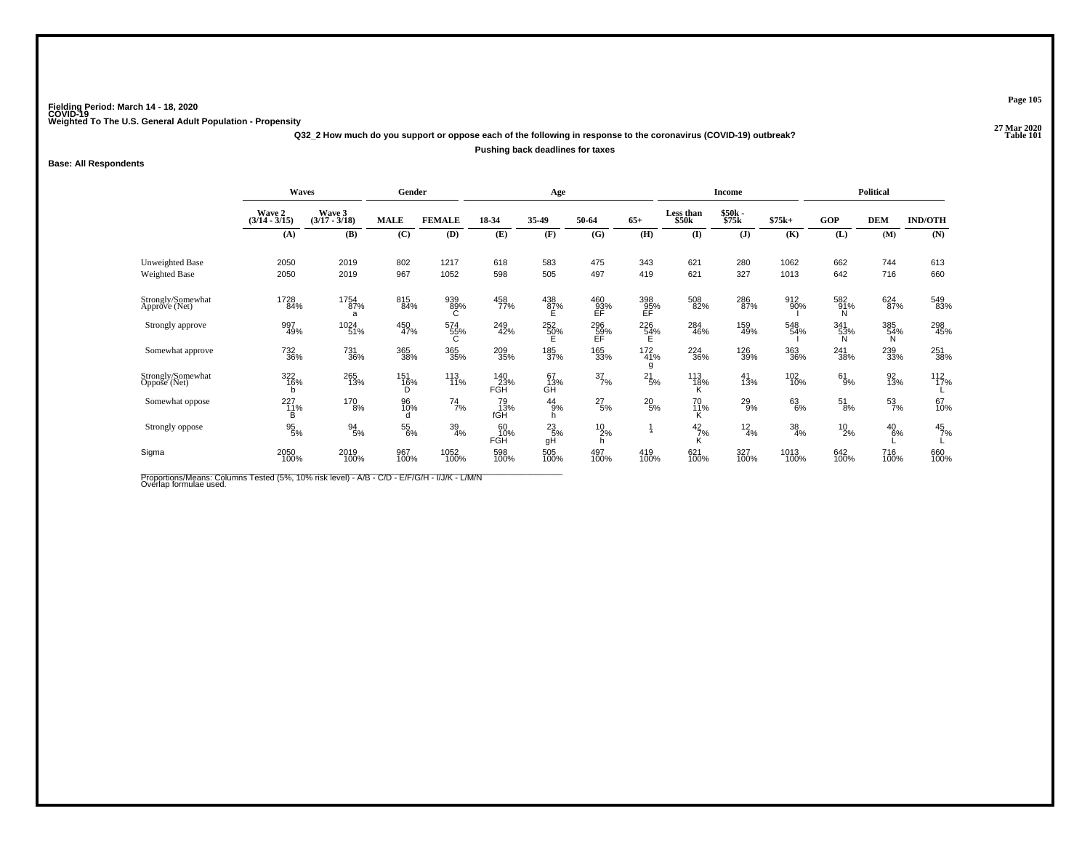**27 Mar 2020Q32\_2 How much do you support or oppose each of the following in response to the coronavirus (COVID-19) outbreak?Pushing back deadlines for taxes**

## **Base: All Respondents**

|                                    | <b>Waves</b>              |                           | Gender          |                  |                           | Age                 |                  |                        |                    | Income           |                  |                 | <b>Political</b> |                    |
|------------------------------------|---------------------------|---------------------------|-----------------|------------------|---------------------------|---------------------|------------------|------------------------|--------------------|------------------|------------------|-----------------|------------------|--------------------|
|                                    | Wave 2<br>$(3/14 - 3/15)$ | Wave 3<br>$(3/17 - 3/18)$ | <b>MALE</b>     | <b>FEMALE</b>    | 18-34                     | 35-49               | 50-64            | $65+$                  | Less than<br>\$50k | \$50k -<br>\$75k | $$75k+$          | <b>GOP</b>      | <b>DEM</b>       | <b>IND/OTH</b>     |
|                                    | (A)                       | (B)                       | (C)             | (D)              | (E)                       | (F)                 | (G)              | (H)                    | $\mathbf{I}$       | $\mathbf{J}$     | (K)              | (L)             | (M)              | (N)                |
| Unweighted Base                    | 2050                      | 2019                      | 802             | 1217             | 618                       | 583                 | 475              | 343                    | 621                | 280              | 1062             | 662             | 744              | 613                |
| Weighted Base                      | 2050                      | 2019                      | 967             | 1052             | 598                       | 505                 | 497              | 419                    | 621                | 327              | 1013             | 642             | 716              | 660                |
| Strongly/Somewhat<br>Approve (Net) | 1728<br>84%               | 1754<br>87%<br>a          | 815<br>84%      | 939<br>89%       | 458<br>77%                | 438<br>8 <u>7</u> % | $^{460}_{93\%}$  | 398<br>95%<br>EF       | 508<br>82%         | 286<br>87%       | 912<br>90%       | 582<br>91%<br>N | 624<br>87%       | 549<br>83%         |
| Strongly approve                   | 997<br>49%                | 1024<br>51%               | 450<br>47%      | 574<br>55%<br>C  | 249<br>42%                | 252<br>50%          | 296<br>59%<br>ÉĖ | 226<br>54%<br>E.       | 284<br>46%         | 159<br>49%       | 548<br>54%       | 341<br>53%<br>N | 385<br>54%<br>N  | 298<br>45%         |
| Somewhat approve                   | 732<br>36%                | 731<br>36%                | 365<br>38%      | 365<br>35%       | 209<br>35%                | 185<br>37%          | 165<br>33%       | $\frac{172}{41%}$<br>g | 224<br>36%         | 126<br>39%       | 363<br>36%       | 241<br>38%      | 239<br>33%       | 251<br>38%         |
| Strongly/Somewhat<br>Oppose (Net)  | 322<br>16%                | 265<br>13%                | 151<br>16%<br>D | 113<br>11%       | 140<br>PGH <sup>23%</sup> | 67<br>13%<br>GH     | $\frac{37}{7\%}$ | $^{21}_{5\%}$          | 113<br>18%<br>ĸ    | 41<br>13%        | 102<br>10%       | 61<br>9%        | 92<br>13%        | $\frac{112}{17\%}$ |
| Somewhat oppose                    | 227<br>11%<br>в           | 170<br>8%                 | 96<br>10%       | $^{74}_{7\%}$    | 79<br>13%<br>fGH          | $^{44}_{9\%}$<br>h  | $^{27}_{\ 5\%}$  | $^{20}_{\ 5\%}$        | 70<br>11%<br>Κ     | $^{29}_{9\%}$    | $63\atop 6\%$    | $^{51}_{8\%}$   | $\frac{53}{7\%}$ | 67<br>10%          |
| Strongly oppose                    | $\frac{95}{5\%}$          | $\frac{94}{5%}$           | 55<br>6%        | $\frac{39}{4\%}$ | 60<br>10%<br><b>FGH</b>   | $^{23}_{5\%}$<br>gН | 10<br>2%<br>h    |                        | $^{42}_{7\%}$<br>ĸ | $^{12}_{4\%}$    | $\frac{38}{4\%}$ | $^{10}_{2\%}$   | $^{40}_{6\%}$    | $\frac{45}{7\%}$   |
| Sigma                              | 2050<br>100%              | 2019<br>100%              | 967<br>100%     | 1052<br>100%     | 598<br>100%               | 505<br>100%         | 497<br>100%      | 419<br>100%            | 621<br>100%        | 327<br>100%      | 1013<br>100%     | 642<br>100%     | 716<br>100%      | 660<br>100%        |

Proportions/Means: Columns Tested (5%, 10% risk level) - A/B - C/D - E/F/G/H - I/J/K - L/M/N<br>Overlap formulae used.

**Table 101** 

**Page 105**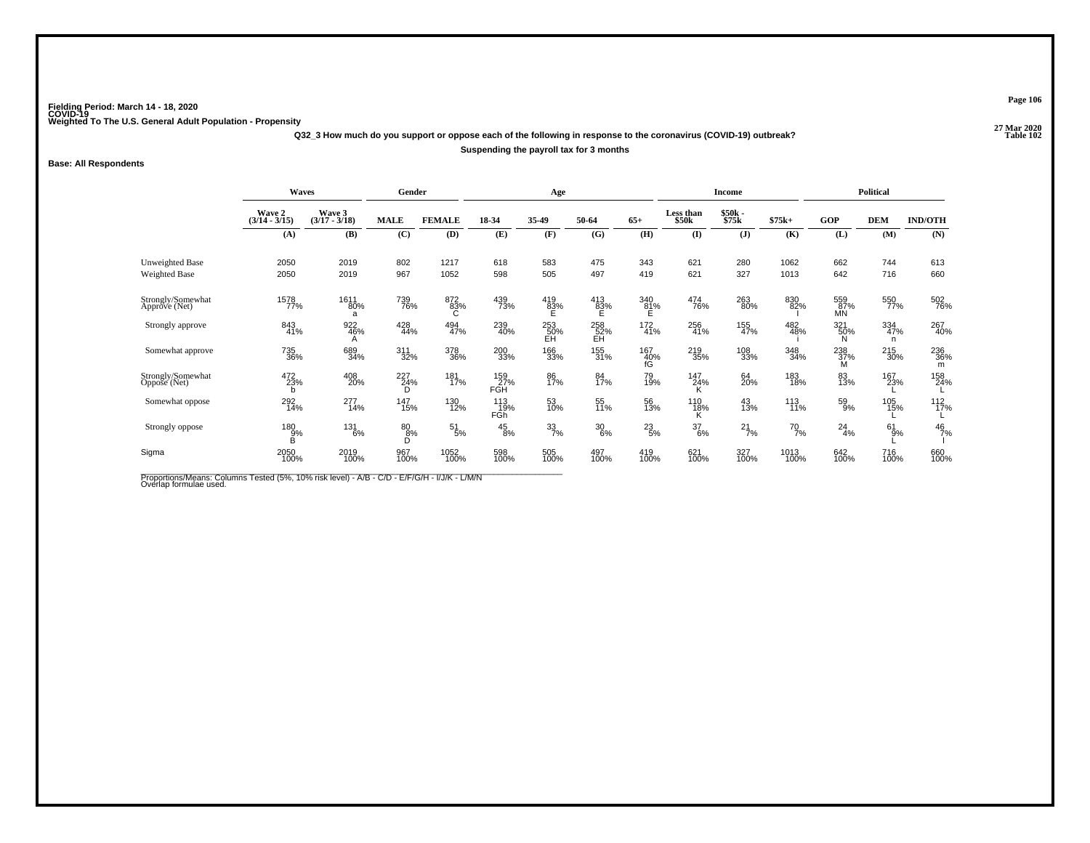**27 Mar 2020Q32\_3 How much do you support or oppose each of the following in response to the coronavirus (COVID-19) outbreak?Suspending the payroll tax for 3 months**

## **Base: All Respondents**

|                                    |                           | <b>Waves</b>              | Gender             |                  |                     | Age              |                  |                  |                    | Income            |              |                  | <b>Political</b> |                     |
|------------------------------------|---------------------------|---------------------------|--------------------|------------------|---------------------|------------------|------------------|------------------|--------------------|-------------------|--------------|------------------|------------------|---------------------|
|                                    | Wave 2<br>$(3/14 - 3/15)$ | Wave 3<br>$(3/17 - 3/18)$ | <b>MALE</b>        | <b>FEMALE</b>    | 18-34               | 35-49            | 50-64            | $65+$            | Less than<br>\$50k | $$50k -$<br>\$75k | $$75k+$      | <b>GOP</b>       | <b>DEM</b>       | <b>IND/OTH</b>      |
|                                    | (A)                       | (B)                       | (C)                | (D)              | (E)                 | (F)              | (G)              | (H)              | $\mathbf{I}$       | $\mathbf{J}$      | (K)          | (L)              | (M)              | (N)                 |
| Unweighted Base                    | 2050                      | 2019                      | 802                | 1217             | 618                 | 583              | 475              | 343              | 621                | 280               | 1062         | 662              | 744              | 613                 |
| Weighted Base                      | 2050                      | 2019                      | 967                | 1052             | 598                 | 505              | 497              | 419              | 621                | 327               | 1013         | 642              | 716              | 660                 |
| Strongly/Somewhat<br>Approve (Net) | 1578<br>77%               | 1611<br>80%<br>a          | 739<br>76%         | 872<br>83%       | 439<br>73%          | $^{419}_{83\%}$  | 413<br>83%       | 340<br>81%       | 474<br>76%         | 263<br>80%        | 830<br>82%   | 559<br>87%<br>MN | 550<br>77%       | 502<br>76%          |
| Strongly approve                   | 843<br>41%                | 922<br>46%<br>A           | 428<br>44%         | 494<br>47%       | 239<br>40%          | 253<br>50%<br>ΕĤ | 258<br>52%<br>EΗ | 172<br>41%       | 256<br>41%         | 155<br>47%        | 482<br>48%   | 321<br>50%<br>N  | 334<br>47%<br>n  | 267<br>40%          |
| Somewhat approve                   | 735<br>36%                | 689<br>34%                | 311<br>32%         | 378<br>36%       | 200<br>33%          | 166<br>33%       | 155<br>31%       | 167<br>40%<br>fG | 219<br>35%         | 108<br>33%        | 348<br>34%   | 238<br>37%<br>м  | 215<br>30%       | 236<br>36%<br>m     |
| Strongly/Somewhat<br>Oppose (Net)  | 472<br>23%<br>b           | 408<br>20%                | 227<br>24%<br>D    | 181<br>17%       | 159<br>P 27%<br>FGH | 86<br>17%        | 84<br>17%        | 79<br>19%        | 147<br>24%         | 64<br>20%         | 183<br>18%   | 83<br>13%        | 167<br>23%       | 158<br>24%          |
| Somewhat oppose                    | 292<br>14%                | 277<br>14%                | 147<br>15%         | 130<br>12%       | 113<br>19%<br>FGh   | 53<br>10%        | 55<br>11%        | 56<br>13%        | 110<br>18%<br>ĸ    | 43<br>13%         | 113<br>11%   | 59<br>9%         | 105<br>15%       | 112<br>17%          |
| Strongly oppose                    | $^{180}_{9\%}$<br>B       | 131<br>6%                 | $^{80}_{8\%}$<br>D | $\frac{51}{5\%}$ | $^{45}_{8\%}$       | $\frac{33}{7\%}$ | $\frac{30}{6\%}$ | $^{23}_{5\%}$    | $\frac{37}{6\%}$   | $^{21}_{7\%}$     | 70<br>7%     | 24<br>4%         | 61<br>9%         | $^{46}$<br>$^{7}\%$ |
| Sigma                              | 2050<br>100%              | 2019<br>100%              | 967<br>100%        | 1052<br>100%     | 598<br>100%         | 505<br>100%      | 497<br>100%      | 419<br>100%      | 621<br>100%        | 327<br>100%       | 1013<br>100% | 642<br>100%      | 716<br>100%      | 660<br>100%         |

Proportions/Means: Columns Tested (5%, 10% risk level) - A/B - C/D - E/F/G/H - I/J/K - L/M/N<br>Overlap formulae used.

**Page 106**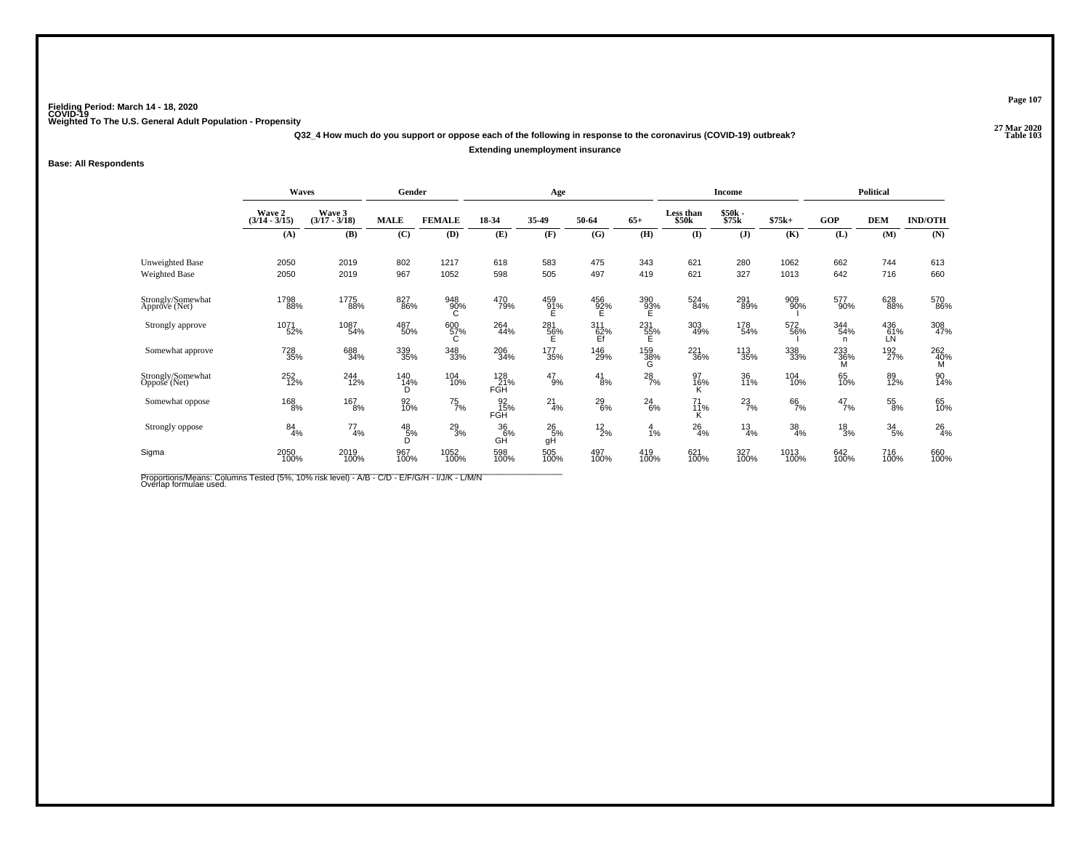**27 Mar 2020Q32\_4 How much do you support or oppose each of the following in response to the coronavirus (COVID-19) outbreak?**

# **Page 107**

**Table 103** 

# **Extending unemployment insurance**

## **Base: All Respondents**

|                                    | Waves                     |                           | Gender               |                 |                            | Age                 |                  |                 |                    | <b>Income</b>    |                  |                 | <b>Political</b> |                                |
|------------------------------------|---------------------------|---------------------------|----------------------|-----------------|----------------------------|---------------------|------------------|-----------------|--------------------|------------------|------------------|-----------------|------------------|--------------------------------|
|                                    | Wave 2<br>$(3/14 - 3/15)$ | Wave 3<br>$(3/17 - 3/18)$ | <b>MALE</b>          | <b>FEMALE</b>   | 18-34                      | 35-49               | 50-64            | $65+$           | Less than<br>\$50k | \$50k -<br>\$75k | $$75k+$          | <b>GOP</b>      | <b>DEM</b>       | <b>IND/OTH</b>                 |
|                                    | (A)                       | (B)                       | (C)                  | (D)             | (E)                        | (F)                 | (G)              | (H)             | $\mathbf{I}$       | $($ $)$          | (K)              | (L)             | (M)              | (N)                            |
| Unweighted Base                    | 2050                      | 2019                      | 802                  | 1217            | 618                        | 583                 | 475              | 343             | 621                | 280              | 1062             | 662             | 744              | 613                            |
| <b>Weighted Base</b>               | 2050                      | 2019                      | 967                  | 1052            | 598                        | 505                 | 497              | 419             | 621                | 327              | 1013             | 642             | 716              | 660                            |
| Strongly/Somewhat<br>Approve (Net) | 1798<br>88%               | 1775<br>88%               | 827<br>86%           | 948<br>90%      | 470<br>79%                 | 459<br>91%          | 456<br>92%       | 390<br>93%      | 524<br>84%         | 291<br>89%       | 909<br>90%       | 577<br>90%      | 628<br>88%       | 570<br>86%                     |
| Strongly approve                   | 1071<br>52%               | 1087<br>54%               | 487<br>50%           | 600<br>57%<br>С | 264<br>44%                 | 281<br>56%          | 311<br>62%<br>Ef | 231<br>55%      | 303<br>49%         | 178<br>54%       | 572<br>56%       | 344<br>54%<br>n | 436<br>61%<br>LN | 308<br>47%                     |
| Somewhat approve                   | 728<br>35%                | 688<br>34%                | 339<br>35%           | 348<br>33%      | 206<br>34%                 | 177<br>35%          | 146<br>29%       | 159<br>38%<br>G | 221<br>36%         | 113<br>35%       | 338<br>33%       | 233<br>36%<br>м | 192<br>27%       | $^{262}_{\substack{40\% \ M}}$ |
| Strongly/Somewhat<br>Oppose (Net)  | 252<br>12%                | 244<br>12%                | 140<br>14%<br>D      | 104<br>10%      | 128<br>EGH <sup>31</sup> % | $^{47}_{9\%}$       | $^{41}_{8\%}$    | $^{28}_{7\%}$   | 97<br>16%<br>n.    | 36<br>11%        | 104<br>10%       | 65<br>10%       | 89<br>12%        | 90<br>14%                      |
| Somewhat oppose                    | 168<br>8%                 | 167<br>8%                 | 92<br>10%            | $^{75}_{7\%}$   | 92<br>15%<br><b>FGH</b>    | 21<br>4%            | $^{29}_{6\%}$    | $^{24}_{6\%}$   | 71<br>11%<br>ĸ     | $^{23}_{7\%}$    | 66<br>7%         | $^{47}_{7\%}$   | 55<br>8%         | 65<br>10%                      |
| Strongly oppose                    | $^{84}_{4\%}$             | 77<br>4%                  | $^{48}_{\ 5\%}$<br>D | $^{29}_{3\%}$   | $\frac{36}{6%}$<br>GH      | $^{26}_{5\%}$<br>gH | $^{12}_{2\%}$    | $\frac{4}{1%}$  | $^{26}_{4\%}$      | $\frac{13}{4%}$  | $\frac{38}{4\%}$ | $\frac{18}{3%}$ | $\frac{34}{5\%}$ | $^{26}_{4%}$                   |
| Sigma                              | 2050<br>100%              | 2019<br>100%              | 967<br>100%          | 1052<br>100%    | 598<br>100%                | 505<br>100%         | 497<br>100%      | 419<br>100%     | 621<br>100%        | 327<br>100%      | 1013<br>100%     | 642<br>100%     | 716<br>100%      | 660<br>100%                    |

Proportions/Means: Columns Tested (5%, 10% risk level) - A/B - C/D - E/F/G/H - I/J/K - L/M/N<br>Overlap formulae used.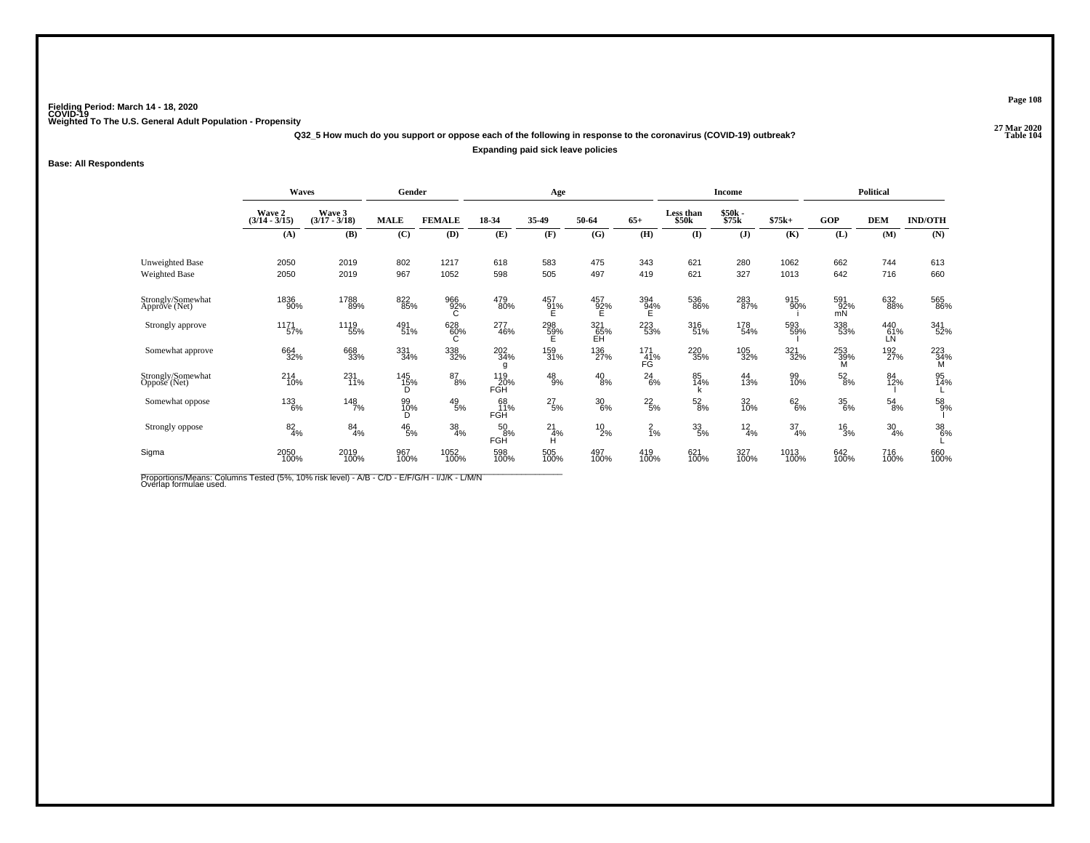**27 Mar 2020Q32\_5 How much do you support or oppose each of the following in response to the coronavirus (COVID-19) outbreak?**

**Expanding paid sick leave policies**

## **Base: All Respondents**

|                                    | <b>Waves</b>              |                           | Gender          |                 |                         | Age                      |                  |                          |                    | Income            |                  |                  | <b>Political</b> |                 |
|------------------------------------|---------------------------|---------------------------|-----------------|-----------------|-------------------------|--------------------------|------------------|--------------------------|--------------------|-------------------|------------------|------------------|------------------|-----------------|
|                                    | Wave 2<br>$(3/14 - 3/15)$ | Wave 3<br>$(3/17 - 3/18)$ | <b>MALE</b>     | <b>FEMALE</b>   | 18-34                   | 35-49                    | 50-64            | $65+$                    | Less than<br>\$50k | $$50k -$<br>\$75k | $$75k+$          | GOP              | <b>DEM</b>       | <b>IND/OTH</b>  |
|                                    | (A)                       | (B)                       | (C)             | (D)             | (E)                     | (F)                      | (G)              | (H)                      | $\mathbf{I}$       | $\mathbf{J}$      | (K)              | (L)              | (M)              | (N)             |
| Unweighted Base                    | 2050                      | 2019                      | 802             | 1217            | 618                     | 583                      | 475              | 343                      | 621                | 280               | 1062             | 662              | 744              | 613             |
| Weighted Base                      | 2050                      | 2019                      | 967             | 1052            | 598                     | 505                      | 497              | 419                      | 621                | 327               | 1013             | 642              | 716              | 660             |
| Strongly/Somewhat<br>Approve (Net) | 1836<br>90%               | 1788<br>89%               | 822<br>85%      | 966<br>92%      | 479<br>80%              | 457<br>91%<br>E          | 457<br>92%<br>E  | 394<br>94%               | 536<br>86%         | 283<br>87%        | 915<br>90%       | 591<br>92%<br>mN | 632<br>88%       | 565<br>86%      |
| Strongly approve                   | 1171<br>57%               | 1119<br>55%               | 491<br>51%      | 628<br>60%<br>С | 277<br>46%              | 298<br>5 <u>9</u> %<br>Е | 321<br>65%<br>EH | 223<br>53%               | 316<br>51%         | 178<br>54%        | 593<br>59%       | 338<br>53%       | 440<br>61%<br>LN | 341<br>52%      |
| Somewhat approve                   | 664<br>32%                | 668<br>33%                | 331<br>34%      | 338<br>32%      | 202<br>34%<br>g         | 159<br>31%               | 136<br>27%       | $\frac{171}{41\%}$<br>FG | 220<br>35%         | 105<br>32%        | 321<br>32%       | 253<br>39%<br>м  | 192<br>27%       | 223<br>34%<br>M |
| Strongly/Somewhat<br>Oppose (Net)  | 214<br>10%                | $^{231}_{11\%}$           | 145<br>15%<br>D | $\frac{87}{8%}$ | 119<br>– 20%<br>FGH     | $^{48}_{9%}$             | $^{40}_{8\%}$    | $^{24}_{6\%}$            | 85<br>14%          | 44<br>13%         | 99<br>10%        | $\frac{52}{8\%}$ | 84<br>12%        | 95<br>14%       |
| Somewhat oppose                    | 133<br>6%                 | $\frac{148}{7%}$          | 99<br>10%<br>D  | $^{49}_{\ 5\%}$ | 68<br>11%<br><b>FGH</b> | $^{27}_{\ 5\%}$          | $\frac{30}{6\%}$ | $^{22}_{\ 5\%}$          | $^{52}_{\ 8\%}$    | 32<br>10%         | $62\atop 6\%$    | $\frac{35}{6\%}$ | $^{54}_{8\%}$    | 58<br>9%        |
| Strongly oppose                    | $\frac{82}{4%}$           | 84<br>4%                  | $^{46}_{\ 5\%}$ | $\frac{38}{4%}$ | 50<br>8%<br><b>FGH</b>  | $^{21}_{4\%}$<br>н       | $^{10}_{2\%}$    | $^{2}_{1\%}$             | $\frac{33}{5\%}$   | $\frac{12}{4%}$   | $\frac{37}{4\%}$ | $\frac{16}{3%}$  | $\frac{30}{4\%}$ | 38<br>6%        |
| Sigma                              | 2050<br>100%              | 2019<br>100%              | 967<br>100%     | 1052<br>100%    | 598<br>100%             | 505<br>100%              | 497<br>100%      | 419<br>100%              | 621<br>100%        | 327<br>100%       | 1013<br>100%     | 642<br>100%      | 716<br>100%      | 660<br>100%     |

Proportions/Means: Columns Tested (5%, 10% risk level) - A/B - C/D - E/F/G/H - I/J/K - L/M/N<br>Overlap formulae used.

**Page 108**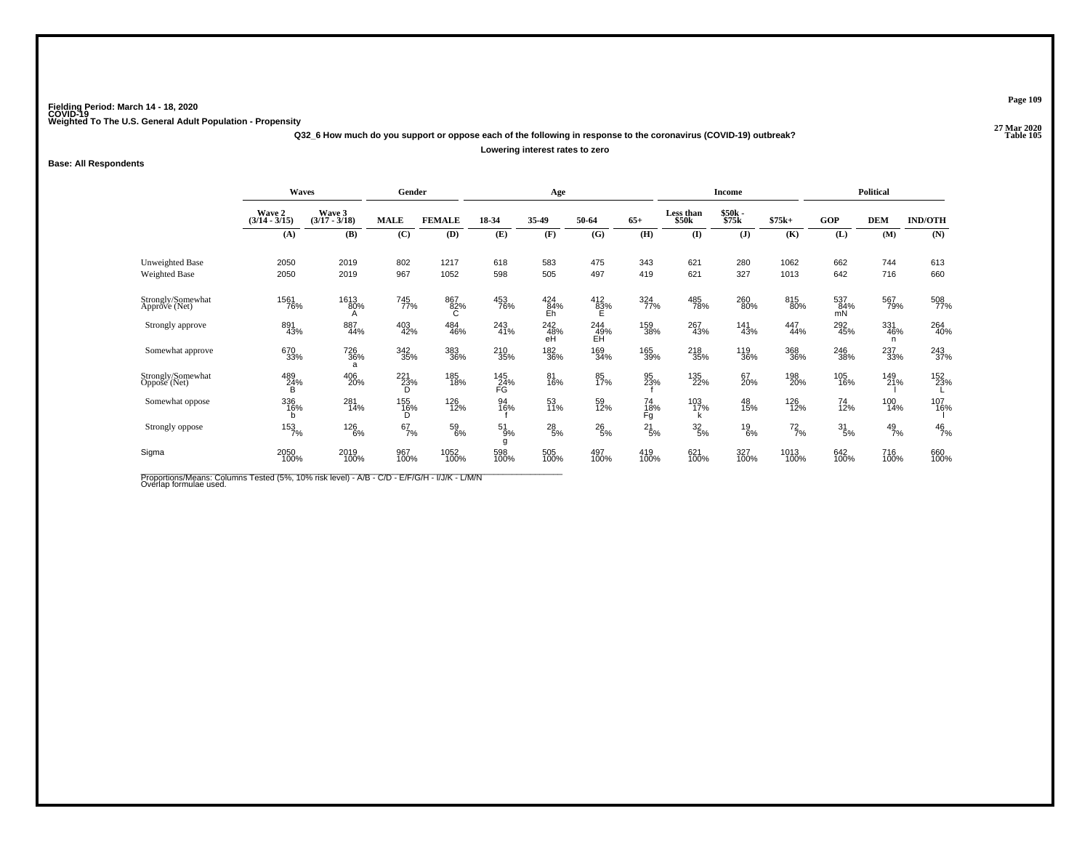**27 Mar 2020Q32\_6 How much do you support or oppose each of the following in response to the coronavirus (COVID-19) outbreak?Lowering interest rates to zero**

### **Base: All Respondents**

|                                    | <b>Waves</b>              |                       | Gender          |                  | Age                        |                    |                    |                 |                    | Income           |               | <b>Political</b> |                 |                |
|------------------------------------|---------------------------|-----------------------|-----------------|------------------|----------------------------|--------------------|--------------------|-----------------|--------------------|------------------|---------------|------------------|-----------------|----------------|
|                                    | Wave 2<br>$(3/14 - 3/15)$ | Wave $3(3/17 - 3/18)$ | <b>MALE</b>     | <b>FEMALE</b>    | 18-34                      | 35-49              | 50-64              | $65+$           | Less than<br>\$50k | \$50k -<br>\$75k | $$75k+$       | <b>GOP</b>       | <b>DEM</b>      | <b>IND/OTH</b> |
|                                    | (A)                       | <b>(B)</b>            | (C)             | (D)              | (E)                        | (F)                | (G)                | (H)             | $\mathbf{I}$       | $\mathbf{J}$     | (K)           | (L)              | (M)             | (N)            |
| Unweighted Base                    | 2050                      | 2019                  | 802             | 1217             | 618                        | 583                | 475                | 343             | 621                | 280              | 1062          | 662              | 744             | 613            |
| Weighted Base                      | 2050                      | 2019                  | 967             | 1052             | 598                        | 505                | 497                | 419             | 621                | 327              | 1013          | 642              | 716             | 660            |
| Strongly/Somewhat<br>Approve (Net) | 1561<br>76%               | 1613<br>80%<br>A      | 745<br>77%      | 867<br>82%<br>ι. | 453<br>76%                 | $^{424}_{84\%}$ Eh | $\frac{412}{83\%}$ | 324<br>77%      | 485<br>78%         | 260<br>80%       | 815<br>80%    | 537<br>84%<br>mN | 567<br>79%      | 508<br>77%     |
| Strongly approve                   | 891<br>43%                | 887<br>44%            | 403<br>42%      | 484<br>46%       | 243<br>41%                 | 242<br>48%<br>eH   | 244<br>49%<br>EH   | 159<br>38%      | 267<br>43%         | 141<br>43%       | 447<br>44%    | 292<br>45%       | 331<br>46%<br>n | 264<br>40%     |
| Somewhat approve                   | 670<br>33%                | 726<br>36%<br>a       | 342<br>35%      | 383<br>36%       | 210<br>35%                 | 182<br>36%         | 169<br>34%         | 165<br>39%      | 218<br>35%         | 119<br>36%       | 368<br>36%    | 246<br>38%       | 237<br>33%      | 243<br>37%     |
| Strongly/Somewhat<br>Oppose (Net)  | 489<br>24%<br>в           | 406<br>20%            | 221<br>23%<br>D | 185<br>18%       | 145<br>$^{24}_{\text{FG}}$ | 81<br>16%          | 85<br>17%          | 95<br>23%       | 135<br>22%         | 67<br>20%        | 198<br>20%    | 105<br>16%       | 149<br>21%      | 152<br>23%     |
| Somewhat oppose                    | 336<br>16%<br>b           | 281<br>14%            | 155<br>16%<br>D | 126<br>12%       | 94<br>16%                  | 53<br>11%          | 59<br>12%          | 74<br>18%<br>Fg | 103<br>17%<br>к    | 48<br>15%        | 126<br>12%    | 74<br>12%        | 100<br>14%      | 107<br>16%     |
| Strongly oppose                    | 153<br>7%                 | 126<br>6%             | $^{67}_{7\%}$   | 59<br>6%         | $^{51}_{9\%}$<br>g         | $^{28}_{\ 5\%}$    | $^{26}_{5\%}$      | $^{21}_{5\%}$   | $\frac{32}{5\%}$   | $^{19}_{6\%}$    | $^{72}_{7\%}$ | $\frac{31}{5\%}$ | $^{49}_{7\%}$   | $^{46}_{7\%}$  |
| Sigma                              | 2050<br>100%              | 2019<br>100%          | 967<br>100%     | 1052<br>100%     | 598<br>100%                | 505<br>100%        | 497<br>100%        | 419<br>100%     | 621<br>100%        | 327<br>100%      | 1013<br>100%  | 642<br>100%      | 716<br>100%     | 660<br>100%    |

Proportions/Means: Columns Tested (5%, 10% risk level) - A/B - C/D - E/F/G/H - I/J/K - L/M/N<br>Overlap formulae used.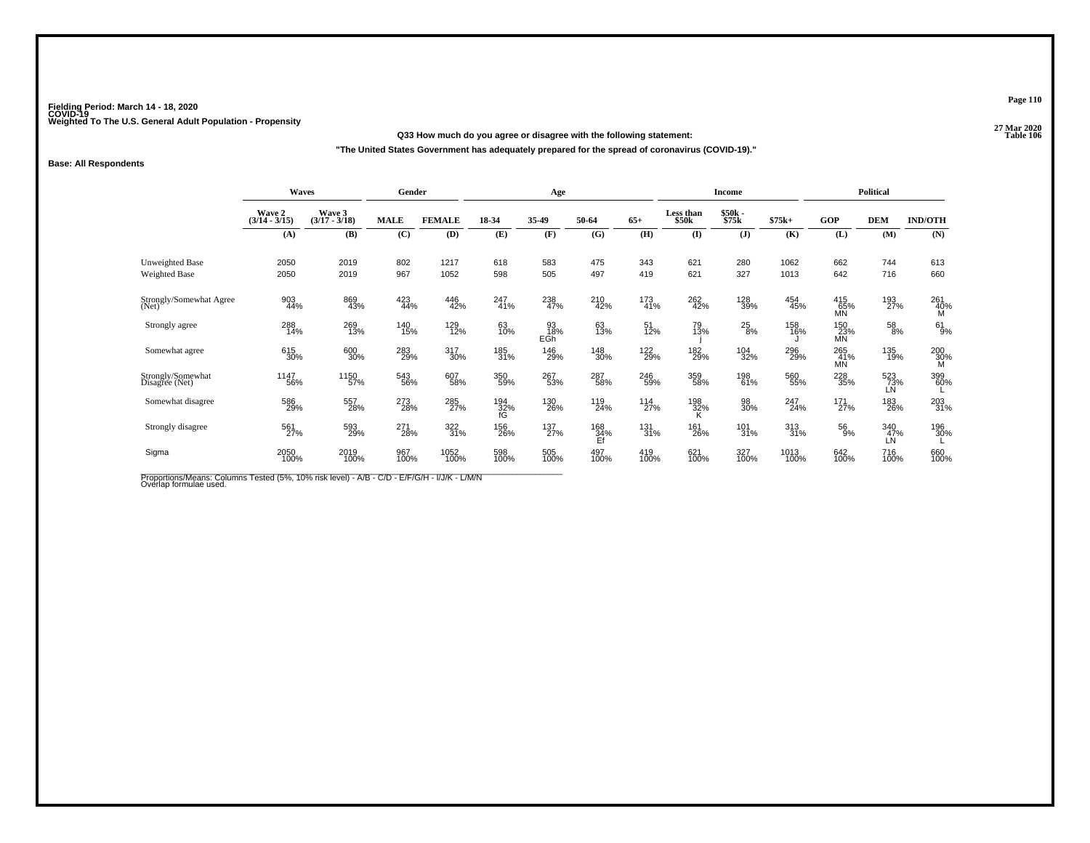### **27 Mar 2020Q33 How much do you agree or disagree with the following statement:**

 **"The United States Government has adequately prepared for the spread of coronavirus (COVID-19)."**

### **Base: All Respondents**

|                                     | <b>Waves</b>              |                           | Gender      |               | Age              |                  |                  |             |                    | <b>Income</b>  |              | <b>Political</b>        |                   |                  |
|-------------------------------------|---------------------------|---------------------------|-------------|---------------|------------------|------------------|------------------|-------------|--------------------|----------------|--------------|-------------------------|-------------------|------------------|
|                                     | Wave 2<br>$(3/14 - 3/15)$ | Wave 3<br>$(3/17 - 3/18)$ | <b>MALE</b> | <b>FEMALE</b> | 18-34            | 35-49            | 50-64            | $65+$       | Less than<br>\$50k | \$50k<br>\$75k | $$75k+$      | <b>GOP</b>              | <b>DEM</b>        | <b>IND/OTH</b>   |
|                                     | (A)                       | (B)                       | (C)         | (D)           | (E)              | (F)              | (G)              | (H)         | $\mathbf{I}$       | $($ $)$        | (K)          | (L)                     | (M)               | (N)              |
| Unweighted Base                     | 2050                      | 2019                      | 802         | 1217          | 618              | 583              | 475              | 343         | 621                | 280            | 1062         | 662                     | 744               | 613              |
| Weighted Base                       | 2050                      | 2019                      | 967         | 1052          | 598              | 505              | 497              | 419         | 621                | 327            | 1013         | 642                     | 716               | 660              |
| Strongly/Somewhat Agree<br>(Net)    | 903<br>44%                | 869<br>43%                | 423<br>44%  | 446<br>42%    | 247<br>41%       | 238<br>47%       | 210<br>42%       | 173<br>41%  | 262<br>42%         | 128<br>39%     | 454<br>45%   | $^{415}_{65\%}$<br>MN   | 193<br>27%        | $^{261}_{40\%}$  |
| Strongly agree                      | 288<br>14%                | 269<br>13%                | 140<br>15%  | 129<br>12%    | 63<br>10%        | 93<br>18%<br>EGh | 63<br>13%        | 51<br>12%   | 79<br>13%          | $^{25}_{8\%}$  | 158<br>16%   | 150<br>23%<br><b>MN</b> | 58<br>8%          | $\frac{61}{9\%}$ |
| Somewhat agree                      | 615<br>30%                | 600<br>30%                | 283<br>29%  | 317<br>30%    | 185<br>31%       | 146<br>29%       | 148<br>30%       | 122%        | 182<br>29%         | 104<br>32%     | 296<br>29%   | 265<br>41%<br><b>MN</b> | 135<br>19%        | $^{200}_{30\%}$  |
| Strongly/Somewhat<br>Disagree (Net) | 1147<br>56%               | 1150<br>57%               | 543<br>56%  | 607<br>58%    | 350<br>59%       | 267<br>53%       | 287<br>58%       | 246<br>59%  | 359<br>58%         | 198<br>61%     | 560<br>55%   | 228<br>35%              | 523<br>73%<br>ĹÑ. | 399<br>60%       |
| Somewhat disagree                   | 586<br>29%                | 557<br>28%                | 273<br>28%  | 285<br>27%    | 194<br>32%<br>fG | 130<br>26%       | 119<br>24%       | 114<br>27%  | 198<br>32%         | 98<br>30%      | 247<br>24%   | 171<br>27%              | 183<br>26%        | 203<br>31%       |
| Strongly disagree                   | 561<br>27%                | 593<br>29%                | 271<br>28%  | 322<br>31%    | 156<br>26%       | 137<br>27%       | 168<br>34%<br>Ëf | 131<br>31%  | 161<br>26%         | 101<br>31%     | 313<br>31%   | 56<br>9%                | 340<br>47%<br>LN  | 196<br>30%       |
| Sigma                               | 2050<br>100%              | 2019<br>100%              | 967<br>100% | 1052<br>100%  | 598<br>100%      | 505<br>100%      | 497<br>100%      | 419<br>100% | 621<br>100%        | 327<br>100%    | 1013<br>100% | 642<br>100%             | 716<br>100%       | 660<br>100%      |

Proportions/Means: Columns Tested (5%, 10% risk level) - A/B - C/D - E/F/G/H - I/J/K - L/M/N<br>Overlap formulae used.

**Page 110**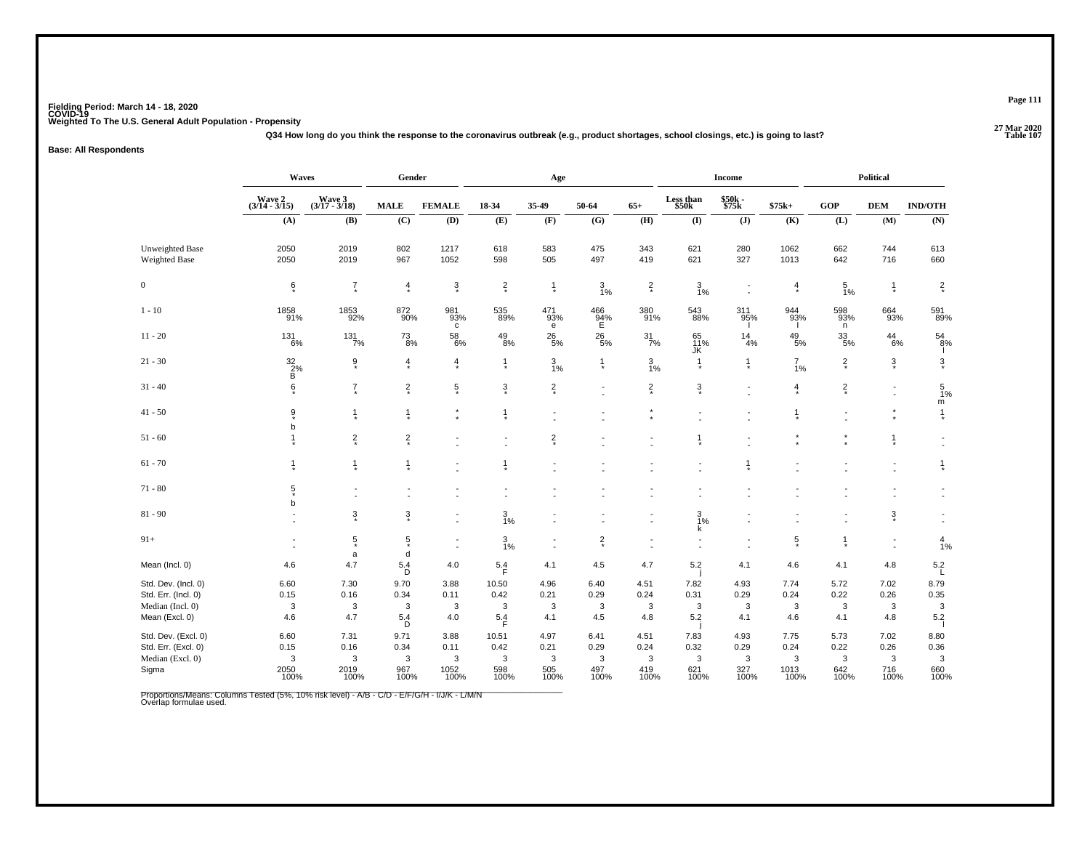**27 Mar 2020Q34 How long do you think the response to the coronavirus outbreak (e.g., product shortages, school closings, etc.) is going to last?**

#### **Base: All Respondents**

|                                                                                  | Waves                               |                                             | Gender                           |                                   | Age                                          |                                                          |                                            |                                  |                                  | Income                                     |                                   | <b>Political</b>                 |                                            |                                  |  |
|----------------------------------------------------------------------------------|-------------------------------------|---------------------------------------------|----------------------------------|-----------------------------------|----------------------------------------------|----------------------------------------------------------|--------------------------------------------|----------------------------------|----------------------------------|--------------------------------------------|-----------------------------------|----------------------------------|--------------------------------------------|----------------------------------|--|
|                                                                                  | $\frac{\text{Wave}}{(3/14 - 3/15)}$ | $\frac{\text{Wave}}{(3/17-3/18)}$           | <b>MALE</b>                      | <b>FEMALE</b>                     | 18-34                                        | 35-49                                                    | 50-64                                      | $65+$                            | ${\rm Less~ than} \$             | \$50k<br>\$75k                             | $$75k+$                           | GOP                              | <b>DEM</b>                                 | <b>IND/OTH</b>                   |  |
|                                                                                  | (A)                                 | (B)                                         | (C)                              | (D)                               | (E)                                          | (F)                                                      | (G)                                        | (H)                              | $\mathbf{I}$                     | $\mathbf{J}$                               | (K)                               | (L)                              | (M)                                        | (N)                              |  |
| Unweighted Base<br>Weighted Base                                                 | 2050<br>2050                        | 2019<br>2019                                | 802<br>967                       | 1217<br>1052                      | 618<br>598                                   | 583<br>505                                               | 475<br>497                                 | 343<br>419                       | 621<br>621                       | 280<br>327                                 | 1062<br>1013                      | 662<br>642                       | 744<br>716                                 | 613<br>660                       |  |
| $\mathbf{0}$                                                                     | ę                                   | $7 \overline{ }$                            | $\frac{4}{\ast}$                 | $\frac{3}{4}$                     | $\frac{2}{\ast}$                             | $\frac{1}{\ast}$                                         | $\frac{3}{1\%}$                            | $\frac{2}{\star}$                | $\frac{3}{1\%}$                  | $\overline{\phantom{a}}$<br>$\overline{a}$ | $\frac{4}{\pi}$                   | $\frac{5}{1\%}$                  | $\overline{1}$                             | $\frac{2}{x}$                    |  |
| $1 - 10$                                                                         | 1858<br>91%                         | 1853<br>92%                                 | 872<br>90%                       | 981<br>93%                        | 535<br>89%                                   | $\frac{471}{93\%}$                                       | $^{466}_{94\%}$                            | 380<br>91%                       | 543<br>88%                       | 311<br>95%                                 | 944<br>93%                        | 598<br>93%                       | 664<br>93%                                 | 591<br>89%                       |  |
| $11 - 20$                                                                        | $\frac{131}{6\%}$                   | $\frac{131}{7\%}$                           | $^{73}_{8\%}$                    | с<br>$^{58}_{\ 6\%}$              | $^{49}_{8\%}$                                | е<br>$^{26}_{\ 5\%}$                                     | $^{26}_{5\%}$                              | $\frac{31}{7\%}$                 | 65<br>11%<br>JK                  | $\frac{14}{4%}$                            | $^{49}_{\ 5\%}$                   | n<br>$\frac{33}{5\%}$            | $^{44}_{6\%}$                              | $^{54}_{8\%}$                    |  |
| $21 - 30$                                                                        | $\frac{32}{2\%}$                    | $\ddot{\delta}$                             | $\frac{4}{\ast}$                 | $\frac{4}{\pi}$                   | $\frac{1}{\ast}$                             | $\frac{3}{1\%}$                                          | $\frac{1}{\ast}$                           | $\frac{3}{1\%}$                  | $\frac{1}{\ast}$                 | $\frac{1}{\ast}$                           | $\frac{7}{1\%}$                   | $\frac{2}{x}$                    | $\frac{3}{4}$                              | $\frac{3}{4}$                    |  |
| $31 - 40$                                                                        | ę̃                                  | $7 \overline{ }$                            | $\frac{2}{x}$                    | $\frac{5}{x}$                     | $\frac{3}{4}$                                | $\frac{2}{\ast}$                                         |                                            | $\frac{2}{x}$                    | $\frac{3}{4}$                    |                                            | $\frac{4}{1}$                     | $\frac{2}{\ast}$                 |                                            | $\frac{5}{1%}$                   |  |
| $41 - 50$                                                                        | ð<br>b                              | $\overline{1}$                              | $\frac{1}{\ast}$                 |                                   | $\frac{1}{\ast}$                             |                                                          |                                            | $\star$<br>$\star$               |                                  |                                            | 1                                 |                                  |                                            | m<br>$\frac{1}{\ast}$            |  |
| $51 - 60$                                                                        |                                     | $\frac{2}{\ast}$                            | $\frac{2}{\ast}$                 |                                   |                                              | $\frac{2}{\ast}$                                         |                                            |                                  | 1                                |                                            |                                   |                                  |                                            |                                  |  |
| $61 - 70$                                                                        | 1                                   | $\frac{1}{\ast}$                            | $\frac{1}{\ast}$                 |                                   | $\overline{1}$                               |                                                          |                                            |                                  |                                  | $\overline{1}$                             |                                   |                                  |                                            | $\frac{1}{2}$                    |  |
| $71 - 80$                                                                        | $\frac{5}{x}$<br>h                  | $\overline{\phantom{a}}$                    | -                                |                                   |                                              |                                                          |                                            |                                  |                                  |                                            |                                   |                                  |                                            |                                  |  |
| $81 - 90$                                                                        |                                     | $\frac{3}{4}$                               | $\frac{3}{4}$                    |                                   | $\frac{3}{1\%}$                              |                                                          |                                            |                                  | $\frac{3}{1%}$<br>k              |                                            |                                   |                                  | $\frac{3}{4}$                              |                                  |  |
| $91+$                                                                            |                                     | $\frac{5}{\ast}$<br>$\mathsf{a}$            | $\frac{5}{\ast}$<br>d            |                                   | $\frac{3}{1\%}$                              | $\overline{a}$                                           | $\frac{2}{\ast}$                           |                                  |                                  |                                            | $\frac{5}{\ast}$                  | $\overline{\mathbb{1}}$          | ÷,                                         | $\frac{4}{1%}$                   |  |
| Mean (Incl. 0)                                                                   | 4.6                                 | 4.7                                         | 5.4                              | 4.0                               | 5.4                                          | 4.1                                                      | 4.5                                        | 4.7                              | 5.2                              | 4.1                                        | 4.6                               | 4.1                              | 4.8                                        | 5.2                              |  |
| Std. Dev. (Incl. 0)<br>Std. Err. (Incl. 0)<br>Median (Incl. 0)<br>Mean (Excl. 0) | 6.60<br>0.15<br>3<br>4.6            | 7.30<br>0.16<br>3<br>4.7                    | 9.70<br>0.34<br>3<br>5.4         | 3.88<br>0.11<br>3<br>4.0          | 10.50<br>0.42<br>3<br>$5.4$ F                | 4.96<br>0.21<br>3<br>4.1                                 | 6.40<br>0.29<br>3<br>4.5                   | 4.51<br>0.24<br>3<br>4.8         | 7.82<br>0.31<br>3<br>5.2         | 4.93<br>0.29<br>3<br>4.1                   | 7.74<br>0.24<br>3<br>4.6          | 5.72<br>0.22<br>3<br>4.1         | 7.02<br>0.26<br>3<br>4.8                   | 8.79<br>0.35<br>3<br>5.2         |  |
| Std. Dev. (Excl. 0)<br>Std. Err. (Excl. 0)<br>Median (Excl. 0)<br>Sigma          | 6.60<br>0.15<br>3<br>2050<br>100%   | 7.31<br>0.16<br>$\mathsf 3$<br>2019<br>100% | 9.71<br>0.34<br>3<br>967<br>100% | 3.88<br>0.11<br>3<br>1052<br>100% | 10.51<br>0.42<br>$\mathbf{3}$<br>598<br>100% | 4.97<br>0.21<br>$\ensuremath{\mathsf{3}}$<br>505<br>100% | 6.41<br>0.29<br>$\mathbf 3$<br>497<br>100% | 4.51<br>0.24<br>3<br>419<br>100% | 7.83<br>0.32<br>3<br>621<br>100% | 4.93<br>0.29<br>3<br>327<br>100%           | 7.75<br>0.24<br>3<br>1013<br>100% | 5.73<br>0.22<br>3<br>642<br>100% | 7.02<br>0.26<br>$\mathbf 3$<br>716<br>100% | 8.80<br>0.36<br>3<br>660<br>100% |  |

Proportions/Means: Columns Tested (5%, 10% risk level) - A/B - C/D - E/F/G/H - I/J/K - L/M/N<br>Overlap formulae used.

**Page 111**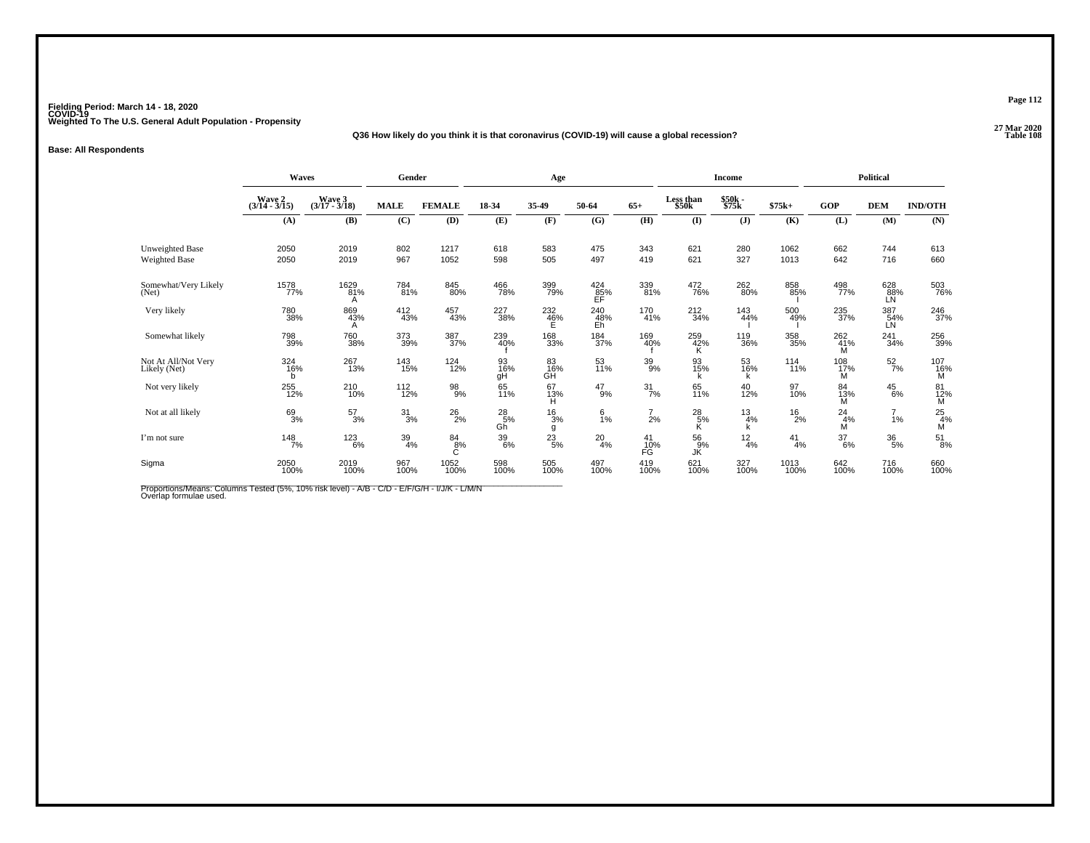### **27 Mar 2020Q36 How likely do you think it is that coronavirus (COVID-19) will cause a global recession?**

### **Base: All Respondents**

|                                     | <b>Waves</b>                      |                                   | Gender           |                 | Age                  |                      |                  |                  | <b>Income</b>                |                      |               | <b>Political</b> |                  |                       |
|-------------------------------------|-----------------------------------|-----------------------------------|------------------|-----------------|----------------------|----------------------|------------------|------------------|------------------------------|----------------------|---------------|------------------|------------------|-----------------------|
|                                     | $\frac{\text{Wave}}{(3/14-3/15)}$ | $\frac{\text{Wave}}{(3/17-3/18)}$ | <b>MALE</b>      | <b>FEMALE</b>   | 18-34                | 35-49                | 50-64            | $65+$            | Less than \$50k              | \$50k<br>\$75k       | $$75k+$       | <b>GOP</b>       | <b>DEM</b>       | <b>IND/OTH</b>        |
|                                     | (A)                               | <b>(B)</b>                        | (C)              | (D)             | (E)                  | (F)                  | (G)              | (H)              | $\mathbf{I}$                 | $\mathbf{J}$         | (K)           | (L)              | (M)              | (N)                   |
| Unweighted Base<br>Weighted Base    | 2050<br>2050                      | 2019<br>2019                      | 802<br>967       | 1217<br>1052    | 618<br>598           | 583<br>505           | 475<br>497       | 343<br>419       | 621<br>621                   | 280<br>327           | 1062<br>1013  | 662<br>642       | 744<br>716       | 613<br>660            |
| Somewhat/Very Likely<br>(Net)       | 1578<br>77%                       | 1629<br>81%<br>Α                  | 784<br>81%       | 845<br>80%      | 466<br>78%           | 399%                 | $^{424}_{85\%}$  | 339<br>81%       | 472<br>76%                   | 262<br>80%           | 858<br>85%    | 498<br>77%       | 628<br>88%<br>LN | 503<br>76%            |
| Very likely                         | 780<br>38%                        | 869<br>43%                        | 412<br>43%       | 457<br>43%      | 227<br>38%           | 232<br>46%<br>E      | 240<br>48%<br>Eĥ | 170<br>41%       | 212<br>34%                   | 143<br>44%           | 500<br>49%    | 235<br>37%       | 387<br>54%<br>ĽŃ | 246<br>37%            |
| Somewhat likely                     | 798<br>39%                        | 760<br>38%                        | 373<br>39%       | 387<br>37%      | 239<br>40%           | 168<br>33%           | 184<br>37%       | 169<br>40%       | 259<br>42%<br>K.             | 119<br>36%           | 358<br>35%    | 262<br>41%<br>М  | 241<br>34%       | 256<br>39%            |
| Not At All/Not Very<br>Likely (Net) | 324<br>16%<br>b                   | 267<br>13%                        | 143<br>15%       | 124<br>12%      | 93<br>16%<br>gH      | 83<br>16%<br>GĤ      | 53<br>11%        | 39<br>9%         | 93<br>15%                    | 53<br>16%<br>ĸ       | 114<br>11%    | 108<br>17%<br>м  | $\frac{52}{7\%}$ | 107<br>$\frac{16}{M}$ |
| Not very likely                     | 255<br>12%                        | 210<br>10%                        | $^{112}_{12\%}$  | $\frac{98}{9%}$ | 65<br>11%            | 67<br>13%<br>н       | $^{47}_{9\%}$    | $\frac{31}{7\%}$ | 65<br>11%                    | 40<br>12%            | 97<br>10%     | 84<br>13%<br>м   | $^{45}_{6\%}$    | 81<br>12%<br>М        |
| Not at all likely                   | 69<br>3%                          | $^{57}_{3\%}$                     | $\frac{31}{3%}$  | $^{26}_{2\%}$   | $^{28}_{\rm 5\%}$ Gh | $\frac{16}{3%}$<br>g | $\frac{6}{1\%}$  | $\frac{7}{2%}$   | $^{28}_{\substack{5\%\\ K}}$ | $\frac{13}{4%}$<br>k | $^{16}_{2\%}$ | 24<br>4%<br>м    | 7<br>1%          | $^{25}_{4\%}$<br>M    |
| I'm not sure                        | $\frac{148}{7\%}$                 | 123<br>6%                         | $\frac{39}{4\%}$ | $^{84}_{8\%}$   | 39<br>6%             | $^{23}_{5\%}$        | $^{20}_{4\%}$    | 41<br>10%<br>FĠ  | 56<br>9%<br>JK               | $\frac{12}{4%}$      | $^{41}_{4\%}$ | $\frac{37}{6\%}$ | $\frac{36}{5\%}$ | $^{51}_{\,8\%}$       |
| Sigma                               | 2050<br>100%                      | 2019<br>100%                      | 967<br>100%      | 1052<br>100%    | 598<br>100%          | 505<br>100%          | 497<br>100%      | 419<br>100%      | 621<br>100%                  | 327<br>100%          | 1013<br>100%  | 642<br>100%      | 716<br>100%      | 660<br>100%           |

Proportions/Means: Columns Tested (5%, 10% risk level) - A/B - C/D - E/F/G/H - I/J/K - L/M/N<br>Overlap formulae used.

**Page 112**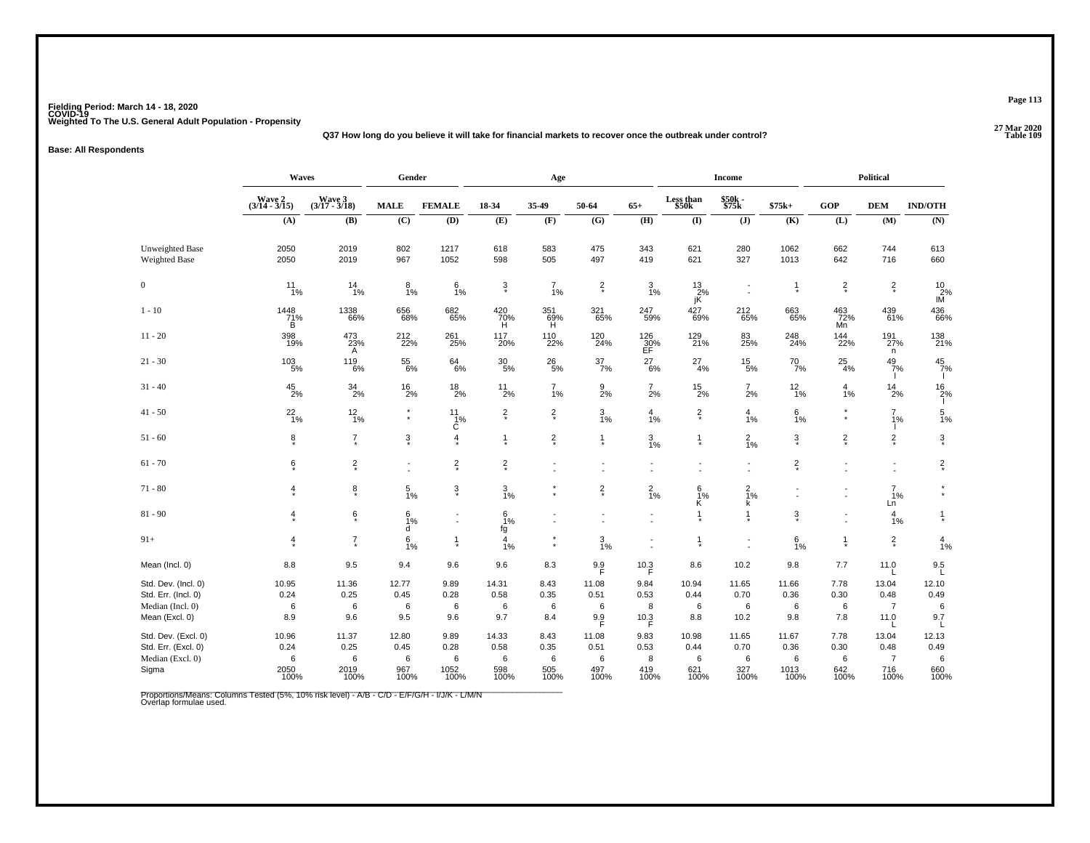**27 Mar 2020Q37 How long do you believe it will take for financial markets to recover once the outbreak under control?**

#### **Base: All Respondents**

|                                                                                  | Waves                               |                                    | Gender                            |                                            | Age                               |                                  |                                   |                                  | <b>Income</b>                     |                                   | <b>Political</b>                   |                                  |                                                |                                                              |
|----------------------------------------------------------------------------------|-------------------------------------|------------------------------------|-----------------------------------|--------------------------------------------|-----------------------------------|----------------------------------|-----------------------------------|----------------------------------|-----------------------------------|-----------------------------------|------------------------------------|----------------------------------|------------------------------------------------|--------------------------------------------------------------|
|                                                                                  | $\frac{\text{Wave}}{(3/14 - 3/15)}$ | $\frac{\text{Wave}}{(3/17-3/18)}$  | <b>MALE</b>                       | <b>FEMALE</b>                              | 18-34                             | 35-49                            | 50-64                             | $65+$                            | Less than \$50k                   | \$50k<br>\$75k                    | $$75k+$                            | <b>GOP</b>                       | <b>DEM</b>                                     | <b>IND/OTH</b>                                               |
|                                                                                  | (A)                                 | (B)                                | (C)                               | (D)                                        | (E)                               | (F)                              | (G)                               | (H)                              | $($ $\Gamma$                      | $\mathbf{J}$                      | (K)                                | (L)                              | (M)                                            | (N)                                                          |
| Unweighted Base<br>Weighted Base                                                 | 2050<br>2050                        | 2019<br>2019                       | 802<br>967                        | 1217<br>1052                               | 618<br>598                        | 583<br>505                       | 475<br>497                        | 343<br>419                       | 621<br>621                        | 280<br>327                        | 1062<br>1013                       | 662<br>642                       | 744<br>716                                     | 613<br>660                                                   |
| $\mathbf{0}$                                                                     | $11_{1\%}$                          | $14_{1\%}$                         | $\frac{8}{1\%}$                   | $\frac{6}{1%}$                             | $\frac{3}{2}$                     | $\frac{7}{1%}$                   | $\frac{2}{x}$                     | $\frac{3}{1%}$                   | 13<br>2%<br>jK                    | $\blacksquare$<br>÷,              | $\frac{1}{\ast}$                   | $\frac{2}{\ast}$                 | $\frac{2}{x}$                                  | $\begin{array}{c} 10 \\ 2\% \\ \hline \text{IM} \end{array}$ |
| $1 - 10$                                                                         | 1448<br>71%<br>B                    | 1338<br>66%                        | 656<br>68%                        | 682<br>65%                                 | 420<br>70%<br>H                   | 351<br>69%<br>H                  | 321<br>65%                        | 247<br>59%                       | 427<br>69%                        | 212<br>65%                        | 663<br>65%                         | 463<br>72%<br>Mn                 | 439<br>61%                                     | 436<br>66%                                                   |
| $11 - 20$                                                                        | 398<br>19%                          | $^{473}_{23\%}$<br>Α               | 212<br>22%                        | 261<br>25%                                 | 117<br>20%                        | 110<br>22%                       | 120<br>24%                        | 126<br>30%<br>EF                 | 129<br>21%                        | 83<br>25%                         | 248<br>24%                         | 144<br>22%                       | 191<br>27%<br>n                                | 138<br>21%                                                   |
| $21 - 30$                                                                        | $\frac{103}{5\%}$                   | $\frac{119}{6\%}$                  | $^{55}_{\ 6\%}$                   | $^{64}_{6\%}$                              | $^{30}_{\ 5\%}$                   | $^{26}_{\ 5\%}$                  | $\frac{37}{7\%}$                  | $^{27}_{\ 6\%}$                  | $^{27}_{4\%}$                     | $^{15}_{5\%}$                     | $^{70}_{7\%}$                      | $^{25}_{4\%}$                    | $\frac{49}{7\%}$                               | $45$ <sub>7%</sub>                                           |
| $31 - 40$                                                                        | $^{45}_{2\%}$                       | $34_{2\%}$                         | $^{16}_{2\%}$                     | $^{18}_{2\%}$                              | $^{11}_{2\%}$                     | $7_{1%}$                         | $\frac{9}{2}$ %                   | $^{7}_{2\%}$                     | $^{15}_{2\%}$                     | $\frac{7}{2%}$                    | $\frac{12}{1%}$                    | $\frac{4}{1%}$                   | $^{14}_{2\%}$                                  | $\frac{16}{2%}$<br>$\mathbf{L}$                              |
| $41 - 50$                                                                        | $^{22}_{1\%}$                       | $\frac{12}{1\%}$                   | $\star$                           | $^{11}_{1\%}$                              | $\frac{2}{x}$                     | $\frac{2}{\ast}$                 | $\frac{3}{1\%}$                   | $\frac{4}{1%}$                   | $\frac{2}{\ast}$                  | $\frac{4}{1%}$                    | $6\frac{1}{1%}$                    |                                  | $\frac{7}{1\%}$                                | $\frac{5}{1%}$                                               |
| $51 - 60$                                                                        | ĝ.                                  | $\frac{7}{4}$                      | $\frac{3}{4}$                     | $\frac{4}{1}$                              | $\frac{1}{\ast}$                  | $\frac{2}{\ast}$                 | $\frac{1}{\ast}$                  | $\frac{3}{1\%}$                  | $\frac{1}{\ast}$                  | $\frac{2}{1%}$                    | $\frac{3}{4}$                      | $\frac{2}{x}$                    | $\frac{2}{\ast}$                               | $\frac{3}{4}$                                                |
| $61 - 70$                                                                        | ę̃                                  | $\frac{2}{x}$                      |                                   | $\frac{2}{x}$                              | $\frac{2}{\ast}$                  |                                  |                                   | $\frac{1}{2}$<br>÷               |                                   | $\overline{\phantom{a}}$          | $\frac{2}{\ast}$                   |                                  | $\overline{\phantom{a}}$                       | $\frac{2}{\ast}$                                             |
| $71 - 80$                                                                        | $\frac{4}{1}$                       | ĝ                                  | $\frac{5}{1\%}$                   | $\frac{3}{4}$                              | $\frac{3}{1\%}$                   |                                  | $\frac{2}{\ast}$                  | $\frac{2}{1\%}$                  | 6<br>$k^{\frac{7}{6}}$            | $\frac{2}{1%}$<br>k               | $\overline{\phantom{a}}$           |                                  | $\frac{7}{1%}$<br>Ln                           | $\star$                                                      |
| $81 - 90$                                                                        | $\frac{4}{1}$                       | ę*                                 | $6\frac{1}{1}\%$<br>d             | $\overline{\phantom{a}}$<br>$\overline{a}$ | 6<br>1%                           |                                  |                                   | $\overline{\phantom{m}}$         | $\mathbf{1}$                      | $\mathbf{1}$                      | $\frac{3}{4}$                      |                                  | $\frac{4}{1%}$                                 | $\frac{1}{\ast}$                                             |
| $91+$                                                                            | $\frac{4}{1}$                       | $7 \overline{ }$                   | 6<br>1%                           | $\frac{1}{\ast}$                           | fg<br>$\frac{4}{1%}$              | $^\star$<br>$\star$              | $\frac{3}{1\%}$                   |                                  | $\frac{1}{\ast}$                  |                                   | $\frac{6}{1\%}$                    | $\overline{1}$                   | $\frac{2}{\ast}$                               | $\frac{4}{1%}$                                               |
| Mean (Incl. 0)                                                                   | 8.8                                 | 9.5                                | 9.4                               | 9.6                                        | 9.6                               | 8.3                              | 9.9                               | 10.3                             | 8.6                               | 10.2                              | 9.8                                | 7.7                              | 11.0                                           | 9.5                                                          |
| Std. Dev. (Incl. 0)<br>Std. Err. (Incl. 0)<br>Median (Incl. 0)<br>Mean (Excl. 0) | 10.95<br>0.24<br>6<br>8.9           | 11.36<br>0.25<br>6<br>9.6          | 12.77<br>0.45<br>6<br>9.5         | 9.89<br>0.28<br>6<br>9.6                   | 14.31<br>0.58<br>6<br>9.7         | 8.43<br>0.35<br>6<br>8.4         | 11.08<br>0.51<br>6<br>9.9         | 9.84<br>0.53<br>8<br>10.3        | 10.94<br>0.44<br>6<br>8.8         | 11.65<br>0.70<br>6<br>10.2        | 11.66<br>0.36<br>6<br>9.8          | 7.78<br>0.30<br>6<br>7.8         | 13.04<br>0.48<br>$\overline{7}$<br>11.0<br>L   | 12.10<br>0.49<br>6<br>9.7                                    |
| Std. Dev. (Excl. 0)<br>Std. Err. (Excl. 0)<br>Median (Excl. 0)<br>Sigma          | 10.96<br>0.24<br>6<br>2050<br>100%  | 11.37<br>0.25<br>6<br>2019<br>100% | 12.80<br>0.45<br>6<br>967<br>100% | 9.89<br>0.28<br>6<br>1052<br>100%          | 14.33<br>0.58<br>6<br>598<br>100% | 8.43<br>0.35<br>6<br>505<br>100% | 11.08<br>0.51<br>6<br>497<br>100% | 9.83<br>0.53<br>8<br>419<br>100% | 10.98<br>0.44<br>6<br>621<br>100% | 11.65<br>0.70<br>6<br>327<br>100% | 11.67<br>0.36<br>6<br>1013<br>100% | 7.78<br>0.30<br>6<br>642<br>100% | 13.04<br>0.48<br>$\overline{7}$<br>716<br>100% | 12.13<br>0.49<br>6<br>660<br>100%                            |

Proportions/Means: Columns Tested (5%, 10% risk level) - A/B - C/D - E/F/G/H - I/J/K - L/M/N<br>Overlap formulae used.

**Page 113**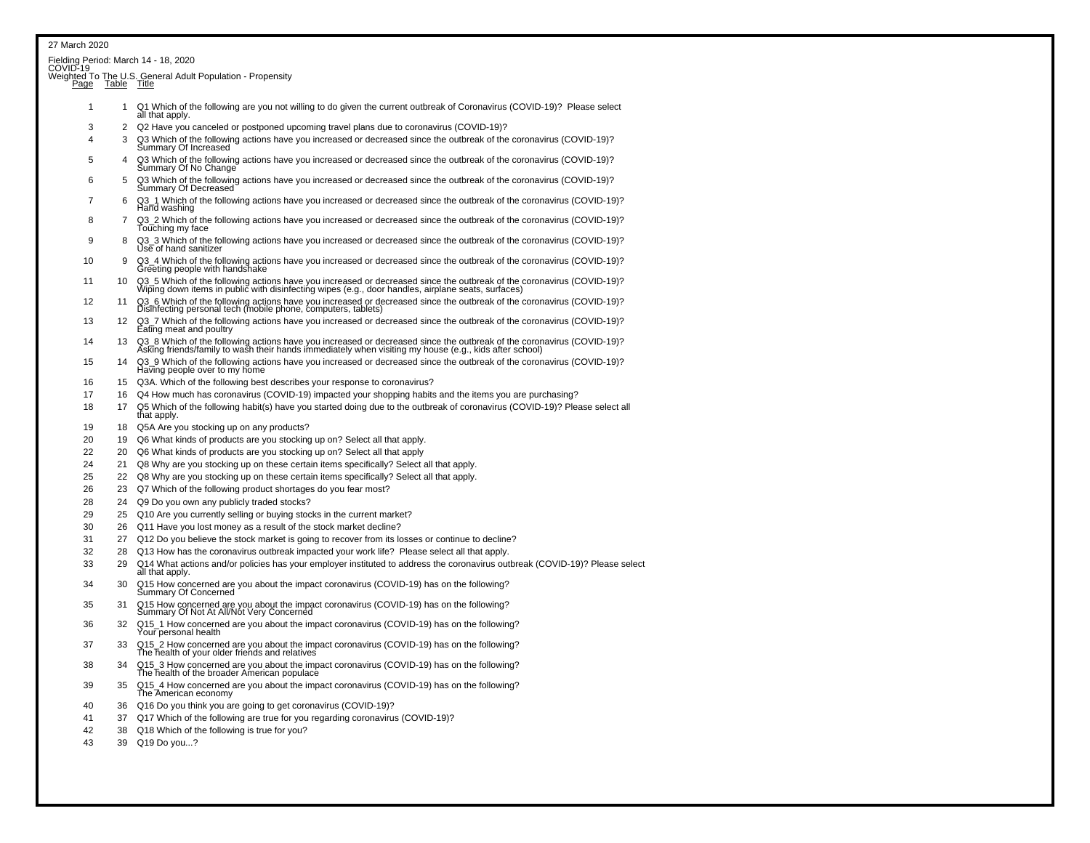| 27 March 2020  |                   |                                                                                                                                                                                                                                 |
|----------------|-------------------|---------------------------------------------------------------------------------------------------------------------------------------------------------------------------------------------------------------------------------|
|                |                   |                                                                                                                                                                                                                                 |
|                |                   | Fielding Period: March 14 - 18, 2020<br>COVID-19                                                                                                                                                                                |
|                |                   | Weighted To The U.S. General Adult Population - Propensity<br>Page Table Title                                                                                                                                                  |
| 1              | $\mathbf 1$       | Q1 Which of the following are you not willing to do given the current outbreak of Coronavirus (COVID-19)? Please select<br>all that apply.                                                                                      |
| 3              | 2                 | Q2 Have you canceled or postponed upcoming travel plans due to coronavirus (COVID-19)?                                                                                                                                          |
| $\overline{4}$ | 3                 | Q3 Which of the following actions have you increased or decreased since the outbreak of the coronavirus (COVID-19)?<br>Summary Of Increased                                                                                     |
| 5              | 4                 | Q3 Which of the following actions have you increased or decreased since the outbreak of the coronavirus (COVID-19)?<br>Summary Of No Change                                                                                     |
| 6              | 5                 | Q3 Which of the following actions have you increased or decreased since the outbreak of the coronavirus (COVID-19)?<br>Summary Of Decreased                                                                                     |
| 7              | 6                 | Q3_1 Which of the following actions have you increased or decreased since the outbreak of the coronavirus (COVID-19)?<br>Hand washing                                                                                           |
| 8              | 7                 | Q3 2 Which of the following actions have you increased or decreased since the outbreak of the coronavirus (COVID-19)?<br>Touching my face                                                                                       |
| 9              | 8                 | Q3_3 Which of the following actions have you increased or decreased since the outbreak of the coronavirus (COVID-19)?<br>Use of hand sanitizer                                                                                  |
| 10             | 9                 | Q3_4 Which of the following actions have you increased or decreased since the outbreak of the coronavirus (COVID-19)?<br>Greeting people with handshake                                                                         |
| 11             | 10                | Q3_5 Which of the following actions have you increased or decreased since the outbreak of the coronavirus (COVID-19)?<br>Wiping down items in public with disinfecting wipes (e.g., door handles, airplane seats, surfaces)     |
| 12             | -11               | Q3_6 Which of the following actions have you increased or decreased since the outbreak of the coronavirus (COVID-19)?<br>Disinfecting personal tech (mobile phone, computers, tablets)                                          |
| 13             | $12 \overline{ }$ | Q3_7 Which of the following actions have you increased or decreased since the outbreak of the coronavirus (COVID-19)?<br>Eating meat and poultry                                                                                |
| 14             | 13                | Q3_8 Which of the following actions have you increased or decreased since the outbreak of the coronavirus (COVID-19)?<br>Asking friends/family to wash their hands immediately when visiting my house (e.g., kids after school) |
| 15             | 14                | Q3 9 Which of the following actions have you increased or decreased since the outbreak of the coronavirus (COVID-19)?<br>Having people over to my home                                                                          |
| 16             | 15                | Q3A. Which of the following best describes your response to coronavirus?                                                                                                                                                        |
| 17             | 16                | Q4 How much has coronavirus (COVID-19) impacted your shopping habits and the items you are purchasing?                                                                                                                          |
| 18             | 17                | Q5 Which of the following habit(s) have you started doing due to the outbreak of coronavirus (COVID-19)? Please select all<br>that apply.                                                                                       |
| 19             |                   | 18 Q5A Are you stocking up on any products?                                                                                                                                                                                     |
| 20             | 19                | Q6 What kinds of products are you stocking up on? Select all that apply.                                                                                                                                                        |
| 22             | 20                | Q6 What kinds of products are you stocking up on? Select all that apply                                                                                                                                                         |
| 24             | 21                | Q8 Why are you stocking up on these certain items specifically? Select all that apply.                                                                                                                                          |
| 25             |                   | 22 Q8 Why are you stocking up on these certain items specifically? Select all that apply.                                                                                                                                       |
| 26             | 23                | Q7 Which of the following product shortages do you fear most?                                                                                                                                                                   |
| 28             | 24                | Q9 Do you own any publicly traded stocks?                                                                                                                                                                                       |
| 29             |                   | 25 Q10 Are you currently selling or buying stocks in the current market?                                                                                                                                                        |
| 30             | 26                | Q11 Have you lost money as a result of the stock market decline?                                                                                                                                                                |
| 31<br>32       | 27                | Q12 Do you believe the stock market is going to recover from its losses or continue to decline?                                                                                                                                 |
|                | 28                | Q13 How has the coronavirus outbreak impacted your work life? Please select all that apply.                                                                                                                                     |
| 33<br>34       | 29<br>30          | Q14 What actions and/or policies has your employer instituted to address the coronavirus outbreak (COVID-19)? Please select<br>all that apply.                                                                                  |
| 35             | 31                | Q15 How concerned are you about the impact coronavirus (COVID-19) has on the following?<br>Summary Of Concerned<br>Q15 How concerned are you about the impact coronavirus (COVID-19) has on the following?                      |
|                |                   | Summary Of Not At All/Nót Very Concerned                                                                                                                                                                                        |
| 36             | 32                | Q15 1 How concerned are you about the impact coronavirus (COVID-19) has on the following?<br>Your personal health                                                                                                               |
| 37             | 33                | Q15_2 How concerned are you about the impact coronavirus (COVID-19) has on the following?<br>The health of your older friends and relatives                                                                                     |
| 38             | 34                | Q15_3 How concerned are you about the impact coronavirus (COVID-19) has on the following?<br>The health of the broader American populace                                                                                        |
| 39             | 35                | Q15_4 How concerned are you about the impact coronavirus (COVID-19) has on the following?<br>The American economy                                                                                                               |
| 40             |                   | 36 Q16 Do you think you are going to get coronavirus (COVID-19)?                                                                                                                                                                |
| 41             | 37                | Q17 Which of the following are true for you regarding coronavirus (COVID-19)?                                                                                                                                                   |
| 42             | 38                | Q18 Which of the following is true for you?                                                                                                                                                                                     |
| 43             | 39                | Q19 Do you?                                                                                                                                                                                                                     |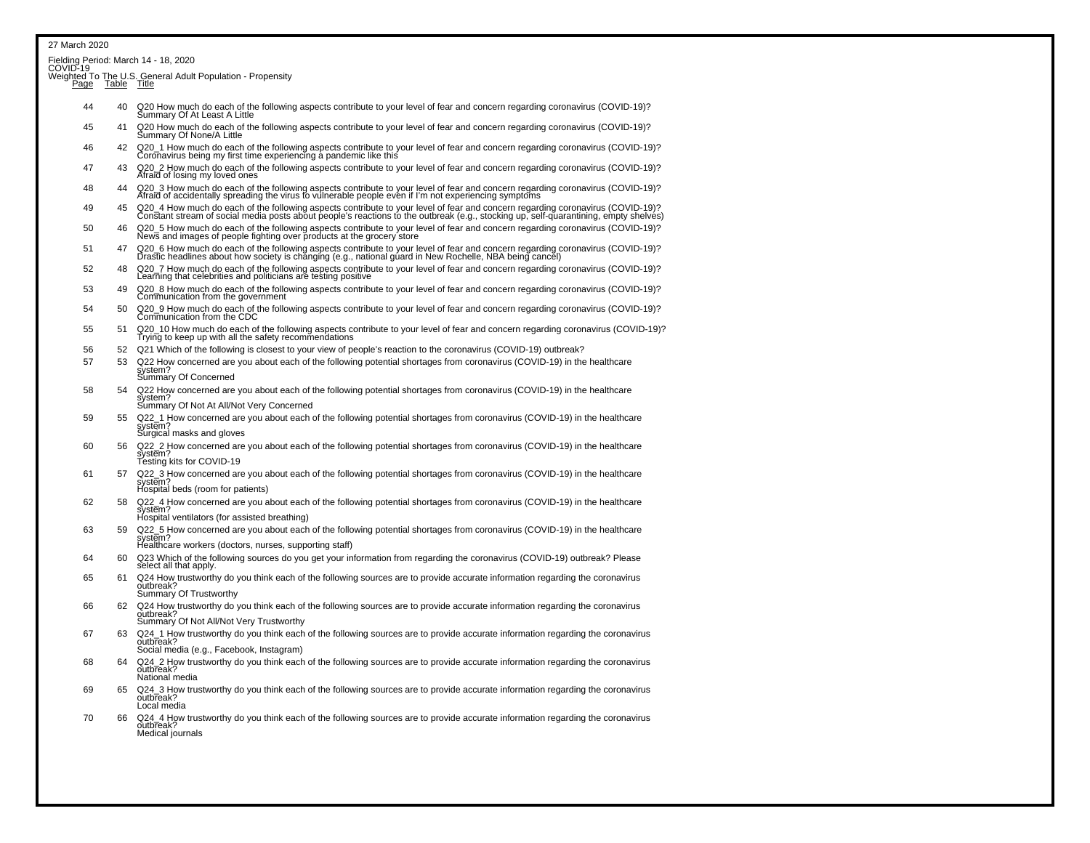#### 27 March 2020

Fielding Period: March 14 - 18, 2020<br>COVID-19<br>Weighted To The U.S. General Adult Population - Propensity<br>Page Table Title

- <sup>44</sup> 40 Q20 How much do each of the following aspects contribute to your level of fear and concern regarding coronavirus (COVID-19)? Summary Of At Least A Little
- 45 <sup>41</sup> Q20 How much do each of the following aspects contribute to your level of fear and concern regarding coronavirus (COVID-19)?Summary Of None/A Little
- 46 <sup>42</sup> Q20\_1 How much do each of the following aspects contribute to your level of fear and concern regarding coronavirus (COVID-19)?Coronavirus being my first time experiencing a pandemic like this
- 47 43 Q20\_2 How much do each of the following aspects contribute to your level of fear and concern regarding coronavirus (COVID-19)?<br>Afraid of losing my loved ones
- 48 <sup>44</sup> Q20\_3 How much do each of the following aspects contribute to your level of fear and concern regarding coronavirus (COVID-19)?Afraid of accidentally spreading the virus to vulnerable people even if I'm not experiencing symptoms
- 45 Q20\_4 How much do each of the following aspects contribute to your level of fear and concern regarding coronavirus (COVID-19)?<br>Constant stream of social media posts about people's reactions to the outbreak (e.g., stocki
- 50 46 Q20\_5 How much do each of the following aspects contribute to your level of fear and concern regarding coronavirus (COVID-19)?<br>News and images of people fighting over products at the grocery store
- 51 47 Q20\_6 How much do each of the following aspects contribute to your level of fear and concern regarding coronavirus (COVID-19)?<br>Drastic headlines about how society is changing (e.g., national guard in New Rochelle, NB
- 52 48 Q20\_7 How much do each of the following aspects contribute to your level of fear and concern regarding coronavirus (COVID-19)?Learning that celebrities and politicians are testing positive
- 53 49 Q20\_8 How much do each of the following aspects contribute to your level of fear and concern regarding coronavirus (COVID-19)?Communication from the government
- 54 50 Q20\_9 How much do each of the following aspects contribute to your level of fear and concern regarding coronavirus (COVID-19)? Communication from the CDC
- <sup>55</sup> 51 Q20\_10 How much do each of the following aspects contribute to your level of fear and concern regarding coronavirus (COVID-19)?Trying to keep up with all the safety recommendations
- 56 52 Q21 Which of the following is closest to your view of people's reaction to the coronavirus (COVID-19) outbreak?
- <sup>57</sup> 53 Q22 How concerned are you about each of the following potential shortages from coronavirus (COVID-19) in the healthcare system?Summary Of Concerned
- 58 54 Q22 How concerned are you about each of the following potential shortages from coronavirus (COVID-19) in the healthcaresystem?<br>Summary Of Not At All/Not Very Concerned
- 59 <sup>55</sup> Q22\_1 How concerned are you about each of the following potential shortages from coronavirus (COVID-19) in the healthcaresystem?<br>Surgical masks and gloves
- 60 56 Q22\_2 How concerned are you about each of the following potential shortages from coronavirus (COVID-19) in the healthcaresystem?<br>Testing kits for COVID-19<br>Testing kits for COVID-19
- 61 <sup>57</sup> Q22\_3 How concerned are you about each of the following potential shortages from coronavirus (COVID-19) in the healthcaresystem?<br>Hospital beds (room for patients) in the discussion of the discussion of the discussion of the discussion of t
- 62 58 Q22\_4 How concerned are you about each of the following potential shortages from coronavirus (COVID-19) in the healthcaresystem? Hospital ventilators (for assisted breathing)
- 63 59 Q22\_5 How concerned are you about each of the following potential shortages from coronavirus (COVID-19) in the healthcaresystem?<br>Healthcare workers (doctors, nurses, supporting staff)
- 64 60 Q23 Which of the following sources do you get your information from regarding the coronavirus (COVID-19) outbreak? Pleaseselect all that apply.
- 65 61 Q24 How trustworthy do you think each of the following sources are to provide accurate information regarding the coronavirusoutbreak? Summary Of Trustworthy
- 66 62 Q24 How trustworthy do you think each of the following sources are to provide accurate information regarding the coronavirusoutbreak? Summary Of Not All/Not Very Trustworthy
- 67 63 Q24\_1 How trustworthy do you think each of the following sources are to provide accurate information regarding the coronavirusoutbreak? Social media (e.g., Facebook, Instagram)
- 68 64 Q24\_2 How trustworthy do you think each of the following sources are to provide accurate information regarding the coronavirusoutbreak? National media
- 69 65 Q24\_3 How trustworthy do you think each of the following sources are to provide accurate information regarding the coronavirus outbreak?Local media
- 70 66 Q24\_4 How trustworthy do you think each of the following sources are to provide accurate information regarding the coronavirus outbreak?Medical journals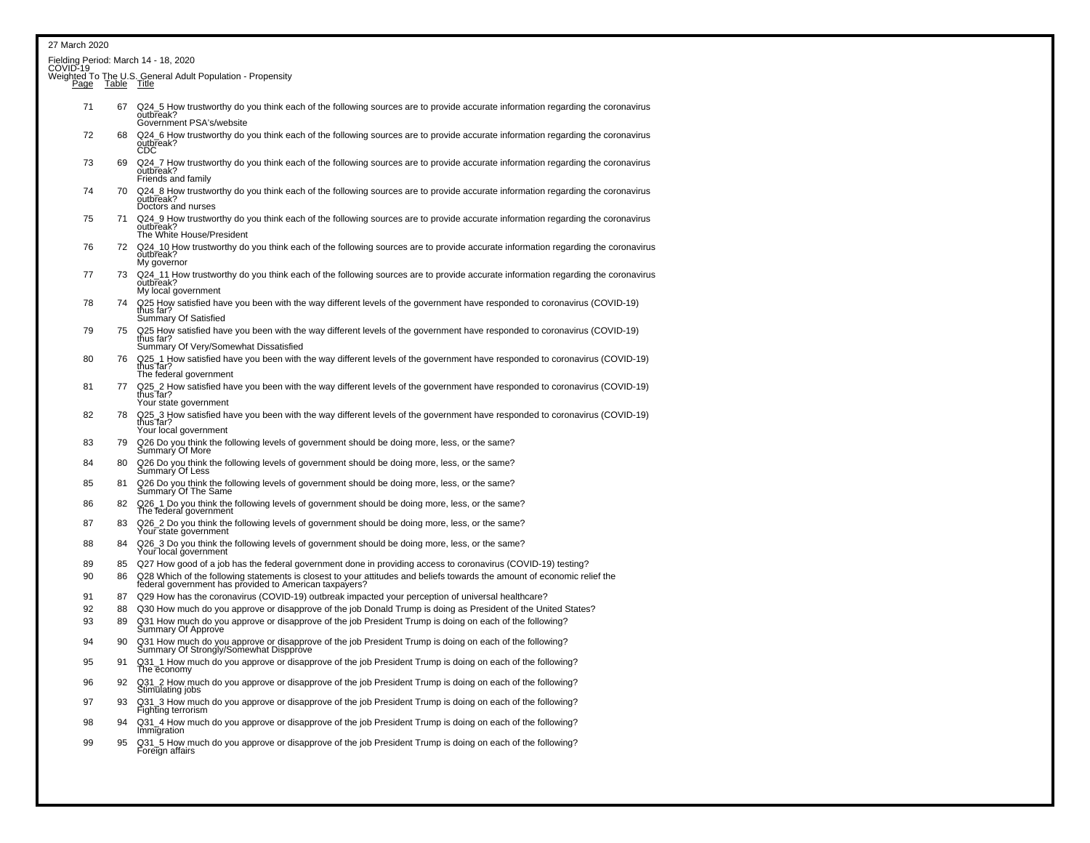| 27 March 2020 |             |                                                                                                                                                                                    |
|---------------|-------------|------------------------------------------------------------------------------------------------------------------------------------------------------------------------------------|
|               |             | Fielding Period: March 14 - 18, 2020<br>COVID-19                                                                                                                                   |
|               |             | Weighted To The U.S. General Adult Population - Propensity                                                                                                                         |
| Page          | Table Title |                                                                                                                                                                                    |
| 71            | 67          | Q24_5 How trustworthy do you think each of the following sources are to provide accurate information regarding the coronavirus<br>outbreak?<br>Government PSA's/website            |
| 72            | 68          | Q24_6 How trustworthy do you think each of the following sources are to provide accurate information regarding the coronavirus<br>outbreak?<br>CDC                                 |
| 73            | 69          | Q24 7 How trustworthy do you think each of the following sources are to provide accurate information regarding the coronavirus<br>outbreak?<br>Friends and family                  |
| 74            | 70          | Q24_8 How trustworthy do you think each of the following sources are to provide accurate information regarding the coronavirus<br>outbreak?<br>Doctors and nurses                  |
| 75            | 71          | Q24_9 How trustworthy do you think each of the following sources are to provide accurate information regarding the coronavirus<br>outbreak?                                        |
| 76            | 72          | The White House/President<br>Q24_10 How trustworthy do you think each of the following sources are to provide accurate information regarding the coronavirus                       |
|               |             | outbreak?<br>My governor                                                                                                                                                           |
| 77            | 73          | Q24_11 How trustworthy do you think each of the following sources are to provide accurate information regarding the coronavirus<br>outbreak?<br>My local government                |
| 78            | 74          | Q25 How satisfied have you been with the way different levels of the government have responded to coronavirus (COVID-19)<br>thus far?<br>Summary Of Satisfied                      |
| 79            | 75          | Q25 How satisfied have you been with the way different levels of the government have responded to coronavirus (COVID-19)<br>thus far?<br>Summary Of Very/Somewhat Dissatisfied     |
| 80            | 76          | Q25_1 How satisfied have you been with the way different levels of the government have responded to coronavirus (COVID-19)<br>thus far?<br>The federal government                  |
| 81            | 77          | Q25_2 How satisfied have you been with the way different levels of the government have responded to coronavirus (COVID-19)<br>thus far?<br>Your state government                   |
| 82            | 78          | Q25_3 How satisfied have you been with the way different levels of the government have responded to coronavirus (COVID-19)<br>thus far?                                            |
| 83            | 79          | Your local government<br>Q26 Do you think the following levels of government should be doing more, less, or the same?                                                              |
| 84            | 80          | Summary Of More<br>Q26 Do you think the following levels of government should be doing more, less, or the same?<br>Summary Of Less                                                 |
| 85            | 81          | Q26 Do you think the following levels of government should be doing more, less, or the same?<br>Summary Of The Same                                                                |
| 86            | 82          | Q26_1 Do you think the following levels of government should be doing more, less, or the same?<br>The federal government                                                           |
| 87            | 83          | Q26_2 Do you think the following levels of government should be doing more, less, or the same?<br>Your state government                                                            |
| 88            | 84          | Q26_3 Do you think the following levels of government should be doing more, less, or the same?<br>Your local government                                                            |
| 89            | 85          | Q27 How good of a job has the federal government done in providing access to coronavirus (COVID-19) testing?                                                                       |
| 90            | 86          | Q28 Which of the following statements is closest to your attitudes and beliefs towards the amount of economic relief the<br>federal government has provided to American taxpayers? |
| 91            | 87          | Q29 How has the coronavirus (COVID-19) outbreak impacted your perception of universal healthcare?                                                                                  |
| 92            | 88          | Q30 How much do you approve or disapprove of the job Donald Trump is doing as President of the United States?                                                                      |
| 93            | 89          | Q31 How much do you approve or disapprove of the job President Trump is doing on each of the following?<br>Summary Of Approve                                                      |
| 94            | 90          | Q31 How much do you approve or disapprove of the job President Trump is doing on each of the following?<br>Summary Of Strongly/Somewhat Dispprove                                  |
| 95            | 91          | Q31_1 How much do you approve or disapprove of the job President Trump is doing on each of the following?<br>The economy                                                           |
| 96            | 92          | Q31_2 How much do you approve or disapprove of the job President Trump is doing on each of the following?<br>Stimulating jobs                                                      |
| 97            | 93          | Q31_3 How much do you approve or disapprove of the job President Trump is doing on each of the following?<br>Fighting terrorism                                                    |
| 98            | 94          | Q31 4 How much do you approve or disapprove of the job President Trump is doing on each of the following?<br>Immigration                                                           |
| 99            | 95          | Q31_5 How much do you approve or disapprove of the job President Trump is doing on each of the following?<br>Foreign affairs                                                       |